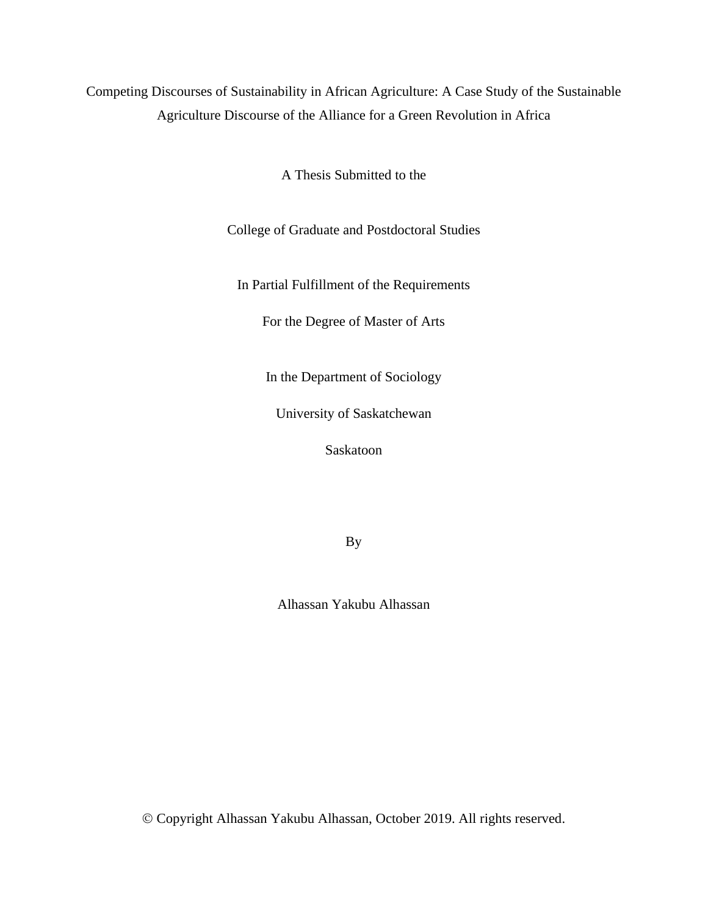Competing Discourses of Sustainability in African Agriculture: A Case Study of the Sustainable Agriculture Discourse of the Alliance for a Green Revolution in Africa

A Thesis Submitted to the

College of Graduate and Postdoctoral Studies

In Partial Fulfillment of the Requirements

For the Degree of Master of Arts

In the Department of Sociology

University of Saskatchewan

Saskatoon

By

Alhassan Yakubu Alhassan

© Copyright Alhassan Yakubu Alhassan, October 2019. All rights reserved.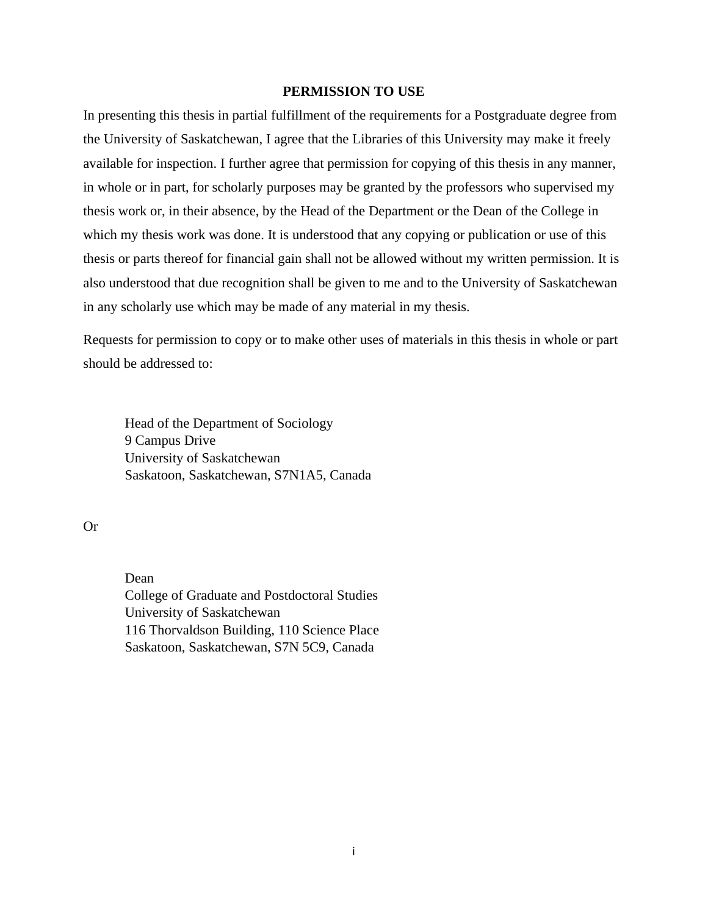# **PERMISSION TO USE**

<span id="page-1-0"></span>In presenting this thesis in partial fulfillment of the requirements for a Postgraduate degree from the University of Saskatchewan, I agree that the Libraries of this University may make it freely available for inspection. I further agree that permission for copying of this thesis in any manner, in whole or in part, for scholarly purposes may be granted by the professors who supervised my thesis work or, in their absence, by the Head of the Department or the Dean of the College in which my thesis work was done. It is understood that any copying or publication or use of this thesis or parts thereof for financial gain shall not be allowed without my written permission. It is also understood that due recognition shall be given to me and to the University of Saskatchewan in any scholarly use which may be made of any material in my thesis.

Requests for permission to copy or to make other uses of materials in this thesis in whole or part should be addressed to:

Head of the Department of Sociology 9 Campus Drive University of Saskatchewan Saskatoon, Saskatchewan, S7N1A5, Canada

Or

Dean College of Graduate and Postdoctoral Studies University of Saskatchewan 116 Thorvaldson Building, 110 Science Place Saskatoon, Saskatchewan, S7N 5C9, Canada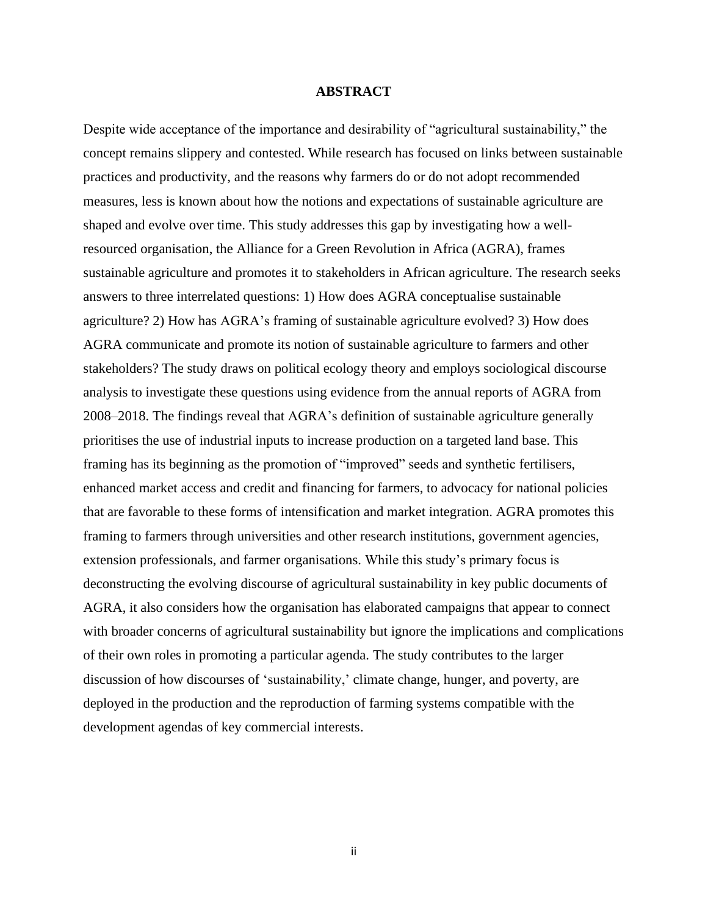## **ABSTRACT**

<span id="page-2-0"></span>Despite wide acceptance of the importance and desirability of "agricultural sustainability," the concept remains slippery and contested. While research has focused on links between sustainable practices and productivity, and the reasons why farmers do or do not adopt recommended measures, less is known about how the notions and expectations of sustainable agriculture are shaped and evolve over time. This study addresses this gap by investigating how a wellresourced organisation, the Alliance for a Green Revolution in Africa (AGRA), frames sustainable agriculture and promotes it to stakeholders in African agriculture. The research seeks answers to three interrelated questions: 1) How does AGRA conceptualise sustainable agriculture? 2) How has AGRA's framing of sustainable agriculture evolved? 3) How does AGRA communicate and promote its notion of sustainable agriculture to farmers and other stakeholders? The study draws on political ecology theory and employs sociological discourse analysis to investigate these questions using evidence from the annual reports of AGRA from 2008–2018. The findings reveal that AGRA's definition of sustainable agriculture generally prioritises the use of industrial inputs to increase production on a targeted land base. This framing has its beginning as the promotion of "improved" seeds and synthetic fertilisers, enhanced market access and credit and financing for farmers, to advocacy for national policies that are favorable to these forms of intensification and market integration. AGRA promotes this framing to farmers through universities and other research institutions, government agencies, extension professionals, and farmer organisations. While this study's primary focus is deconstructing the evolving discourse of agricultural sustainability in key public documents of AGRA, it also considers how the organisation has elaborated campaigns that appear to connect with broader concerns of agricultural sustainability but ignore the implications and complications of their own roles in promoting a particular agenda. The study contributes to the larger discussion of how discourses of 'sustainability,' climate change, hunger, and poverty, are deployed in the production and the reproduction of farming systems compatible with the development agendas of key commercial interests.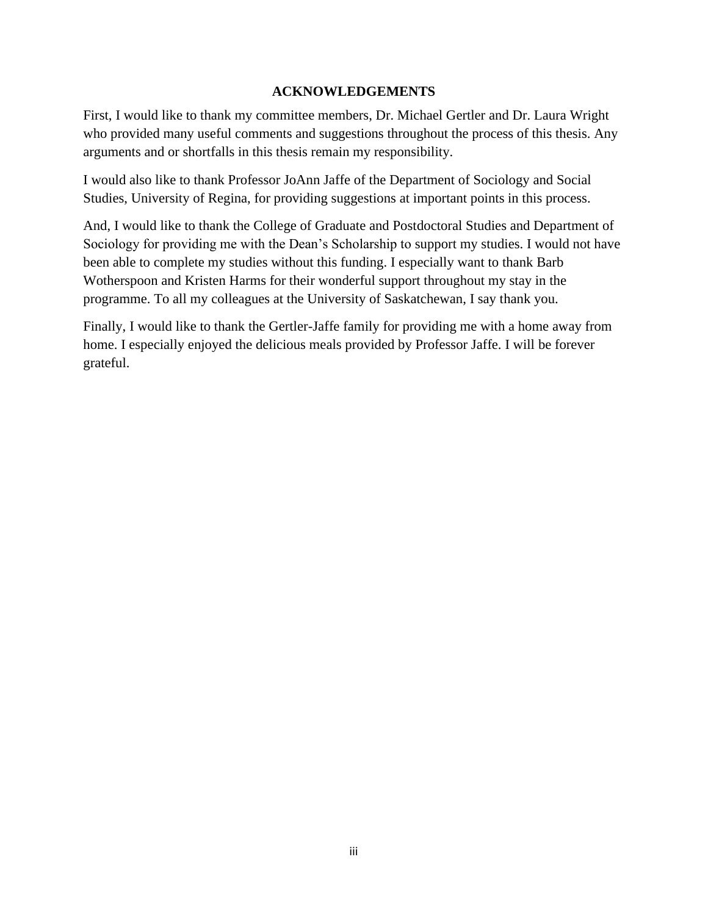# **ACKNOWLEDGEMENTS**

<span id="page-3-0"></span>First, I would like to thank my committee members, Dr. Michael Gertler and Dr. Laura Wright who provided many useful comments and suggestions throughout the process of this thesis. Any arguments and or shortfalls in this thesis remain my responsibility.

I would also like to thank Professor JoAnn Jaffe of the Department of Sociology and Social Studies, University of Regina, for providing suggestions at important points in this process.

And, I would like to thank the College of Graduate and Postdoctoral Studies and Department of Sociology for providing me with the Dean's Scholarship to support my studies. I would not have been able to complete my studies without this funding. I especially want to thank Barb Wotherspoon and Kristen Harms for their wonderful support throughout my stay in the programme. To all my colleagues at the University of Saskatchewan, I say thank you.

Finally, I would like to thank the Gertler-Jaffe family for providing me with a home away from home. I especially enjoyed the delicious meals provided by Professor Jaffe. I will be forever grateful.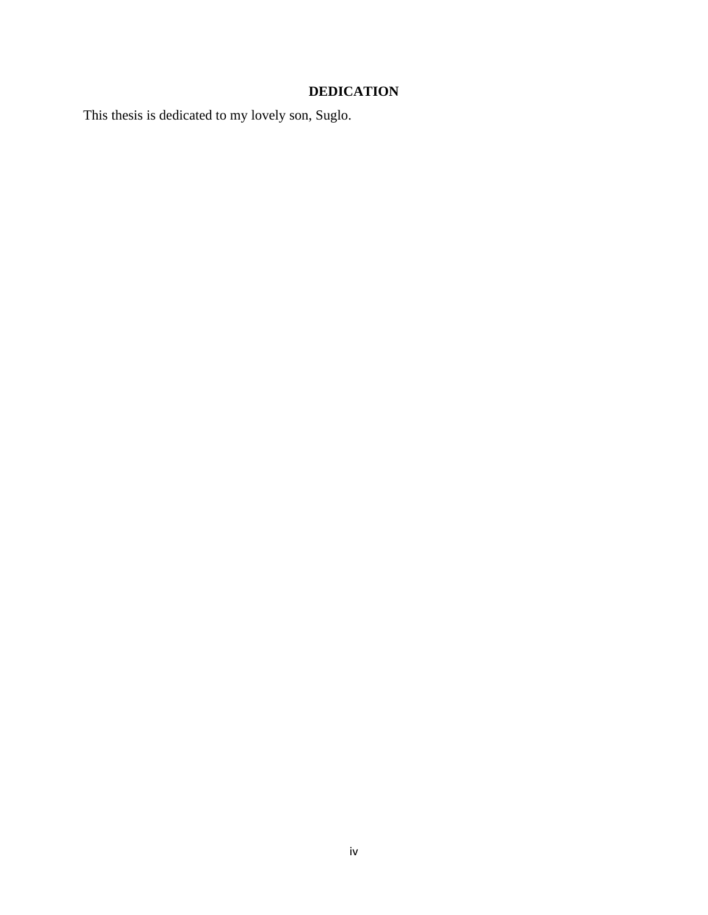# **DEDICATION**

<span id="page-4-0"></span>This thesis is dedicated to my lovely son, Suglo.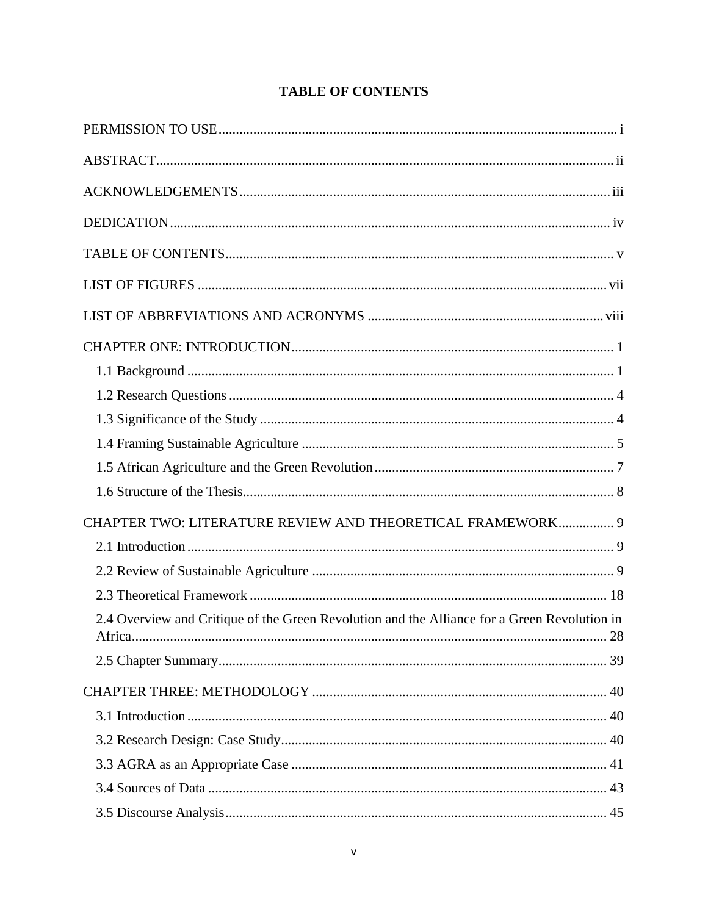<span id="page-5-0"></span>

| CHAPTER TWO: LITERATURE REVIEW AND THEORETICAL FRAMEWORK 9                                   |
|----------------------------------------------------------------------------------------------|
|                                                                                              |
|                                                                                              |
|                                                                                              |
| 2.4 Overview and Critique of the Green Revolution and the Alliance for a Green Revolution in |
|                                                                                              |
|                                                                                              |
|                                                                                              |
|                                                                                              |
|                                                                                              |
|                                                                                              |
|                                                                                              |

# **TABLE OF CONTENTS**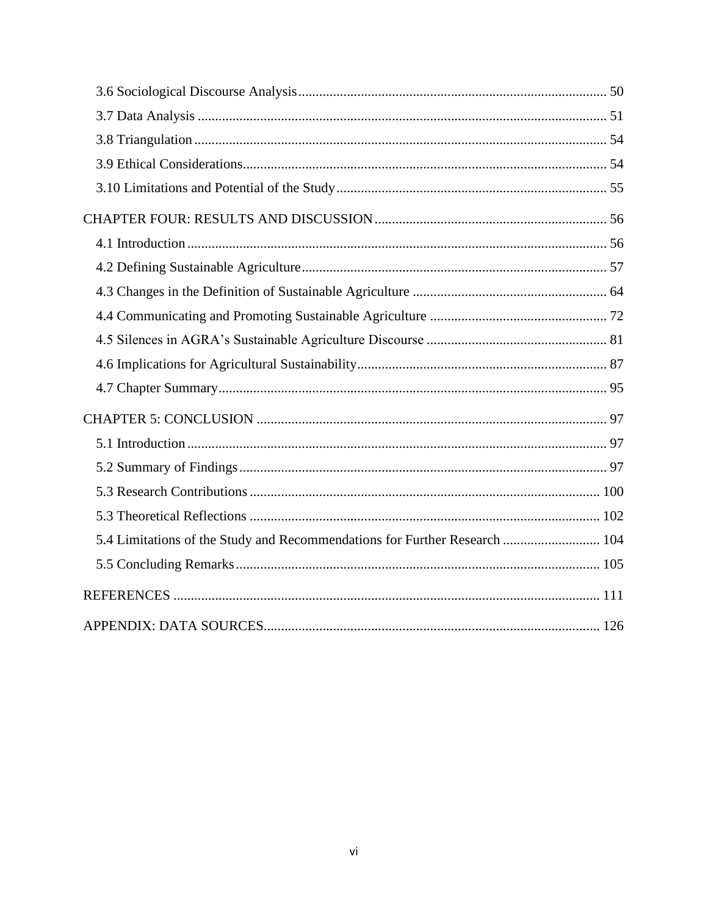| 5.4 Limitations of the Study and Recommendations for Further Research  104 |  |
|----------------------------------------------------------------------------|--|
|                                                                            |  |
|                                                                            |  |
|                                                                            |  |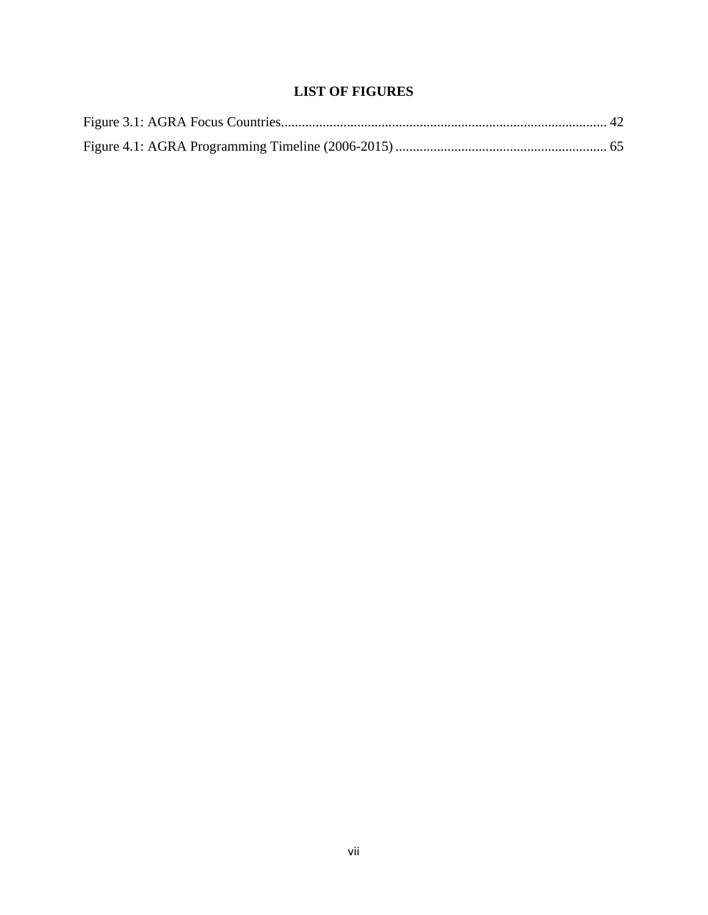# **LIST OF FIGURES**

<span id="page-7-0"></span>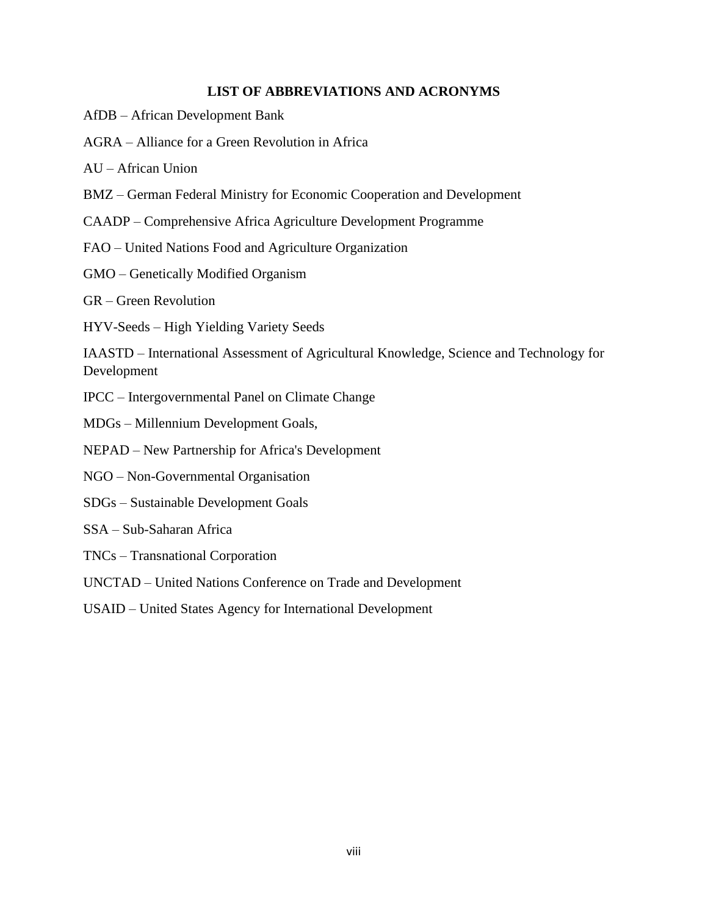# **LIST OF ABBREVIATIONS AND ACRONYMS**

- <span id="page-8-0"></span>AfDB – African Development Bank
- AGRA Alliance for a Green Revolution in Africa

AU – African Union

- BMZ German Federal Ministry for Economic Cooperation and Development
- CAADP Comprehensive Africa Agriculture Development Programme
- FAO United Nations Food and Agriculture Organization
- GMO Genetically Modified Organism

GR – Green Revolution

HYV-Seeds – High Yielding Variety Seeds

IAASTD – International Assessment of Agricultural Knowledge, Science and Technology for Development

- IPCC Intergovernmental Panel on Climate Change
- MDGs Millennium Development Goals,
- NEPAD New Partnership for Africa's Development
- NGO Non-Governmental Organisation
- SDGs Sustainable Development Goals
- SSA Sub-Saharan Africa
- TNCs Transnational Corporation
- UNCTAD United Nations Conference on Trade and Development
- USAID United States Agency for International Development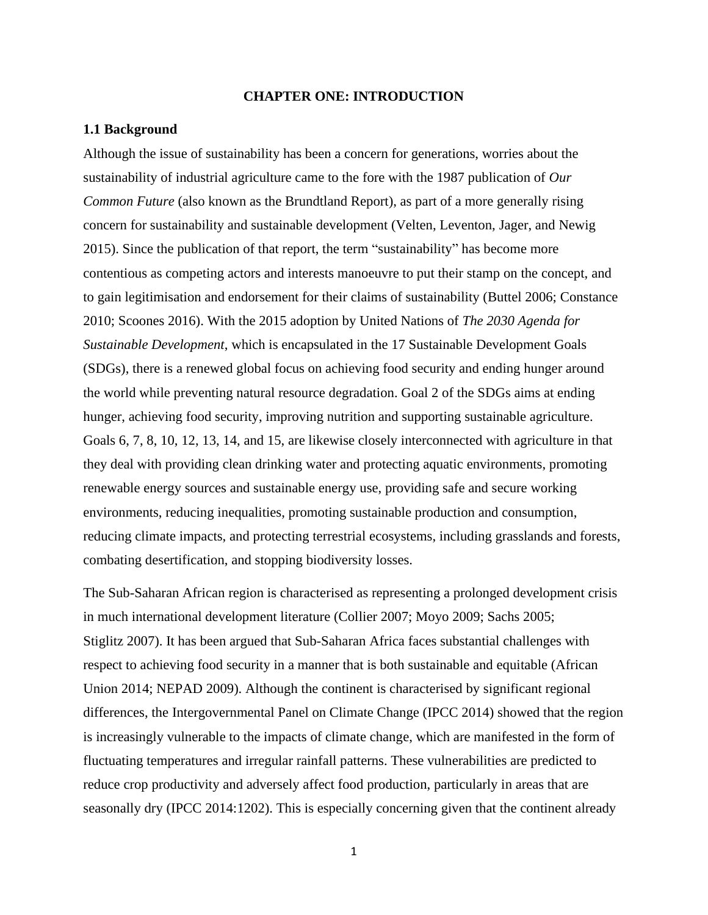# **CHAPTER ONE: INTRODUCTION**

## <span id="page-9-1"></span><span id="page-9-0"></span>**1.1 Background**

Although the issue of sustainability has been a concern for generations, worries about the sustainability of industrial agriculture came to the fore with the 1987 publication of *Our Common Future* (also known as the Brundtland Report), as part of a more generally rising concern for sustainability and sustainable development (Velten, Leventon, Jager, and Newig 2015). Since the publication of that report, the term "sustainability" has become more contentious as competing actors and interests manoeuvre to put their stamp on the concept, and to gain legitimisation and endorsement for their claims of sustainability (Buttel 2006; Constance 2010; Scoones 2016). With the 2015 adoption by United Nations of *The 2030 Agenda for Sustainable Development*, which is encapsulated in the 17 Sustainable Development Goals (SDGs), there is a renewed global focus on achieving food security and ending hunger around the world while preventing natural resource degradation. Goal 2 of the SDGs aims at ending hunger, achieving food security, improving nutrition and supporting sustainable agriculture. Goals 6, 7, 8, 10, 12, 13, 14, and 15, are likewise closely interconnected with agriculture in that they deal with providing clean drinking water and protecting aquatic environments, promoting renewable energy sources and sustainable energy use, providing safe and secure working environments, reducing inequalities, promoting sustainable production and consumption, reducing climate impacts, and protecting terrestrial ecosystems, including grasslands and forests, combating desertification, and stopping biodiversity losses.

The Sub-Saharan African region is characterised as representing a prolonged development crisis in much international development literature (Collier 2007; Moyo 2009; Sachs 2005; Stiglitz 2007). It has been argued that Sub-Saharan Africa faces substantial challenges with respect to achieving food security in a manner that is both sustainable and equitable (African Union 2014; NEPAD 2009). Although the continent is characterised by significant regional differences, the Intergovernmental Panel on Climate Change (IPCC 2014) showed that the region is increasingly vulnerable to the impacts of climate change, which are manifested in the form of fluctuating temperatures and irregular rainfall patterns. These vulnerabilities are predicted to reduce crop productivity and adversely affect food production, particularly in areas that are seasonally dry (IPCC 2014:1202). This is especially concerning given that the continent already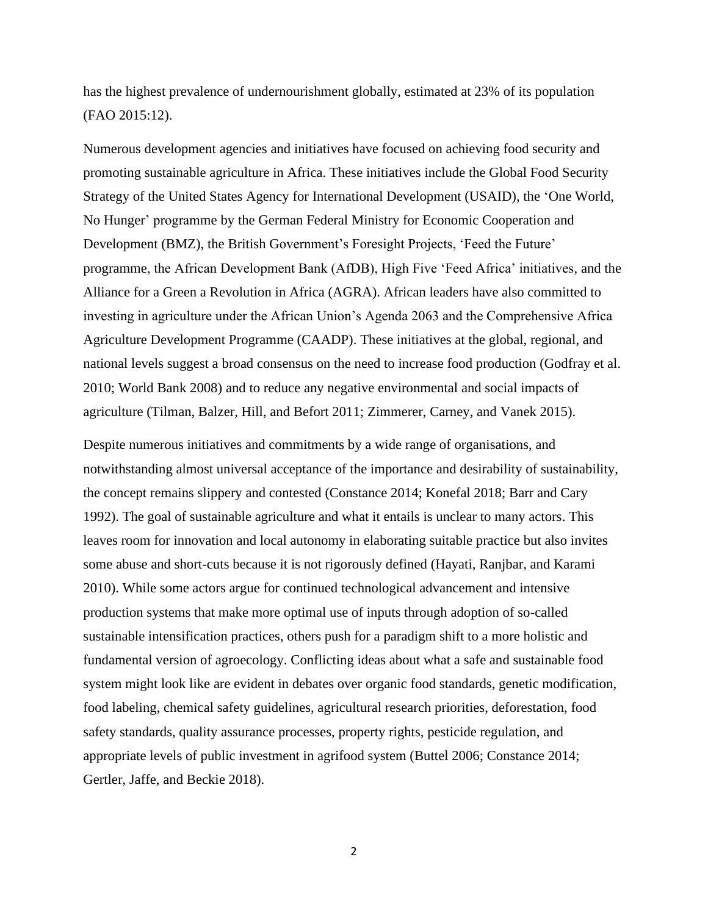has the highest prevalence of undernourishment globally, estimated at 23% of its population (FAO 2015:12).

Numerous development agencies and initiatives have focused on achieving food security and promoting sustainable agriculture in Africa. These initiatives include the Global Food Security Strategy of the United States Agency for International Development (USAID), the 'One World, No Hunger' programme by the German Federal Ministry for Economic Cooperation and Development (BMZ), the British Government's Foresight Projects, 'Feed the Future' programme, the African Development Bank (AfDB), High Five 'Feed Africa' initiatives, and the Alliance for a Green a Revolution in Africa (AGRA). African leaders have also committed to investing in agriculture under the African Union's Agenda 2063 and the Comprehensive Africa Agriculture Development Programme (CAADP). These initiatives at the global, regional, and national levels suggest a broad consensus on the need to increase food production (Godfray et al. 2010; World Bank 2008) and to reduce any negative environmental and social impacts of agriculture (Tilman, Balzer, Hill, and Befort 2011; Zimmerer, Carney, and Vanek 2015).

Despite numerous initiatives and commitments by a wide range of organisations, and notwithstanding almost universal acceptance of the importance and desirability of sustainability, the concept remains slippery and contested (Constance 2014; Konefal 2018; Barr and Cary 1992). The goal of sustainable agriculture and what it entails is unclear to many actors. This leaves room for innovation and local autonomy in elaborating suitable practice but also invites some abuse and short-cuts because it is not rigorously defined (Hayati, Ranjbar, and Karami 2010). While some actors argue for continued technological advancement and intensive production systems that make more optimal use of inputs through adoption of so-called sustainable intensification practices, others push for a paradigm shift to a more holistic and fundamental version of agroecology. Conflicting ideas about what a safe and sustainable food system might look like are evident in debates over organic food standards, genetic modification, food labeling, chemical safety guidelines, agricultural research priorities, deforestation, food safety standards, quality assurance processes, property rights, pesticide regulation, and appropriate levels of public investment in agrifood system (Buttel 2006; Constance 2014; Gertler, Jaffe, and Beckie 2018).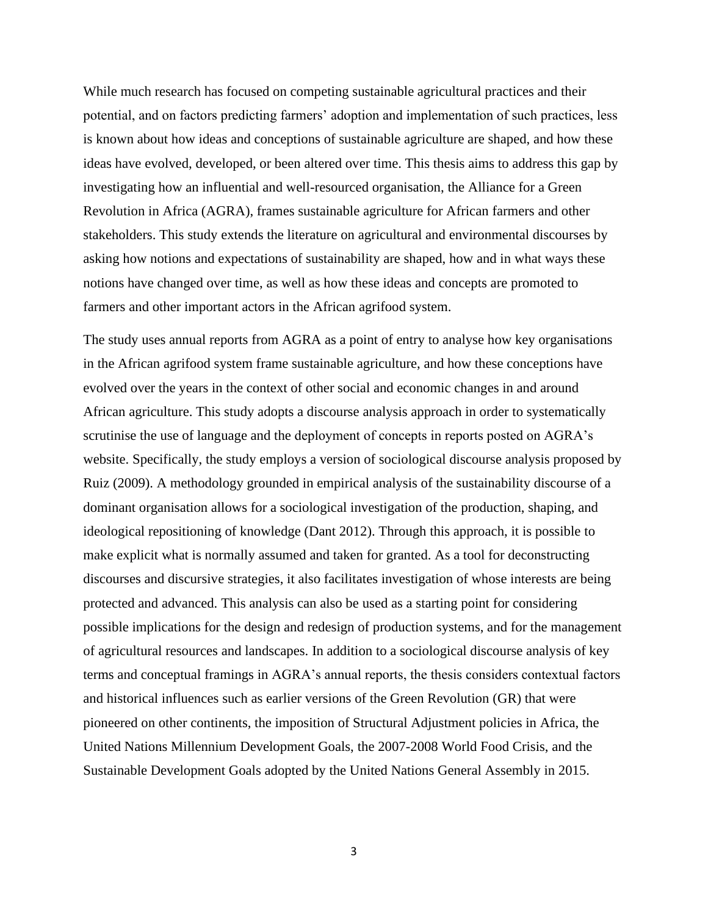While much research has focused on competing sustainable agricultural practices and their potential, and on factors predicting farmers' adoption and implementation of such practices, less is known about how ideas and conceptions of sustainable agriculture are shaped, and how these ideas have evolved, developed, or been altered over time. This thesis aims to address this gap by investigating how an influential and well-resourced organisation, the Alliance for a Green Revolution in Africa (AGRA), frames sustainable agriculture for African farmers and other stakeholders. This study extends the literature on agricultural and environmental discourses by asking how notions and expectations of sustainability are shaped, how and in what ways these notions have changed over time, as well as how these ideas and concepts are promoted to farmers and other important actors in the African agrifood system.

The study uses annual reports from AGRA as a point of entry to analyse how key organisations in the African agrifood system frame sustainable agriculture, and how these conceptions have evolved over the years in the context of other social and economic changes in and around African agriculture. This study adopts a discourse analysis approach in order to systematically scrutinise the use of language and the deployment of concepts in reports posted on AGRA's website. Specifically, the study employs a version of sociological discourse analysis proposed by Ruiz (2009). A methodology grounded in empirical analysis of the sustainability discourse of a dominant organisation allows for a sociological investigation of the production, shaping, and ideological repositioning of knowledge (Dant 2012). Through this approach, it is possible to make explicit what is normally assumed and taken for granted. As a tool for deconstructing discourses and discursive strategies, it also facilitates investigation of whose interests are being protected and advanced. This analysis can also be used as a starting point for considering possible implications for the design and redesign of production systems, and for the management of agricultural resources and landscapes. In addition to a sociological discourse analysis of key terms and conceptual framings in AGRA's annual reports, the thesis considers contextual factors and historical influences such as earlier versions of the Green Revolution (GR) that were pioneered on other continents, the imposition of Structural Adjustment policies in Africa, the United Nations Millennium Development Goals, the 2007-2008 World Food Crisis, and the Sustainable Development Goals adopted by the United Nations General Assembly in 2015.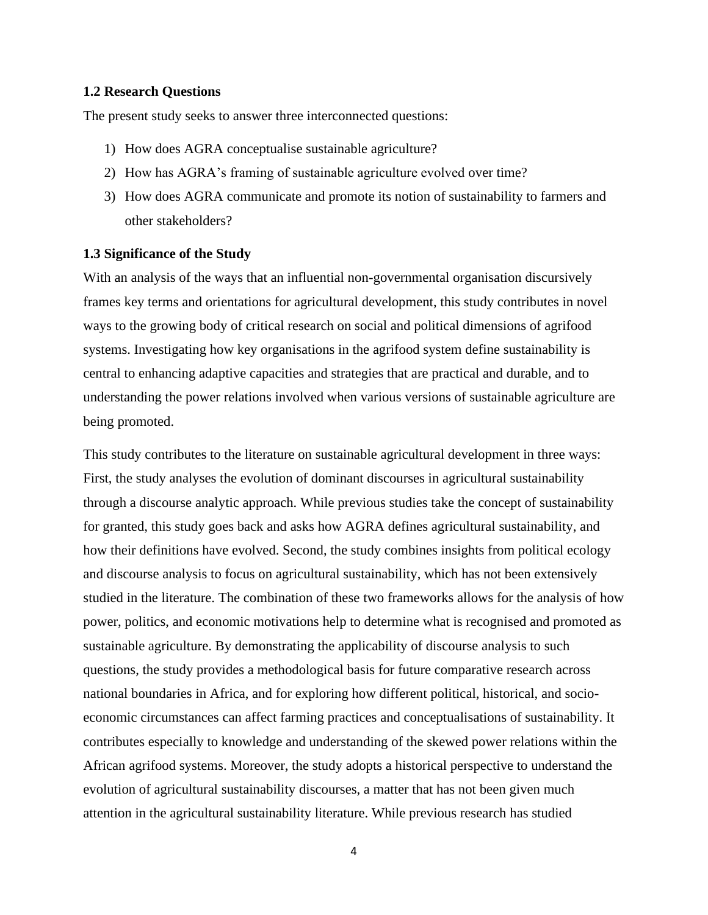#### <span id="page-12-0"></span>**1.2 Research Questions**

The present study seeks to answer three interconnected questions:

- 1) How does AGRA conceptualise sustainable agriculture?
- 2) How has AGRA's framing of sustainable agriculture evolved over time?
- 3) How does AGRA communicate and promote its notion of sustainability to farmers and other stakeholders?

## <span id="page-12-1"></span>**1.3 Significance of the Study**

With an analysis of the ways that an influential non-governmental organisation discursively frames key terms and orientations for agricultural development, this study contributes in novel ways to the growing body of critical research on social and political dimensions of agrifood systems. Investigating how key organisations in the agrifood system define sustainability is central to enhancing adaptive capacities and strategies that are practical and durable, and to understanding the power relations involved when various versions of sustainable agriculture are being promoted.

This study contributes to the literature on sustainable agricultural development in three ways: First, the study analyses the evolution of dominant discourses in agricultural sustainability through a discourse analytic approach. While previous studies take the concept of sustainability for granted, this study goes back and asks how AGRA defines agricultural sustainability, and how their definitions have evolved. Second, the study combines insights from political ecology and discourse analysis to focus on agricultural sustainability, which has not been extensively studied in the literature. The combination of these two frameworks allows for the analysis of how power, politics, and economic motivations help to determine what is recognised and promoted as sustainable agriculture. By demonstrating the applicability of discourse analysis to such questions, the study provides a methodological basis for future comparative research across national boundaries in Africa, and for exploring how different political, historical, and socioeconomic circumstances can affect farming practices and conceptualisations of sustainability. It contributes especially to knowledge and understanding of the skewed power relations within the African agrifood systems. Moreover, the study adopts a historical perspective to understand the evolution of agricultural sustainability discourses, a matter that has not been given much attention in the agricultural sustainability literature. While previous research has studied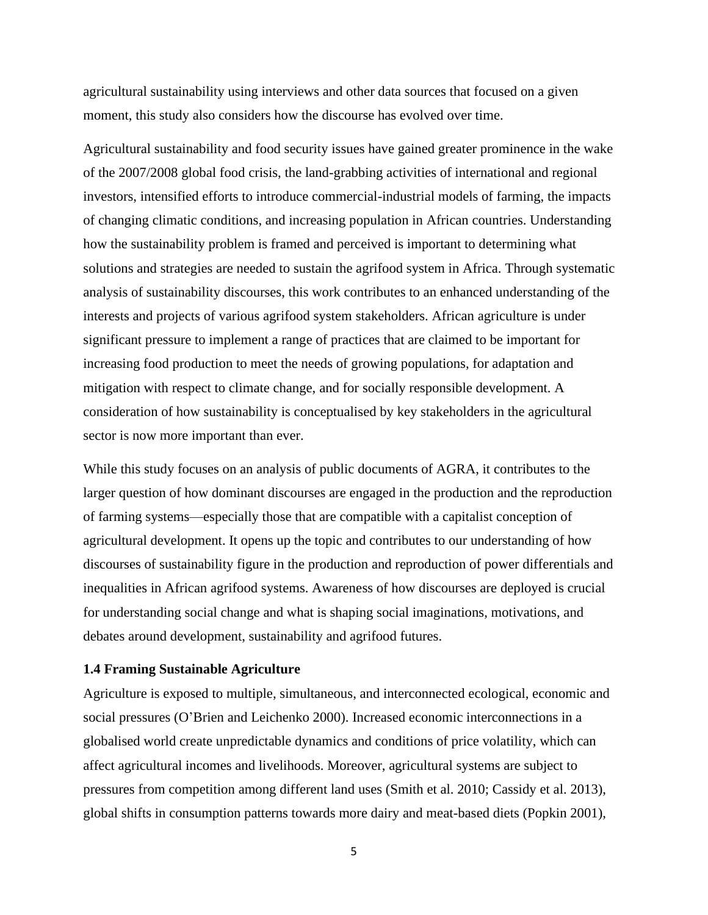agricultural sustainability using interviews and other data sources that focused on a given moment, this study also considers how the discourse has evolved over time.

Agricultural sustainability and food security issues have gained greater prominence in the wake of the 2007/2008 global food crisis, the land-grabbing activities of international and regional investors, intensified efforts to introduce commercial-industrial models of farming, the impacts of changing climatic conditions, and increasing population in African countries. Understanding how the sustainability problem is framed and perceived is important to determining what solutions and strategies are needed to sustain the agrifood system in Africa. Through systematic analysis of sustainability discourses, this work contributes to an enhanced understanding of the interests and projects of various agrifood system stakeholders. African agriculture is under significant pressure to implement a range of practices that are claimed to be important for increasing food production to meet the needs of growing populations, for adaptation and mitigation with respect to climate change, and for socially responsible development. A consideration of how sustainability is conceptualised by key stakeholders in the agricultural sector is now more important than ever.

While this study focuses on an analysis of public documents of AGRA, it contributes to the larger question of how dominant discourses are engaged in the production and the reproduction of farming systems—especially those that are compatible with a capitalist conception of agricultural development. It opens up the topic and contributes to our understanding of how discourses of sustainability figure in the production and reproduction of power differentials and inequalities in African agrifood systems. Awareness of how discourses are deployed is crucial for understanding social change and what is shaping social imaginations, motivations, and debates around development, sustainability and agrifood futures.

#### <span id="page-13-0"></span>**1.4 Framing Sustainable Agriculture**

Agriculture is exposed to multiple, simultaneous, and interconnected ecological, economic and social pressures (O'Brien and Leichenko 2000). Increased economic interconnections in a globalised world create unpredictable dynamics and conditions of price volatility, which can affect agricultural incomes and livelihoods. Moreover, agricultural systems are subject to pressures from competition among different land uses (Smith et al. 2010; Cassidy et al. 2013), global shifts in consumption patterns towards more dairy and meat-based diets (Popkin 2001),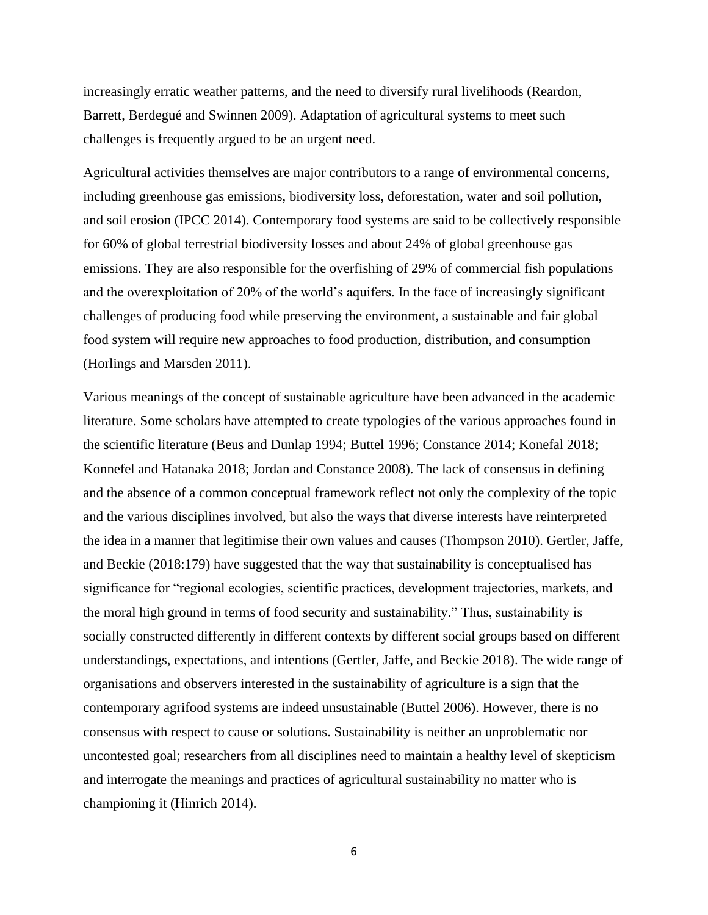increasingly erratic weather patterns, and the need to diversify rural livelihoods (Reardon, Barrett, Berdegué and Swinnen 2009). Adaptation of agricultural systems to meet such challenges is frequently argued to be an urgent need.

Agricultural activities themselves are major contributors to a range of environmental concerns, including greenhouse gas emissions, biodiversity loss, deforestation, water and soil pollution, and soil erosion (IPCC 2014). Contemporary food systems are said to be collectively responsible for 60% of global terrestrial biodiversity losses and about 24% of global greenhouse gas emissions. They are also responsible for the overfishing of 29% of commercial fish populations and the overexploitation of 20% of the world's aquifers. In the face of increasingly significant challenges of producing food while preserving the environment, a sustainable and fair global food system will require new approaches to food production, distribution, and consumption (Horlings and Marsden 2011).

Various meanings of the concept of sustainable agriculture have been advanced in the academic literature. Some scholars have attempted to create typologies of the various approaches found in the scientific literature (Beus and Dunlap 1994; Buttel 1996; Constance 2014; Konefal 2018; Konnefel and Hatanaka 2018; Jordan and Constance 2008). The lack of consensus in defining and the absence of a common conceptual framework reflect not only the complexity of the topic and the various disciplines involved, but also the ways that diverse interests have reinterpreted the idea in a manner that legitimise their own values and causes (Thompson 2010). Gertler, Jaffe, and Beckie (2018:179) have suggested that the way that sustainability is conceptualised has significance for "regional ecologies, scientific practices, development trajectories, markets, and the moral high ground in terms of food security and sustainability." Thus, sustainability is socially constructed differently in different contexts by different social groups based on different understandings, expectations, and intentions (Gertler, Jaffe, and Beckie 2018). The wide range of organisations and observers interested in the sustainability of agriculture is a sign that the contemporary agrifood systems are indeed unsustainable (Buttel 2006). However, there is no consensus with respect to cause or solutions. Sustainability is neither an unproblematic nor uncontested goal; researchers from all disciplines need to maintain a healthy level of skepticism and interrogate the meanings and practices of agricultural sustainability no matter who is championing it (Hinrich 2014).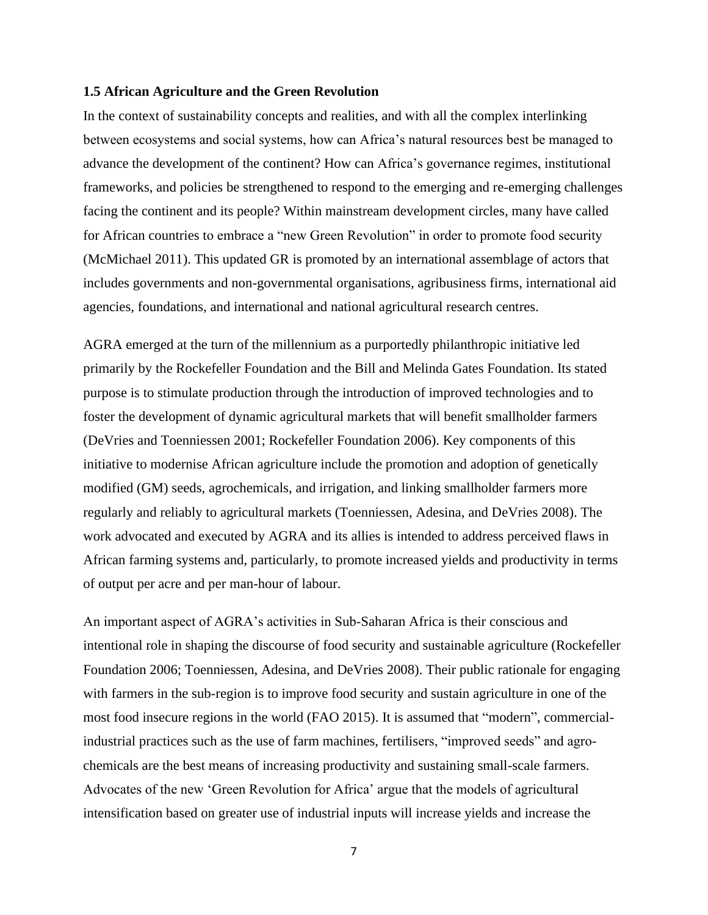#### <span id="page-15-0"></span>**1.5 African Agriculture and the Green Revolution**

In the context of sustainability concepts and realities, and with all the complex interlinking between ecosystems and social systems, how can Africa's natural resources best be managed to advance the development of the continent? How can Africa's governance regimes, institutional frameworks, and policies be strengthened to respond to the emerging and re-emerging challenges facing the continent and its people? Within mainstream development circles, many have called for African countries to embrace a "new Green Revolution" in order to promote food security (McMichael 2011). This updated GR is promoted by an international assemblage of actors that includes governments and non-governmental organisations, agribusiness firms, international aid agencies, foundations, and international and national agricultural research centres.

AGRA emerged at the turn of the millennium as a purportedly philanthropic initiative led primarily by the Rockefeller Foundation and the Bill and Melinda Gates Foundation. Its stated purpose is to stimulate production through the introduction of improved technologies and to foster the development of dynamic agricultural markets that will benefit smallholder farmers (DeVries and Toenniessen 2001; Rockefeller Foundation 2006). Key components of this initiative to modernise African agriculture include the promotion and adoption of genetically modified (GM) seeds, agrochemicals, and irrigation, and linking smallholder farmers more regularly and reliably to agricultural markets (Toenniessen, Adesina, and DeVries 2008). The work advocated and executed by AGRA and its allies is intended to address perceived flaws in African farming systems and, particularly, to promote increased yields and productivity in terms of output per acre and per man-hour of labour.

An important aspect of AGRA's activities in Sub-Saharan Africa is their conscious and intentional role in shaping the discourse of food security and sustainable agriculture (Rockefeller Foundation 2006; Toenniessen, Adesina, and DeVries 2008). Their public rationale for engaging with farmers in the sub-region is to improve food security and sustain agriculture in one of the most food insecure regions in the world (FAO 2015). It is assumed that "modern", commercialindustrial practices such as the use of farm machines, fertilisers, "improved seeds" and agrochemicals are the best means of increasing productivity and sustaining small-scale farmers. Advocates of the new 'Green Revolution for Africa' argue that the models of agricultural intensification based on greater use of industrial inputs will increase yields and increase the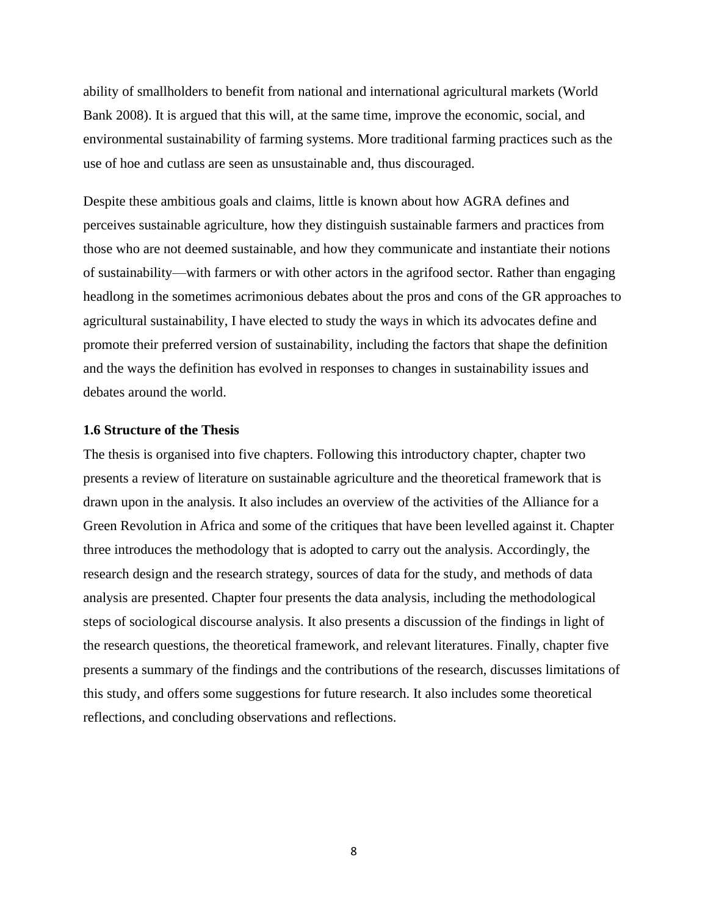ability of smallholders to benefit from national and international agricultural markets (World Bank 2008). It is argued that this will, at the same time, improve the economic, social, and environmental sustainability of farming systems. More traditional farming practices such as the use of hoe and cutlass are seen as unsustainable and, thus discouraged.

Despite these ambitious goals and claims, little is known about how AGRA defines and perceives sustainable agriculture, how they distinguish sustainable farmers and practices from those who are not deemed sustainable, and how they communicate and instantiate their notions of sustainability—with farmers or with other actors in the agrifood sector. Rather than engaging headlong in the sometimes acrimonious debates about the pros and cons of the GR approaches to agricultural sustainability, I have elected to study the ways in which its advocates define and promote their preferred version of sustainability, including the factors that shape the definition and the ways the definition has evolved in responses to changes in sustainability issues and debates around the world.

#### <span id="page-16-0"></span>**1.6 Structure of the Thesis**

The thesis is organised into five chapters. Following this introductory chapter, chapter two presents a review of literature on sustainable agriculture and the theoretical framework that is drawn upon in the analysis. It also includes an overview of the activities of the Alliance for a Green Revolution in Africa and some of the critiques that have been levelled against it. Chapter three introduces the methodology that is adopted to carry out the analysis. Accordingly, the research design and the research strategy, sources of data for the study, and methods of data analysis are presented. Chapter four presents the data analysis, including the methodological steps of sociological discourse analysis. It also presents a discussion of the findings in light of the research questions, the theoretical framework, and relevant literatures. Finally, chapter five presents a summary of the findings and the contributions of the research, discusses limitations of this study, and offers some suggestions for future research. It also includes some theoretical reflections, and concluding observations and reflections.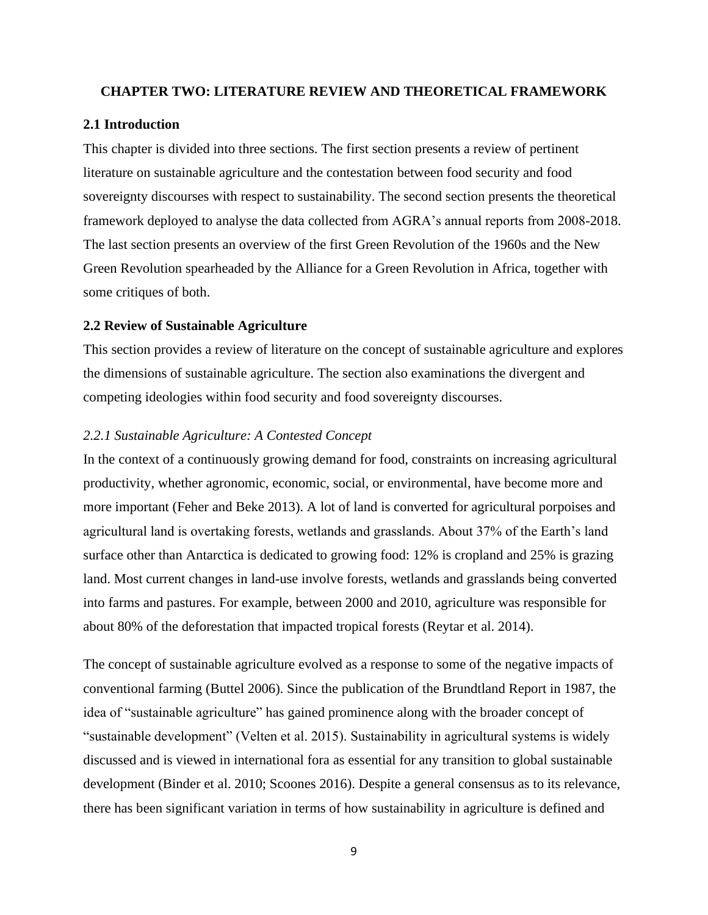#### <span id="page-17-0"></span>**CHAPTER TWO: LITERATURE REVIEW AND THEORETICAL FRAMEWORK**

### <span id="page-17-1"></span>**2.1 Introduction**

This chapter is divided into three sections. The first section presents a review of pertinent literature on sustainable agriculture and the contestation between food security and food sovereignty discourses with respect to sustainability. The second section presents the theoretical framework deployed to analyse the data collected from AGRA's annual reports from 2008-2018. The last section presents an overview of the first Green Revolution of the 1960s and the New Green Revolution spearheaded by the Alliance for a Green Revolution in Africa, together with some critiques of both.

### <span id="page-17-2"></span>**2.2 Review of Sustainable Agriculture**

This section provides a review of literature on the concept of sustainable agriculture and explores the dimensions of sustainable agriculture. The section also examinations the divergent and competing ideologies within food security and food sovereignty discourses.

#### *2.2.1 Sustainable Agriculture: A Contested Concept*

In the context of a continuously growing demand for food, constraints on increasing agricultural productivity, whether agronomic, economic, social, or environmental, have become more and more important (Feher and Beke 2013). A lot of land is converted for agricultural porpoises and agricultural land is overtaking forests, wetlands and grasslands. About 37% of the Earth's land surface other than Antarctica is dedicated to growing food: 12% is cropland and 25% is grazing land. Most current changes in land-use involve forests, wetlands and grasslands being converted into farms and pastures. For example, between 2000 and 2010, agriculture was responsible for about 80% of the deforestation that impacted tropical forests (Reytar et al. 2014).

The concept of sustainable agriculture evolved as a response to some of the negative impacts of conventional farming (Buttel 2006). Since the publication of the Brundtland Report in 1987, the idea of "sustainable agriculture" has gained prominence along with the broader concept of "sustainable development" (Velten et al. 2015). Sustainability in agricultural systems is widely discussed and is viewed in international fora as essential for any transition to global sustainable development (Binder et al. 2010; Scoones 2016). Despite a general consensus as to its relevance, there has been significant variation in terms of how sustainability in agriculture is defined and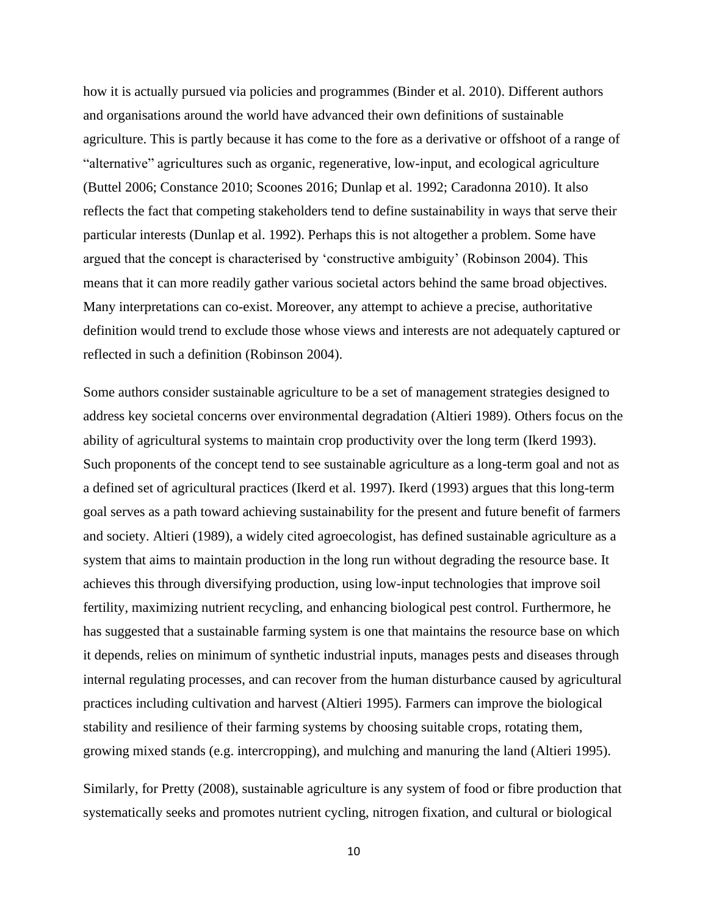how it is actually pursued via policies and programmes (Binder et al. 2010). Different authors and organisations around the world have advanced their own definitions of sustainable agriculture. This is partly because it has come to the fore as a derivative or offshoot of a range of "alternative" agricultures such as organic, regenerative, low-input, and ecological agriculture (Buttel 2006; Constance 2010; Scoones 2016; Dunlap et al. 1992; Caradonna 2010). It also reflects the fact that competing stakeholders tend to define sustainability in ways that serve their particular interests (Dunlap et al. 1992). Perhaps this is not altogether a problem. Some have argued that the concept is characterised by 'constructive ambiguity' (Robinson 2004). This means that it can more readily gather various societal actors behind the same broad objectives. Many interpretations can co-exist. Moreover, any attempt to achieve a precise, authoritative definition would trend to exclude those whose views and interests are not adequately captured or reflected in such a definition (Robinson 2004).

Some authors consider sustainable agriculture to be a set of management strategies designed to address key societal concerns over environmental degradation (Altieri 1989). Others focus on the ability of agricultural systems to maintain crop productivity over the long term (Ikerd 1993). Such proponents of the concept tend to see sustainable agriculture as a long-term goal and not as a defined set of agricultural practices (Ikerd et al. 1997). Ikerd (1993) argues that this long-term goal serves as a path toward achieving sustainability for the present and future benefit of farmers and society. Altieri (1989), a widely cited agroecologist, has defined sustainable agriculture as a system that aims to maintain production in the long run without degrading the resource base. It achieves this through diversifying production, using low-input technologies that improve soil fertility, maximizing nutrient recycling, and enhancing biological pest control. Furthermore, he has suggested that a sustainable farming system is one that maintains the resource base on which it depends, relies on minimum of synthetic industrial inputs, manages pests and diseases through internal regulating processes, and can recover from the human disturbance caused by agricultural practices including cultivation and harvest (Altieri 1995). Farmers can improve the biological stability and resilience of their farming systems by choosing suitable crops, rotating them, growing mixed stands (e.g. intercropping), and mulching and manuring the land (Altieri 1995).

Similarly, for Pretty (2008), sustainable agriculture is any system of food or fibre production that systematically seeks and promotes nutrient cycling, nitrogen fixation, and cultural or biological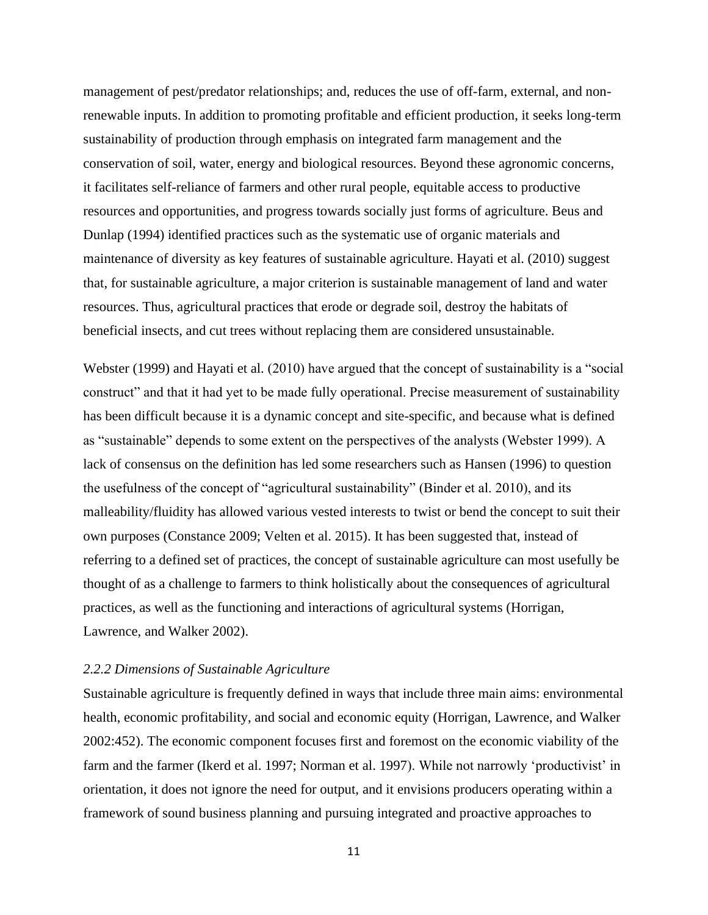management of pest/predator relationships; and, reduces the use of off-farm, external, and nonrenewable inputs. In addition to promoting profitable and efficient production, it seeks long-term sustainability of production through emphasis on integrated farm management and the conservation of soil, water, energy and biological resources. Beyond these agronomic concerns, it facilitates self-reliance of farmers and other rural people, equitable access to productive resources and opportunities, and progress towards socially just forms of agriculture. Beus and Dunlap (1994) identified practices such as the systematic use of organic materials and maintenance of diversity as key features of sustainable agriculture. Hayati et al. (2010) suggest that, for sustainable agriculture, a major criterion is sustainable management of land and water resources. Thus, agricultural practices that erode or degrade soil, destroy the habitats of beneficial insects, and cut trees without replacing them are considered unsustainable.

Webster (1999) and Hayati et al. (2010) have argued that the concept of sustainability is a "social construct" and that it had yet to be made fully operational. Precise measurement of sustainability has been difficult because it is a dynamic concept and site-specific, and because what is defined as "sustainable" depends to some extent on the perspectives of the analysts (Webster 1999). A lack of consensus on the definition has led some researchers such as Hansen (1996) to question the usefulness of the concept of "agricultural sustainability" (Binder et al. 2010), and its malleability/fluidity has allowed various vested interests to twist or bend the concept to suit their own purposes (Constance 2009; Velten et al. 2015). It has been suggested that, instead of referring to a defined set of practices, the concept of sustainable agriculture can most usefully be thought of as a challenge to farmers to think holistically about the consequences of agricultural practices, as well as the functioning and interactions of agricultural systems (Horrigan, Lawrence, and Walker 2002).

# *2.2.2 Dimensions of Sustainable Agriculture*

Sustainable agriculture is frequently defined in ways that include three main aims: environmental health, economic profitability, and social and economic equity (Horrigan, Lawrence, and Walker 2002:452). The economic component focuses first and foremost on the economic viability of the farm and the farmer (Ikerd et al. 1997; Norman et al. 1997). While not narrowly 'productivist' in orientation, it does not ignore the need for output, and it envisions producers operating within a framework of sound business planning and pursuing integrated and proactive approaches to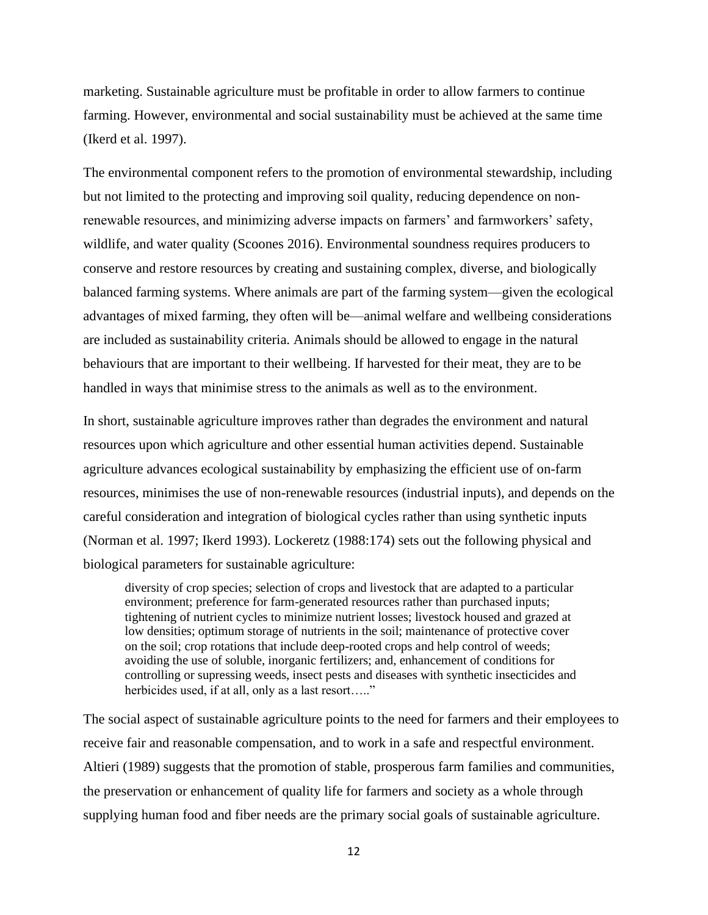marketing. Sustainable agriculture must be profitable in order to allow farmers to continue farming. However, environmental and social sustainability must be achieved at the same time (Ikerd et al. 1997).

The environmental component refers to the promotion of environmental stewardship, including but not limited to the protecting and improving soil quality, reducing dependence on nonrenewable resources, and minimizing adverse impacts on farmers' and farmworkers' safety, wildlife, and water quality (Scoones 2016). Environmental soundness requires producers to conserve and restore resources by creating and sustaining complex, diverse, and biologically balanced farming systems. Where animals are part of the farming system—given the ecological advantages of mixed farming, they often will be—animal welfare and wellbeing considerations are included as sustainability criteria. Animals should be allowed to engage in the natural behaviours that are important to their wellbeing. If harvested for their meat, they are to be handled in ways that minimise stress to the animals as well as to the environment.

In short, sustainable agriculture improves rather than degrades the environment and natural resources upon which agriculture and other essential human activities depend. Sustainable agriculture advances ecological sustainability by emphasizing the efficient use of on-farm resources, minimises the use of non-renewable resources (industrial inputs), and depends on the careful consideration and integration of biological cycles rather than using synthetic inputs (Norman et al. 1997; Ikerd 1993). Lockeretz (1988:174) sets out the following physical and biological parameters for sustainable agriculture:

diversity of crop species; selection of crops and livestock that are adapted to a particular environment; preference for farm-generated resources rather than purchased inputs; tightening of nutrient cycles to minimize nutrient losses; livestock housed and grazed at low densities; optimum storage of nutrients in the soil; maintenance of protective cover on the soil; crop rotations that include deep-rooted crops and help control of weeds; avoiding the use of soluble, inorganic fertilizers; and, enhancement of conditions for controlling or supressing weeds, insect pests and diseases with synthetic insecticides and herbicides used, if at all, only as a last resort....."

The social aspect of sustainable agriculture points to the need for farmers and their employees to receive fair and reasonable compensation, and to work in a safe and respectful environment. Altieri (1989) suggests that the promotion of stable, prosperous farm families and communities, the preservation or enhancement of quality life for farmers and society as a whole through supplying human food and fiber needs are the primary social goals of sustainable agriculture.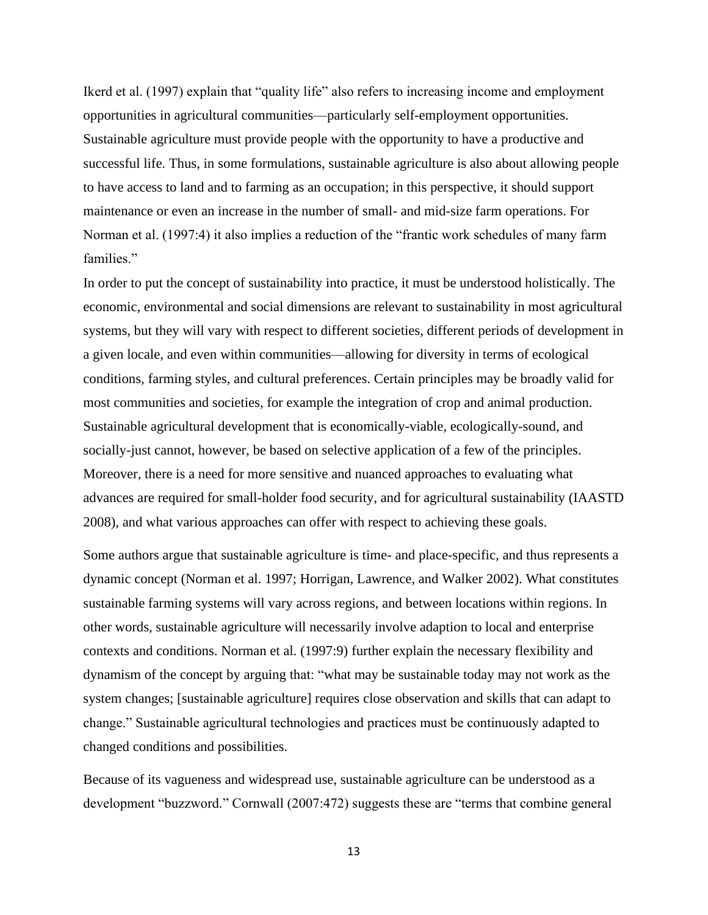Ikerd et al. (1997) explain that "quality life" also refers to increasing income and employment opportunities in agricultural communities—particularly self-employment opportunities. Sustainable agriculture must provide people with the opportunity to have a productive and successful life. Thus, in some formulations, sustainable agriculture is also about allowing people to have access to land and to farming as an occupation; in this perspective, it should support maintenance or even an increase in the number of small- and mid-size farm operations. For Norman et al. (1997:4) it also implies a reduction of the "frantic work schedules of many farm families."

In order to put the concept of sustainability into practice, it must be understood holistically. The economic, environmental and social dimensions are relevant to sustainability in most agricultural systems, but they will vary with respect to different societies, different periods of development in a given locale, and even within communities—allowing for diversity in terms of ecological conditions, farming styles, and cultural preferences. Certain principles may be broadly valid for most communities and societies, for example the integration of crop and animal production. Sustainable agricultural development that is economically-viable, ecologically-sound, and socially-just cannot, however, be based on selective application of a few of the principles. Moreover, there is a need for more sensitive and nuanced approaches to evaluating what advances are required for small-holder food security, and for agricultural sustainability (IAASTD 2008), and what various approaches can offer with respect to achieving these goals.

Some authors argue that sustainable agriculture is time- and place-specific, and thus represents a dynamic concept (Norman et al. 1997; Horrigan, Lawrence, and Walker 2002). What constitutes sustainable farming systems will vary across regions, and between locations within regions. In other words, sustainable agriculture will necessarily involve adaption to local and enterprise contexts and conditions. Norman et al. (1997:9) further explain the necessary flexibility and dynamism of the concept by arguing that: "what may be sustainable today may not work as the system changes; [sustainable agriculture] requires close observation and skills that can adapt to change." Sustainable agricultural technologies and practices must be continuously adapted to changed conditions and possibilities.

Because of its vagueness and widespread use, sustainable agriculture can be understood as a development "buzzword." Cornwall (2007:472) suggests these are "terms that combine general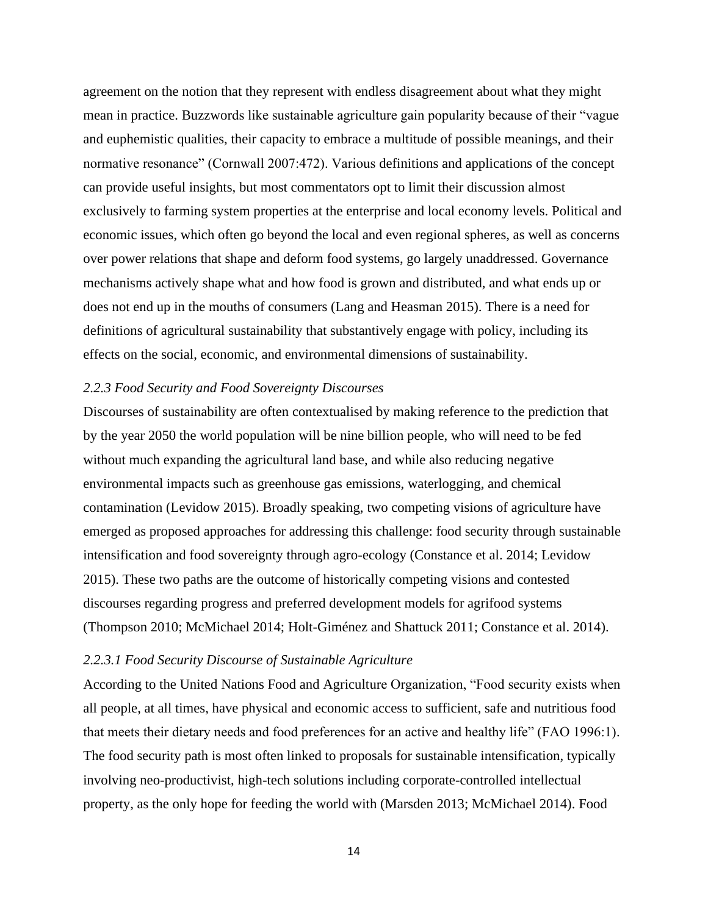agreement on the notion that they represent with endless disagreement about what they might mean in practice. Buzzwords like sustainable agriculture gain popularity because of their "vague and euphemistic qualities, their capacity to embrace a multitude of possible meanings, and their normative resonance" (Cornwall 2007:472). Various definitions and applications of the concept can provide useful insights, but most commentators opt to limit their discussion almost exclusively to farming system properties at the enterprise and local economy levels. Political and economic issues, which often go beyond the local and even regional spheres, as well as concerns over power relations that shape and deform food systems, go largely unaddressed. Governance mechanisms actively shape what and how food is grown and distributed, and what ends up or does not end up in the mouths of consumers (Lang and Heasman 2015). There is a need for definitions of agricultural sustainability that substantively engage with policy, including its effects on the social, economic, and environmental dimensions of sustainability.

## *2.2.3 Food Security and Food Sovereignty Discourses*

Discourses of sustainability are often contextualised by making reference to the prediction that by the year 2050 the world population will be nine billion people, who will need to be fed without much expanding the agricultural land base, and while also reducing negative environmental impacts such as greenhouse gas emissions, waterlogging, and chemical contamination (Levidow 2015). Broadly speaking, two competing visions of agriculture have emerged as proposed approaches for addressing this challenge: food security through sustainable intensification and food sovereignty through agro-ecology (Constance et al. 2014; Levidow 2015). These two paths are the outcome of historically competing visions and contested discourses regarding progress and preferred development models for agrifood systems (Thompson 2010; McMichael 2014; Holt-Giménez and Shattuck 2011; Constance et al. 2014).

## *2.2.3.1 Food Security Discourse of Sustainable Agriculture*

According to the United Nations Food and Agriculture Organization, "Food security exists when all people, at all times, have physical and economic access to sufficient, safe and nutritious food that meets their dietary needs and food preferences for an active and healthy life" (FAO 1996:1). The food security path is most often linked to proposals for sustainable intensification, typically involving neo-productivist, high-tech solutions including corporate-controlled intellectual property, as the only hope for feeding the world with (Marsden 2013; McMichael 2014). Food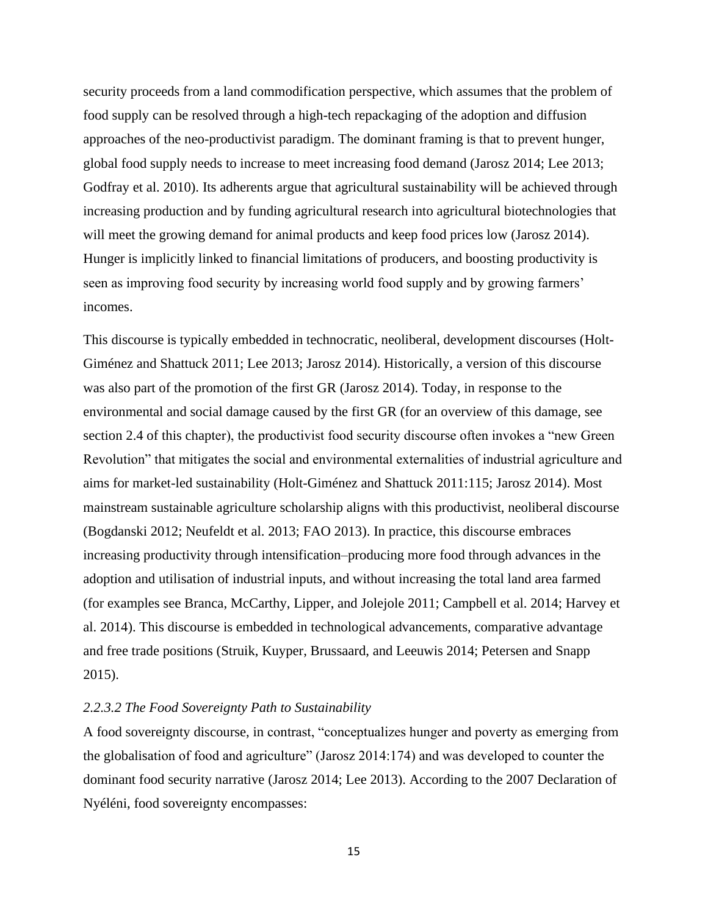security proceeds from a land commodification perspective, which assumes that the problem of food supply can be resolved through a high-tech repackaging of the adoption and diffusion approaches of the neo-productivist paradigm. The dominant framing is that to prevent hunger, global food supply needs to increase to meet increasing food demand (Jarosz 2014; Lee 2013; Godfray et al. 2010). Its adherents argue that agricultural sustainability will be achieved through increasing production and by funding agricultural research into agricultural biotechnologies that will meet the growing demand for animal products and keep food prices low (Jarosz 2014). Hunger is implicitly linked to financial limitations of producers, and boosting productivity is seen as improving food security by increasing world food supply and by growing farmers' incomes.

This discourse is typically embedded in technocratic, neoliberal, development discourses (Holt-Giménez and Shattuck 2011; Lee 2013; Jarosz 2014). Historically, a version of this discourse was also part of the promotion of the first GR (Jarosz 2014). Today, in response to the environmental and social damage caused by the first GR (for an overview of this damage, see section 2.4 of this chapter), the productivist food security discourse often invokes a "new Green Revolution" that mitigates the social and environmental externalities of industrial agriculture and aims for market-led sustainability (Holt-Giménez and Shattuck 2011:115; Jarosz 2014). Most mainstream sustainable agriculture scholarship aligns with this productivist, neoliberal discourse (Bogdanski 2012; Neufeldt et al. 2013; FAO 2013). In practice, this discourse embraces increasing productivity through intensification–producing more food through advances in the adoption and utilisation of industrial inputs, and without increasing the total land area farmed (for examples see Branca, McCarthy, Lipper, and Jolejole 2011; Campbell et al. 2014; Harvey et al. 2014). This discourse is embedded in technological advancements, comparative advantage and free trade positions (Struik, Kuyper, Brussaard, and Leeuwis 2014; Petersen and Snapp 2015).

## *2.2.3.2 The Food Sovereignty Path to Sustainability*

A food sovereignty discourse, in contrast, "conceptualizes hunger and poverty as emerging from the globalisation of food and agriculture" (Jarosz 2014:174) and was developed to counter the dominant food security narrative (Jarosz 2014; Lee 2013). According to the 2007 Declaration of Nyéléni, food sovereignty encompasses: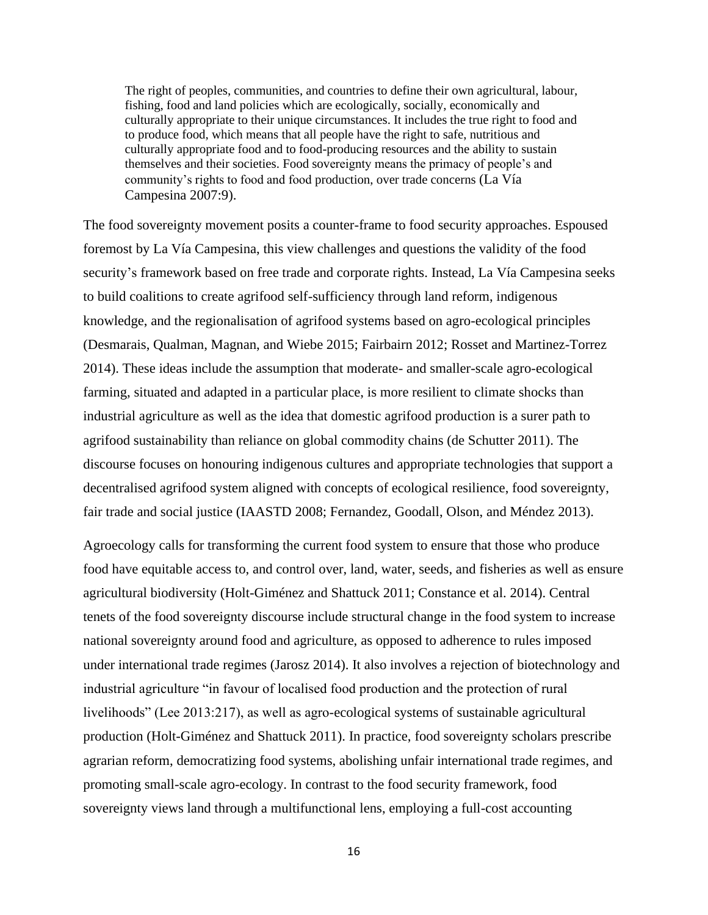The right of peoples, communities, and countries to define their own agricultural, labour, fishing, food and land policies which are ecologically, socially, economically and culturally appropriate to their unique circumstances. It includes the true right to food and to produce food, which means that all people have the right to safe, nutritious and culturally appropriate food and to food-producing resources and the ability to sustain themselves and their societies. Food sovereignty means the primacy of people's and community's rights to food and food production, over trade concerns ( $\overline{La V1a}$ ) Campesina 2007:9).

The food sovereignty movement posits a counter-frame to food security approaches. Espoused foremost by La Vía Campesina, this view challenges and questions the validity of the food security's framework based on free trade and corporate rights. Instead, La Vía Campesina seeks to build coalitions to create agrifood self-sufficiency through land reform, indigenous knowledge, and the regionalisation of agrifood systems based on agro-ecological principles (Desmarais, Qualman, Magnan, and Wiebe 2015; Fairbairn 2012; Rosset and Martinez-Torrez 2014). These ideas include the assumption that moderate- and smaller-scale agro-ecological farming, situated and adapted in a particular place, is more resilient to climate shocks than industrial agriculture as well as the idea that domestic agrifood production is a surer path to agrifood sustainability than reliance on global commodity chains (de Schutter 2011). The discourse focuses on honouring indigenous cultures and appropriate technologies that support a decentralised agrifood system aligned with concepts of ecological resilience, food sovereignty, fair trade and social justice (IAASTD 2008; Fernandez, Goodall, Olson, and Méndez 2013).

Agroecology calls for transforming the current food system to ensure that those who produce food have equitable access to, and control over, land, water, seeds, and fisheries as well as ensure agricultural biodiversity (Holt-Giménez and Shattuck 2011; Constance et al. 2014). Central tenets of the food sovereignty discourse include structural change in the food system to increase national sovereignty around food and agriculture, as opposed to adherence to rules imposed under international trade regimes (Jarosz 2014). It also involves a rejection of biotechnology and industrial agriculture "in favour of localised food production and the protection of rural livelihoods" (Lee 2013:217), as well as agro-ecological systems of sustainable agricultural production (Holt-Giménez and Shattuck 2011). In practice, food sovereignty scholars prescribe agrarian reform, democratizing food systems, abolishing unfair international trade regimes, and promoting small-scale agro-ecology. In contrast to the food security framework, food sovereignty views land through a multifunctional lens, employing a full-cost accounting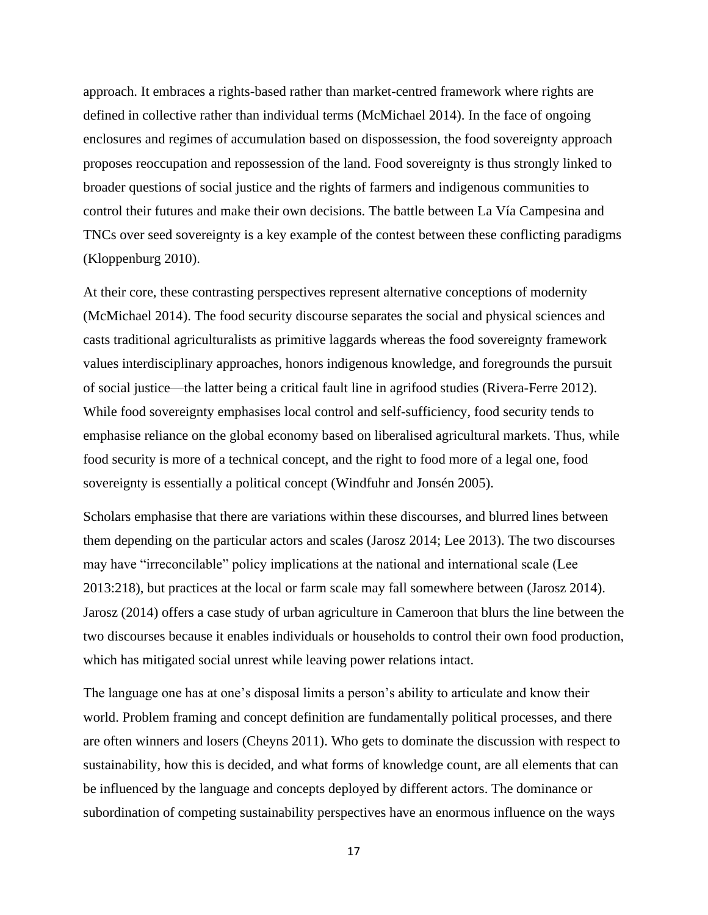approach. It embraces a rights-based rather than market-centred framework where rights are defined in collective rather than individual terms (McMichael 2014). In the face of ongoing enclosures and regimes of accumulation based on dispossession, the food sovereignty approach proposes reoccupation and repossession of the land. Food sovereignty is thus strongly linked to broader questions of social justice and the rights of farmers and indigenous communities to control their futures and make their own decisions. The battle between La Vía Campesina and TNCs over seed sovereignty is a key example of the contest between these conflicting paradigms (Kloppenburg 2010).

At their core, these contrasting perspectives represent alternative conceptions of modernity (McMichael 2014). The food security discourse separates the social and physical sciences and casts traditional agriculturalists as primitive laggards whereas the food sovereignty framework values interdisciplinary approaches, honors indigenous knowledge, and foregrounds the pursuit of social justice—the latter being a critical fault line in agrifood studies (Rivera-Ferre 2012). While food sovereignty emphasises local control and self-sufficiency, food security tends to emphasise reliance on the global economy based on liberalised agricultural markets. Thus, while food security is more of a technical concept, and the right to food more of a legal one, food sovereignty is essentially a political concept (Windfuhr and Jonsén 2005).

Scholars emphasise that there are variations within these discourses, and blurred lines between them depending on the particular actors and scales (Jarosz 2014; Lee 2013). The two discourses may have "irreconcilable" policy implications at the national and international scale (Lee 2013:218), but practices at the local or farm scale may fall somewhere between (Jarosz 2014). Jarosz (2014) offers a case study of urban agriculture in Cameroon that blurs the line between the two discourses because it enables individuals or households to control their own food production, which has mitigated social unrest while leaving power relations intact.

The language one has at one's disposal limits a person's ability to articulate and know their world. Problem framing and concept definition are fundamentally political processes, and there are often winners and losers (Cheyns 2011). Who gets to dominate the discussion with respect to sustainability, how this is decided, and what forms of knowledge count, are all elements that can be influenced by the language and concepts deployed by different actors. The dominance or subordination of competing sustainability perspectives have an enormous influence on the ways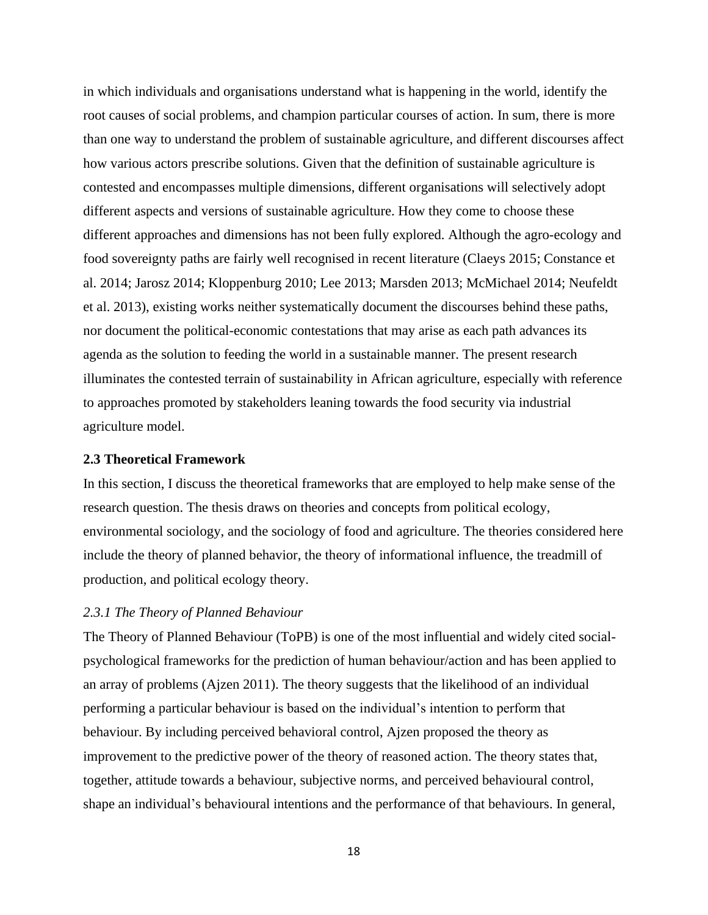in which individuals and organisations understand what is happening in the world, identify the root causes of social problems, and champion particular courses of action. In sum, there is more than one way to understand the problem of sustainable agriculture, and different discourses affect how various actors prescribe solutions. Given that the definition of sustainable agriculture is contested and encompasses multiple dimensions, different organisations will selectively adopt different aspects and versions of sustainable agriculture. How they come to choose these different approaches and dimensions has not been fully explored. Although the agro-ecology and food sovereignty paths are fairly well recognised in recent literature (Claeys 2015; Constance et al. 2014; Jarosz 2014; Kloppenburg 2010; Lee 2013; Marsden 2013; McMichael 2014; Neufeldt et al. 2013), existing works neither systematically document the discourses behind these paths, nor document the political-economic contestations that may arise as each path advances its agenda as the solution to feeding the world in a sustainable manner. The present research illuminates the contested terrain of sustainability in African agriculture, especially with reference to approaches promoted by stakeholders leaning towards the food security via industrial agriculture model.

## <span id="page-26-0"></span>**2.3 Theoretical Framework**

In this section, I discuss the theoretical frameworks that are employed to help make sense of the research question. The thesis draws on theories and concepts from political ecology, environmental sociology, and the sociology of food and agriculture. The theories considered here include the theory of planned behavior, the theory of informational influence, the treadmill of production, and political ecology theory.

# *2.3.1 The Theory of Planned Behaviour*

The Theory of Planned Behaviour (ToPB) is one of the most influential and widely cited socialpsychological frameworks for the prediction of human behaviour/action and has been applied to an array of problems (Ajzen 2011). The theory suggests that the likelihood of an individual performing a particular behaviour is based on the individual's intention to perform that behaviour. By including perceived behavioral control, Ajzen proposed the theory as improvement to the predictive power of the theory of reasoned action. The theory states that, together, attitude towards a behaviour, subjective norms, and perceived behavioural control, shape an individual's behavioural intentions and the performance of that behaviours. In general,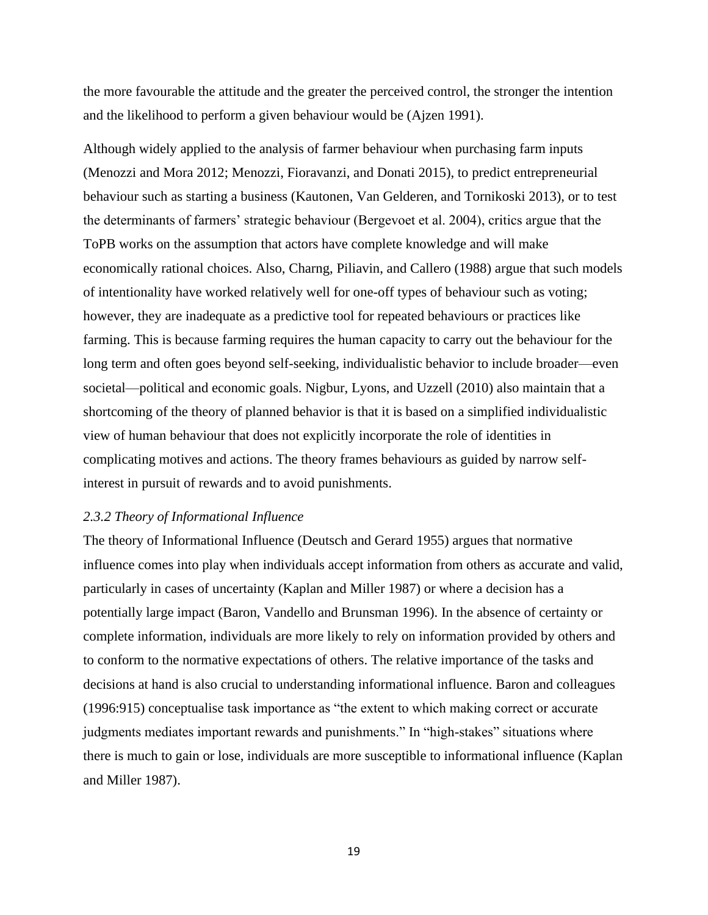the more favourable the attitude and the greater the perceived control, the stronger the intention and the likelihood to perform a given behaviour would be (Ajzen 1991).

Although widely applied to the analysis of farmer behaviour when purchasing farm inputs (Menozzi and Mora 2012; Menozzi, Fioravanzi, and Donati 2015), to predict entrepreneurial behaviour such as starting a business (Kautonen, Van Gelderen, and Tornikoski 2013), or to test the determinants of farmers' strategic behaviour (Bergevoet et al. 2004), critics argue that the ToPB works on the assumption that actors have complete knowledge and will make economically rational choices. Also, Charng, Piliavin, and Callero (1988) argue that such models of intentionality have worked relatively well for one-off types of behaviour such as voting; however, they are inadequate as a predictive tool for repeated behaviours or practices like farming. This is because farming requires the human capacity to carry out the behaviour for the long term and often goes beyond self-seeking, individualistic behavior to include broader—even societal—political and economic goals. Nigbur, Lyons, and Uzzell (2010) also maintain that a shortcoming of the theory of planned behavior is that it is based on a simplified individualistic view of human behaviour that does not explicitly incorporate the role of identities in complicating motives and actions. The theory frames behaviours as guided by narrow selfinterest in pursuit of rewards and to avoid punishments.

# *2.3.2 Theory of Informational Influence*

The theory of Informational Influence (Deutsch and Gerard 1955) argues that normative influence comes into play when individuals accept information from others as accurate and valid, particularly in cases of uncertainty (Kaplan and Miller 1987) or where a decision has a potentially large impact (Baron, Vandello and Brunsman 1996). In the absence of certainty or complete information, individuals are more likely to rely on information provided by others and to conform to the normative expectations of others. The relative importance of the tasks and decisions at hand is also crucial to understanding informational influence. Baron and colleagues (1996:915) conceptualise task importance as "the extent to which making correct or accurate judgments mediates important rewards and punishments." In "high-stakes" situations where there is much to gain or lose, individuals are more susceptible to informational influence (Kaplan and Miller 1987).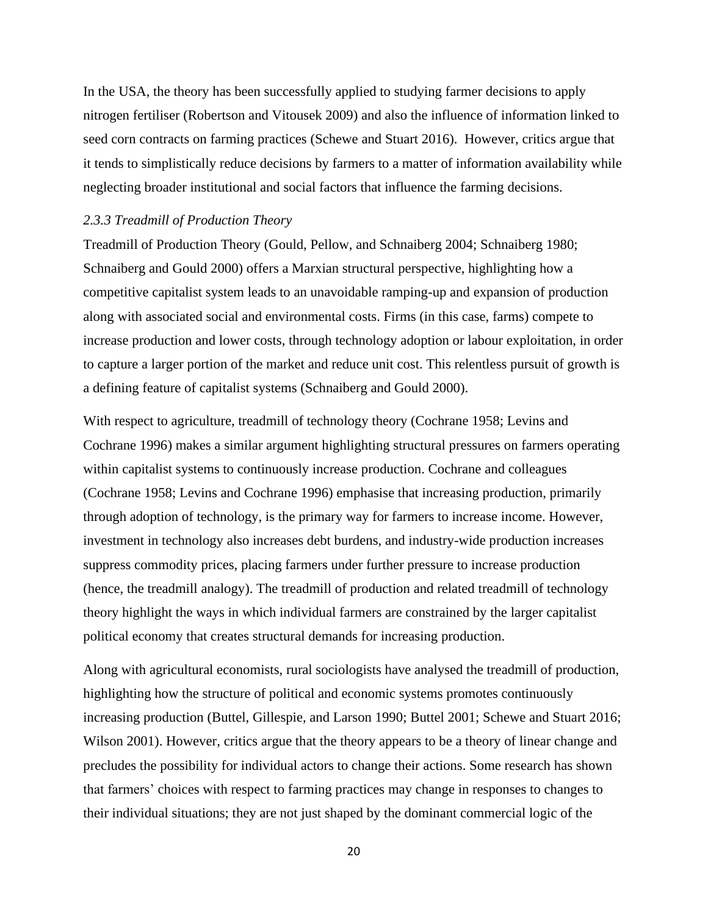In the USA, the theory has been successfully applied to studying farmer decisions to apply nitrogen fertiliser (Robertson and Vitousek 2009) and also the influence of information linked to seed corn contracts on farming practices (Schewe and Stuart 2016). However, critics argue that it tends to simplistically reduce decisions by farmers to a matter of information availability while neglecting broader institutional and social factors that influence the farming decisions.

#### *2.3.3 Treadmill of Production Theory*

Treadmill of Production Theory (Gould, Pellow, and Schnaiberg 2004; Schnaiberg 1980; Schnaiberg and Gould 2000) offers a Marxian structural perspective, highlighting how a competitive capitalist system leads to an unavoidable ramping-up and expansion of production along with associated social and environmental costs. Firms (in this case, farms) compete to increase production and lower costs, through technology adoption or labour exploitation, in order to capture a larger portion of the market and reduce unit cost. This relentless pursuit of growth is a defining feature of capitalist systems (Schnaiberg and Gould 2000).

With respect to agriculture, treadmill of technology theory (Cochrane 1958; Levins and Cochrane 1996) makes a similar argument highlighting structural pressures on farmers operating within capitalist systems to continuously increase production. Cochrane and colleagues (Cochrane 1958; Levins and Cochrane 1996) emphasise that increasing production, primarily through adoption of technology, is the primary way for farmers to increase income. However, investment in technology also increases debt burdens, and industry-wide production increases suppress commodity prices, placing farmers under further pressure to increase production (hence, the treadmill analogy). The treadmill of production and related treadmill of technology theory highlight the ways in which individual farmers are constrained by the larger capitalist political economy that creates structural demands for increasing production.

Along with agricultural economists, rural sociologists have analysed the treadmill of production, highlighting how the structure of political and economic systems promotes continuously increasing production (Buttel, Gillespie, and Larson 1990; Buttel 2001; Schewe and Stuart 2016; Wilson 2001). However, critics argue that the theory appears to be a theory of linear change and precludes the possibility for individual actors to change their actions. Some research has shown that farmers' choices with respect to farming practices may change in responses to changes to their individual situations; they are not just shaped by the dominant commercial logic of the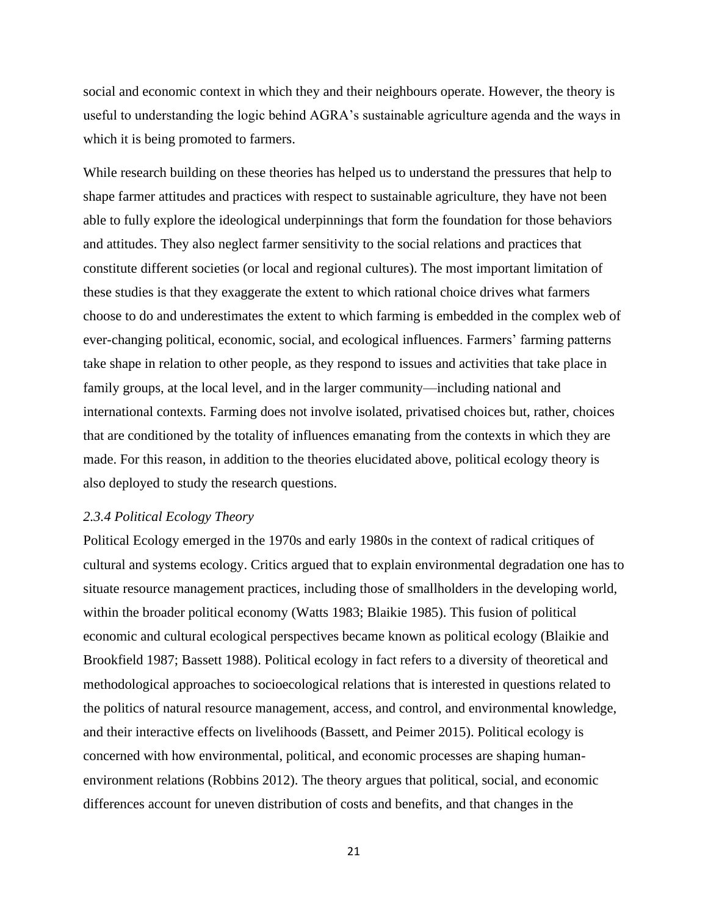social and economic context in which they and their neighbours operate. However, the theory is useful to understanding the logic behind AGRA's sustainable agriculture agenda and the ways in which it is being promoted to farmers.

While research building on these theories has helped us to understand the pressures that help to shape farmer attitudes and practices with respect to sustainable agriculture, they have not been able to fully explore the ideological underpinnings that form the foundation for those behaviors and attitudes. They also neglect farmer sensitivity to the social relations and practices that constitute different societies (or local and regional cultures). The most important limitation of these studies is that they exaggerate the extent to which rational choice drives what farmers choose to do and underestimates the extent to which farming is embedded in the complex web of ever-changing political, economic, social, and ecological influences. Farmers' farming patterns take shape in relation to other people, as they respond to issues and activities that take place in family groups, at the local level, and in the larger community—including national and international contexts. Farming does not involve isolated, privatised choices but, rather, choices that are conditioned by the totality of influences emanating from the contexts in which they are made. For this reason, in addition to the theories elucidated above, political ecology theory is also deployed to study the research questions.

## *2.3.4 Political Ecology Theory*

Political Ecology emerged in the 1970s and early 1980s in the context of radical critiques of cultural and systems ecology. Critics argued that to explain environmental degradation one has to situate resource management practices, including those of smallholders in the developing world, within the broader political economy (Watts 1983; Blaikie 1985). This fusion of political economic and cultural ecological perspectives became known as political ecology (Blaikie and Brookfield 1987; Bassett 1988). Political ecology in fact refers to a diversity of theoretical and methodological approaches to socioecological relations that is interested in questions related to the politics of natural resource management, access, and control, and environmental knowledge, and their interactive effects on livelihoods (Bassett, and Peimer 2015). Political ecology is concerned with how environmental, political, and economic processes are shaping humanenvironment relations (Robbins 2012). The theory argues that political, social, and economic differences account for uneven distribution of costs and benefits, and that changes in the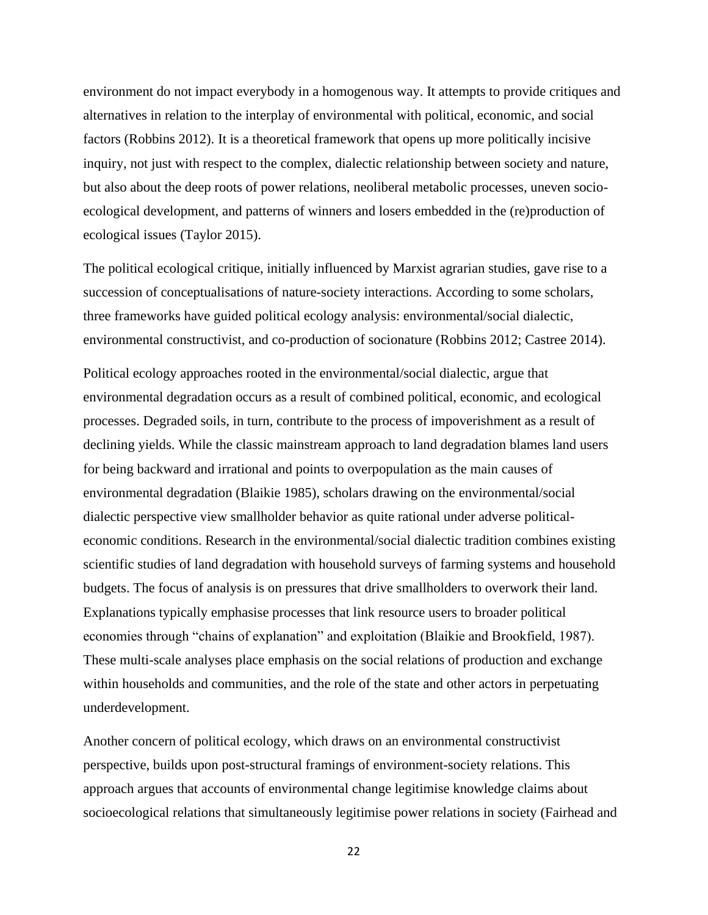environment do not impact everybody in a homogenous way. It attempts to provide critiques and alternatives in relation to the interplay of environmental with political, economic, and social factors (Robbins 2012). It is a theoretical framework that opens up more politically incisive inquiry, not just with respect to the complex, dialectic relationship between society and nature, but also about the deep roots of power relations, neoliberal metabolic processes, uneven socioecological development, and patterns of winners and losers embedded in the (re)production of ecological issues (Taylor 2015).

The political ecological critique, initially influenced by Marxist agrarian studies, gave rise to a succession of conceptualisations of nature-society interactions. According to some scholars, three frameworks have guided political ecology analysis: environmental/social dialectic, environmental constructivist, and co-production of socionature (Robbins 2012; Castree 2014).

Political ecology approaches rooted in the environmental/social dialectic, argue that environmental degradation occurs as a result of combined political, economic, and ecological processes. Degraded soils, in turn, contribute to the process of impoverishment as a result of declining yields. While the classic mainstream approach to land degradation blames land users for being backward and irrational and points to overpopulation as the main causes of environmental degradation (Blaikie 1985), scholars drawing on the environmental/social dialectic perspective view smallholder behavior as quite rational under adverse politicaleconomic conditions. Research in the environmental/social dialectic tradition combines existing scientific studies of land degradation with household surveys of farming systems and household budgets. The focus of analysis is on pressures that drive smallholders to overwork their land. Explanations typically emphasise processes that link resource users to broader political economies through "chains of explanation" and exploitation (Blaikie and Brookfield, 1987). These multi-scale analyses place emphasis on the social relations of production and exchange within households and communities, and the role of the state and other actors in perpetuating underdevelopment.

Another concern of political ecology, which draws on an environmental constructivist perspective, builds upon post-structural framings of environment-society relations. This approach argues that accounts of environmental change legitimise knowledge claims about socioecological relations that simultaneously legitimise power relations in society (Fairhead and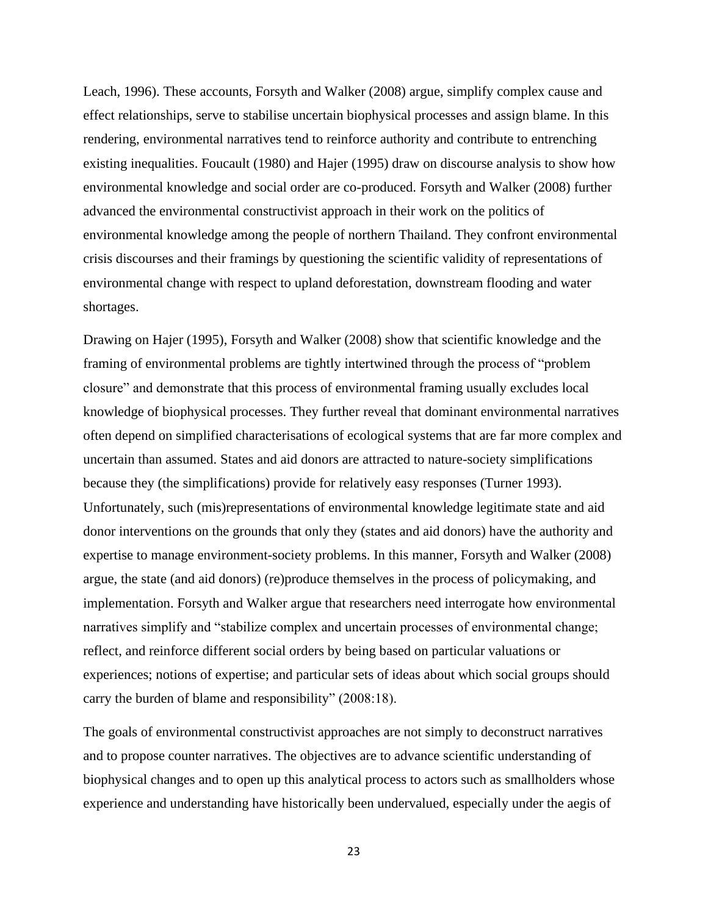Leach, 1996). These accounts, Forsyth and Walker (2008) argue, simplify complex cause and effect relationships, serve to stabilise uncertain biophysical processes and assign blame. In this rendering, environmental narratives tend to reinforce authority and contribute to entrenching existing inequalities. Foucault (1980) and Hajer (1995) draw on discourse analysis to show how environmental knowledge and social order are co-produced. Forsyth and Walker (2008) further advanced the environmental constructivist approach in their work on the politics of environmental knowledge among the people of northern Thailand. They confront environmental crisis discourses and their framings by questioning the scientific validity of representations of environmental change with respect to upland deforestation, downstream flooding and water shortages.

Drawing on Hajer (1995), Forsyth and Walker (2008) show that scientific knowledge and the framing of environmental problems are tightly intertwined through the process of "problem closure" and demonstrate that this process of environmental framing usually excludes local knowledge of biophysical processes. They further reveal that dominant environmental narratives often depend on simplified characterisations of ecological systems that are far more complex and uncertain than assumed. States and aid donors are attracted to nature-society simplifications because they (the simplifications) provide for relatively easy responses (Turner 1993). Unfortunately, such (mis)representations of environmental knowledge legitimate state and aid donor interventions on the grounds that only they (states and aid donors) have the authority and expertise to manage environment-society problems. In this manner, Forsyth and Walker (2008) argue, the state (and aid donors) (re)produce themselves in the process of policymaking, and implementation. Forsyth and Walker argue that researchers need interrogate how environmental narratives simplify and "stabilize complex and uncertain processes of environmental change; reflect, and reinforce different social orders by being based on particular valuations or experiences; notions of expertise; and particular sets of ideas about which social groups should carry the burden of blame and responsibility" (2008:18).

The goals of environmental constructivist approaches are not simply to deconstruct narratives and to propose counter narratives. The objectives are to advance scientific understanding of biophysical changes and to open up this analytical process to actors such as smallholders whose experience and understanding have historically been undervalued, especially under the aegis of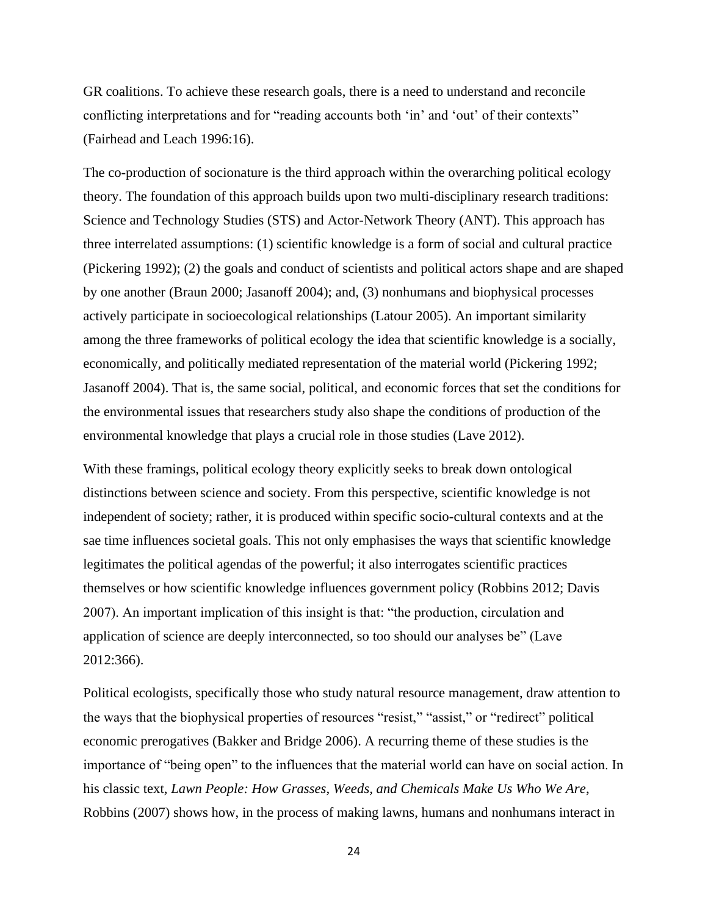GR coalitions. To achieve these research goals, there is a need to understand and reconcile conflicting interpretations and for "reading accounts both 'in' and 'out' of their contexts" (Fairhead and Leach 1996:16).

The co-production of socionature is the third approach within the overarching political ecology theory. The foundation of this approach builds upon two multi-disciplinary research traditions: Science and Technology Studies (STS) and Actor-Network Theory (ANT). This approach has three interrelated assumptions: (1) scientific knowledge is a form of social and cultural practice (Pickering 1992); (2) the goals and conduct of scientists and political actors shape and are shaped by one another (Braun 2000; Jasanoff 2004); and, (3) nonhumans and biophysical processes actively participate in socioecological relationships (Latour 2005). An important similarity among the three frameworks of political ecology the idea that scientific knowledge is a socially, economically, and politically mediated representation of the material world (Pickering 1992; Jasanoff 2004). That is, the same social, political, and economic forces that set the conditions for the environmental issues that researchers study also shape the conditions of production of the environmental knowledge that plays a crucial role in those studies (Lave 2012).

With these framings, political ecology theory explicitly seeks to break down ontological distinctions between science and society. From this perspective, scientific knowledge is not independent of society; rather, it is produced within specific socio-cultural contexts and at the sae time influences societal goals. This not only emphasises the ways that scientific knowledge legitimates the political agendas of the powerful; it also interrogates scientific practices themselves or how scientific knowledge influences government policy (Robbins 2012; Davis 2007). An important implication of this insight is that: "the production, circulation and application of science are deeply interconnected, so too should our analyses be" (Lave 2012:366).

Political ecologists, specifically those who study natural resource management, draw attention to the ways that the biophysical properties of resources "resist," "assist," or "redirect" political economic prerogatives (Bakker and Bridge 2006). A recurring theme of these studies is the importance of "being open" to the influences that the material world can have on social action. In his classic text, *Lawn People: How Grasses, Weeds, and Chemicals Make Us Who We Are*, Robbins (2007) shows how, in the process of making lawns, humans and nonhumans interact in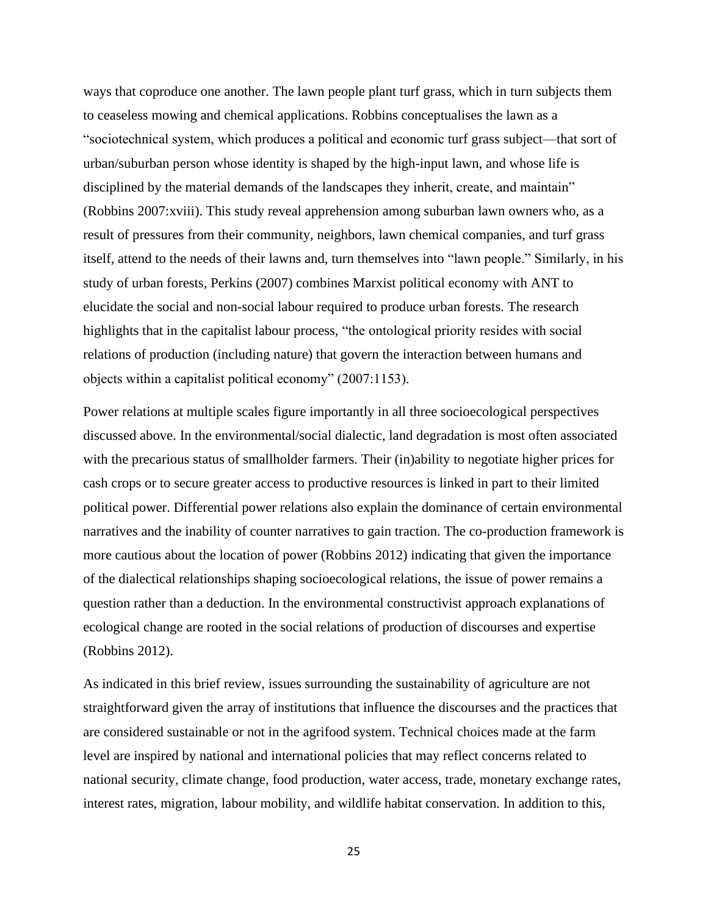ways that coproduce one another. The lawn people plant turf grass, which in turn subjects them to ceaseless mowing and chemical applications. Robbins conceptualises the lawn as a "sociotechnical system, which produces a political and economic turf grass subject—that sort of urban/suburban person whose identity is shaped by the high-input lawn, and whose life is disciplined by the material demands of the landscapes they inherit, create, and maintain" (Robbins 2007:xviii). This study reveal apprehension among suburban lawn owners who, as a result of pressures from their community, neighbors, lawn chemical companies, and turf grass itself, attend to the needs of their lawns and, turn themselves into "lawn people." Similarly, in his study of urban forests, Perkins (2007) combines Marxist political economy with ANT to elucidate the social and non-social labour required to produce urban forests. The research highlights that in the capitalist labour process, "the ontological priority resides with social relations of production (including nature) that govern the interaction between humans and objects within a capitalist political economy" (2007:1153).

Power relations at multiple scales figure importantly in all three socioecological perspectives discussed above. In the environmental/social dialectic, land degradation is most often associated with the precarious status of smallholder farmers. Their (in)ability to negotiate higher prices for cash crops or to secure greater access to productive resources is linked in part to their limited political power. Differential power relations also explain the dominance of certain environmental narratives and the inability of counter narratives to gain traction. The co-production framework is more cautious about the location of power (Robbins 2012) indicating that given the importance of the dialectical relationships shaping socioecological relations, the issue of power remains a question rather than a deduction. In the environmental constructivist approach explanations of ecological change are rooted in the social relations of production of discourses and expertise (Robbins 2012).

As indicated in this brief review, issues surrounding the sustainability of agriculture are not straightforward given the array of institutions that influence the discourses and the practices that are considered sustainable or not in the agrifood system. Technical choices made at the farm level are inspired by national and international policies that may reflect concerns related to national security, climate change, food production, water access, trade, monetary exchange rates, interest rates, migration, labour mobility, and wildlife habitat conservation. In addition to this,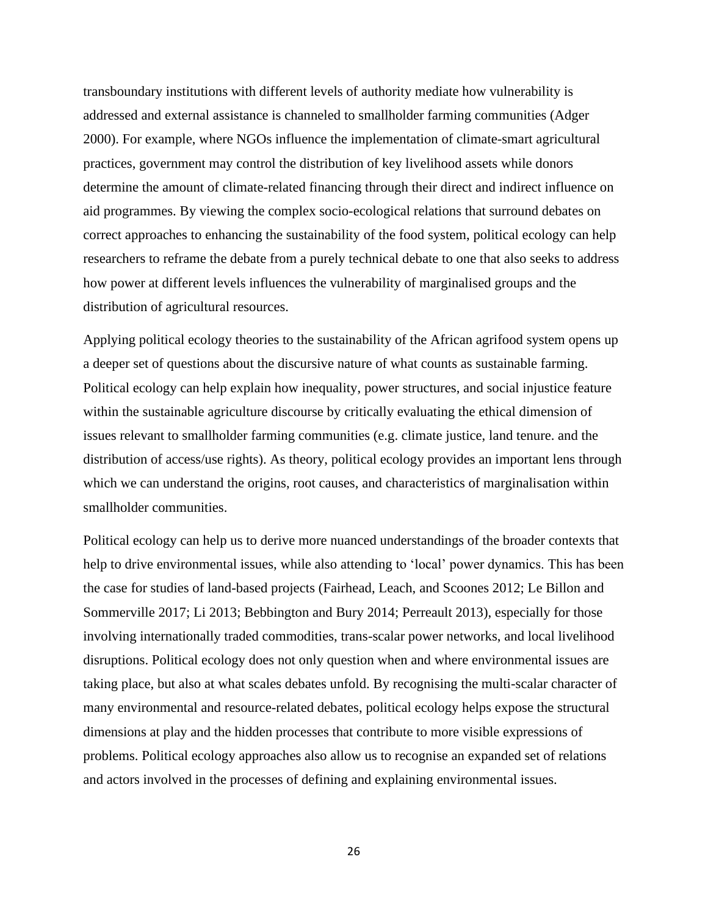transboundary institutions with different levels of authority mediate how vulnerability is addressed and external assistance is channeled to smallholder farming communities (Adger 2000). For example, where NGOs influence the implementation of climate-smart agricultural practices, government may control the distribution of key livelihood assets while donors determine the amount of climate-related financing through their direct and indirect influence on aid programmes. By viewing the complex socio-ecological relations that surround debates on correct approaches to enhancing the sustainability of the food system, political ecology can help researchers to reframe the debate from a purely technical debate to one that also seeks to address how power at different levels influences the vulnerability of marginalised groups and the distribution of agricultural resources.

Applying political ecology theories to the sustainability of the African agrifood system opens up a deeper set of questions about the discursive nature of what counts as sustainable farming. Political ecology can help explain how inequality, power structures, and social injustice feature within the sustainable agriculture discourse by critically evaluating the ethical dimension of issues relevant to smallholder farming communities (e.g. climate justice, land tenure. and the distribution of access/use rights). As theory, political ecology provides an important lens through which we can understand the origins, root causes, and characteristics of marginalisation within smallholder communities.

Political ecology can help us to derive more nuanced understandings of the broader contexts that help to drive environmental issues, while also attending to 'local' power dynamics. This has been the case for studies of land-based projects (Fairhead, Leach, and Scoones 2012; Le Billon and Sommerville 2017; Li 2013; Bebbington and Bury 2014; Perreault 2013), especially for those involving internationally traded commodities, trans-scalar power networks, and local livelihood disruptions. Political ecology does not only question when and where environmental issues are taking place, but also at what scales debates unfold. By recognising the multi-scalar character of many environmental and resource-related debates, political ecology helps expose the structural dimensions at play and the hidden processes that contribute to more visible expressions of problems. Political ecology approaches also allow us to recognise an expanded set of relations and actors involved in the processes of defining and explaining environmental issues.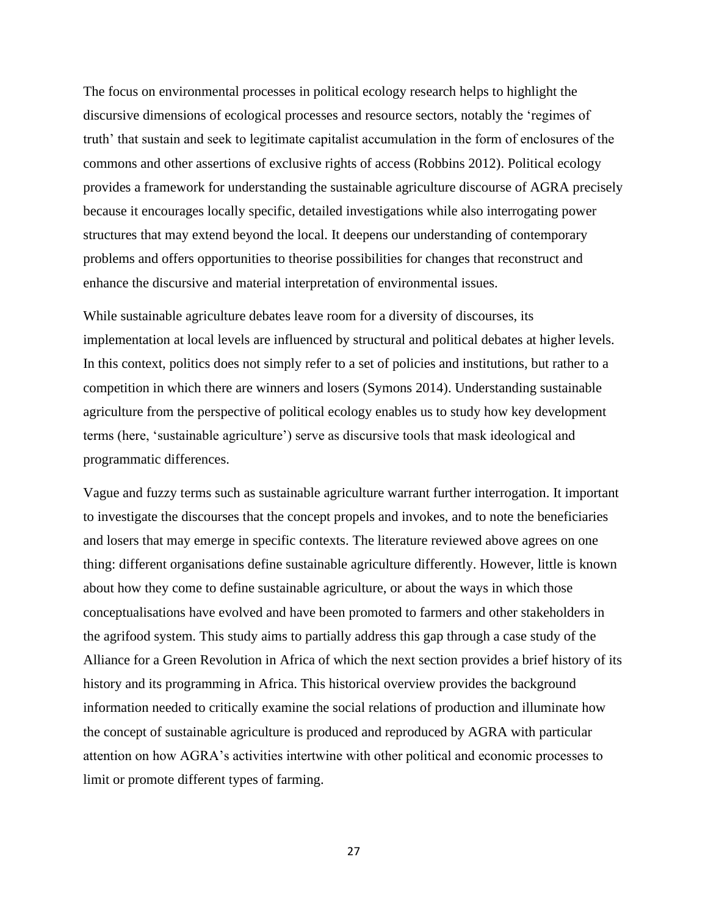The focus on environmental processes in political ecology research helps to highlight the discursive dimensions of ecological processes and resource sectors, notably the 'regimes of truth' that sustain and seek to legitimate capitalist accumulation in the form of enclosures of the commons and other assertions of exclusive rights of access (Robbins 2012). Political ecology provides a framework for understanding the sustainable agriculture discourse of AGRA precisely because it encourages locally specific, detailed investigations while also interrogating power structures that may extend beyond the local. It deepens our understanding of contemporary problems and offers opportunities to theorise possibilities for changes that reconstruct and enhance the discursive and material interpretation of environmental issues.

While sustainable agriculture debates leave room for a diversity of discourses, its implementation at local levels are influenced by structural and political debates at higher levels. In this context, politics does not simply refer to a set of policies and institutions, but rather to a competition in which there are winners and losers (Symons 2014). Understanding sustainable agriculture from the perspective of political ecology enables us to study how key development terms (here, 'sustainable agriculture') serve as discursive tools that mask ideological and programmatic differences.

Vague and fuzzy terms such as sustainable agriculture warrant further interrogation. It important to investigate the discourses that the concept propels and invokes, and to note the beneficiaries and losers that may emerge in specific contexts. The literature reviewed above agrees on one thing: different organisations define sustainable agriculture differently. However, little is known about how they come to define sustainable agriculture, or about the ways in which those conceptualisations have evolved and have been promoted to farmers and other stakeholders in the agrifood system. This study aims to partially address this gap through a case study of the Alliance for a Green Revolution in Africa of which the next section provides a brief history of its history and its programming in Africa. This historical overview provides the background information needed to critically examine the social relations of production and illuminate how the concept of sustainable agriculture is produced and reproduced by AGRA with particular attention on how AGRA's activities intertwine with other political and economic processes to limit or promote different types of farming.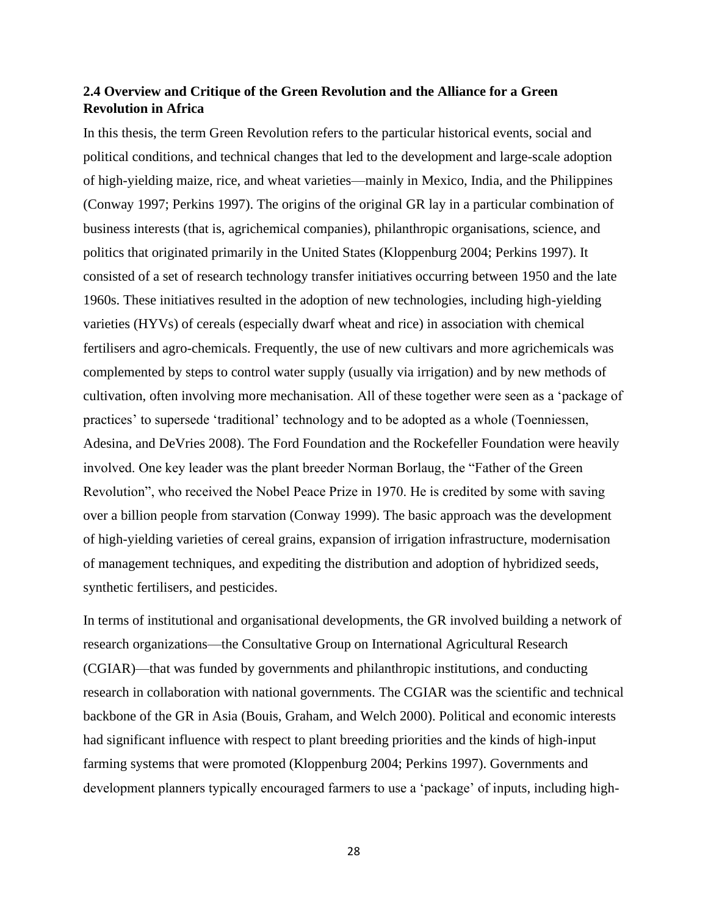# **2.4 Overview and Critique of the Green Revolution and the Alliance for a Green Revolution in Africa**

In this thesis, the term Green Revolution refers to the particular historical events, social and political conditions, and technical changes that led to the development and large-scale adoption of high-yielding maize, rice, and wheat varieties—mainly in Mexico, India, and the Philippines (Conway 1997; Perkins 1997). The origins of the original GR lay in a particular combination of business interests (that is, agrichemical companies), philanthropic organisations, science, and politics that originated primarily in the United States (Kloppenburg 2004; Perkins 1997). It consisted of a set of research technology transfer initiatives occurring between 1950 and the late 1960s. These initiatives resulted in the adoption of new technologies, including high-yielding varieties (HYVs) of cereals (especially dwarf wheat and rice) in association with chemical fertilisers and agro-chemicals. Frequently, the use of new cultivars and more agrichemicals was complemented by steps to control water supply (usually via irrigation) and by new methods of cultivation, often involving more mechanisation. All of these together were seen as a 'package of practices' to supersede 'traditional' technology and to be adopted as a whole (Toenniessen, Adesina, and DeVries 2008). The Ford Foundation and the Rockefeller Foundation were heavily involved. One key leader was the plant breeder Norman Borlaug, the "Father of the Green Revolution", who received the Nobel Peace Prize in 1970. He is credited by some with saving over a billion people from starvation (Conway 1999). The basic approach was the development of high-yielding varieties of cereal grains, expansion of irrigation infrastructure, modernisation of management techniques, and expediting the distribution and adoption of hybridized seeds, synthetic fertilisers, and pesticides.

In terms of institutional and organisational developments, the GR involved building a network of research organizations—the Consultative Group on International Agricultural Research (CGIAR)—that was funded by governments and philanthropic institutions, and conducting research in collaboration with national governments. The CGIAR was the scientific and technical backbone of the GR in Asia (Bouis, Graham, and Welch 2000). Political and economic interests had significant influence with respect to plant breeding priorities and the kinds of high-input farming systems that were promoted (Kloppenburg 2004; Perkins 1997). Governments and development planners typically encouraged farmers to use a 'package' of inputs, including high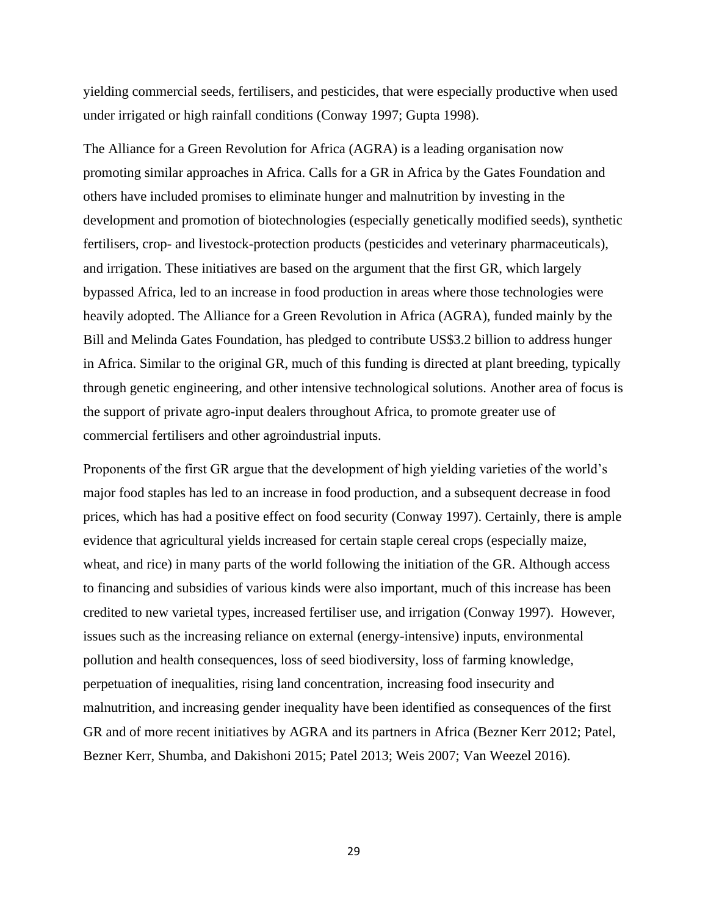yielding commercial seeds, fertilisers, and pesticides, that were especially productive when used under irrigated or high rainfall conditions (Conway 1997; Gupta 1998).

The Alliance for a Green Revolution for Africa (AGRA) is a leading organisation now promoting similar approaches in Africa. Calls for a GR in Africa by the Gates Foundation and others have included promises to eliminate hunger and malnutrition by investing in the development and promotion of biotechnologies (especially genetically modified seeds), synthetic fertilisers, crop- and livestock-protection products (pesticides and veterinary pharmaceuticals), and irrigation. These initiatives are based on the argument that the first GR, which largely bypassed Africa, led to an increase in food production in areas where those technologies were heavily adopted. The Alliance for a Green Revolution in Africa (AGRA), funded mainly by the Bill and Melinda Gates Foundation, has pledged to contribute US\$3.2 billion to address hunger in Africa. Similar to the original GR, much of this funding is directed at plant breeding, typically through genetic engineering, and other intensive technological solutions. Another area of focus is the support of private agro-input dealers throughout Africa, to promote greater use of commercial fertilisers and other agroindustrial inputs.

Proponents of the first GR argue that the development of high yielding varieties of the world's major food staples has led to an increase in food production, and a subsequent decrease in food prices, which has had a positive effect on food security (Conway 1997). Certainly, there is ample evidence that agricultural yields increased for certain staple cereal crops (especially maize, wheat, and rice) in many parts of the world following the initiation of the GR. Although access to financing and subsidies of various kinds were also important, much of this increase has been credited to new varietal types, increased fertiliser use, and irrigation (Conway 1997). However, issues such as the increasing reliance on external (energy-intensive) inputs, environmental pollution and health consequences, loss of seed biodiversity, loss of farming knowledge, perpetuation of inequalities, rising land concentration, increasing food insecurity and malnutrition, and increasing gender inequality have been identified as consequences of the first GR and of more recent initiatives by AGRA and its partners in Africa (Bezner Kerr 2012; Patel, Bezner Kerr, Shumba, and Dakishoni 2015; Patel 2013; Weis 2007; Van Weezel 2016).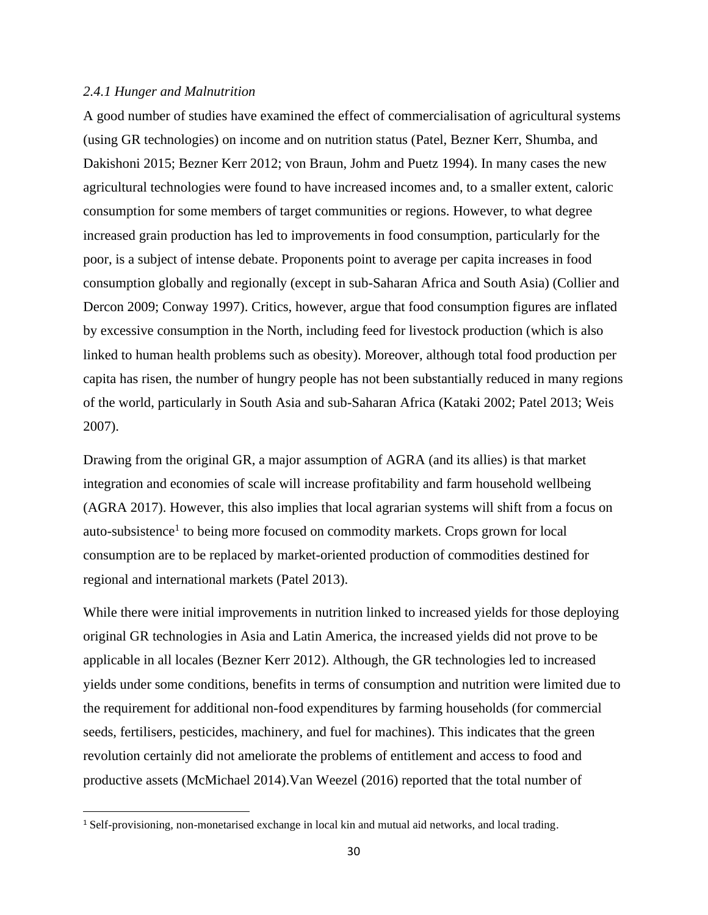### *2.4.1 Hunger and Malnutrition*

A good number of studies have examined the effect of commercialisation of agricultural systems (using GR technologies) on income and on nutrition status (Patel, Bezner Kerr, Shumba, and Dakishoni 2015; Bezner Kerr 2012; von Braun, Johm and Puetz 1994). In many cases the new agricultural technologies were found to have increased incomes and, to a smaller extent, caloric consumption for some members of target communities or regions. However, to what degree increased grain production has led to improvements in food consumption, particularly for the poor, is a subject of intense debate. Proponents point to average per capita increases in food consumption globally and regionally (except in sub-Saharan Africa and South Asia) (Collier and Dercon 2009; Conway 1997). Critics, however, argue that food consumption figures are inflated by excessive consumption in the North, including feed for livestock production (which is also linked to human health problems such as obesity). Moreover, although total food production per capita has risen, the number of hungry people has not been substantially reduced in many regions of the world, particularly in South Asia and sub-Saharan Africa (Kataki 2002; Patel 2013; Weis 2007).

Drawing from the original GR, a major assumption of AGRA (and its allies) is that market integration and economies of scale will increase profitability and farm household wellbeing (AGRA 2017). However, this also implies that local agrarian systems will shift from a focus on auto-subsistence<sup>1</sup> to being more focused on commodity markets. Crops grown for local consumption are to be replaced by market-oriented production of commodities destined for regional and international markets (Patel 2013).

While there were initial improvements in nutrition linked to increased yields for those deploying original GR technologies in Asia and Latin America, the increased yields did not prove to be applicable in all locales (Bezner Kerr 2012). Although, the GR technologies led to increased yields under some conditions, benefits in terms of consumption and nutrition were limited due to the requirement for additional non-food expenditures by farming households (for commercial seeds, fertilisers, pesticides, machinery, and fuel for machines). This indicates that the green revolution certainly did not ameliorate the problems of entitlement and access to food and productive assets (McMichael 2014).Van Weezel (2016) reported that the total number of

<sup>1</sup> Self-provisioning, non-monetarised exchange in local kin and mutual aid networks, and local trading.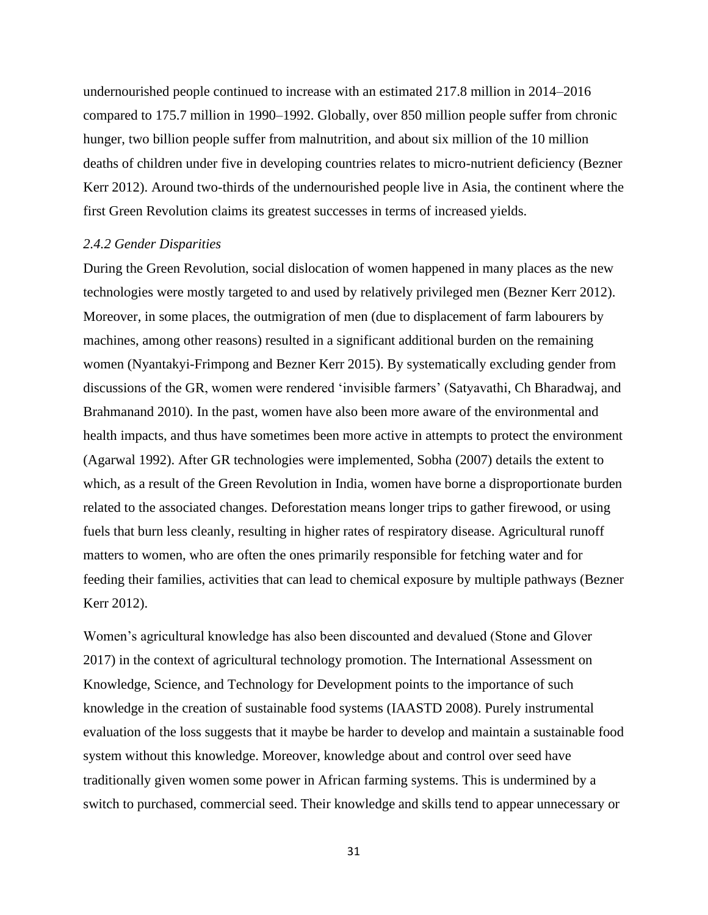undernourished people continued to increase with an estimated 217.8 million in 2014–2016 compared to 175.7 million in 1990–1992. Globally, over 850 million people suffer from chronic hunger, two billion people suffer from malnutrition, and about six million of the 10 million deaths of children under five in developing countries relates to micro-nutrient deficiency (Bezner Kerr 2012). Around two-thirds of the undernourished people live in Asia, the continent where the first Green Revolution claims its greatest successes in terms of increased yields.

### *2.4.2 Gender Disparities*

During the Green Revolution, social dislocation of women happened in many places as the new technologies were mostly targeted to and used by relatively privileged men (Bezner Kerr 2012). Moreover, in some places, the outmigration of men (due to displacement of farm labourers by machines, among other reasons) resulted in a significant additional burden on the remaining women (Nyantakyi-Frimpong and Bezner Kerr 2015). By systematically excluding gender from discussions of the GR, women were rendered 'invisible farmers' (Satyavathi, Ch Bharadwaj, and Brahmanand 2010). In the past, women have also been more aware of the environmental and health impacts, and thus have sometimes been more active in attempts to protect the environment (Agarwal 1992). After GR technologies were implemented, Sobha (2007) details the extent to which, as a result of the Green Revolution in India, women have borne a disproportionate burden related to the associated changes. Deforestation means longer trips to gather firewood, or using fuels that burn less cleanly, resulting in higher rates of respiratory disease. Agricultural runoff matters to women, who are often the ones primarily responsible for fetching water and for feeding their families, activities that can lead to chemical exposure by multiple pathways (Bezner Kerr 2012).

Women's agricultural knowledge has also been discounted and devalued (Stone and Glover 2017) in the context of agricultural technology promotion. The International Assessment on Knowledge, Science, and Technology for Development points to the importance of such knowledge in the creation of sustainable food systems (IAASTD 2008). Purely instrumental evaluation of the loss suggests that it maybe be harder to develop and maintain a sustainable food system without this knowledge. Moreover, knowledge about and control over seed have traditionally given women some power in African farming systems. This is undermined by a switch to purchased, commercial seed. Their knowledge and skills tend to appear unnecessary or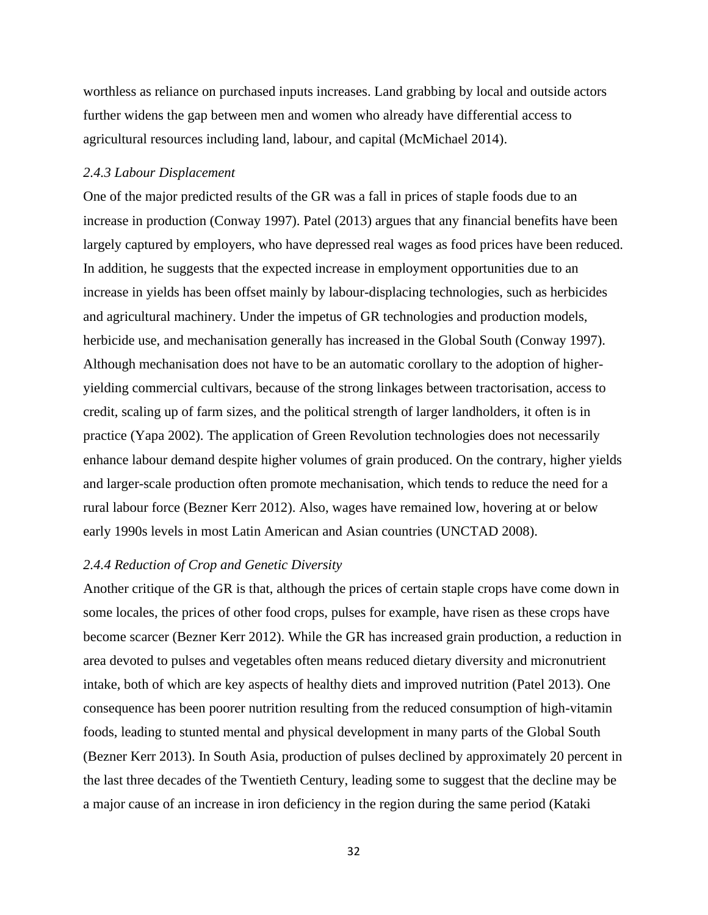worthless as reliance on purchased inputs increases. Land grabbing by local and outside actors further widens the gap between men and women who already have differential access to agricultural resources including land, labour, and capital (McMichael 2014).

## *2.4.3 Labour Displacement*

One of the major predicted results of the GR was a fall in prices of staple foods due to an increase in production (Conway 1997). Patel (2013) argues that any financial benefits have been largely captured by employers, who have depressed real wages as food prices have been reduced. In addition, he suggests that the expected increase in employment opportunities due to an increase in yields has been offset mainly by labour-displacing technologies, such as herbicides and agricultural machinery. Under the impetus of GR technologies and production models, herbicide use, and mechanisation generally has increased in the Global South (Conway 1997). Although mechanisation does not have to be an automatic corollary to the adoption of higheryielding commercial cultivars, because of the strong linkages between tractorisation, access to credit, scaling up of farm sizes, and the political strength of larger landholders, it often is in practice (Yapa 2002). The application of Green Revolution technologies does not necessarily enhance labour demand despite higher volumes of grain produced. On the contrary, higher yields and larger-scale production often promote mechanisation, which tends to reduce the need for a rural labour force (Bezner Kerr 2012). Also, wages have remained low, hovering at or below early 1990s levels in most Latin American and Asian countries (UNCTAD 2008).

## *2.4.4 Reduction of Crop and Genetic Diversity*

Another critique of the GR is that, although the prices of certain staple crops have come down in some locales, the prices of other food crops, pulses for example, have risen as these crops have become scarcer (Bezner Kerr 2012). While the GR has increased grain production, a reduction in area devoted to pulses and vegetables often means reduced dietary diversity and micronutrient intake, both of which are key aspects of healthy diets and improved nutrition (Patel 2013). One consequence has been poorer nutrition resulting from the reduced consumption of high-vitamin foods, leading to stunted mental and physical development in many parts of the Global South (Bezner Kerr 2013). In South Asia, production of pulses declined by approximately 20 percent in the last three decades of the Twentieth Century, leading some to suggest that the decline may be a major cause of an increase in iron deficiency in the region during the same period (Kataki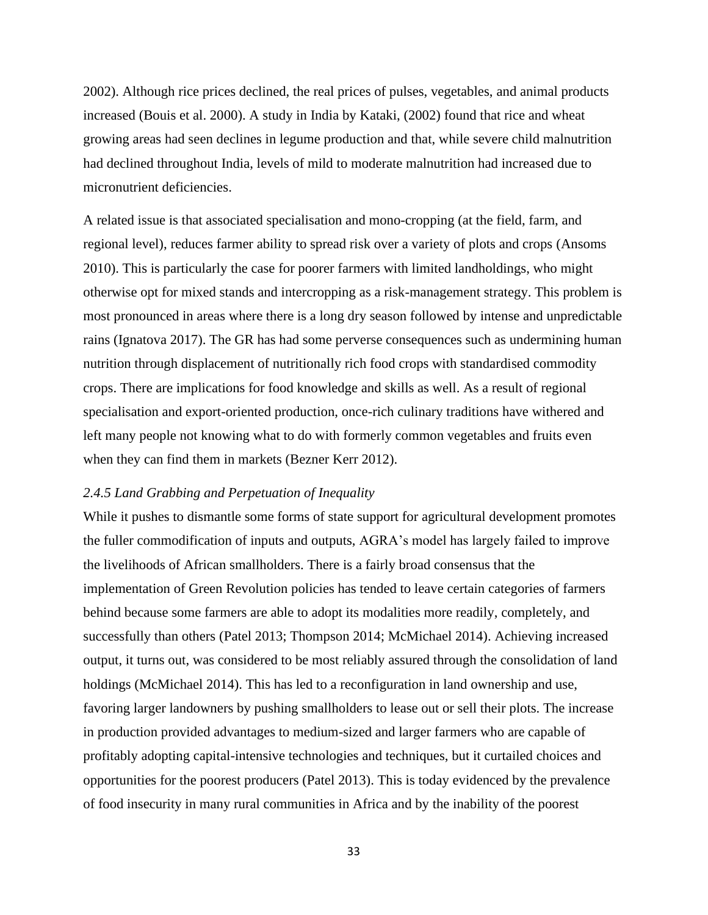2002). Although rice prices declined, the real prices of pulses, vegetables, and animal products increased (Bouis et al. 2000). A study in India by Kataki, (2002) found that rice and wheat growing areas had seen declines in legume production and that, while severe child malnutrition had declined throughout India, levels of mild to moderate malnutrition had increased due to micronutrient deficiencies.

A related issue is that associated specialisation and mono-cropping (at the field, farm, and regional level), reduces farmer ability to spread risk over a variety of plots and crops (Ansoms 2010). This is particularly the case for poorer farmers with limited landholdings, who might otherwise opt for mixed stands and intercropping as a risk-management strategy. This problem is most pronounced in areas where there is a long dry season followed by intense and unpredictable rains (Ignatova 2017). The GR has had some perverse consequences such as undermining human nutrition through displacement of nutritionally rich food crops with standardised commodity crops. There are implications for food knowledge and skills as well. As a result of regional specialisation and export-oriented production, once-rich culinary traditions have withered and left many people not knowing what to do with formerly common vegetables and fruits even when they can find them in markets (Bezner Kerr 2012).

# *2.4.5 Land Grabbing and Perpetuation of Inequality*

While it pushes to dismantle some forms of state support for agricultural development promotes the fuller commodification of inputs and outputs, AGRA's model has largely failed to improve the livelihoods of African smallholders. There is a fairly broad consensus that the implementation of Green Revolution policies has tended to leave certain categories of farmers behind because some farmers are able to adopt its modalities more readily, completely, and successfully than others (Patel 2013; Thompson 2014; McMichael 2014). Achieving increased output, it turns out, was considered to be most reliably assured through the consolidation of land holdings (McMichael 2014). This has led to a reconfiguration in land ownership and use, favoring larger landowners by pushing smallholders to lease out or sell their plots. The increase in production provided advantages to medium-sized and larger farmers who are capable of profitably adopting capital-intensive technologies and techniques, but it curtailed choices and opportunities for the poorest producers (Patel 2013). This is today evidenced by the prevalence of food insecurity in many rural communities in Africa and by the inability of the poorest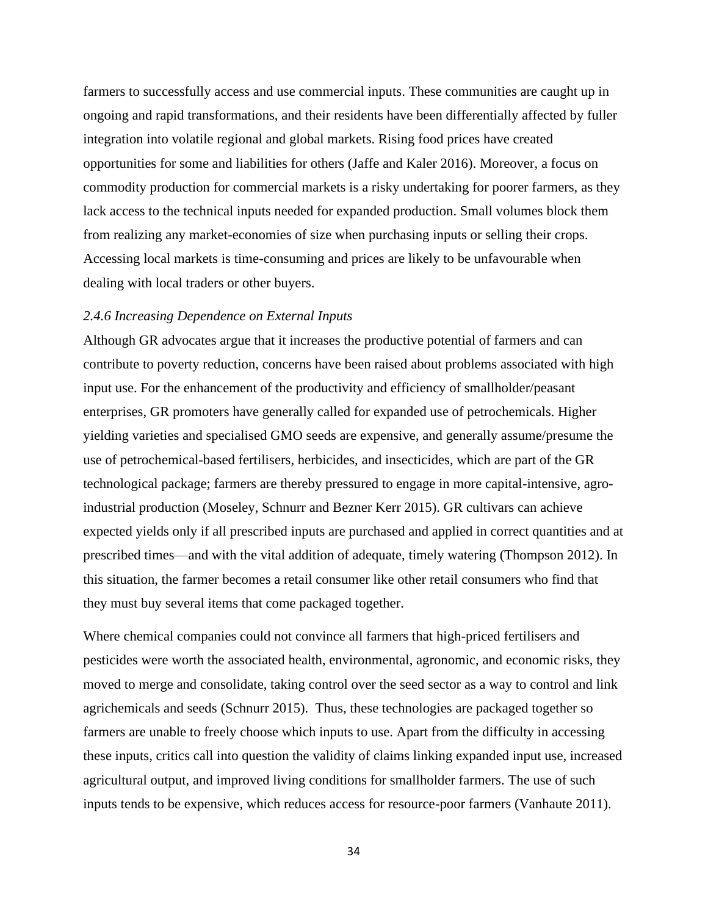farmers to successfully access and use commercial inputs. These communities are caught up in ongoing and rapid transformations, and their residents have been differentially affected by fuller integration into volatile regional and global markets. Rising food prices have created opportunities for some and liabilities for others (Jaffe and Kaler 2016). Moreover, a focus on commodity production for commercial markets is a risky undertaking for poorer farmers, as they lack access to the technical inputs needed for expanded production. Small volumes block them from realizing any market-economies of size when purchasing inputs or selling their crops. Accessing local markets is time-consuming and prices are likely to be unfavourable when dealing with local traders or other buyers.

### *2.4.6 Increasing Dependence on External Inputs*

Although GR advocates argue that it increases the productive potential of farmers and can contribute to poverty reduction, concerns have been raised about problems associated with high input use. For the enhancement of the productivity and efficiency of smallholder/peasant enterprises, GR promoters have generally called for expanded use of petrochemicals. Higher yielding varieties and specialised GMO seeds are expensive, and generally assume/presume the use of petrochemical-based fertilisers, herbicides, and insecticides, which are part of the GR technological package; farmers are thereby pressured to engage in more capital-intensive, agroindustrial production (Moseley, Schnurr and Bezner Kerr 2015). GR cultivars can achieve expected yields only if all prescribed inputs are purchased and applied in correct quantities and at prescribed times—and with the vital addition of adequate, timely watering (Thompson 2012). In this situation, the farmer becomes a retail consumer like other retail consumers who find that they must buy several items that come packaged together.

Where chemical companies could not convince all farmers that high-priced fertilisers and pesticides were worth the associated health, environmental, agronomic, and economic risks, they moved to merge and consolidate, taking control over the seed sector as a way to control and link agrichemicals and seeds (Schnurr 2015). Thus, these technologies are packaged together so farmers are unable to freely choose which inputs to use. Apart from the difficulty in accessing these inputs, critics call into question the validity of claims linking expanded input use, increased agricultural output, and improved living conditions for smallholder farmers. The use of such inputs tends to be expensive, which reduces access for resource-poor farmers (Vanhaute 2011).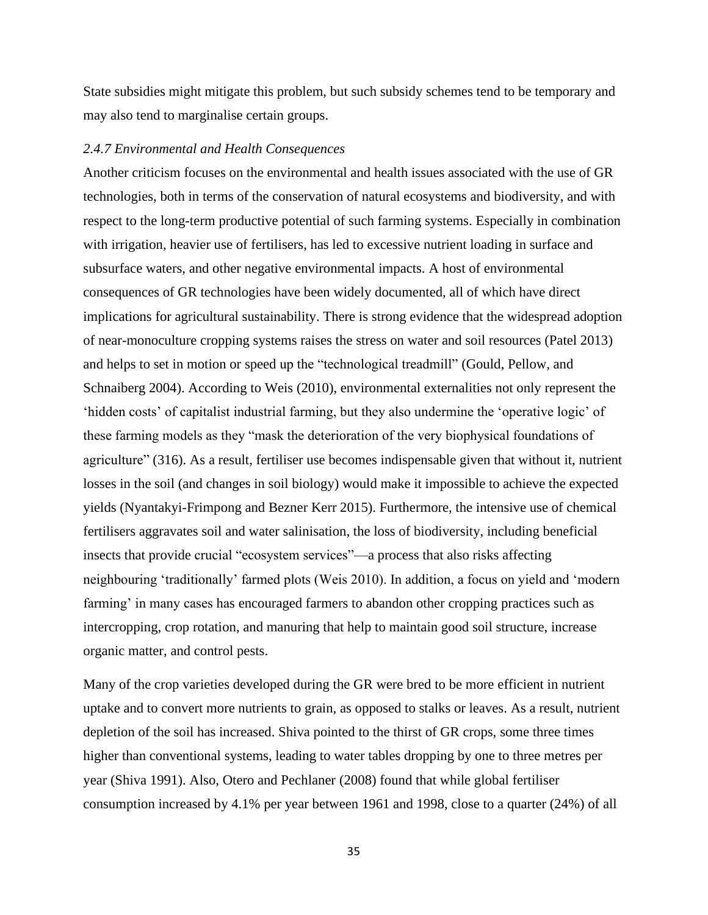State subsidies might mitigate this problem, but such subsidy schemes tend to be temporary and may also tend to marginalise certain groups.

#### *2.4.7 Environmental and Health Consequences*

Another criticism focuses on the environmental and health issues associated with the use of GR technologies, both in terms of the conservation of natural ecosystems and biodiversity, and with respect to the long-term productive potential of such farming systems. Especially in combination with irrigation, heavier use of fertilisers, has led to excessive nutrient loading in surface and subsurface waters, and other negative environmental impacts. A host of environmental consequences of GR technologies have been widely documented, all of which have direct implications for agricultural sustainability. There is strong evidence that the widespread adoption of near-monoculture cropping systems raises the stress on water and soil resources (Patel 2013) and helps to set in motion or speed up the "technological treadmill" (Gould, Pellow, and Schnaiberg 2004). According to Weis (2010), environmental externalities not only represent the 'hidden costs' of capitalist industrial farming, but they also undermine the 'operative logic' of these farming models as they "mask the deterioration of the very biophysical foundations of agriculture" (316). As a result, fertiliser use becomes indispensable given that without it, nutrient losses in the soil (and changes in soil biology) would make it impossible to achieve the expected yields (Nyantakyi-Frimpong and Bezner Kerr 2015). Furthermore, the intensive use of chemical fertilisers aggravates soil and water salinisation, the loss of biodiversity, including beneficial insects that provide crucial "ecosystem services"—a process that also risks affecting neighbouring 'traditionally' farmed plots (Weis 2010). In addition, a focus on yield and 'modern farming' in many cases has encouraged farmers to abandon other cropping practices such as intercropping, crop rotation, and manuring that help to maintain good soil structure, increase organic matter, and control pests.

Many of the crop varieties developed during the GR were bred to be more efficient in nutrient uptake and to convert more nutrients to grain, as opposed to stalks or leaves. As a result, nutrient depletion of the soil has increased. Shiva pointed to the thirst of GR crops, some three times higher than conventional systems, leading to water tables dropping by one to three metres per year (Shiva 1991). Also, Otero and Pechlaner (2008) found that while global fertiliser consumption increased by 4.1% per year between 1961 and 1998, close to a quarter (24%) of all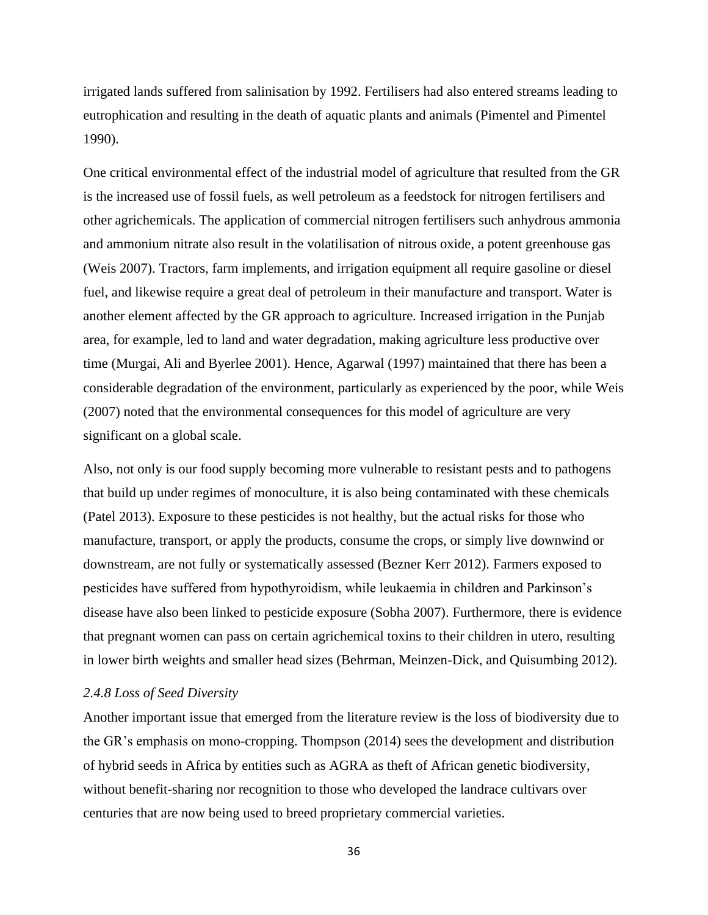irrigated lands suffered from salinisation by 1992. Fertilisers had also entered streams leading to eutrophication and resulting in the death of aquatic plants and animals (Pimentel and Pimentel 1990).

One critical environmental effect of the industrial model of agriculture that resulted from the GR is the increased use of fossil fuels, as well petroleum as a feedstock for nitrogen fertilisers and other agrichemicals. The application of commercial nitrogen fertilisers such anhydrous ammonia and ammonium nitrate also result in the volatilisation of nitrous oxide, a potent greenhouse gas (Weis 2007). Tractors, farm implements, and irrigation equipment all require gasoline or diesel fuel, and likewise require a great deal of petroleum in their manufacture and transport. Water is another element affected by the GR approach to agriculture. Increased irrigation in the Punjab area, for example, led to land and water degradation, making agriculture less productive over time (Murgai, Ali and Byerlee 2001). Hence, Agarwal (1997) maintained that there has been a considerable degradation of the environment, particularly as experienced by the poor, while Weis (2007) noted that the environmental consequences for this model of agriculture are very significant on a global scale.

Also, not only is our food supply becoming more vulnerable to resistant pests and to pathogens that build up under regimes of monoculture, it is also being contaminated with these chemicals (Patel 2013). Exposure to these pesticides is not healthy, but the actual risks for those who manufacture, transport, or apply the products, consume the crops, or simply live downwind or downstream, are not fully or systematically assessed (Bezner Kerr 2012). Farmers exposed to pesticides have suffered from hypothyroidism, while leukaemia in children and Parkinson's disease have also been linked to pesticide exposure (Sobha 2007). Furthermore, there is evidence that pregnant women can pass on certain agrichemical toxins to their children in utero, resulting in lower birth weights and smaller head sizes (Behrman, Meinzen-Dick, and Quisumbing 2012).

# *2.4.8 Loss of Seed Diversity*

Another important issue that emerged from the literature review is the loss of biodiversity due to the GR's emphasis on mono-cropping. Thompson (2014) sees the development and distribution of hybrid seeds in Africa by entities such as AGRA as theft of African genetic biodiversity, without benefit-sharing nor recognition to those who developed the landrace cultivars over centuries that are now being used to breed proprietary commercial varieties.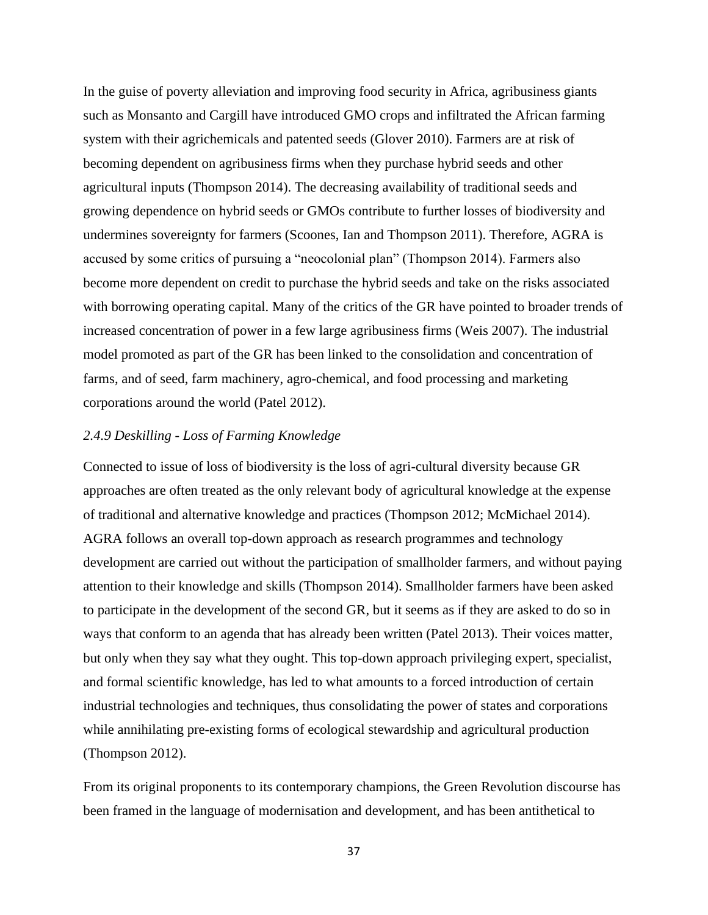In the guise of poverty alleviation and improving food security in Africa, agribusiness giants such as Monsanto and Cargill have introduced GMO crops and infiltrated the African farming system with their agrichemicals and patented seeds (Glover 2010). Farmers are at risk of becoming dependent on agribusiness firms when they purchase hybrid seeds and other agricultural inputs (Thompson 2014). The decreasing availability of traditional seeds and growing dependence on hybrid seeds or GMOs contribute to further losses of biodiversity and undermines sovereignty for farmers (Scoones, Ian and Thompson 2011). Therefore, AGRA is accused by some critics of pursuing a "neocolonial plan" (Thompson 2014). Farmers also become more dependent on credit to purchase the hybrid seeds and take on the risks associated with borrowing operating capital. Many of the critics of the GR have pointed to broader trends of increased concentration of power in a few large agribusiness firms (Weis 2007). The industrial model promoted as part of the GR has been linked to the consolidation and concentration of farms, and of seed, farm machinery, agro-chemical, and food processing and marketing corporations around the world (Patel 2012).

# *2.4.9 Deskilling - Loss of Farming Knowledge*

Connected to issue of loss of biodiversity is the loss of agri-cultural diversity because GR approaches are often treated as the only relevant body of agricultural knowledge at the expense of traditional and alternative knowledge and practices (Thompson 2012; McMichael 2014). AGRA follows an overall top-down approach as research programmes and technology development are carried out without the participation of smallholder farmers, and without paying attention to their knowledge and skills (Thompson 2014). Smallholder farmers have been asked to participate in the development of the second GR, but it seems as if they are asked to do so in ways that conform to an agenda that has already been written (Patel 2013). Their voices matter, but only when they say what they ought. This top-down approach privileging expert, specialist, and formal scientific knowledge, has led to what amounts to a forced introduction of certain industrial technologies and techniques, thus consolidating the power of states and corporations while annihilating pre-existing forms of ecological stewardship and agricultural production (Thompson 2012).

From its original proponents to its contemporary champions, the Green Revolution discourse has been framed in the language of modernisation and development, and has been antithetical to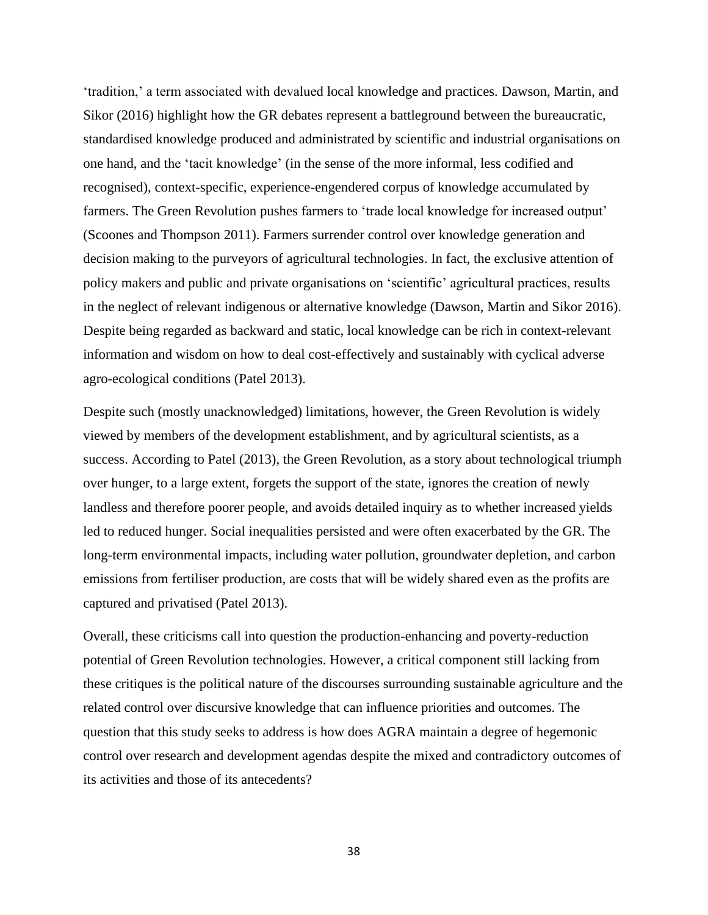'tradition,' a term associated with devalued local knowledge and practices. Dawson, Martin, and Sikor (2016) highlight how the GR debates represent a battleground between the bureaucratic, standardised knowledge produced and administrated by scientific and industrial organisations on one hand, and the 'tacit knowledge' (in the sense of the more informal, less codified and recognised), context-specific, experience-engendered corpus of knowledge accumulated by farmers. The Green Revolution pushes farmers to 'trade local knowledge for increased output' (Scoones and Thompson 2011). Farmers surrender control over knowledge generation and decision making to the purveyors of agricultural technologies. In fact, the exclusive attention of policy makers and public and private organisations on 'scientific' agricultural practices, results in the neglect of relevant indigenous or alternative knowledge (Dawson, Martin and Sikor 2016). Despite being regarded as backward and static, local knowledge can be rich in context-relevant information and wisdom on how to deal cost-effectively and sustainably with cyclical adverse agro-ecological conditions (Patel 2013).

Despite such (mostly unacknowledged) limitations, however, the Green Revolution is widely viewed by members of the development establishment, and by agricultural scientists, as a success. According to Patel (2013), the Green Revolution, as a story about technological triumph over hunger, to a large extent, forgets the support of the state, ignores the creation of newly landless and therefore poorer people, and avoids detailed inquiry as to whether increased yields led to reduced hunger. Social inequalities persisted and were often exacerbated by the GR. The long-term environmental impacts, including water pollution, groundwater depletion, and carbon emissions from fertiliser production, are costs that will be widely shared even as the profits are captured and privatised (Patel 2013).

Overall, these criticisms call into question the production-enhancing and poverty-reduction potential of Green Revolution technologies. However, a critical component still lacking from these critiques is the political nature of the discourses surrounding sustainable agriculture and the related control over discursive knowledge that can influence priorities and outcomes. The question that this study seeks to address is how does AGRA maintain a degree of hegemonic control over research and development agendas despite the mixed and contradictory outcomes of its activities and those of its antecedents?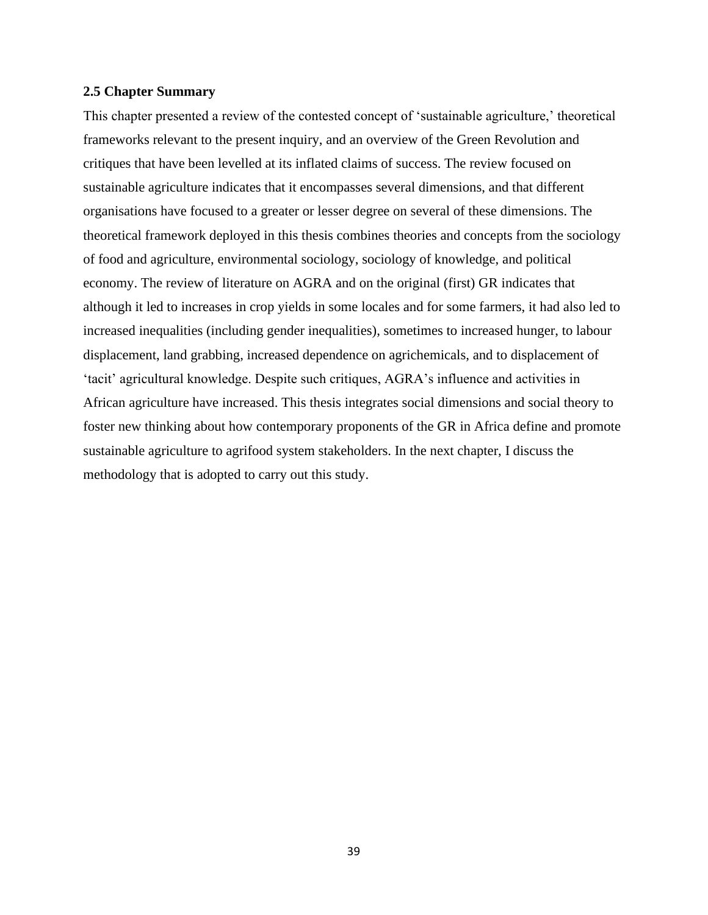### **2.5 Chapter Summary**

This chapter presented a review of the contested concept of 'sustainable agriculture,' theoretical frameworks relevant to the present inquiry, and an overview of the Green Revolution and critiques that have been levelled at its inflated claims of success. The review focused on sustainable agriculture indicates that it encompasses several dimensions, and that different organisations have focused to a greater or lesser degree on several of these dimensions. The theoretical framework deployed in this thesis combines theories and concepts from the sociology of food and agriculture, environmental sociology, sociology of knowledge, and political economy. The review of literature on AGRA and on the original (first) GR indicates that although it led to increases in crop yields in some locales and for some farmers, it had also led to increased inequalities (including gender inequalities), sometimes to increased hunger, to labour displacement, land grabbing, increased dependence on agrichemicals, and to displacement of 'tacit' agricultural knowledge. Despite such critiques, AGRA's influence and activities in African agriculture have increased. This thesis integrates social dimensions and social theory to foster new thinking about how contemporary proponents of the GR in Africa define and promote sustainable agriculture to agrifood system stakeholders. In the next chapter, I discuss the methodology that is adopted to carry out this study.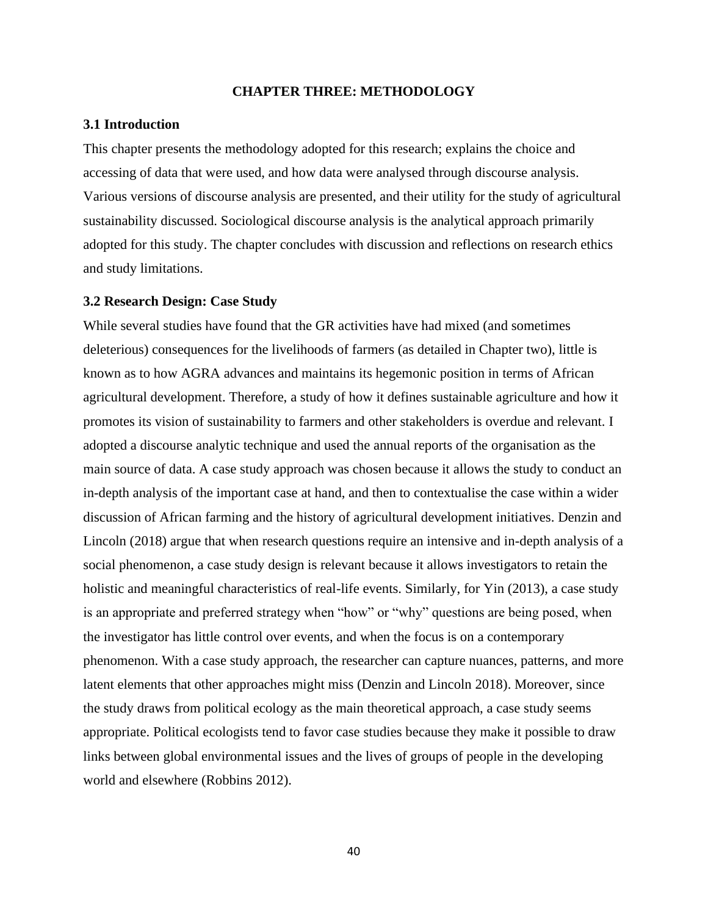# **CHAPTER THREE: METHODOLOGY**

## **3.1 Introduction**

This chapter presents the methodology adopted for this research; explains the choice and accessing of data that were used, and how data were analysed through discourse analysis. Various versions of discourse analysis are presented, and their utility for the study of agricultural sustainability discussed. Sociological discourse analysis is the analytical approach primarily adopted for this study. The chapter concludes with discussion and reflections on research ethics and study limitations.

# **3.2 Research Design: Case Study**

While several studies have found that the GR activities have had mixed (and sometimes deleterious) consequences for the livelihoods of farmers (as detailed in Chapter two), little is known as to how AGRA advances and maintains its hegemonic position in terms of African agricultural development. Therefore, a study of how it defines sustainable agriculture and how it promotes its vision of sustainability to farmers and other stakeholders is overdue and relevant. I adopted a discourse analytic technique and used the annual reports of the organisation as the main source of data. A case study approach was chosen because it allows the study to conduct an in-depth analysis of the important case at hand, and then to contextualise the case within a wider discussion of African farming and the history of agricultural development initiatives. Denzin and Lincoln (2018) argue that when research questions require an intensive and in-depth analysis of a social phenomenon, a case study design is relevant because it allows investigators to retain the holistic and meaningful characteristics of real-life events. Similarly, for Yin (2013), a case study is an appropriate and preferred strategy when "how" or "why" questions are being posed, when the investigator has little control over events, and when the focus is on a contemporary phenomenon. With a case study approach, the researcher can capture nuances, patterns, and more latent elements that other approaches might miss (Denzin and Lincoln 2018). Moreover, since the study draws from political ecology as the main theoretical approach, a case study seems appropriate. Political ecologists tend to favor case studies because they make it possible to draw links between global environmental issues and the lives of groups of people in the developing world and elsewhere (Robbins 2012).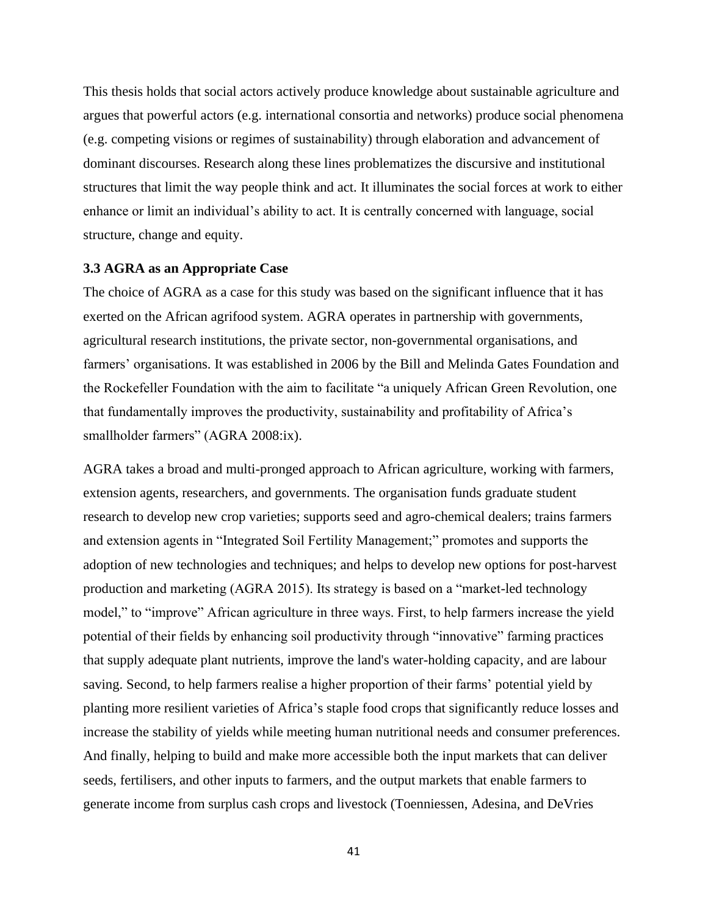This thesis holds that social actors actively produce knowledge about sustainable agriculture and argues that powerful actors (e.g. international consortia and networks) produce social phenomena (e.g. competing visions or regimes of sustainability) through elaboration and advancement of dominant discourses. Research along these lines problematizes the discursive and institutional structures that limit the way people think and act. It illuminates the social forces at work to either enhance or limit an individual's ability to act. It is centrally concerned with language, social structure, change and equity.

#### **3.3 AGRA as an Appropriate Case**

The choice of AGRA as a case for this study was based on the significant influence that it has exerted on the African agrifood system. AGRA operates in partnership with governments, agricultural research institutions, the private sector, non-governmental organisations, and farmers' organisations. It was established in 2006 by the Bill and Melinda Gates Foundation and the Rockefeller Foundation with the aim to facilitate "a uniquely African Green Revolution, one that fundamentally improves the productivity, sustainability and profitability of Africa's smallholder farmers" (AGRA 2008:ix).

AGRA takes a broad and multi-pronged approach to African agriculture, working with farmers, extension agents, researchers, and governments. The organisation funds graduate student research to develop new crop varieties; supports seed and agro-chemical dealers; trains farmers and extension agents in "Integrated Soil Fertility Management;" promotes and supports the adoption of new technologies and techniques; and helps to develop new options for post-harvest production and marketing (AGRA 2015). Its strategy is based on a "market-led technology model," to "improve" African agriculture in three ways. First, to help farmers increase the yield potential of their fields by enhancing soil productivity through "innovative" farming practices that supply adequate plant nutrients, improve the land's water-holding capacity, and are labour saving. Second, to help farmers realise a higher proportion of their farms' potential yield by planting more resilient varieties of Africa's staple food crops that significantly reduce losses and increase the stability of yields while meeting human nutritional needs and consumer preferences. And finally, helping to build and make more accessible both the input markets that can deliver seeds, fertilisers, and other inputs to farmers, and the output markets that enable farmers to generate income from surplus cash crops and livestock (Toenniessen, Adesina, and DeVries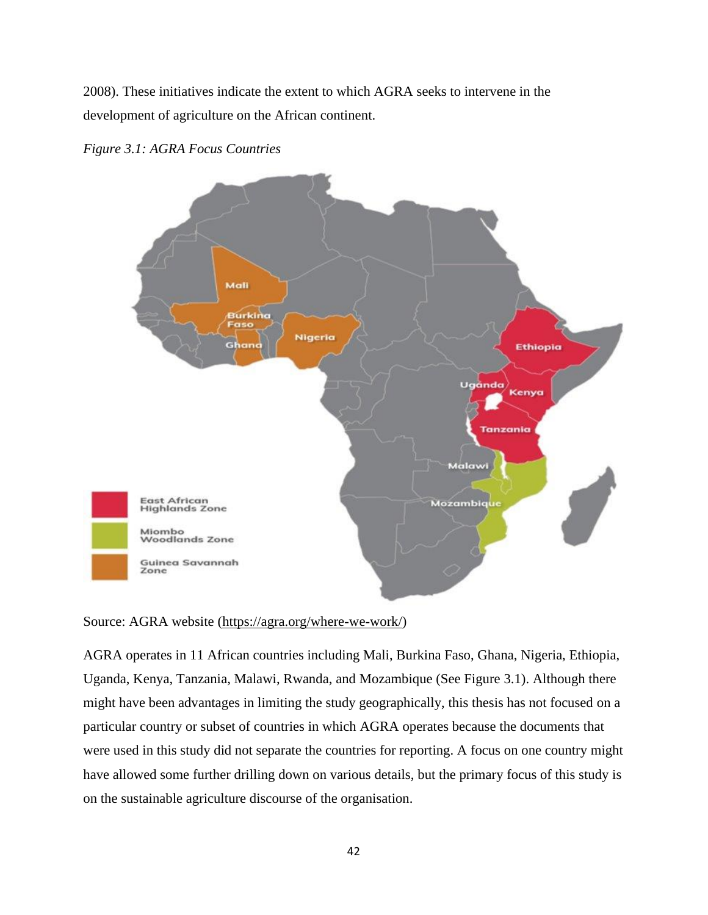2008). These initiatives indicate the extent to which AGRA seeks to intervene in the development of agriculture on the African continent.



*Figure 3.1: AGRA Focus Countries*

# Source: AGRA website (https://agra.org/where-we-work/)

AGRA operates in 11 African countries including Mali, Burkina Faso, Ghana, Nigeria, Ethiopia, Uganda, Kenya, Tanzania, Malawi, Rwanda, and Mozambique (See Figure 3.1). Although there might have been advantages in limiting the study geographically, this thesis has not focused on a particular country or subset of countries in which AGRA operates because the documents that were used in this study did not separate the countries for reporting. A focus on one country might have allowed some further drilling down on various details, but the primary focus of this study is on the sustainable agriculture discourse of the organisation.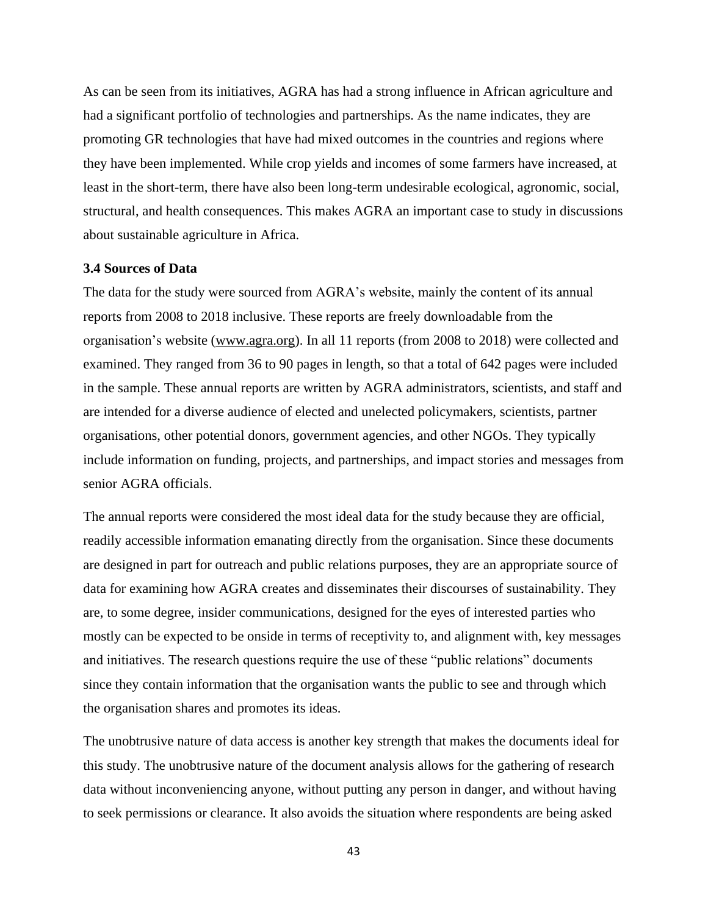As can be seen from its initiatives, AGRA has had a strong influence in African agriculture and had a significant portfolio of technologies and partnerships. As the name indicates, they are promoting GR technologies that have had mixed outcomes in the countries and regions where they have been implemented. While crop yields and incomes of some farmers have increased, at least in the short-term, there have also been long-term undesirable ecological, agronomic, social, structural, and health consequences. This makes AGRA an important case to study in discussions about sustainable agriculture in Africa.

# **3.4 Sources of Data**

The data for the study were sourced from AGRA's website, mainly the content of its annual reports from 2008 to 2018 inclusive. These reports are freely downloadable from the organisation's website [\(www.agra.org\)](http://www.agra.org/). In all 11 reports (from 2008 to 2018) were collected and examined. They ranged from 36 to 90 pages in length, so that a total of 642 pages were included in the sample. These annual reports are written by AGRA administrators, scientists, and staff and are intended for a diverse audience of elected and unelected policymakers, scientists, partner organisations, other potential donors, government agencies, and other NGOs. They typically include information on funding, projects, and partnerships, and impact stories and messages from senior AGRA officials.

The annual reports were considered the most ideal data for the study because they are official, readily accessible information emanating directly from the organisation. Since these documents are designed in part for outreach and public relations purposes, they are an appropriate source of data for examining how AGRA creates and disseminates their discourses of sustainability. They are, to some degree, insider communications, designed for the eyes of interested parties who mostly can be expected to be onside in terms of receptivity to, and alignment with, key messages and initiatives. The research questions require the use of these "public relations" documents since they contain information that the organisation wants the public to see and through which the organisation shares and promotes its ideas.

The unobtrusive nature of data access is another key strength that makes the documents ideal for this study. The unobtrusive nature of the document analysis allows for the gathering of research data without inconveniencing anyone, without putting any person in danger, and without having to seek permissions or clearance. It also avoids the situation where respondents are being asked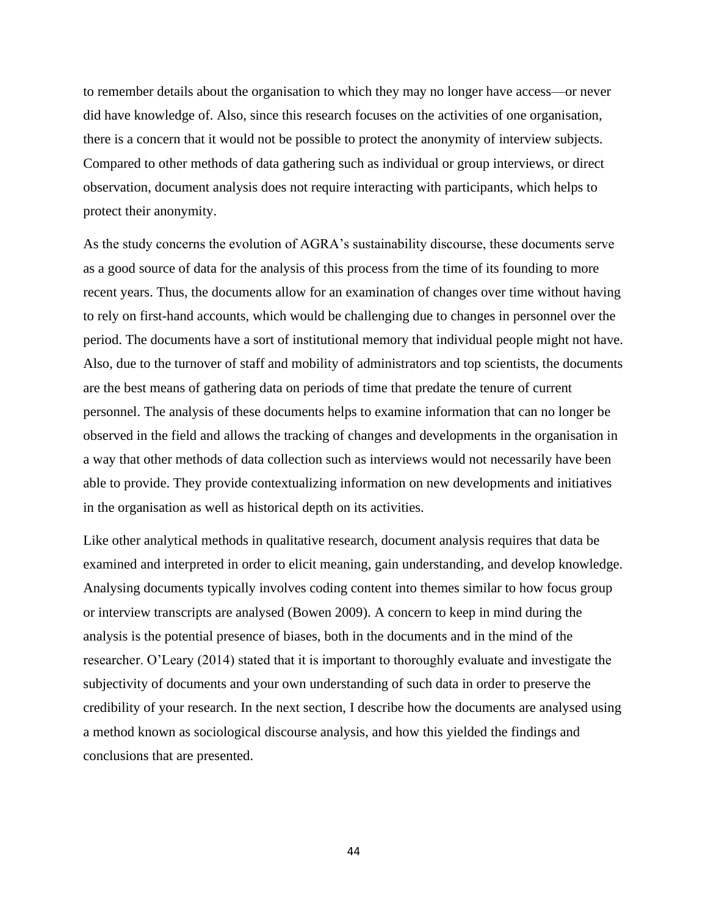to remember details about the organisation to which they may no longer have access—or never did have knowledge of. Also, since this research focuses on the activities of one organisation, there is a concern that it would not be possible to protect the anonymity of interview subjects. Compared to other methods of data gathering such as individual or group interviews, or direct observation, document analysis does not require interacting with participants, which helps to protect their anonymity.

As the study concerns the evolution of AGRA's sustainability discourse, these documents serve as a good source of data for the analysis of this process from the time of its founding to more recent years. Thus, the documents allow for an examination of changes over time without having to rely on first-hand accounts, which would be challenging due to changes in personnel over the period. The documents have a sort of institutional memory that individual people might not have. Also, due to the turnover of staff and mobility of administrators and top scientists, the documents are the best means of gathering data on periods of time that predate the tenure of current personnel. The analysis of these documents helps to examine information that can no longer be observed in the field and allows the tracking of changes and developments in the organisation in a way that other methods of data collection such as interviews would not necessarily have been able to provide. They provide contextualizing information on new developments and initiatives in the organisation as well as historical depth on its activities.

Like other analytical methods in qualitative research, document analysis requires that data be examined and interpreted in order to elicit meaning, gain understanding, and develop knowledge. Analysing documents typically involves coding content into themes similar to how focus group or interview transcripts are analysed (Bowen 2009). A concern to keep in mind during the analysis is the potential presence of biases, both in the documents and in the mind of the researcher. O'Leary (2014) stated that it is important to thoroughly evaluate and investigate the subjectivity of documents and your own understanding of such data in order to preserve the credibility of your research. In the next section, I describe how the documents are analysed using a method known as sociological discourse analysis, and how this yielded the findings and conclusions that are presented.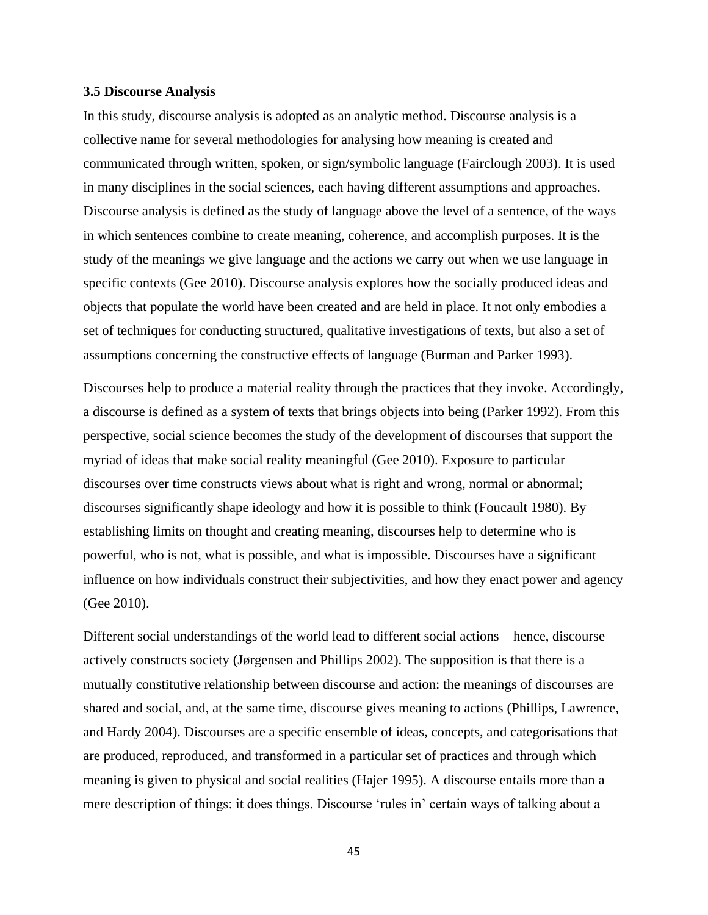### **3.5 Discourse Analysis**

In this study, discourse analysis is adopted as an analytic method. Discourse analysis is a collective name for several methodologies for analysing how meaning is created and communicated through written, spoken, or sign/symbolic language (Fairclough 2003). It is used in many disciplines in the social sciences, each having different assumptions and approaches. Discourse analysis is defined as the study of language above the level of a sentence, of the ways in which sentences combine to create meaning, coherence, and accomplish purposes. It is the study of the meanings we give language and the actions we carry out when we use language in specific contexts (Gee 2010). Discourse analysis explores how the socially produced ideas and objects that populate the world have been created and are held in place. It not only embodies a set of techniques for conducting structured, qualitative investigations of texts, but also a set of assumptions concerning the constructive effects of language (Burman and Parker 1993).

Discourses help to produce a material reality through the practices that they invoke. Accordingly, a discourse is defined as a system of texts that brings objects into being (Parker 1992). From this perspective, social science becomes the study of the development of discourses that support the myriad of ideas that make social reality meaningful (Gee 2010). Exposure to particular discourses over time constructs views about what is right and wrong, normal or abnormal; discourses significantly shape ideology and how it is possible to think (Foucault 1980). By establishing limits on thought and creating meaning, discourses help to determine who is powerful, who is not, what is possible, and what is impossible. Discourses have a significant influence on how individuals construct their subjectivities, and how they enact power and agency (Gee 2010).

Different social understandings of the world lead to different social actions—hence, discourse actively constructs society (Jørgensen and Phillips 2002). The supposition is that there is a mutually constitutive relationship between discourse and action: the meanings of discourses are shared and social, and, at the same time, discourse gives meaning to actions (Phillips, Lawrence, and Hardy 2004). Discourses are a specific ensemble of ideas, concepts, and categorisations that are produced, reproduced, and transformed in a particular set of practices and through which meaning is given to physical and social realities (Hajer 1995). A discourse entails more than a mere description of things: it does things. Discourse 'rules in' certain ways of talking about a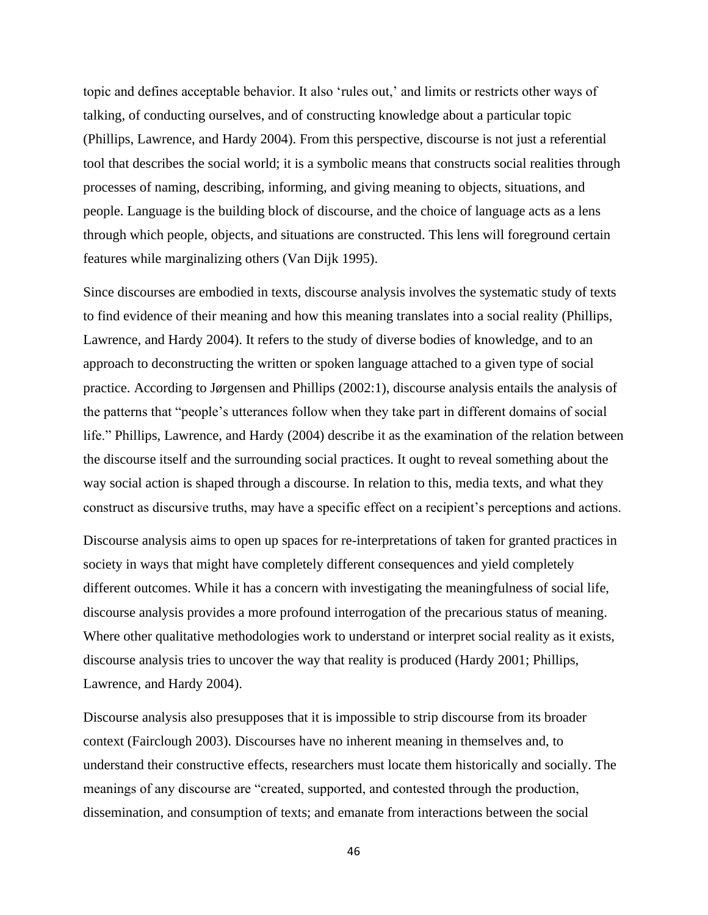topic and defines acceptable behavior. It also 'rules out,' and limits or restricts other ways of talking, of conducting ourselves, and of constructing knowledge about a particular topic (Phillips, Lawrence, and Hardy 2004). From this perspective, discourse is not just a referential tool that describes the social world; it is a symbolic means that constructs social realities through processes of naming, describing, informing, and giving meaning to objects, situations, and people. Language is the building block of discourse, and the choice of language acts as a lens through which people, objects, and situations are constructed. This lens will foreground certain features while marginalizing others (Van Dijk 1995).

Since discourses are embodied in texts, discourse analysis involves the systematic study of texts to find evidence of their meaning and how this meaning translates into a social reality (Phillips, Lawrence, and Hardy 2004). It refers to the study of diverse bodies of knowledge, and to an approach to deconstructing the written or spoken language attached to a given type of social practice. According to Jørgensen and Phillips (2002:1), discourse analysis entails the analysis of the patterns that "people's utterances follow when they take part in different domains of social life." Phillips, Lawrence, and Hardy (2004) describe it as the examination of the relation between the discourse itself and the surrounding social practices. It ought to reveal something about the way social action is shaped through a discourse. In relation to this, media texts, and what they construct as discursive truths, may have a specific effect on a recipient's perceptions and actions.

Discourse analysis aims to open up spaces for re-interpretations of taken for granted practices in society in ways that might have completely different consequences and yield completely different outcomes. While it has a concern with investigating the meaningfulness of social life, discourse analysis provides a more profound interrogation of the precarious status of meaning. Where other qualitative methodologies work to understand or interpret social reality as it exists, discourse analysis tries to uncover the way that reality is produced (Hardy 2001; Phillips, Lawrence, and Hardy 2004).

Discourse analysis also presupposes that it is impossible to strip discourse from its broader context (Fairclough 2003). Discourses have no inherent meaning in themselves and, to understand their constructive effects, researchers must locate them historically and socially. The meanings of any discourse are "created, supported, and contested through the production, dissemination, and consumption of texts; and emanate from interactions between the social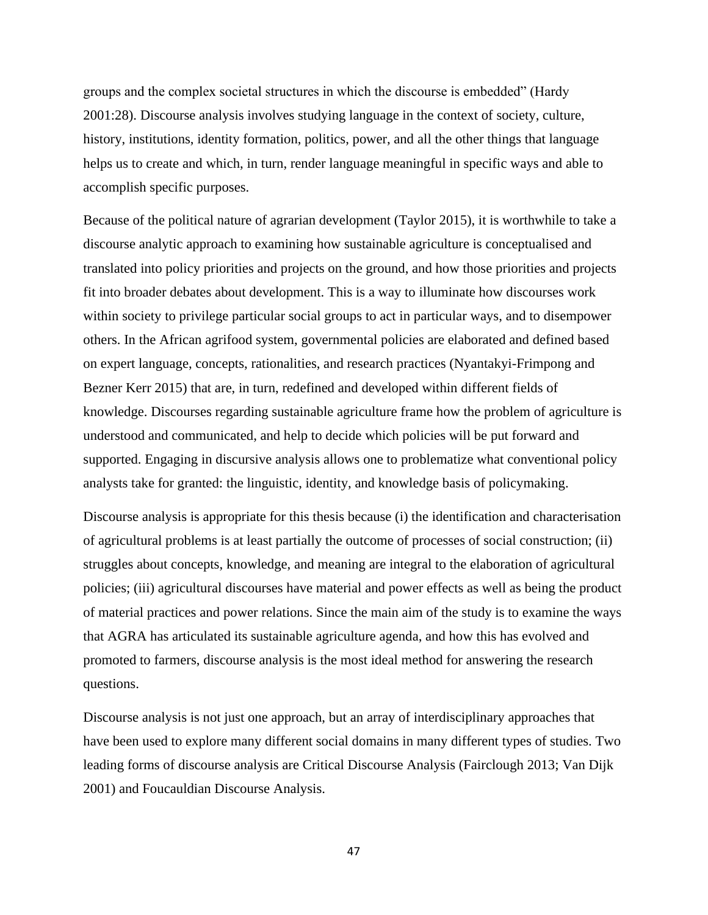groups and the complex societal structures in which the discourse is embedded" (Hardy 2001:28). Discourse analysis involves studying language in the context of society, culture, history, institutions, identity formation, politics, power, and all the other things that language helps us to create and which, in turn, render language meaningful in specific ways and able to accomplish specific purposes.

Because of the political nature of agrarian development (Taylor 2015), it is worthwhile to take a discourse analytic approach to examining how sustainable agriculture is conceptualised and translated into policy priorities and projects on the ground, and how those priorities and projects fit into broader debates about development. This is a way to illuminate how discourses work within society to privilege particular social groups to act in particular ways, and to disempower others. In the African agrifood system, governmental policies are elaborated and defined based on expert language, concepts, rationalities, and research practices (Nyantakyi-Frimpong and Bezner Kerr 2015) that are, in turn, redefined and developed within different fields of knowledge. Discourses regarding sustainable agriculture frame how the problem of agriculture is understood and communicated, and help to decide which policies will be put forward and supported. Engaging in discursive analysis allows one to problematize what conventional policy analysts take for granted: the linguistic, identity, and knowledge basis of policymaking.

Discourse analysis is appropriate for this thesis because (i) the identification and characterisation of agricultural problems is at least partially the outcome of processes of social construction; (ii) struggles about concepts, knowledge, and meaning are integral to the elaboration of agricultural policies; (iii) agricultural discourses have material and power effects as well as being the product of material practices and power relations. Since the main aim of the study is to examine the ways that AGRA has articulated its sustainable agriculture agenda, and how this has evolved and promoted to farmers, discourse analysis is the most ideal method for answering the research questions.

Discourse analysis is not just one approach, but an array of interdisciplinary approaches that have been used to explore many different social domains in many different types of studies. Two leading forms of discourse analysis are Critical Discourse Analysis (Fairclough 2013; Van Dijk 2001) and Foucauldian Discourse Analysis.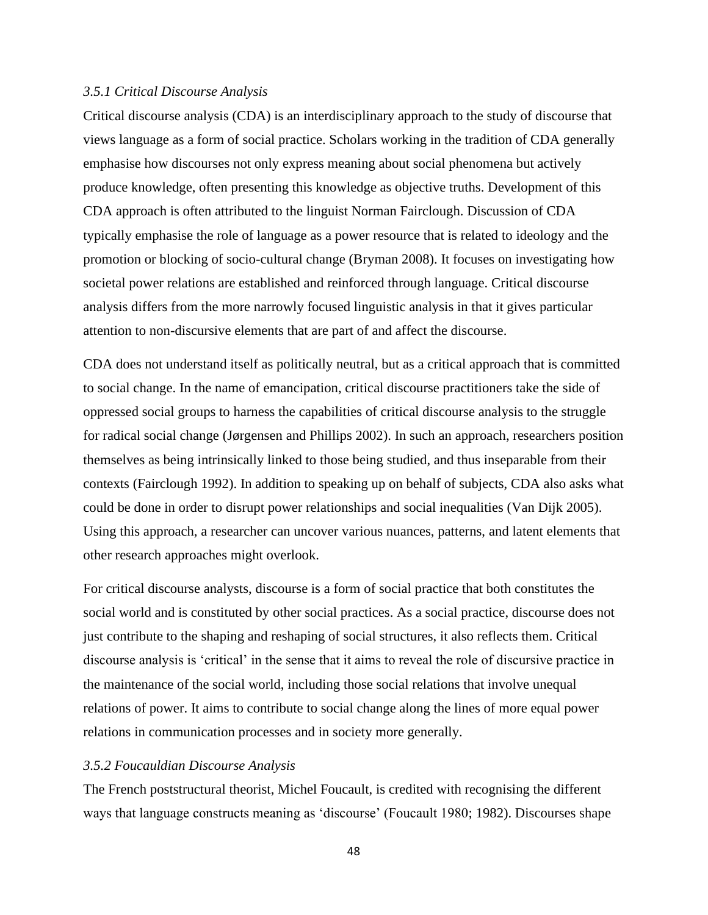### *3.5.1 Critical Discourse Analysis*

Critical discourse analysis (CDA) is an interdisciplinary approach to the study of discourse that views language as a form of social practice. Scholars working in the tradition of CDA generally emphasise how discourses not only express meaning about social phenomena but actively produce knowledge, often presenting this knowledge as objective truths. Development of this CDA approach is often attributed to the linguist Norman Fairclough. Discussion of CDA typically emphasise the role of language as a power resource that is related to ideology and the promotion or blocking of socio-cultural change (Bryman 2008). It focuses on investigating how societal power relations are established and reinforced through language. Critical discourse analysis differs from the more narrowly focused linguistic analysis in that it gives particular attention to non-discursive elements that are part of and affect the discourse.

CDA does not understand itself as politically neutral, but as a critical approach that is committed to social change. In the name of emancipation, critical discourse practitioners take the side of oppressed social groups to harness the capabilities of critical discourse analysis to the struggle for radical social change (Jørgensen and Phillips 2002). In such an approach, researchers position themselves as being intrinsically linked to those being studied, and thus inseparable from their contexts (Fairclough 1992). In addition to speaking up on behalf of subjects, CDA also asks what could be done in order to disrupt power relationships and social inequalities (Van Dijk 2005). Using this approach, a researcher can uncover various nuances, patterns, and latent elements that other research approaches might overlook.

For critical discourse analysts, discourse is a form of social practice that both constitutes the social world and is constituted by other social practices. As a social practice, discourse does not just contribute to the shaping and reshaping of social structures, it also reflects them. Critical discourse analysis is 'critical' in the sense that it aims to reveal the role of discursive practice in the maintenance of the social world, including those social relations that involve unequal relations of power. It aims to contribute to social change along the lines of more equal power relations in communication processes and in society more generally.

# *3.5.2 Foucauldian Discourse Analysis*

The French poststructural theorist, Michel Foucault, is credited with recognising the different ways that language constructs meaning as 'discourse' (Foucault 1980; 1982). Discourses shape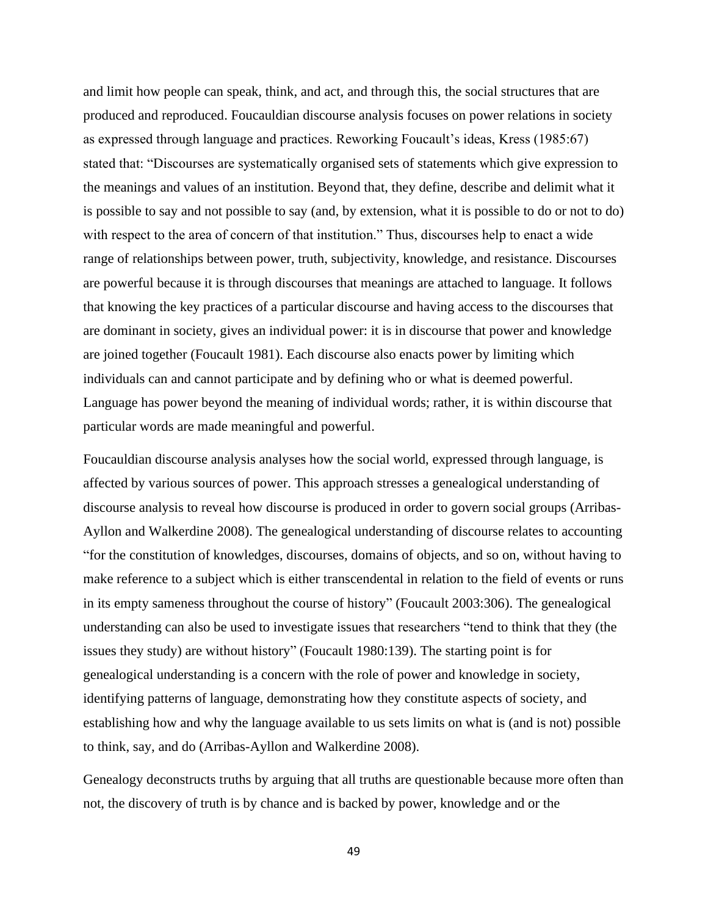and limit how people can speak, think, and act, and through this, the social structures that are produced and reproduced. Foucauldian discourse analysis focuses on power relations in society as expressed through language and practices. Reworking Foucault's ideas, Kress (1985:67) stated that: "Discourses are systematically organised sets of statements which give expression to the meanings and values of an institution. Beyond that, they define, describe and delimit what it is possible to say and not possible to say (and, by extension, what it is possible to do or not to do) with respect to the area of concern of that institution." Thus, discourses help to enact a wide range of relationships between power, truth, subjectivity, knowledge, and resistance. Discourses are powerful because it is through discourses that meanings are attached to language. It follows that knowing the key practices of a particular discourse and having access to the discourses that are dominant in society, gives an individual power: it is in discourse that power and knowledge are joined together (Foucault 1981). Each discourse also enacts power by limiting which individuals can and cannot participate and by defining who or what is deemed powerful. Language has power beyond the meaning of individual words; rather, it is within discourse that particular words are made meaningful and powerful.

Foucauldian discourse analysis analyses how the social world, expressed through language, is affected by various sources of power. This approach stresses a genealogical understanding of discourse analysis to reveal how discourse is produced in order to govern social groups (Arribas-Ayllon and Walkerdine 2008). The genealogical understanding of discourse relates to accounting "for the constitution of knowledges, discourses, domains of objects, and so on, without having to make reference to a subject which is either transcendental in relation to the field of events or runs in its empty sameness throughout the course of history" (Foucault 2003:306). The genealogical understanding can also be used to investigate issues that researchers "tend to think that they (the issues they study) are without history" (Foucault 1980:139). The starting point is for genealogical understanding is a concern with the role of power and knowledge in society, identifying patterns of language, demonstrating how they constitute aspects of society, and establishing how and why the language available to us sets limits on what is (and is not) possible to think, say, and do (Arribas-Ayllon and Walkerdine 2008).

Genealogy deconstructs truths by arguing that all truths are questionable because more often than not, the discovery of truth is by chance and is backed by power, knowledge and or the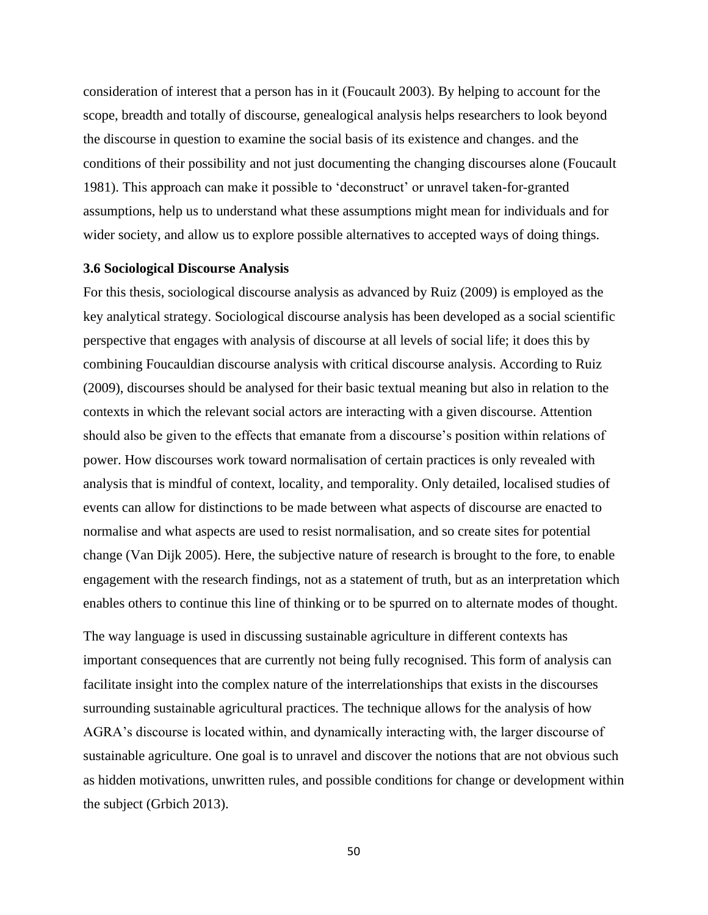consideration of interest that a person has in it (Foucault 2003). By helping to account for the scope, breadth and totally of discourse, genealogical analysis helps researchers to look beyond the discourse in question to examine the social basis of its existence and changes. and the conditions of their possibility and not just documenting the changing discourses alone (Foucault 1981). This approach can make it possible to 'deconstruct' or unravel taken-for-granted assumptions, help us to understand what these assumptions might mean for individuals and for wider society, and allow us to explore possible alternatives to accepted ways of doing things.

#### **3.6 Sociological Discourse Analysis**

For this thesis, sociological discourse analysis as advanced by Ruiz (2009) is employed as the key analytical strategy. Sociological discourse analysis has been developed as a social scientific perspective that engages with analysis of discourse at all levels of social life; it does this by combining Foucauldian discourse analysis with critical discourse analysis. According to Ruiz (2009), discourses should be analysed for their basic textual meaning but also in relation to the contexts in which the relevant social actors are interacting with a given discourse. Attention should also be given to the effects that emanate from a discourse's position within relations of power. How discourses work toward normalisation of certain practices is only revealed with analysis that is mindful of context, locality, and temporality. Only detailed, localised studies of events can allow for distinctions to be made between what aspects of discourse are enacted to normalise and what aspects are used to resist normalisation, and so create sites for potential change (Van Dijk 2005). Here, the subjective nature of research is brought to the fore, to enable engagement with the research findings, not as a statement of truth, but as an interpretation which enables others to continue this line of thinking or to be spurred on to alternate modes of thought.

The way language is used in discussing sustainable agriculture in different contexts has important consequences that are currently not being fully recognised. This form of analysis can facilitate insight into the complex nature of the interrelationships that exists in the discourses surrounding sustainable agricultural practices. The technique allows for the analysis of how AGRA's discourse is located within, and dynamically interacting with, the larger discourse of sustainable agriculture. One goal is to unravel and discover the notions that are not obvious such as hidden motivations, unwritten rules, and possible conditions for change or development within the subject (Grbich 2013).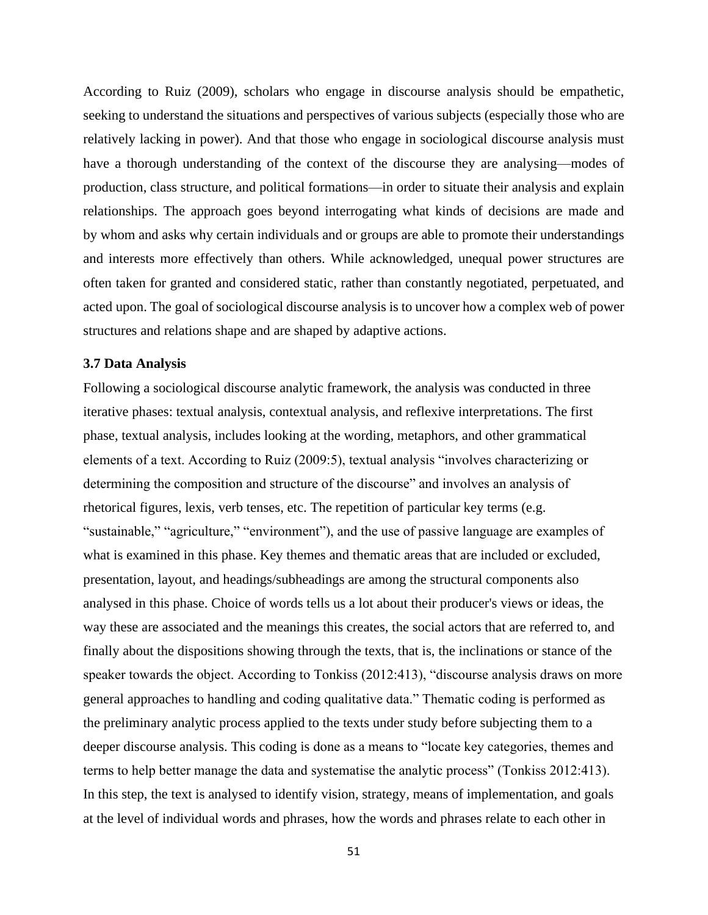According to Ruiz (2009), scholars who engage in discourse analysis should be empathetic, seeking to understand the situations and perspectives of various subjects (especially those who are relatively lacking in power). And that those who engage in sociological discourse analysis must have a thorough understanding of the context of the discourse they are analysing—modes of production, class structure, and political formations—in order to situate their analysis and explain relationships. The approach goes beyond interrogating what kinds of decisions are made and by whom and asks why certain individuals and or groups are able to promote their understandings and interests more effectively than others. While acknowledged, unequal power structures are often taken for granted and considered static, rather than constantly negotiated, perpetuated, and acted upon. The goal of sociological discourse analysis is to uncover how a complex web of power structures and relations shape and are shaped by adaptive actions.

### **3.7 Data Analysis**

Following a sociological discourse analytic framework, the analysis was conducted in three iterative phases: textual analysis, contextual analysis, and reflexive interpretations. The first phase, textual analysis, includes looking at the wording, metaphors, and other grammatical elements of a text. According to Ruiz (2009:5), textual analysis "involves characterizing or determining the composition and structure of the discourse" and involves an analysis of rhetorical figures, lexis, verb tenses, etc. The repetition of particular key terms (e.g. "sustainable," "agriculture," "environment"), and the use of passive language are examples of what is examined in this phase. Key themes and thematic areas that are included or excluded, presentation, layout, and headings/subheadings are among the structural components also analysed in this phase. Choice of words tells us a lot about their producer's views or ideas, the way these are associated and the meanings this creates, the social actors that are referred to, and finally about the dispositions showing through the texts, that is, the inclinations or stance of the speaker towards the object. According to Tonkiss (2012:413), "discourse analysis draws on more general approaches to handling and coding qualitative data." Thematic coding is performed as the preliminary analytic process applied to the texts under study before subjecting them to a deeper discourse analysis. This coding is done as a means to "locate key categories, themes and terms to help better manage the data and systematise the analytic process" (Tonkiss 2012:413). In this step, the text is analysed to identify vision, strategy, means of implementation, and goals at the level of individual words and phrases, how the words and phrases relate to each other in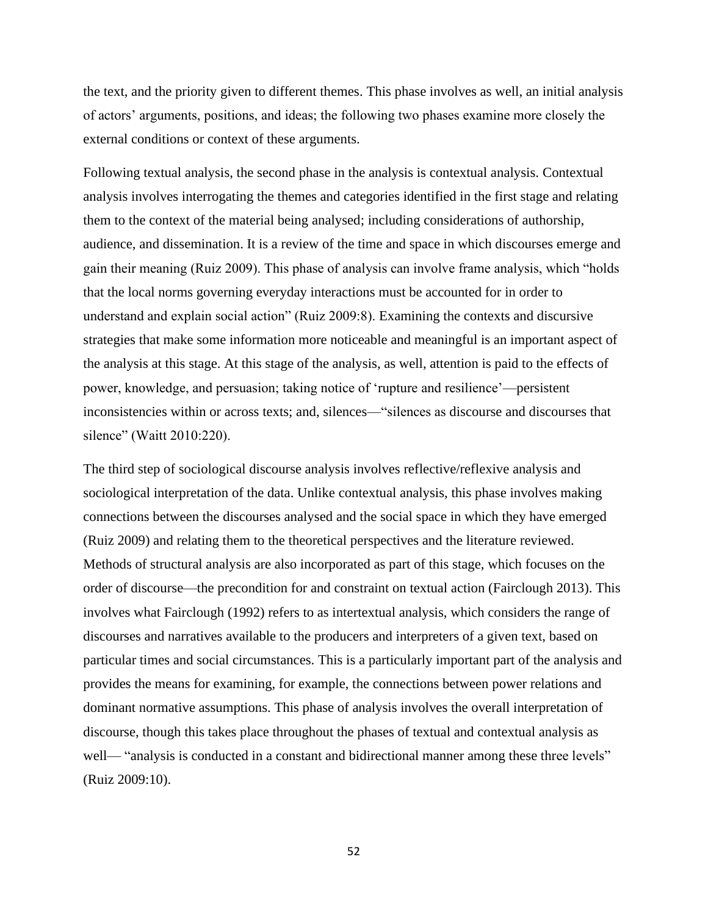the text, and the priority given to different themes. This phase involves as well, an initial analysis of actors' arguments, positions, and ideas; the following two phases examine more closely the external conditions or context of these arguments.

Following textual analysis, the second phase in the analysis is contextual analysis. Contextual analysis involves interrogating the themes and categories identified in the first stage and relating them to the context of the material being analysed; including considerations of authorship, audience, and dissemination. It is a review of the time and space in which discourses emerge and gain their meaning (Ruiz 2009). This phase of analysis can involve frame analysis, which "holds that the local norms governing everyday interactions must be accounted for in order to understand and explain social action" (Ruiz 2009:8). Examining the contexts and discursive strategies that make some information more noticeable and meaningful is an important aspect of the analysis at this stage. At this stage of the analysis, as well, attention is paid to the effects of power, knowledge, and persuasion; taking notice of 'rupture and resilience'—persistent inconsistencies within or across texts; and, silences—"silences as discourse and discourses that silence" (Waitt 2010:220).

The third step of sociological discourse analysis involves reflective/reflexive analysis and sociological interpretation of the data. Unlike contextual analysis, this phase involves making connections between the discourses analysed and the social space in which they have emerged (Ruiz 2009) and relating them to the theoretical perspectives and the literature reviewed. Methods of structural analysis are also incorporated as part of this stage, which focuses on the order of discourse—the precondition for and constraint on textual action (Fairclough 2013). This involves what Fairclough (1992) refers to as intertextual analysis, which considers the range of discourses and narratives available to the producers and interpreters of a given text, based on particular times and social circumstances. This is a particularly important part of the analysis and provides the means for examining, for example, the connections between power relations and dominant normative assumptions. This phase of analysis involves the overall interpretation of discourse, though this takes place throughout the phases of textual and contextual analysis as well— "analysis is conducted in a constant and bidirectional manner among these three levels" (Ruiz 2009:10).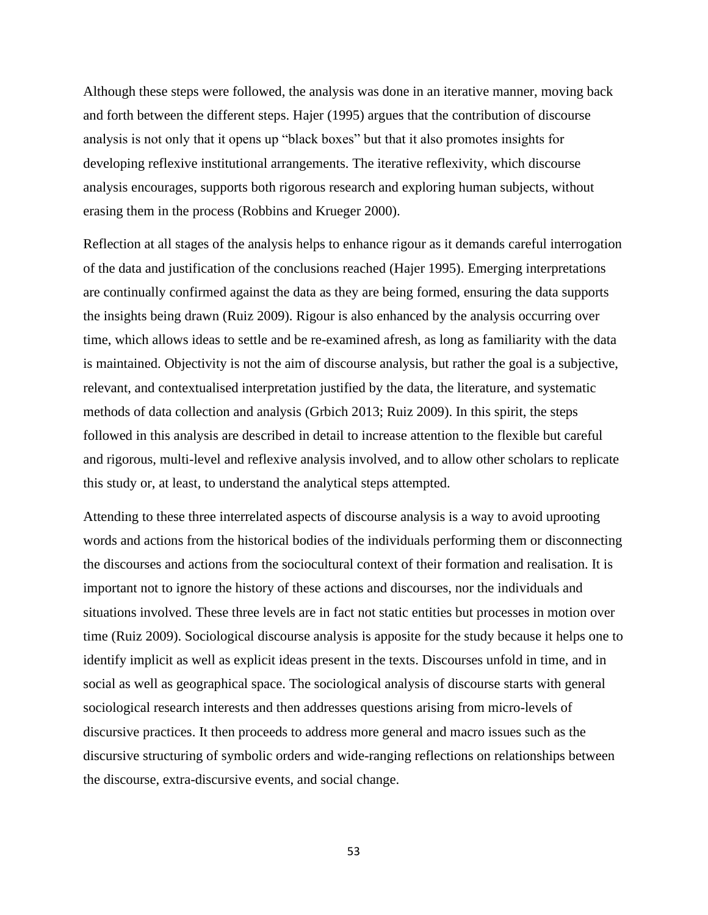Although these steps were followed, the analysis was done in an iterative manner, moving back and forth between the different steps. Hajer (1995) argues that the contribution of discourse analysis is not only that it opens up "black boxes" but that it also promotes insights for developing reflexive institutional arrangements. The iterative reflexivity, which discourse analysis encourages, supports both rigorous research and exploring human subjects, without erasing them in the process (Robbins and Krueger 2000).

Reflection at all stages of the analysis helps to enhance rigour as it demands careful interrogation of the data and justification of the conclusions reached (Hajer 1995). Emerging interpretations are continually confirmed against the data as they are being formed, ensuring the data supports the insights being drawn (Ruiz 2009). Rigour is also enhanced by the analysis occurring over time, which allows ideas to settle and be re-examined afresh, as long as familiarity with the data is maintained. Objectivity is not the aim of discourse analysis, but rather the goal is a subjective, relevant, and contextualised interpretation justified by the data, the literature, and systematic methods of data collection and analysis (Grbich 2013; Ruiz 2009). In this spirit, the steps followed in this analysis are described in detail to increase attention to the flexible but careful and rigorous, multi-level and reflexive analysis involved, and to allow other scholars to replicate this study or, at least, to understand the analytical steps attempted.

Attending to these three interrelated aspects of discourse analysis is a way to avoid uprooting words and actions from the historical bodies of the individuals performing them or disconnecting the discourses and actions from the sociocultural context of their formation and realisation. It is important not to ignore the history of these actions and discourses, nor the individuals and situations involved. These three levels are in fact not static entities but processes in motion over time (Ruiz 2009). Sociological discourse analysis is apposite for the study because it helps one to identify implicit as well as explicit ideas present in the texts. Discourses unfold in time, and in social as well as geographical space. The sociological analysis of discourse starts with general sociological research interests and then addresses questions arising from micro-levels of discursive practices. It then proceeds to address more general and macro issues such as the discursive structuring of symbolic orders and wide-ranging reflections on relationships between the discourse, extra-discursive events, and social change.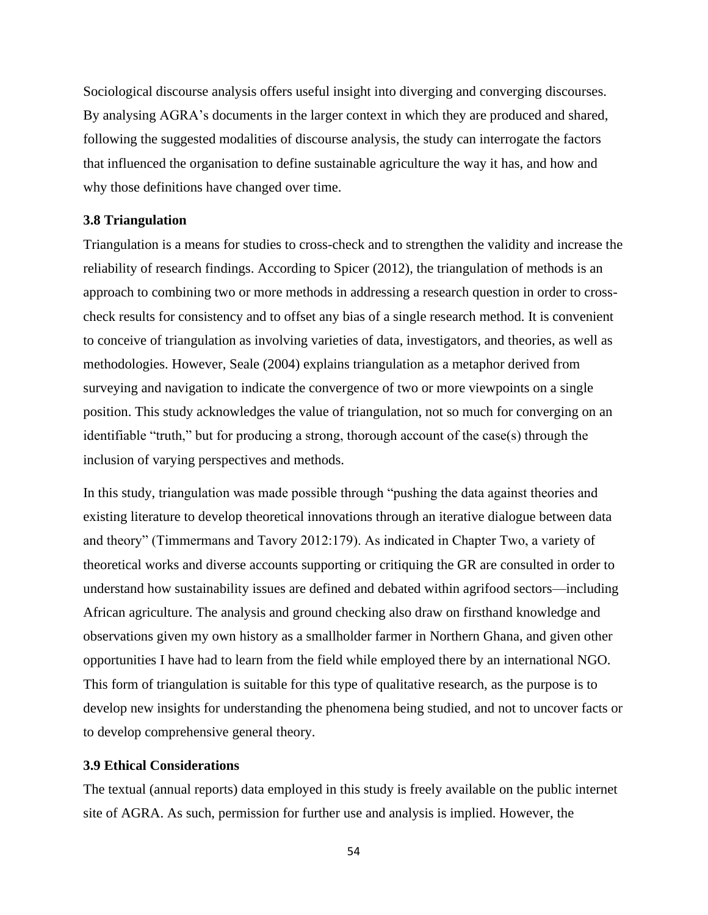Sociological discourse analysis offers useful insight into diverging and converging discourses. By analysing AGRA's documents in the larger context in which they are produced and shared, following the suggested modalities of discourse analysis, the study can interrogate the factors that influenced the organisation to define sustainable agriculture the way it has, and how and why those definitions have changed over time.

### **3.8 Triangulation**

Triangulation is a means for studies to cross-check and to strengthen the validity and increase the reliability of research findings. According to Spicer (2012), the triangulation of methods is an approach to combining two or more methods in addressing a research question in order to crosscheck results for consistency and to offset any bias of a single research method. It is convenient to conceive of triangulation as involving varieties of data, investigators, and theories, as well as methodologies. However, Seale (2004) explains triangulation as a metaphor derived from surveying and navigation to indicate the convergence of two or more viewpoints on a single position. This study acknowledges the value of triangulation, not so much for converging on an identifiable "truth," but for producing a strong, thorough account of the case(s) through the inclusion of varying perspectives and methods.

In this study, triangulation was made possible through "pushing the data against theories and existing literature to develop theoretical innovations through an iterative dialogue between data and theory" (Timmermans and Tavory 2012:179). As indicated in Chapter Two, a variety of theoretical works and diverse accounts supporting or critiquing the GR are consulted in order to understand how sustainability issues are defined and debated within agrifood sectors—including African agriculture. The analysis and ground checking also draw on firsthand knowledge and observations given my own history as a smallholder farmer in Northern Ghana, and given other opportunities I have had to learn from the field while employed there by an international NGO. This form of triangulation is suitable for this type of qualitative research, as the purpose is to develop new insights for understanding the phenomena being studied, and not to uncover facts or to develop comprehensive general theory.

# **3.9 Ethical Considerations**

The textual (annual reports) data employed in this study is freely available on the public internet site of AGRA. As such, permission for further use and analysis is implied. However, the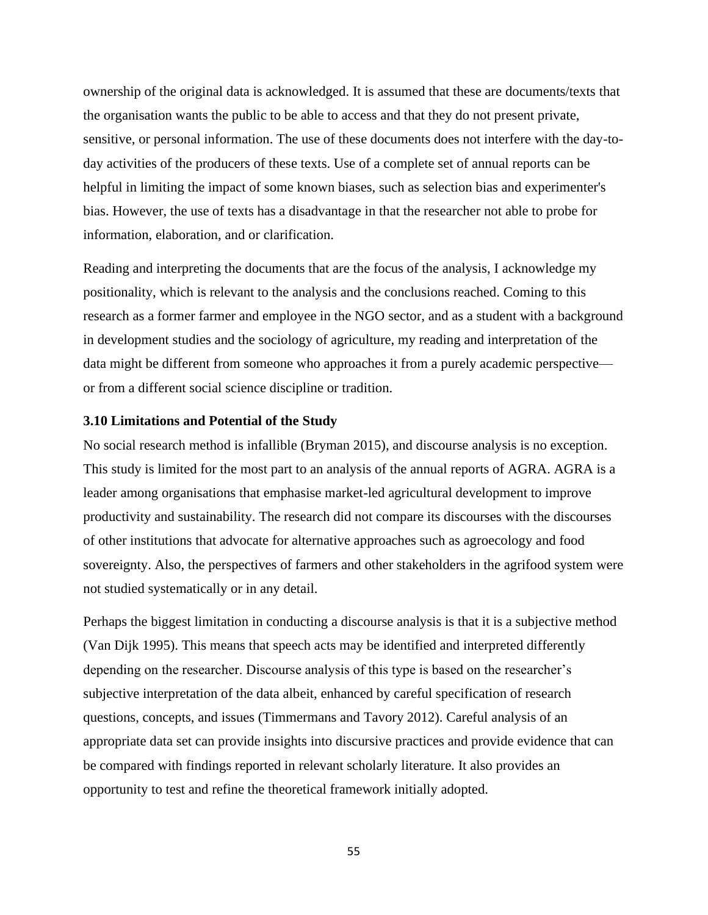ownership of the original data is acknowledged. It is assumed that these are documents/texts that the organisation wants the public to be able to access and that they do not present private, sensitive, or personal information. The use of these documents does not interfere with the day-today activities of the producers of these texts. Use of a complete set of annual reports can be helpful in limiting the impact of some known biases, such as selection bias and experimenter's bias. However, the use of texts has a disadvantage in that the researcher not able to probe for information, elaboration, and or clarification.

Reading and interpreting the documents that are the focus of the analysis, I acknowledge my positionality, which is relevant to the analysis and the conclusions reached. Coming to this research as a former farmer and employee in the NGO sector, and as a student with a background in development studies and the sociology of agriculture, my reading and interpretation of the data might be different from someone who approaches it from a purely academic perspective or from a different social science discipline or tradition.

## **3.10 Limitations and Potential of the Study**

No social research method is infallible (Bryman 2015), and discourse analysis is no exception. This study is limited for the most part to an analysis of the annual reports of AGRA. AGRA is a leader among organisations that emphasise market-led agricultural development to improve productivity and sustainability. The research did not compare its discourses with the discourses of other institutions that advocate for alternative approaches such as agroecology and food sovereignty. Also, the perspectives of farmers and other stakeholders in the agrifood system were not studied systematically or in any detail.

Perhaps the biggest limitation in conducting a discourse analysis is that it is a subjective method (Van Dijk 1995). This means that speech acts may be identified and interpreted differently depending on the researcher. Discourse analysis of this type is based on the researcher's subjective interpretation of the data albeit, enhanced by careful specification of research questions, concepts, and issues (Timmermans and Tavory 2012). Careful analysis of an appropriate data set can provide insights into discursive practices and provide evidence that can be compared with findings reported in relevant scholarly literature. It also provides an opportunity to test and refine the theoretical framework initially adopted.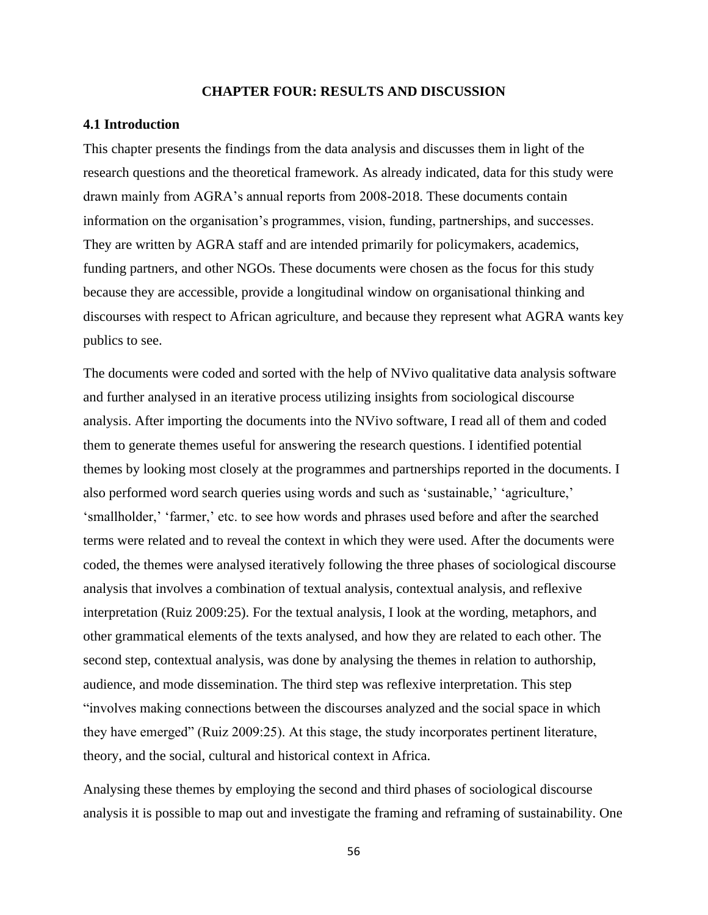## **CHAPTER FOUR: RESULTS AND DISCUSSION**

#### **4.1 Introduction**

This chapter presents the findings from the data analysis and discusses them in light of the research questions and the theoretical framework. As already indicated, data for this study were drawn mainly from AGRA's annual reports from 2008-2018. These documents contain information on the organisation's programmes, vision, funding, partnerships, and successes. They are written by AGRA staff and are intended primarily for policymakers, academics, funding partners, and other NGOs. These documents were chosen as the focus for this study because they are accessible, provide a longitudinal window on organisational thinking and discourses with respect to African agriculture, and because they represent what AGRA wants key publics to see.

The documents were coded and sorted with the help of NVivo qualitative data analysis software and further analysed in an iterative process utilizing insights from sociological discourse analysis. After importing the documents into the NVivo software, I read all of them and coded them to generate themes useful for answering the research questions. I identified potential themes by looking most closely at the programmes and partnerships reported in the documents. I also performed word search queries using words and such as 'sustainable,' 'agriculture,' 'smallholder,' 'farmer,' etc. to see how words and phrases used before and after the searched terms were related and to reveal the context in which they were used. After the documents were coded, the themes were analysed iteratively following the three phases of sociological discourse analysis that involves a combination of textual analysis, contextual analysis, and reflexive interpretation (Ruiz 2009:25). For the textual analysis, I look at the wording, metaphors, and other grammatical elements of the texts analysed, and how they are related to each other. The second step, contextual analysis, was done by analysing the themes in relation to authorship, audience, and mode dissemination. The third step was reflexive interpretation. This step "involves making connections between the discourses analyzed and the social space in which they have emerged" (Ruiz 2009:25). At this stage, the study incorporates pertinent literature, theory, and the social, cultural and historical context in Africa.

Analysing these themes by employing the second and third phases of sociological discourse analysis it is possible to map out and investigate the framing and reframing of sustainability. One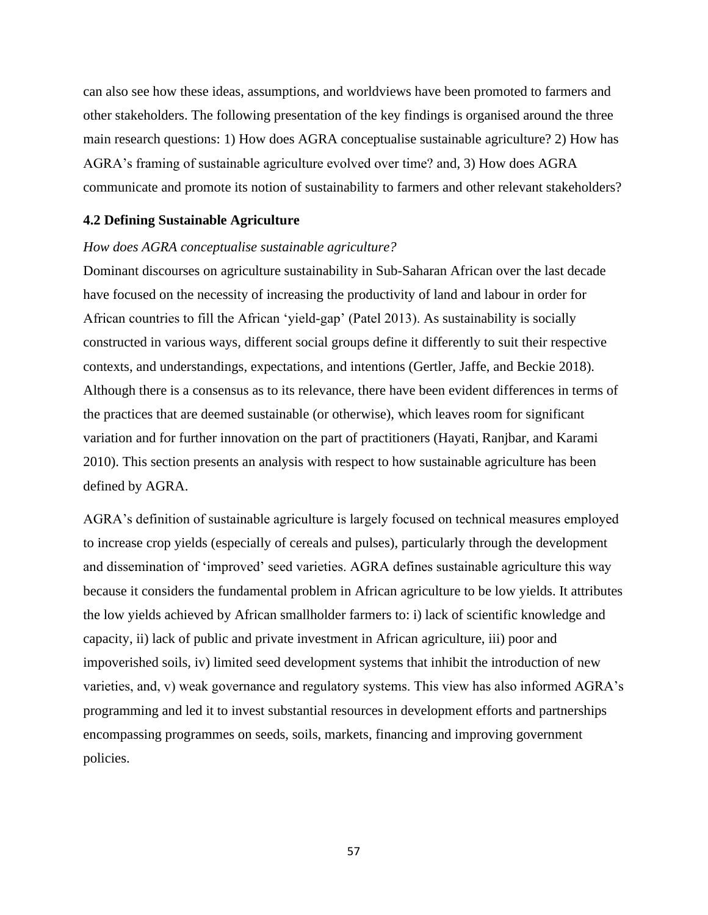can also see how these ideas, assumptions, and worldviews have been promoted to farmers and other stakeholders. The following presentation of the key findings is organised around the three main research questions: 1) How does AGRA conceptualise sustainable agriculture? 2) How has AGRA's framing of sustainable agriculture evolved over time? and, 3) How does AGRA communicate and promote its notion of sustainability to farmers and other relevant stakeholders?

#### **4.2 Defining Sustainable Agriculture**

# *How does AGRA conceptualise sustainable agriculture?*

Dominant discourses on agriculture sustainability in Sub-Saharan African over the last decade have focused on the necessity of increasing the productivity of land and labour in order for African countries to fill the African 'yield-gap' (Patel 2013). As sustainability is socially constructed in various ways, different social groups define it differently to suit their respective contexts, and understandings, expectations, and intentions (Gertler, Jaffe, and Beckie 2018). Although there is a consensus as to its relevance, there have been evident differences in terms of the practices that are deemed sustainable (or otherwise), which leaves room for significant variation and for further innovation on the part of practitioners (Hayati, Ranjbar, and Karami 2010). This section presents an analysis with respect to how sustainable agriculture has been defined by AGRA.

AGRA's definition of sustainable agriculture is largely focused on technical measures employed to increase crop yields (especially of cereals and pulses), particularly through the development and dissemination of 'improved' seed varieties. AGRA defines sustainable agriculture this way because it considers the fundamental problem in African agriculture to be low yields. It attributes the low yields achieved by African smallholder farmers to: i) lack of scientific knowledge and capacity, ii) lack of public and private investment in African agriculture, iii) poor and impoverished soils, iv) limited seed development systems that inhibit the introduction of new varieties, and, v) weak governance and regulatory systems. This view has also informed AGRA's programming and led it to invest substantial resources in development efforts and partnerships encompassing programmes on seeds, soils, markets, financing and improving government policies.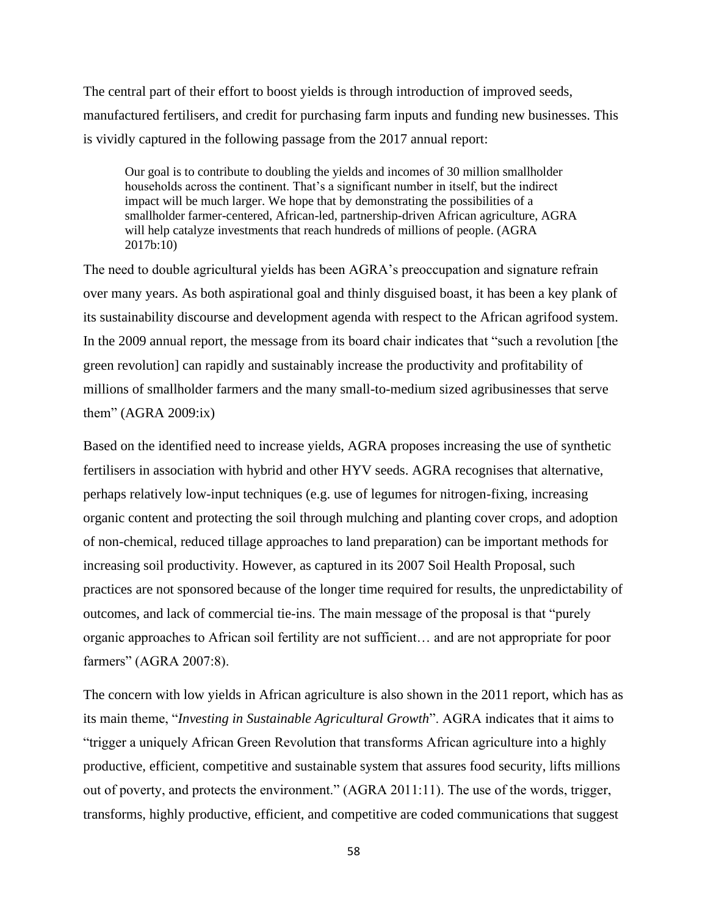The central part of their effort to boost yields is through introduction of improved seeds, manufactured fertilisers, and credit for purchasing farm inputs and funding new businesses. This is vividly captured in the following passage from the 2017 annual report:

Our goal is to contribute to doubling the yields and incomes of 30 million smallholder households across the continent. That's a significant number in itself, but the indirect impact will be much larger. We hope that by demonstrating the possibilities of a smallholder farmer-centered, African-led, partnership-driven African agriculture, AGRA will help catalyze investments that reach hundreds of millions of people. (AGRA 2017b:10)

The need to double agricultural yields has been AGRA's preoccupation and signature refrain over many years. As both aspirational goal and thinly disguised boast, it has been a key plank of its sustainability discourse and development agenda with respect to the African agrifood system. In the 2009 annual report, the message from its board chair indicates that "such a revolution [the green revolution] can rapidly and sustainably increase the productivity and profitability of millions of smallholder farmers and the many small-to-medium sized agribusinesses that serve them"  $(AGRA 2009:ix)$ 

Based on the identified need to increase yields, AGRA proposes increasing the use of synthetic fertilisers in association with hybrid and other HYV seeds. AGRA recognises that alternative, perhaps relatively low-input techniques (e.g. use of legumes for nitrogen-fixing, increasing organic content and protecting the soil through mulching and planting cover crops, and adoption of non-chemical, reduced tillage approaches to land preparation) can be important methods for increasing soil productivity. However, as captured in its 2007 Soil Health Proposal, such practices are not sponsored because of the longer time required for results, the unpredictability of outcomes, and lack of commercial tie-ins. The main message of the proposal is that "purely organic approaches to African soil fertility are not sufficient… and are not appropriate for poor farmers" (AGRA 2007:8).

The concern with low yields in African agriculture is also shown in the 2011 report, which has as its main theme, "*Investing in Sustainable Agricultural Growth*". AGRA indicates that it aims to "trigger a uniquely African Green Revolution that transforms African agriculture into a highly productive, efficient, competitive and sustainable system that assures food security, lifts millions out of poverty, and protects the environment." (AGRA 2011:11). The use of the words, trigger, transforms, highly productive, efficient, and competitive are coded communications that suggest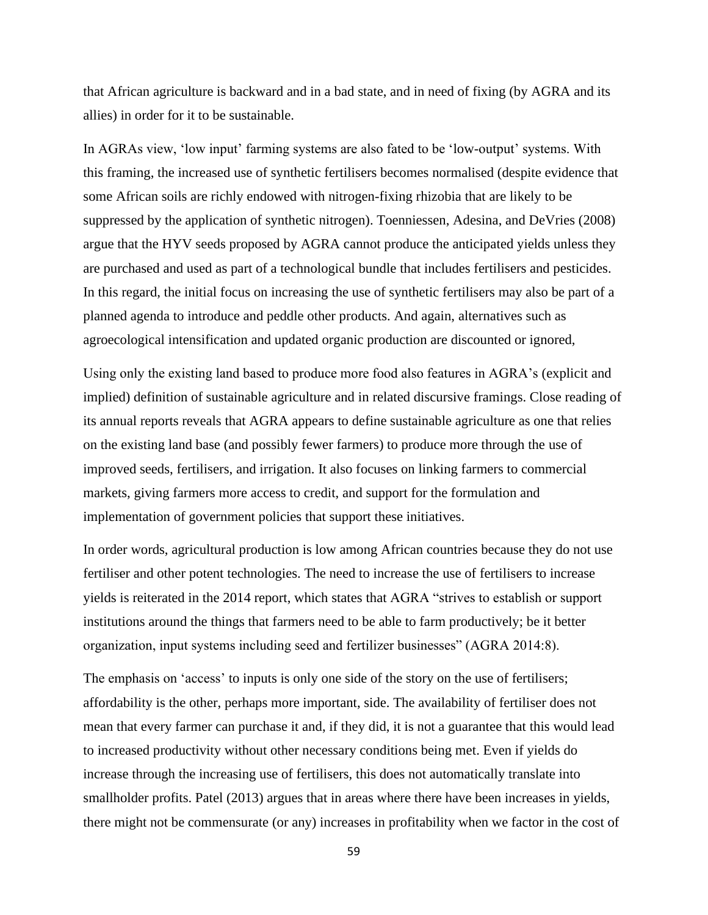that African agriculture is backward and in a bad state, and in need of fixing (by AGRA and its allies) in order for it to be sustainable.

In AGRAs view, 'low input' farming systems are also fated to be 'low-output' systems. With this framing, the increased use of synthetic fertilisers becomes normalised (despite evidence that some African soils are richly endowed with nitrogen-fixing rhizobia that are likely to be suppressed by the application of synthetic nitrogen). Toenniessen, Adesina, and DeVries (2008) argue that the HYV seeds proposed by AGRA cannot produce the anticipated yields unless they are purchased and used as part of a technological bundle that includes fertilisers and pesticides. In this regard, the initial focus on increasing the use of synthetic fertilisers may also be part of a planned agenda to introduce and peddle other products. And again, alternatives such as agroecological intensification and updated organic production are discounted or ignored,

Using only the existing land based to produce more food also features in AGRA's (explicit and implied) definition of sustainable agriculture and in related discursive framings. Close reading of its annual reports reveals that AGRA appears to define sustainable agriculture as one that relies on the existing land base (and possibly fewer farmers) to produce more through the use of improved seeds, fertilisers, and irrigation. It also focuses on linking farmers to commercial markets, giving farmers more access to credit, and support for the formulation and implementation of government policies that support these initiatives.

In order words, agricultural production is low among African countries because they do not use fertiliser and other potent technologies. The need to increase the use of fertilisers to increase yields is reiterated in the 2014 report, which states that AGRA "strives to establish or support institutions around the things that farmers need to be able to farm productively; be it better organization, input systems including seed and fertilizer businesses" (AGRA 2014:8).

The emphasis on 'access' to inputs is only one side of the story on the use of fertilisers; affordability is the other, perhaps more important, side. The availability of fertiliser does not mean that every farmer can purchase it and, if they did, it is not a guarantee that this would lead to increased productivity without other necessary conditions being met. Even if yields do increase through the increasing use of fertilisers, this does not automatically translate into smallholder profits. Patel (2013) argues that in areas where there have been increases in yields, there might not be commensurate (or any) increases in profitability when we factor in the cost of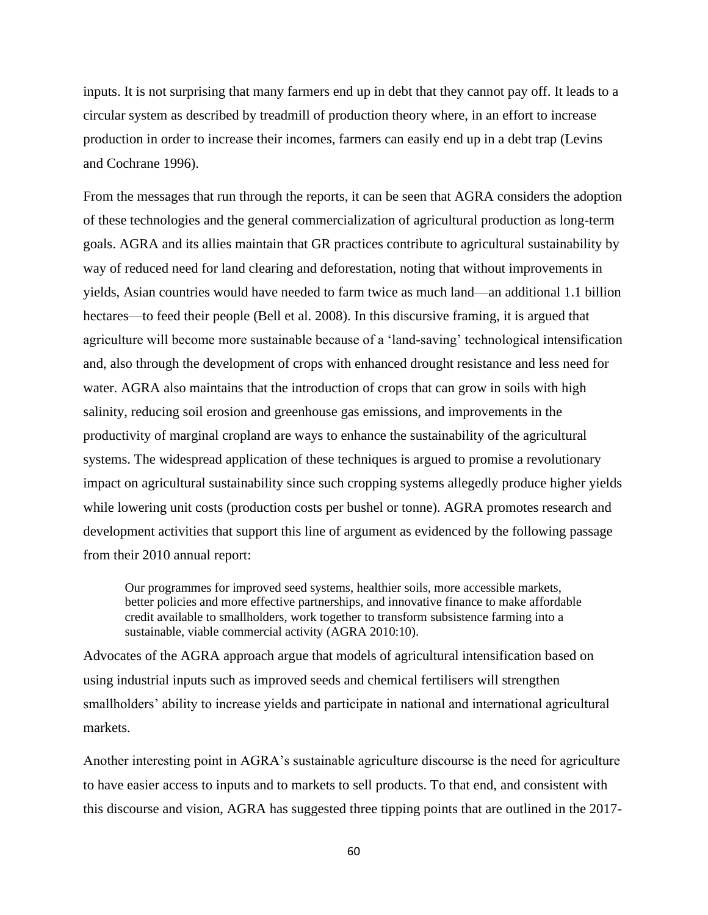inputs. It is not surprising that many farmers end up in debt that they cannot pay off. It leads to a circular system as described by treadmill of production theory where, in an effort to increase production in order to increase their incomes, farmers can easily end up in a debt trap (Levins and Cochrane 1996).

From the messages that run through the reports, it can be seen that AGRA considers the adoption of these technologies and the general commercialization of agricultural production as long-term goals. AGRA and its allies maintain that GR practices contribute to agricultural sustainability by way of reduced need for land clearing and deforestation, noting that without improvements in yields, Asian countries would have needed to farm twice as much land—an additional 1.1 billion hectares—to feed their people (Bell et al. 2008). In this discursive framing, it is argued that agriculture will become more sustainable because of a 'land-saving' technological intensification and, also through the development of crops with enhanced drought resistance and less need for water. AGRA also maintains that the introduction of crops that can grow in soils with high salinity, reducing soil erosion and greenhouse gas emissions, and improvements in the productivity of marginal cropland are ways to enhance the sustainability of the agricultural systems. The widespread application of these techniques is argued to promise a revolutionary impact on agricultural sustainability since such cropping systems allegedly produce higher yields while lowering unit costs (production costs per bushel or tonne). AGRA promotes research and development activities that support this line of argument as evidenced by the following passage from their 2010 annual report:

Our programmes for improved seed systems, healthier soils, more accessible markets, better policies and more effective partnerships, and innovative finance to make affordable credit available to smallholders, work together to transform subsistence farming into a sustainable, viable commercial activity (AGRA 2010:10).

Advocates of the AGRA approach argue that models of agricultural intensification based on using industrial inputs such as improved seeds and chemical fertilisers will strengthen smallholders' ability to increase yields and participate in national and international agricultural markets.

Another interesting point in AGRA's sustainable agriculture discourse is the need for agriculture to have easier access to inputs and to markets to sell products. To that end, and consistent with this discourse and vision, AGRA has suggested three tipping points that are outlined in the 2017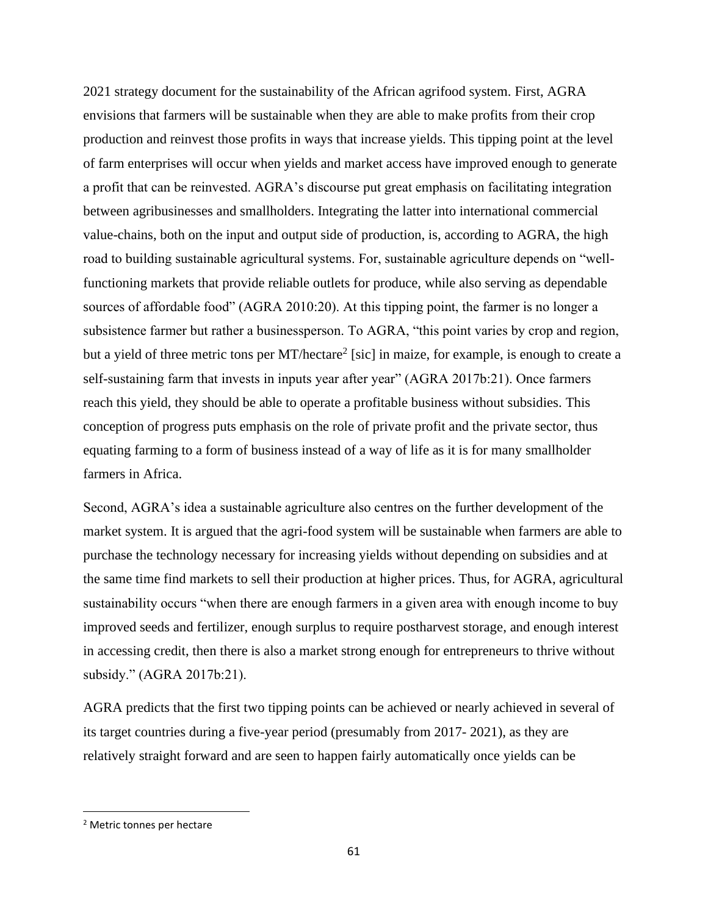2021 strategy document for the sustainability of the African agrifood system. First, AGRA envisions that farmers will be sustainable when they are able to make profits from their crop production and reinvest those profits in ways that increase yields. This tipping point at the level of farm enterprises will occur when yields and market access have improved enough to generate a profit that can be reinvested. AGRA's discourse put great emphasis on facilitating integration between agribusinesses and smallholders. Integrating the latter into international commercial value-chains, both on the input and output side of production, is, according to AGRA, the high road to building sustainable agricultural systems. For, sustainable agriculture depends on "wellfunctioning markets that provide reliable outlets for produce, while also serving as dependable sources of affordable food" (AGRA 2010:20). At this tipping point, the farmer is no longer a subsistence farmer but rather a businessperson. To AGRA, "this point varies by crop and region, but a yield of three metric tons per MT/hectare<sup>2</sup> [sic] in maize, for example, is enough to create a self-sustaining farm that invests in inputs year after year" (AGRA 2017b:21). Once farmers reach this yield, they should be able to operate a profitable business without subsidies. This conception of progress puts emphasis on the role of private profit and the private sector, thus equating farming to a form of business instead of a way of life as it is for many smallholder farmers in Africa.

Second, AGRA's idea a sustainable agriculture also centres on the further development of the market system. It is argued that the agri-food system will be sustainable when farmers are able to purchase the technology necessary for increasing yields without depending on subsidies and at the same time find markets to sell their production at higher prices. Thus, for AGRA, agricultural sustainability occurs "when there are enough farmers in a given area with enough income to buy improved seeds and fertilizer, enough surplus to require postharvest storage, and enough interest in accessing credit, then there is also a market strong enough for entrepreneurs to thrive without subsidy." (AGRA 2017b:21).

AGRA predicts that the first two tipping points can be achieved or nearly achieved in several of its target countries during a five-year period (presumably from 2017- 2021), as they are relatively straight forward and are seen to happen fairly automatically once yields can be

<sup>2</sup> Metric tonnes per hectare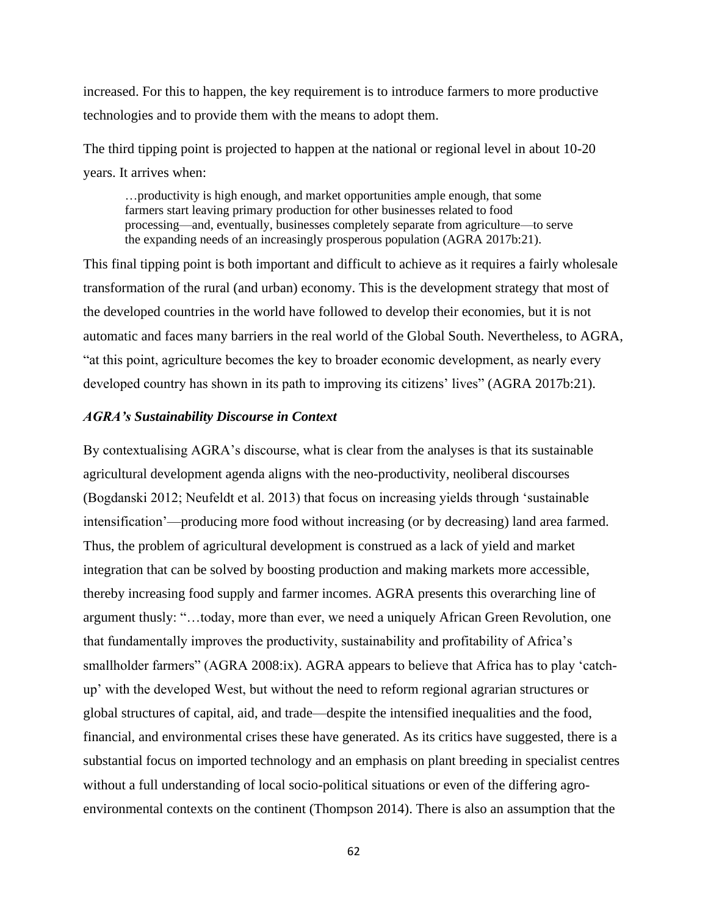increased. For this to happen, the key requirement is to introduce farmers to more productive technologies and to provide them with the means to adopt them.

The third tipping point is projected to happen at the national or regional level in about 10-20 years. It arrives when:

…productivity is high enough, and market opportunities ample enough, that some farmers start leaving primary production for other businesses related to food processing—and, eventually, businesses completely separate from agriculture—to serve the expanding needs of an increasingly prosperous population (AGRA 2017b:21).

This final tipping point is both important and difficult to achieve as it requires a fairly wholesale transformation of the rural (and urban) economy. This is the development strategy that most of the developed countries in the world have followed to develop their economies, but it is not automatic and faces many barriers in the real world of the Global South. Nevertheless, to AGRA, "at this point, agriculture becomes the key to broader economic development, as nearly every developed country has shown in its path to improving its citizens' lives" (AGRA 2017b:21).

## *AGRA's Sustainability Discourse in Context*

By contextualising AGRA's discourse, what is clear from the analyses is that its sustainable agricultural development agenda aligns with the neo-productivity, neoliberal discourses (Bogdanski 2012; Neufeldt et al. 2013) that focus on increasing yields through 'sustainable intensification'—producing more food without increasing (or by decreasing) land area farmed. Thus, the problem of agricultural development is construed as a lack of yield and market integration that can be solved by boosting production and making markets more accessible, thereby increasing food supply and farmer incomes. AGRA presents this overarching line of argument thusly: "…today, more than ever, we need a uniquely African Green Revolution, one that fundamentally improves the productivity, sustainability and profitability of Africa's smallholder farmers" (AGRA 2008:ix). AGRA appears to believe that Africa has to play 'catchup' with the developed West, but without the need to reform regional agrarian structures or global structures of capital, aid, and trade—despite the intensified inequalities and the food, financial, and environmental crises these have generated. As its critics have suggested, there is a substantial focus on imported technology and an emphasis on plant breeding in specialist centres without a full understanding of local socio-political situations or even of the differing agroenvironmental contexts on the continent (Thompson 2014). There is also an assumption that the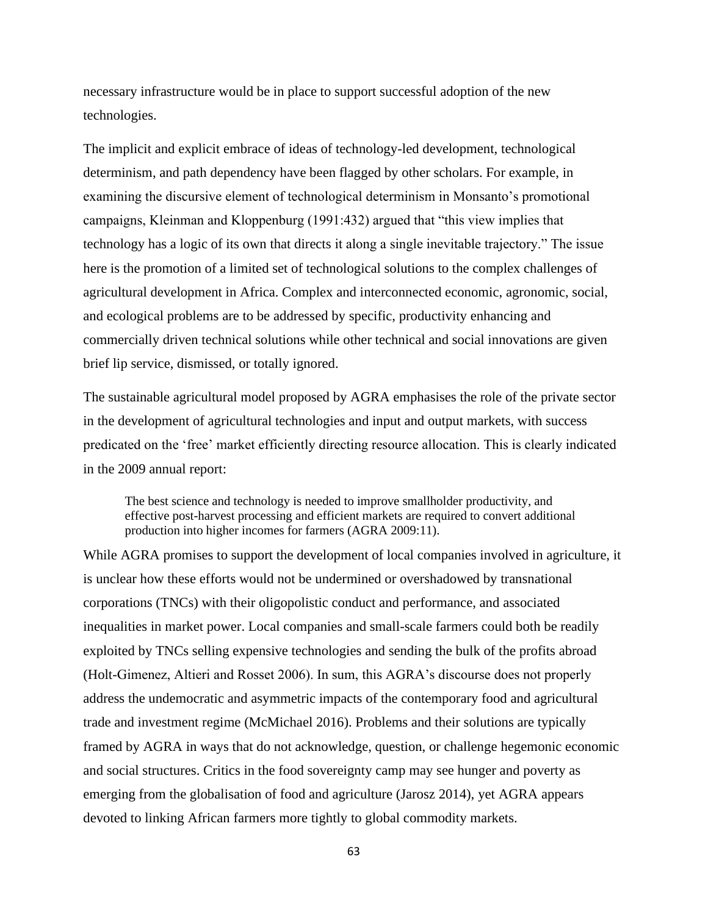necessary infrastructure would be in place to support successful adoption of the new technologies.

The implicit and explicit embrace of ideas of technology-led development, technological determinism, and path dependency have been flagged by other scholars. For example, in examining the discursive element of technological determinism in Monsanto's promotional campaigns, Kleinman and Kloppenburg (1991:432) argued that "this view implies that technology has a logic of its own that directs it along a single inevitable trajectory." The issue here is the promotion of a limited set of technological solutions to the complex challenges of agricultural development in Africa. Complex and interconnected economic, agronomic, social, and ecological problems are to be addressed by specific, productivity enhancing and commercially driven technical solutions while other technical and social innovations are given brief lip service, dismissed, or totally ignored.

The sustainable agricultural model proposed by AGRA emphasises the role of the private sector in the development of agricultural technologies and input and output markets, with success predicated on the 'free' market efficiently directing resource allocation. This is clearly indicated in the 2009 annual report:

The best science and technology is needed to improve smallholder productivity, and effective post-harvest processing and efficient markets are required to convert additional production into higher incomes for farmers (AGRA 2009:11).

While AGRA promises to support the development of local companies involved in agriculture, it is unclear how these efforts would not be undermined or overshadowed by transnational corporations (TNCs) with their oligopolistic conduct and performance, and associated inequalities in market power. Local companies and small-scale farmers could both be readily exploited by TNCs selling expensive technologies and sending the bulk of the profits abroad (Holt-Gimenez, Altieri and Rosset 2006). In sum, this AGRA's discourse does not properly address the undemocratic and asymmetric impacts of the contemporary food and agricultural trade and investment regime (McMichael 2016). Problems and their solutions are typically framed by AGRA in ways that do not acknowledge, question, or challenge hegemonic economic and social structures. Critics in the food sovereignty camp may see hunger and poverty as emerging from the globalisation of food and agriculture (Jarosz 2014), yet AGRA appears devoted to linking African farmers more tightly to global commodity markets.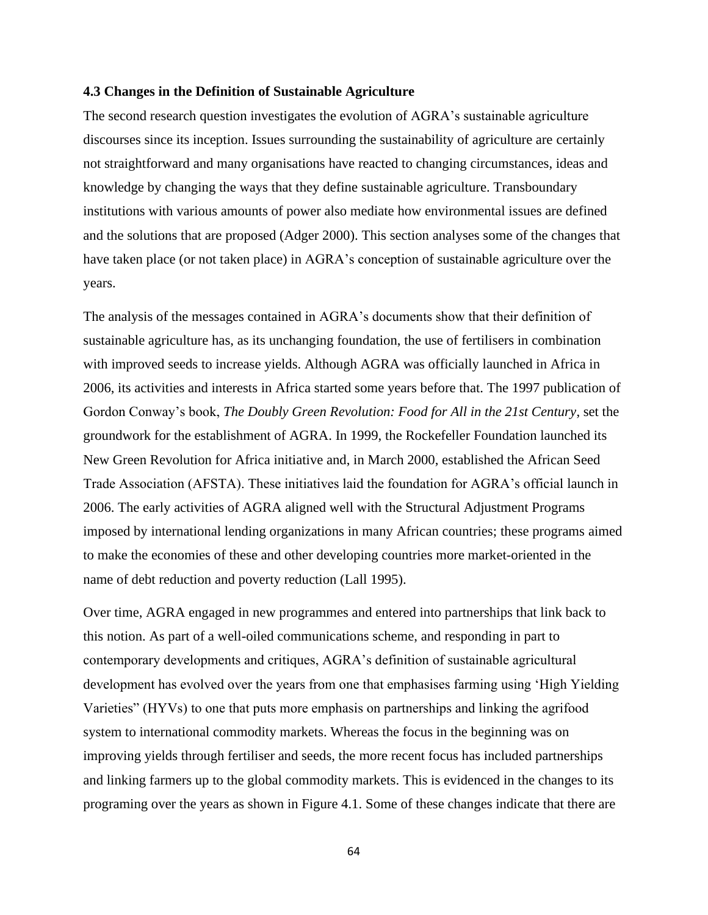#### **4.3 Changes in the Definition of Sustainable Agriculture**

The second research question investigates the evolution of AGRA's sustainable agriculture discourses since its inception. Issues surrounding the sustainability of agriculture are certainly not straightforward and many organisations have reacted to changing circumstances, ideas and knowledge by changing the ways that they define sustainable agriculture. Transboundary institutions with various amounts of power also mediate how environmental issues are defined and the solutions that are proposed (Adger 2000). This section analyses some of the changes that have taken place (or not taken place) in AGRA's conception of sustainable agriculture over the years.

The analysis of the messages contained in AGRA's documents show that their definition of sustainable agriculture has, as its unchanging foundation, the use of fertilisers in combination with improved seeds to increase yields. Although AGRA was officially launched in Africa in 2006, its activities and interests in Africa started some years before that. The 1997 publication of Gordon Conway's book, *The Doubly Green Revolution: Food for All in the 21st Century*, set the groundwork for the establishment of AGRA. In 1999, the Rockefeller Foundation launched its New Green Revolution for Africa initiative and, in March 2000, established the African Seed Trade Association (AFSTA). These initiatives laid the foundation for AGRA's official launch in 2006. The early activities of AGRA aligned well with the Structural Adjustment Programs imposed by international lending organizations in many African countries; these programs aimed to make the economies of these and other developing countries more market-oriented in the name of debt reduction and poverty reduction (Lall 1995).

Over time, AGRA engaged in new programmes and entered into partnerships that link back to this notion. As part of a well-oiled communications scheme, and responding in part to contemporary developments and critiques, AGRA's definition of sustainable agricultural development has evolved over the years from one that emphasises farming using 'High Yielding Varieties" (HYVs) to one that puts more emphasis on partnerships and linking the agrifood system to international commodity markets. Whereas the focus in the beginning was on improving yields through fertiliser and seeds, the more recent focus has included partnerships and linking farmers up to the global commodity markets. This is evidenced in the changes to its programing over the years as shown in Figure 4.1. Some of these changes indicate that there are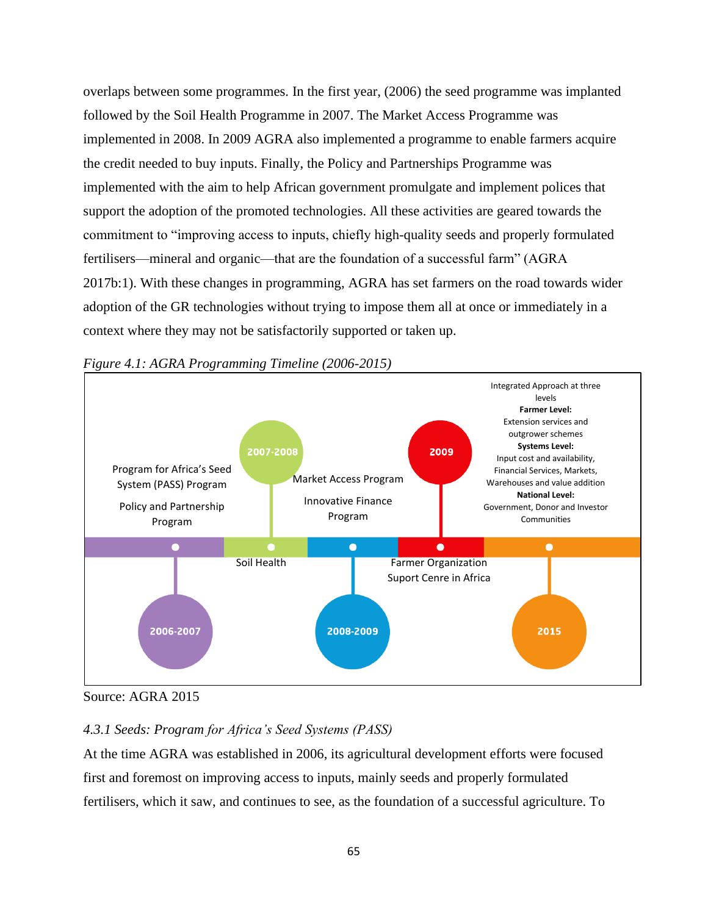overlaps between some programmes. In the first year, (2006) the seed programme was implanted followed by the Soil Health Programme in 2007. The Market Access Programme was implemented in 2008. In 2009 AGRA also implemented a programme to enable farmers acquire the credit needed to buy inputs. Finally, the Policy and Partnerships Programme was implemented with the aim to help African government promulgate and implement polices that support the adoption of the promoted technologies. All these activities are geared towards the commitment to "improving access to inputs, chiefly high-quality seeds and properly formulated fertilisers—mineral and organic—that are the foundation of a successful farm" (AGRA 2017b:1). With these changes in programming, AGRA has set farmers on the road towards wider adoption of the GR technologies without trying to impose them all at once or immediately in a context where they may not be satisfactorily supported or taken up.



*Figure 4.1: AGRA Programming Timeline (2006-2015)*

# *4.3.1 Seeds: Program for Africa's Seed Systems (PASS)*

At the time AGRA was established in 2006, its agricultural development efforts were focused first and foremost on improving access to inputs, mainly seeds and properly formulated fertilisers, which it saw, and continues to see, as the foundation of a successful agriculture. To

Source: AGRA 2015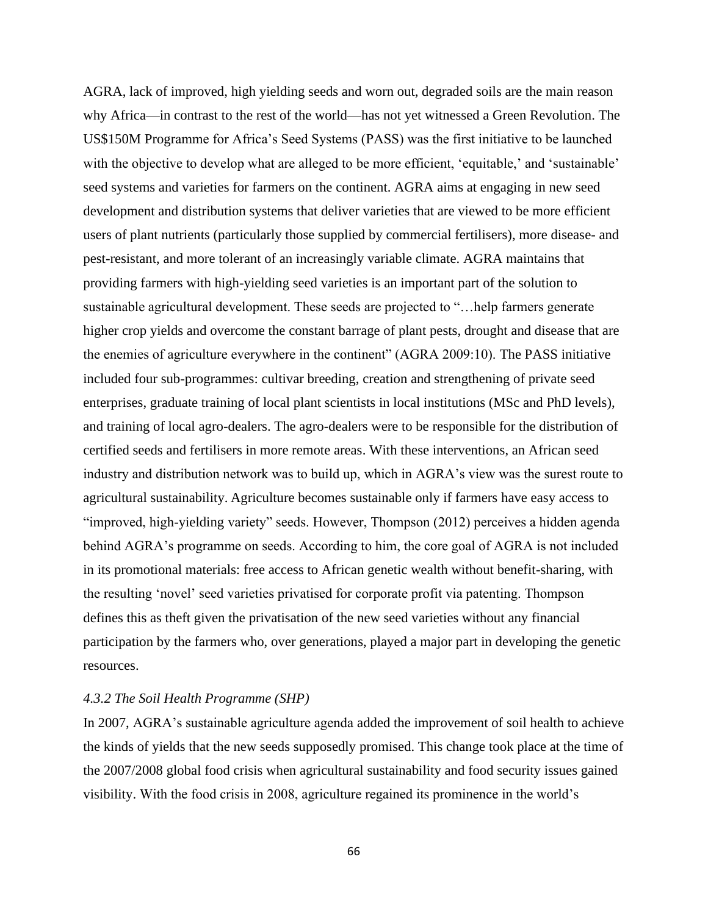AGRA, lack of improved, high yielding seeds and worn out, degraded soils are the main reason why Africa—in contrast to the rest of the world—has not yet witnessed a Green Revolution. The US\$150M Programme for Africa's Seed Systems (PASS) was the first initiative to be launched with the objective to develop what are alleged to be more efficient, 'equitable,' and 'sustainable' seed systems and varieties for farmers on the continent. AGRA aims at engaging in new seed development and distribution systems that deliver varieties that are viewed to be more efficient users of plant nutrients (particularly those supplied by commercial fertilisers), more disease- and pest-resistant, and more tolerant of an increasingly variable climate. AGRA maintains that providing farmers with high-yielding seed varieties is an important part of the solution to sustainable agricultural development. These seeds are projected to "…help farmers generate higher crop yields and overcome the constant barrage of plant pests, drought and disease that are the enemies of agriculture everywhere in the continent" (AGRA 2009:10). The PASS initiative included four sub-programmes: cultivar breeding, creation and strengthening of private seed enterprises, graduate training of local plant scientists in local institutions (MSc and PhD levels), and training of local agro-dealers. The agro-dealers were to be responsible for the distribution of certified seeds and fertilisers in more remote areas. With these interventions, an African seed industry and distribution network was to build up, which in AGRA's view was the surest route to agricultural sustainability. Agriculture becomes sustainable only if farmers have easy access to "improved, high-yielding variety" seeds. However, Thompson (2012) perceives a hidden agenda behind AGRA's programme on seeds. According to him, the core goal of AGRA is not included in its promotional materials: free access to African genetic wealth without benefit-sharing, with the resulting 'novel' seed varieties privatised for corporate profit via patenting. Thompson defines this as theft given the privatisation of the new seed varieties without any financial participation by the farmers who, over generations, played a major part in developing the genetic resources.

## *4.3.2 The Soil Health Programme (SHP)*

In 2007, AGRA's sustainable agriculture agenda added the improvement of soil health to achieve the kinds of yields that the new seeds supposedly promised. This change took place at the time of the 2007/2008 global food crisis when agricultural sustainability and food security issues gained visibility. With the food crisis in 2008, agriculture regained its prominence in the world's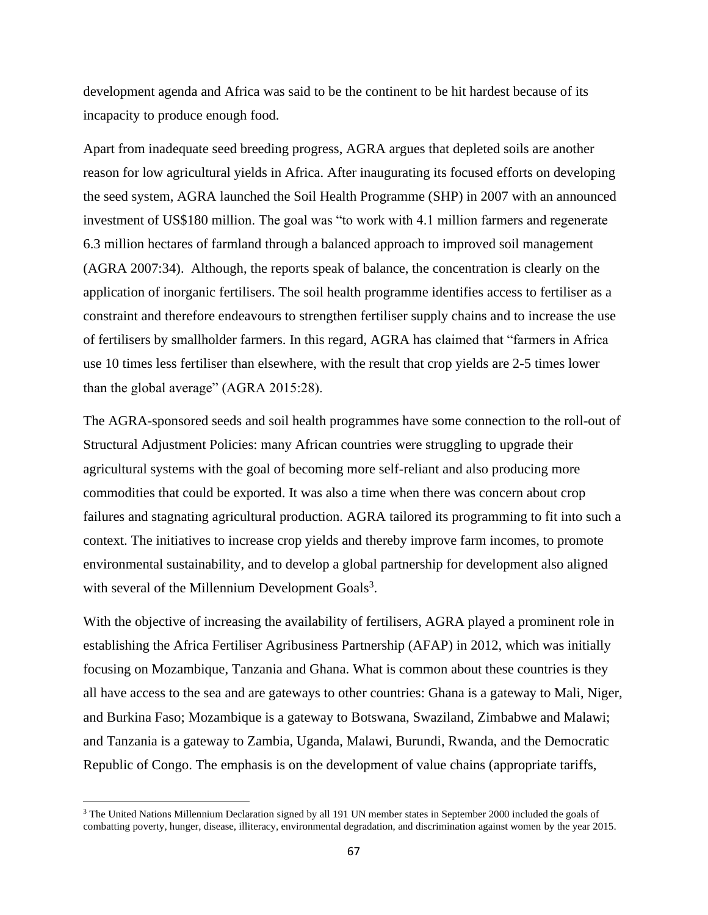development agenda and Africa was said to be the continent to be hit hardest because of its incapacity to produce enough food.

Apart from inadequate seed breeding progress, AGRA argues that depleted soils are another reason for low agricultural yields in Africa. After inaugurating its focused efforts on developing the seed system, AGRA launched the Soil Health Programme (SHP) in 2007 with an announced investment of US\$180 million. The goal was "to work with 4.1 million farmers and regenerate 6.3 million hectares of farmland through a balanced approach to improved soil management (AGRA 2007:34). Although, the reports speak of balance, the concentration is clearly on the application of inorganic fertilisers. The soil health programme identifies access to fertiliser as a constraint and therefore endeavours to strengthen fertiliser supply chains and to increase the use of fertilisers by smallholder farmers. In this regard, AGRA has claimed that "farmers in Africa use 10 times less fertiliser than elsewhere, with the result that crop yields are 2-5 times lower than the global average" (AGRA 2015:28).

The AGRA-sponsored seeds and soil health programmes have some connection to the roll-out of Structural Adjustment Policies: many African countries were struggling to upgrade their agricultural systems with the goal of becoming more self-reliant and also producing more commodities that could be exported. It was also a time when there was concern about crop failures and stagnating agricultural production. AGRA tailored its programming to fit into such a context. The initiatives to increase crop yields and thereby improve farm incomes, to promote environmental sustainability, and to develop a global partnership for development also aligned with several of the Millennium Development Goals<sup>3</sup>.

With the objective of increasing the availability of fertilisers, AGRA played a prominent role in establishing the Africa Fertiliser Agribusiness Partnership (AFAP) in 2012, which was initially focusing on Mozambique, Tanzania and Ghana. What is common about these countries is they all have access to the sea and are gateways to other countries: Ghana is a gateway to Mali, Niger, and Burkina Faso; Mozambique is a gateway to Botswana, Swaziland, Zimbabwe and Malawi; and Tanzania is a gateway to Zambia, Uganda, Malawi, Burundi, Rwanda, and the Democratic Republic of Congo. The emphasis is on the development of value chains (appropriate tariffs,

<sup>&</sup>lt;sup>3</sup> The United Nations Millennium Declaration signed by all 191 UN member states in September 2000 included the goals of combatting poverty, hunger, disease, illiteracy, environmental degradation, and discrimination against women by the year 2015.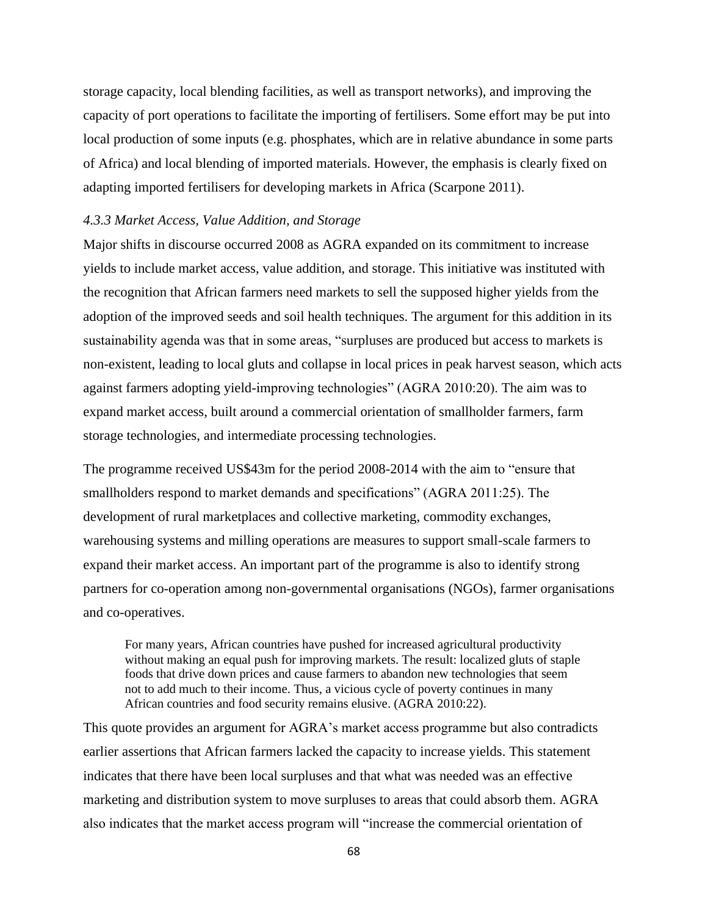storage capacity, local blending facilities, as well as transport networks), and improving the capacity of port operations to facilitate the importing of fertilisers. Some effort may be put into local production of some inputs (e.g. phosphates, which are in relative abundance in some parts of Africa) and local blending of imported materials. However, the emphasis is clearly fixed on adapting imported fertilisers for developing markets in Africa (Scarpone 2011).

#### *4.3.3 Market Access, Value Addition, and Storage*

Major shifts in discourse occurred 2008 as AGRA expanded on its commitment to increase yields to include market access, value addition, and storage. This initiative was instituted with the recognition that African farmers need markets to sell the supposed higher yields from the adoption of the improved seeds and soil health techniques. The argument for this addition in its sustainability agenda was that in some areas, "surpluses are produced but access to markets is non-existent, leading to local gluts and collapse in local prices in peak harvest season, which acts against farmers adopting yield-improving technologies" (AGRA 2010:20). The aim was to expand market access, built around a commercial orientation of smallholder farmers, farm storage technologies, and intermediate processing technologies.

The programme received US\$43m for the period 2008-2014 with the aim to "ensure that smallholders respond to market demands and specifications" (AGRA 2011:25). The development of rural marketplaces and collective marketing, commodity exchanges, warehousing systems and milling operations are measures to support small-scale farmers to expand their market access. An important part of the programme is also to identify strong partners for co-operation among non-governmental organisations (NGOs), farmer organisations and co-operatives.

For many years, African countries have pushed for increased agricultural productivity without making an equal push for improving markets. The result: localized gluts of staple foods that drive down prices and cause farmers to abandon new technologies that seem not to add much to their income. Thus, a vicious cycle of poverty continues in many African countries and food security remains elusive. (AGRA 2010:22).

This quote provides an argument for AGRA's market access programme but also contradicts earlier assertions that African farmers lacked the capacity to increase yields. This statement indicates that there have been local surpluses and that what was needed was an effective marketing and distribution system to move surpluses to areas that could absorb them. AGRA also indicates that the market access program will "increase the commercial orientation of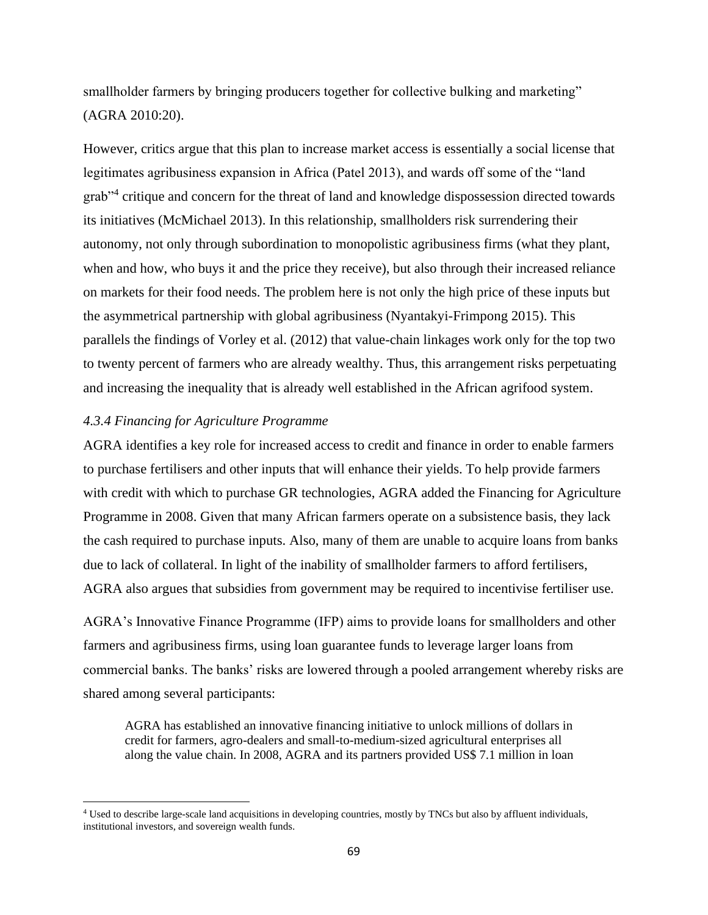smallholder farmers by bringing producers together for collective bulking and marketing" (AGRA 2010:20).

However, critics argue that this plan to increase market access is essentially a social license that legitimates agribusiness expansion in Africa (Patel 2013), and wards off some of the "land grab"<sup>4</sup> critique and concern for the threat of land and knowledge dispossession directed towards its initiatives (McMichael 2013). In this relationship, smallholders risk surrendering their autonomy, not only through subordination to monopolistic agribusiness firms (what they plant, when and how, who buys it and the price they receive), but also through their increased reliance on markets for their food needs. The problem here is not only the high price of these inputs but the asymmetrical partnership with global agribusiness (Nyantakyi-Frimpong 2015). This parallels the findings of Vorley et al. (2012) that value-chain linkages work only for the top two to twenty percent of farmers who are already wealthy. Thus, this arrangement risks perpetuating and increasing the inequality that is already well established in the African agrifood system.

## *4.3.4 Financing for Agriculture Programme*

AGRA identifies a key role for increased access to credit and finance in order to enable farmers to purchase fertilisers and other inputs that will enhance their yields. To help provide farmers with credit with which to purchase GR technologies, AGRA added the Financing for Agriculture Programme in 2008. Given that many African farmers operate on a subsistence basis, they lack the cash required to purchase inputs. Also, many of them are unable to acquire loans from banks due to lack of collateral. In light of the inability of smallholder farmers to afford fertilisers, AGRA also argues that subsidies from government may be required to incentivise fertiliser use.

AGRA's Innovative Finance Programme (IFP) aims to provide loans for smallholders and other farmers and agribusiness firms, using loan guarantee funds to leverage larger loans from commercial banks. The banks' risks are lowered through a pooled arrangement whereby risks are shared among several participants:

AGRA has established an innovative financing initiative to unlock millions of dollars in credit for farmers, agro-dealers and small-to-medium-sized agricultural enterprises all along the value chain. In 2008, AGRA and its partners provided US\$ 7.1 million in loan

<sup>4</sup> Used to describe large-scale land acquisitions in developing countries, mostly by TNCs but also by affluent individuals, institutional investors, and sovereign wealth funds.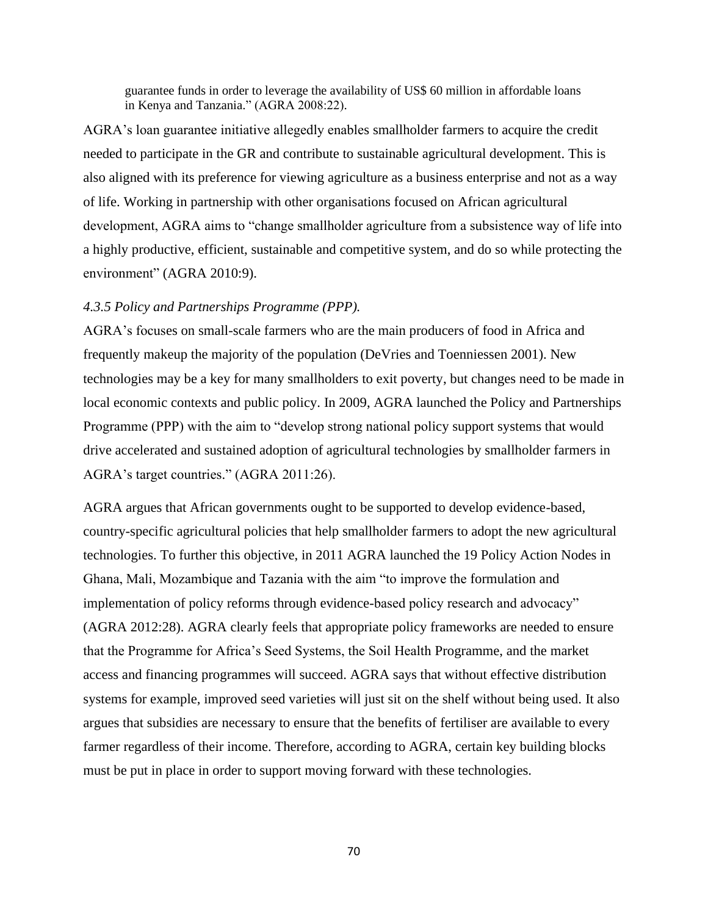guarantee funds in order to leverage the availability of US\$ 60 million in affordable loans in Kenya and Tanzania." (AGRA 2008:22).

AGRA's loan guarantee initiative allegedly enables smallholder farmers to acquire the credit needed to participate in the GR and contribute to sustainable agricultural development. This is also aligned with its preference for viewing agriculture as a business enterprise and not as a way of life. Working in partnership with other organisations focused on African agricultural development, AGRA aims to "change smallholder agriculture from a subsistence way of life into a highly productive, efficient, sustainable and competitive system, and do so while protecting the environment" (AGRA 2010:9).

### *4.3.5 Policy and Partnerships Programme (PPP).*

AGRA's focuses on small-scale farmers who are the main producers of food in Africa and frequently makeup the majority of the population (DeVries and Toenniessen 2001). New technologies may be a key for many smallholders to exit poverty, but changes need to be made in local economic contexts and public policy. In 2009, AGRA launched the Policy and Partnerships Programme (PPP) with the aim to "develop strong national policy support systems that would drive accelerated and sustained adoption of agricultural technologies by smallholder farmers in AGRA's target countries." (AGRA 2011:26).

AGRA argues that African governments ought to be supported to develop evidence-based, country-specific agricultural policies that help smallholder farmers to adopt the new agricultural technologies. To further this objective, in 2011 AGRA launched the 19 Policy Action Nodes in Ghana, Mali, Mozambique and Tazania with the aim "to improve the formulation and implementation of policy reforms through evidence-based policy research and advocacy" (AGRA 2012:28). AGRA clearly feels that appropriate policy frameworks are needed to ensure that the Programme for Africa's Seed Systems, the Soil Health Programme, and the market access and financing programmes will succeed. AGRA says that without effective distribution systems for example, improved seed varieties will just sit on the shelf without being used. It also argues that subsidies are necessary to ensure that the benefits of fertiliser are available to every farmer regardless of their income. Therefore, according to AGRA, certain key building blocks must be put in place in order to support moving forward with these technologies.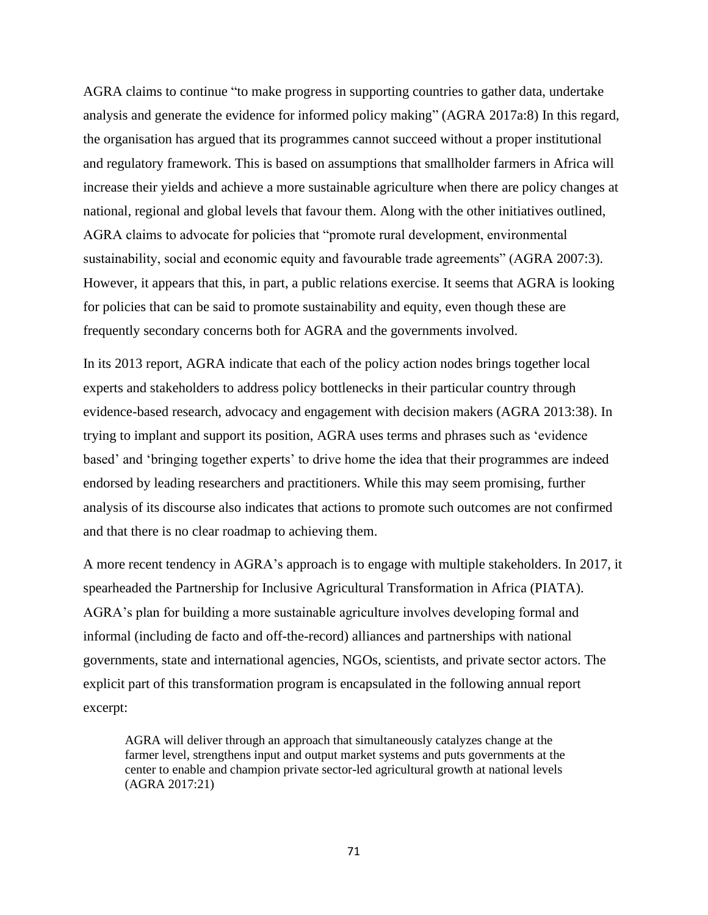AGRA claims to continue "to make progress in supporting countries to gather data, undertake analysis and generate the evidence for informed policy making" (AGRA 2017a:8) In this regard, the organisation has argued that its programmes cannot succeed without a proper institutional and regulatory framework. This is based on assumptions that smallholder farmers in Africa will increase their yields and achieve a more sustainable agriculture when there are policy changes at national, regional and global levels that favour them. Along with the other initiatives outlined, AGRA claims to advocate for policies that "promote rural development, environmental sustainability, social and economic equity and favourable trade agreements" (AGRA 2007:3). However, it appears that this, in part, a public relations exercise. It seems that AGRA is looking for policies that can be said to promote sustainability and equity, even though these are frequently secondary concerns both for AGRA and the governments involved.

In its 2013 report, AGRA indicate that each of the policy action nodes brings together local experts and stakeholders to address policy bottlenecks in their particular country through evidence-based research, advocacy and engagement with decision makers (AGRA 2013:38). In trying to implant and support its position, AGRA uses terms and phrases such as 'evidence based' and 'bringing together experts' to drive home the idea that their programmes are indeed endorsed by leading researchers and practitioners. While this may seem promising, further analysis of its discourse also indicates that actions to promote such outcomes are not confirmed and that there is no clear roadmap to achieving them.

A more recent tendency in AGRA's approach is to engage with multiple stakeholders. In 2017, it spearheaded the Partnership for Inclusive Agricultural Transformation in Africa (PIATA). AGRA's plan for building a more sustainable agriculture involves developing formal and informal (including de facto and off-the-record) alliances and partnerships with national governments, state and international agencies, NGOs, scientists, and private sector actors. The explicit part of this transformation program is encapsulated in the following annual report excerpt:

AGRA will deliver through an approach that simultaneously catalyzes change at the farmer level, strengthens input and output market systems and puts governments at the center to enable and champion private sector-led agricultural growth at national levels (AGRA 2017:21)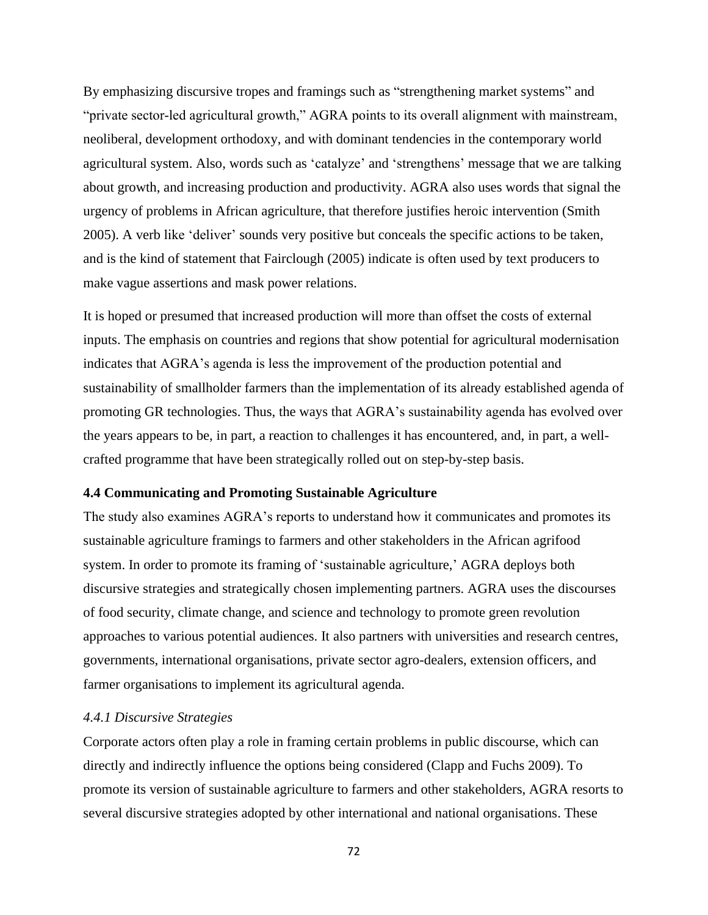By emphasizing discursive tropes and framings such as "strengthening market systems" and "private sector-led agricultural growth," AGRA points to its overall alignment with mainstream, neoliberal, development orthodoxy, and with dominant tendencies in the contemporary world agricultural system. Also, words such as 'catalyze' and 'strengthens' message that we are talking about growth, and increasing production and productivity. AGRA also uses words that signal the urgency of problems in African agriculture, that therefore justifies heroic intervention (Smith 2005). A verb like 'deliver' sounds very positive but conceals the specific actions to be taken, and is the kind of statement that Fairclough (2005) indicate is often used by text producers to make vague assertions and mask power relations.

It is hoped or presumed that increased production will more than offset the costs of external inputs. The emphasis on countries and regions that show potential for agricultural modernisation indicates that AGRA's agenda is less the improvement of the production potential and sustainability of smallholder farmers than the implementation of its already established agenda of promoting GR technologies. Thus, the ways that AGRA's sustainability agenda has evolved over the years appears to be, in part, a reaction to challenges it has encountered, and, in part, a wellcrafted programme that have been strategically rolled out on step-by-step basis.

#### **4.4 Communicating and Promoting Sustainable Agriculture**

The study also examines AGRA's reports to understand how it communicates and promotes its sustainable agriculture framings to farmers and other stakeholders in the African agrifood system. In order to promote its framing of 'sustainable agriculture,' AGRA deploys both discursive strategies and strategically chosen implementing partners. AGRA uses the discourses of food security, climate change, and science and technology to promote green revolution approaches to various potential audiences. It also partners with universities and research centres, governments, international organisations, private sector agro-dealers, extension officers, and farmer organisations to implement its agricultural agenda.

### *4.4.1 Discursive Strategies*

Corporate actors often play a role in framing certain problems in public discourse, which can directly and indirectly influence the options being considered (Clapp and Fuchs 2009). To promote its version of sustainable agriculture to farmers and other stakeholders, AGRA resorts to several discursive strategies adopted by other international and national organisations. These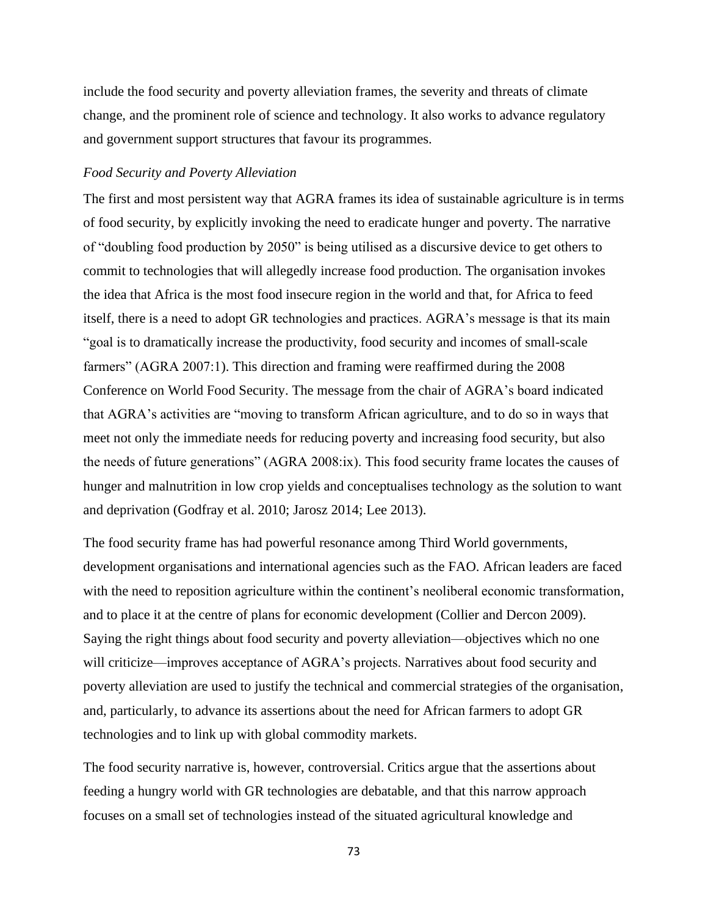include the food security and poverty alleviation frames, the severity and threats of climate change, and the prominent role of science and technology. It also works to advance regulatory and government support structures that favour its programmes.

### *Food Security and Poverty Alleviation*

The first and most persistent way that AGRA frames its idea of sustainable agriculture is in terms of food security, by explicitly invoking the need to eradicate hunger and poverty. The narrative of "doubling food production by 2050" is being utilised as a discursive device to get others to commit to technologies that will allegedly increase food production. The organisation invokes the idea that Africa is the most food insecure region in the world and that, for Africa to feed itself, there is a need to adopt GR technologies and practices. AGRA's message is that its main "goal is to dramatically increase the productivity, food security and incomes of small-scale farmers" (AGRA 2007:1). This direction and framing were reaffirmed during the 2008 Conference on World Food Security. The message from the chair of AGRA's board indicated that AGRA's activities are "moving to transform African agriculture, and to do so in ways that meet not only the immediate needs for reducing poverty and increasing food security, but also the needs of future generations" (AGRA 2008:ix). This food security frame locates the causes of hunger and malnutrition in low crop yields and conceptualises technology as the solution to want and deprivation (Godfray et al. 2010; Jarosz 2014; Lee 2013).

The food security frame has had powerful resonance among Third World governments, development organisations and international agencies such as the FAO. African leaders are faced with the need to reposition agriculture within the continent's neoliberal economic transformation, and to place it at the centre of plans for economic development (Collier and Dercon 2009). Saying the right things about food security and poverty alleviation—objectives which no one will criticize—improves acceptance of AGRA's projects. Narratives about food security and poverty alleviation are used to justify the technical and commercial strategies of the organisation, and, particularly, to advance its assertions about the need for African farmers to adopt GR technologies and to link up with global commodity markets.

The food security narrative is, however, controversial. Critics argue that the assertions about feeding a hungry world with GR technologies are debatable, and that this narrow approach focuses on a small set of technologies instead of the situated agricultural knowledge and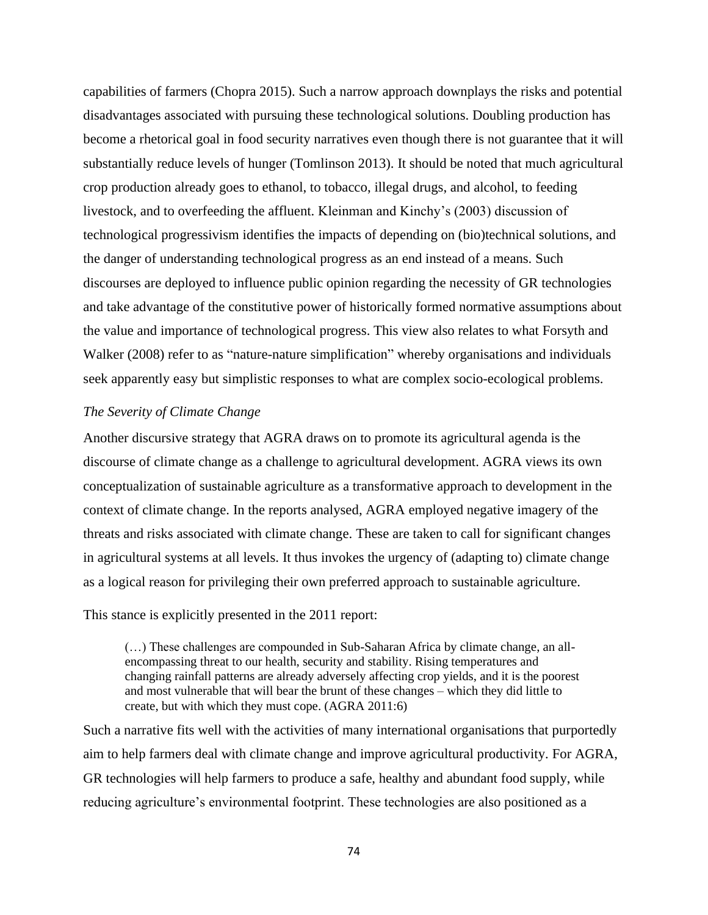capabilities of farmers (Chopra 2015). Such a narrow approach downplays the risks and potential disadvantages associated with pursuing these technological solutions. Doubling production has become a rhetorical goal in food security narratives even though there is not guarantee that it will substantially reduce levels of hunger (Tomlinson 2013). It should be noted that much agricultural crop production already goes to ethanol, to tobacco, illegal drugs, and alcohol, to feeding livestock, and to overfeeding the affluent. Kleinman and Kinchy's (2003) discussion of technological progressivism identifies the impacts of depending on (bio)technical solutions, and the danger of understanding technological progress as an end instead of a means. Such discourses are deployed to influence public opinion regarding the necessity of GR technologies and take advantage of the constitutive power of historically formed normative assumptions about the value and importance of technological progress. This view also relates to what Forsyth and Walker (2008) refer to as "nature-nature simplification" whereby organisations and individuals seek apparently easy but simplistic responses to what are complex socio-ecological problems.

#### *The Severity of Climate Change*

Another discursive strategy that AGRA draws on to promote its agricultural agenda is the discourse of climate change as a challenge to agricultural development. AGRA views its own conceptualization of sustainable agriculture as a transformative approach to development in the context of climate change. In the reports analysed, AGRA employed negative imagery of the threats and risks associated with climate change. These are taken to call for significant changes in agricultural systems at all levels. It thus invokes the urgency of (adapting to) climate change as a logical reason for privileging their own preferred approach to sustainable agriculture.

This stance is explicitly presented in the 2011 report:

(…) These challenges are compounded in Sub-Saharan Africa by climate change, an allencompassing threat to our health, security and stability. Rising temperatures and changing rainfall patterns are already adversely affecting crop yields, and it is the poorest and most vulnerable that will bear the brunt of these changes – which they did little to create, but with which they must cope. (AGRA 2011:6)

Such a narrative fits well with the activities of many international organisations that purportedly aim to help farmers deal with climate change and improve agricultural productivity. For AGRA, GR technologies will help farmers to produce a safe, healthy and abundant food supply, while reducing agriculture's environmental footprint. These technologies are also positioned as a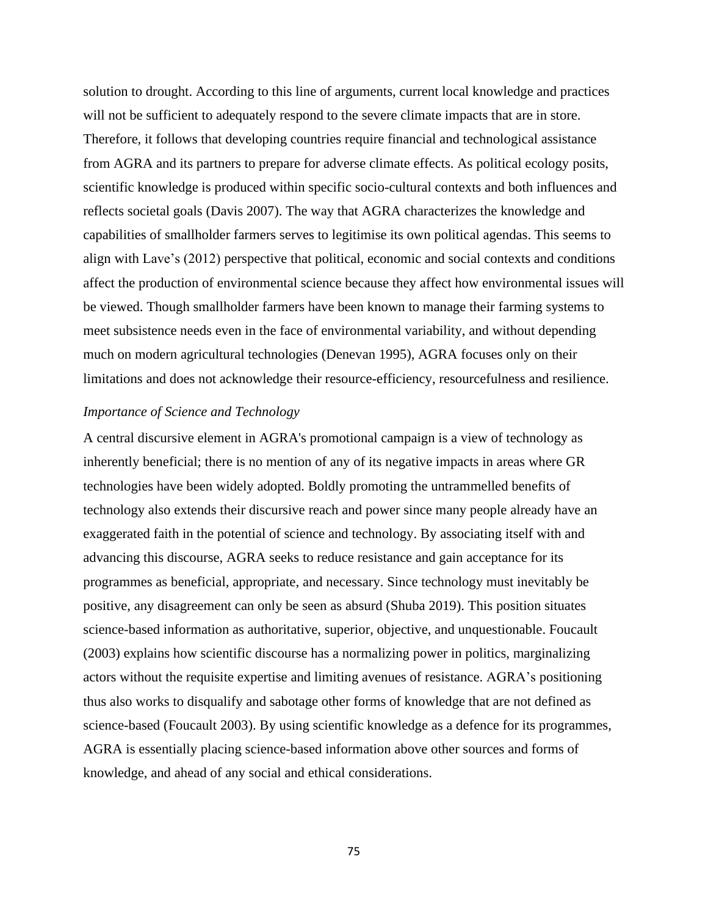solution to drought. According to this line of arguments, current local knowledge and practices will not be sufficient to adequately respond to the severe climate impacts that are in store. Therefore, it follows that developing countries require financial and technological assistance from AGRA and its partners to prepare for adverse climate effects. As political ecology posits, scientific knowledge is produced within specific socio-cultural contexts and both influences and reflects societal goals (Davis 2007). The way that AGRA characterizes the knowledge and capabilities of smallholder farmers serves to legitimise its own political agendas. This seems to align with Lave's (2012) perspective that political, economic and social contexts and conditions affect the production of environmental science because they affect how environmental issues will be viewed. Though smallholder farmers have been known to manage their farming systems to meet subsistence needs even in the face of environmental variability, and without depending much on modern agricultural technologies (Denevan 1995), AGRA focuses only on their limitations and does not acknowledge their resource-efficiency, resourcefulness and resilience.

#### *Importance of Science and Technology*

A central discursive element in AGRA's promotional campaign is a view of technology as inherently beneficial; there is no mention of any of its negative impacts in areas where GR technologies have been widely adopted. Boldly promoting the untrammelled benefits of technology also extends their discursive reach and power since many people already have an exaggerated faith in the potential of science and technology. By associating itself with and advancing this discourse, AGRA seeks to reduce resistance and gain acceptance for its programmes as beneficial, appropriate, and necessary. Since technology must inevitably be positive, any disagreement can only be seen as absurd (Shuba 2019). This position situates science-based information as authoritative, superior, objective, and unquestionable. Foucault (2003) explains how scientific discourse has a normalizing power in politics, marginalizing actors without the requisite expertise and limiting avenues of resistance. AGRA's positioning thus also works to disqualify and sabotage other forms of knowledge that are not defined as science-based (Foucault 2003). By using scientific knowledge as a defence for its programmes, AGRA is essentially placing science-based information above other sources and forms of knowledge, and ahead of any social and ethical considerations.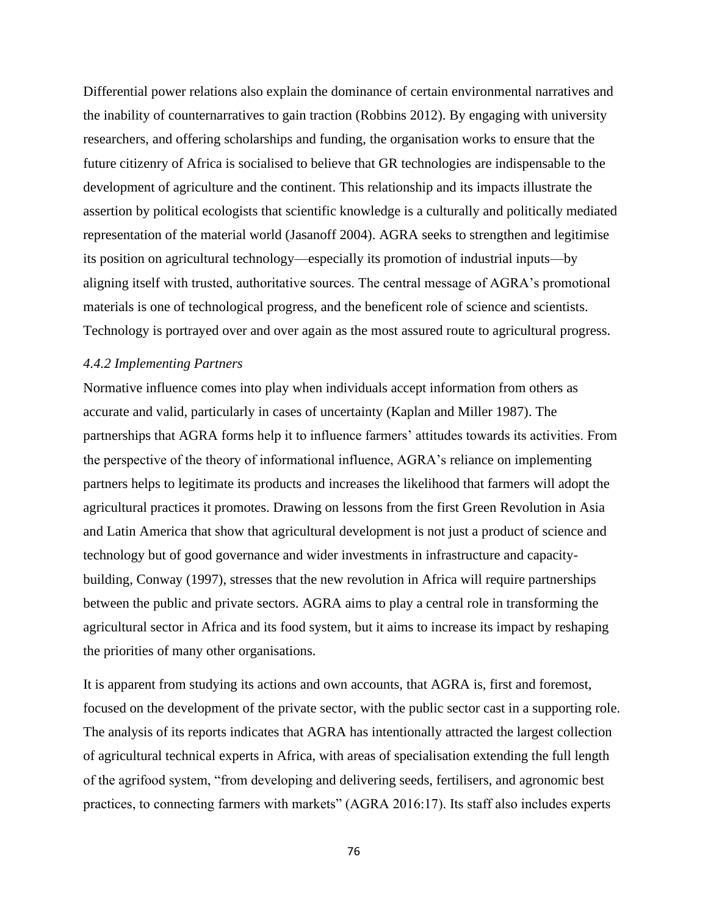Differential power relations also explain the dominance of certain environmental narratives and the inability of counternarratives to gain traction (Robbins 2012). By engaging with university researchers, and offering scholarships and funding, the organisation works to ensure that the future citizenry of Africa is socialised to believe that GR technologies are indispensable to the development of agriculture and the continent. This relationship and its impacts illustrate the assertion by political ecologists that scientific knowledge is a culturally and politically mediated representation of the material world (Jasanoff 2004). AGRA seeks to strengthen and legitimise its position on agricultural technology—especially its promotion of industrial inputs—by aligning itself with trusted, authoritative sources. The central message of AGRA's promotional materials is one of technological progress, and the beneficent role of science and scientists. Technology is portrayed over and over again as the most assured route to agricultural progress.

### *4.4.2 Implementing Partners*

Normative influence comes into play when individuals accept information from others as accurate and valid, particularly in cases of uncertainty (Kaplan and Miller 1987). The partnerships that AGRA forms help it to influence farmers' attitudes towards its activities. From the perspective of the theory of informational influence, AGRA's reliance on implementing partners helps to legitimate its products and increases the likelihood that farmers will adopt the agricultural practices it promotes. Drawing on lessons from the first Green Revolution in Asia and Latin America that show that agricultural development is not just a product of science and technology but of good governance and wider investments in infrastructure and capacitybuilding, Conway (1997), stresses that the new revolution in Africa will require partnerships between the public and private sectors. AGRA aims to play a central role in transforming the agricultural sector in Africa and its food system, but it aims to increase its impact by reshaping the priorities of many other organisations.

It is apparent from studying its actions and own accounts, that AGRA is, first and foremost, focused on the development of the private sector, with the public sector cast in a supporting role. The analysis of its reports indicates that AGRA has intentionally attracted the largest collection of agricultural technical experts in Africa, with areas of specialisation extending the full length of the agrifood system, "from developing and delivering seeds, fertilisers, and agronomic best practices, to connecting farmers with markets" (AGRA 2016:17). Its staff also includes experts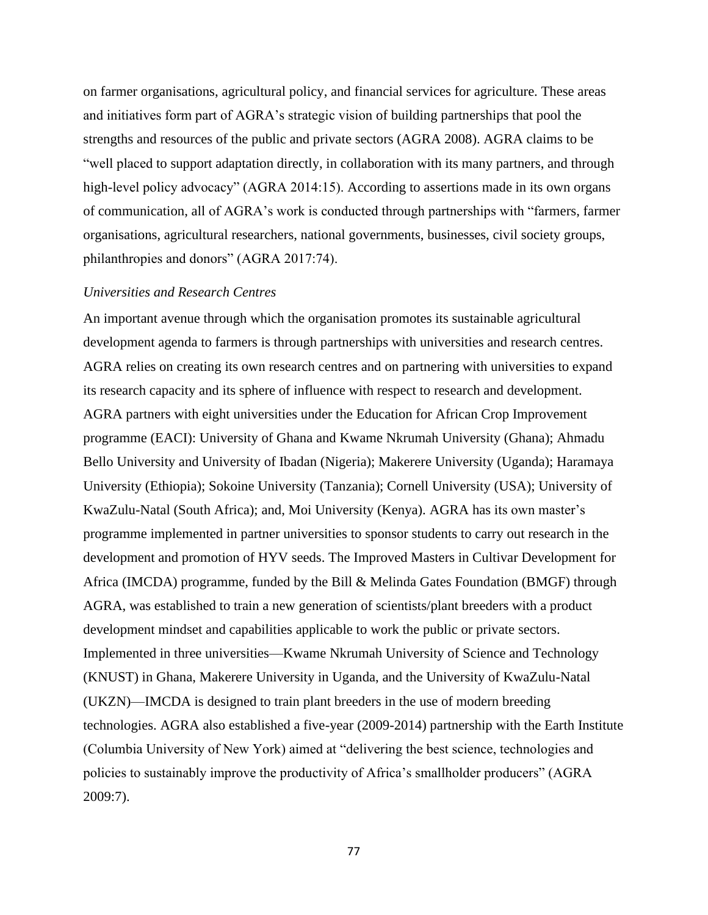on farmer organisations, agricultural policy, and financial services for agriculture. These areas and initiatives form part of AGRA's strategic vision of building partnerships that pool the strengths and resources of the public and private sectors (AGRA 2008). AGRA claims to be "well placed to support adaptation directly, in collaboration with its many partners, and through high-level policy advocacy" (AGRA 2014:15). According to assertions made in its own organs of communication, all of AGRA's work is conducted through partnerships with "farmers, farmer organisations, agricultural researchers, national governments, businesses, civil society groups, philanthropies and donors" (AGRA 2017:74).

### *Universities and Research Centres*

An important avenue through which the organisation promotes its sustainable agricultural development agenda to farmers is through partnerships with universities and research centres. AGRA relies on creating its own research centres and on partnering with universities to expand its research capacity and its sphere of influence with respect to research and development. AGRA partners with eight universities under the Education for African Crop Improvement programme (EACI): University of Ghana and Kwame Nkrumah University (Ghana); Ahmadu Bello University and University of Ibadan (Nigeria); Makerere University (Uganda); Haramaya University (Ethiopia); Sokoine University (Tanzania); Cornell University (USA); University of KwaZulu-Natal (South Africa); and, Moi University (Kenya). AGRA has its own master's programme implemented in partner universities to sponsor students to carry out research in the development and promotion of HYV seeds. The Improved Masters in Cultivar Development for Africa (IMCDA) programme, funded by the Bill & Melinda Gates Foundation (BMGF) through AGRA, was established to train a new generation of scientists/plant breeders with a product development mindset and capabilities applicable to work the public or private sectors. Implemented in three universities—Kwame Nkrumah University of Science and Technology (KNUST) in Ghana, Makerere University in Uganda, and the University of KwaZulu-Natal (UKZN)—IMCDA is designed to train plant breeders in the use of modern breeding technologies. AGRA also established a five-year (2009-2014) partnership with the Earth Institute (Columbia University of New York) aimed at "delivering the best science, technologies and policies to sustainably improve the productivity of Africa's smallholder producers" (AGRA 2009:7).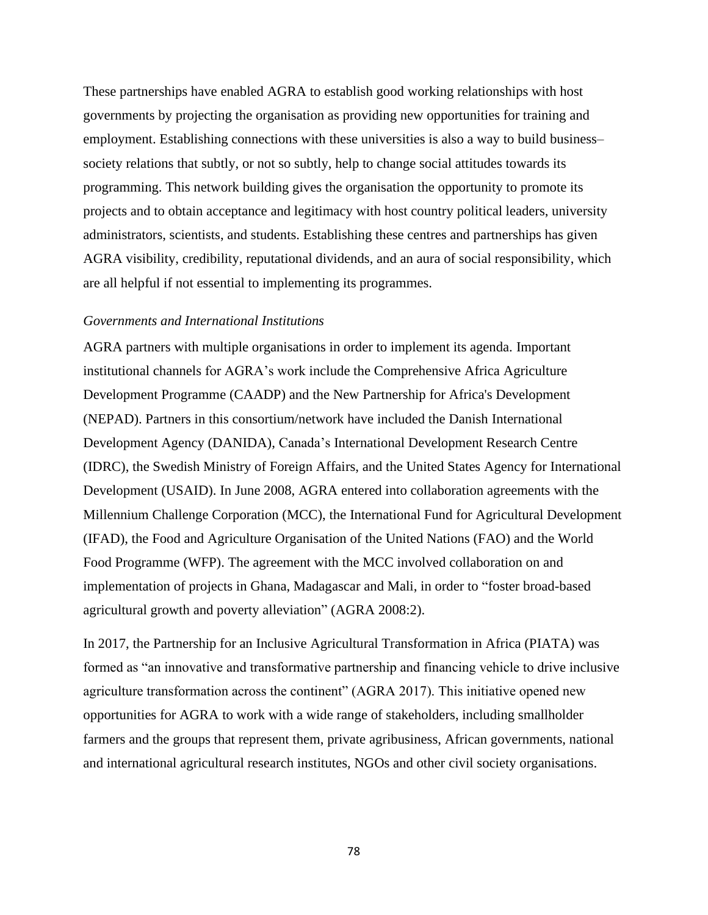These partnerships have enabled AGRA to establish good working relationships with host governments by projecting the organisation as providing new opportunities for training and employment. Establishing connections with these universities is also a way to build business– society relations that subtly, or not so subtly, help to change social attitudes towards its programming. This network building gives the organisation the opportunity to promote its projects and to obtain acceptance and legitimacy with host country political leaders, university administrators, scientists, and students. Establishing these centres and partnerships has given AGRA visibility, credibility, reputational dividends, and an aura of social responsibility, which are all helpful if not essential to implementing its programmes.

## *Governments and International Institutions*

AGRA partners with multiple organisations in order to implement its agenda. Important institutional channels for AGRA's work include the Comprehensive Africa Agriculture Development Programme (CAADP) and the New Partnership for Africa's Development (NEPAD). Partners in this consortium/network have included the Danish International Development Agency (DANIDA), Canada's International Development Research Centre (IDRC), the Swedish Ministry of Foreign Affairs, and the United States Agency for International Development (USAID). In June 2008, AGRA entered into collaboration agreements with the Millennium Challenge Corporation (MCC), the International Fund for Agricultural Development (IFAD), the Food and Agriculture Organisation of the United Nations (FAO) and the World Food Programme (WFP). The agreement with the MCC involved collaboration on and implementation of projects in Ghana, Madagascar and Mali, in order to "foster broad-based agricultural growth and poverty alleviation" (AGRA 2008:2).

In 2017, the Partnership for an Inclusive Agricultural Transformation in Africa (PIATA) was formed as "an innovative and transformative partnership and financing vehicle to drive inclusive agriculture transformation across the continent" (AGRA 2017). This initiative opened new opportunities for AGRA to work with a wide range of stakeholders, including smallholder farmers and the groups that represent them, private agribusiness, African governments, national and international agricultural research institutes, NGOs and other civil society organisations.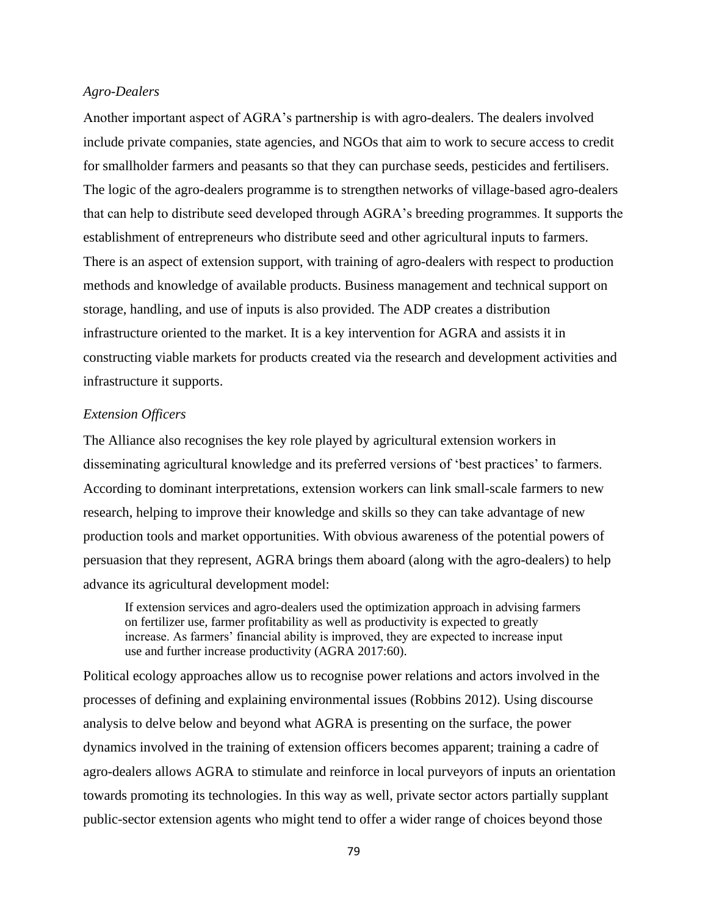#### *Agro-Dealers*

Another important aspect of AGRA's partnership is with agro-dealers. The dealers involved include private companies, state agencies, and NGOs that aim to work to secure access to credit for smallholder farmers and peasants so that they can purchase seeds, pesticides and fertilisers. The logic of the agro-dealers programme is to strengthen networks of village-based agro-dealers that can help to distribute seed developed through AGRA's breeding programmes. It supports the establishment of entrepreneurs who distribute seed and other agricultural inputs to farmers. There is an aspect of extension support, with training of agro-dealers with respect to production methods and knowledge of available products. Business management and technical support on storage, handling, and use of inputs is also provided. The ADP creates a distribution infrastructure oriented to the market. It is a key intervention for AGRA and assists it in constructing viable markets for products created via the research and development activities and infrastructure it supports.

#### *Extension Officers*

The Alliance also recognises the key role played by agricultural extension workers in disseminating agricultural knowledge and its preferred versions of 'best practices' to farmers. According to dominant interpretations, extension workers can link small-scale farmers to new research, helping to improve their knowledge and skills so they can take advantage of new production tools and market opportunities. With obvious awareness of the potential powers of persuasion that they represent, AGRA brings them aboard (along with the agro-dealers) to help advance its agricultural development model:

If extension services and agro-dealers used the optimization approach in advising farmers on fertilizer use, farmer profitability as well as productivity is expected to greatly increase. As farmers' financial ability is improved, they are expected to increase input use and further increase productivity (AGRA 2017:60).

Political ecology approaches allow us to recognise power relations and actors involved in the processes of defining and explaining environmental issues (Robbins 2012). Using discourse analysis to delve below and beyond what AGRA is presenting on the surface, the power dynamics involved in the training of extension officers becomes apparent; training a cadre of agro-dealers allows AGRA to stimulate and reinforce in local purveyors of inputs an orientation towards promoting its technologies. In this way as well, private sector actors partially supplant public-sector extension agents who might tend to offer a wider range of choices beyond those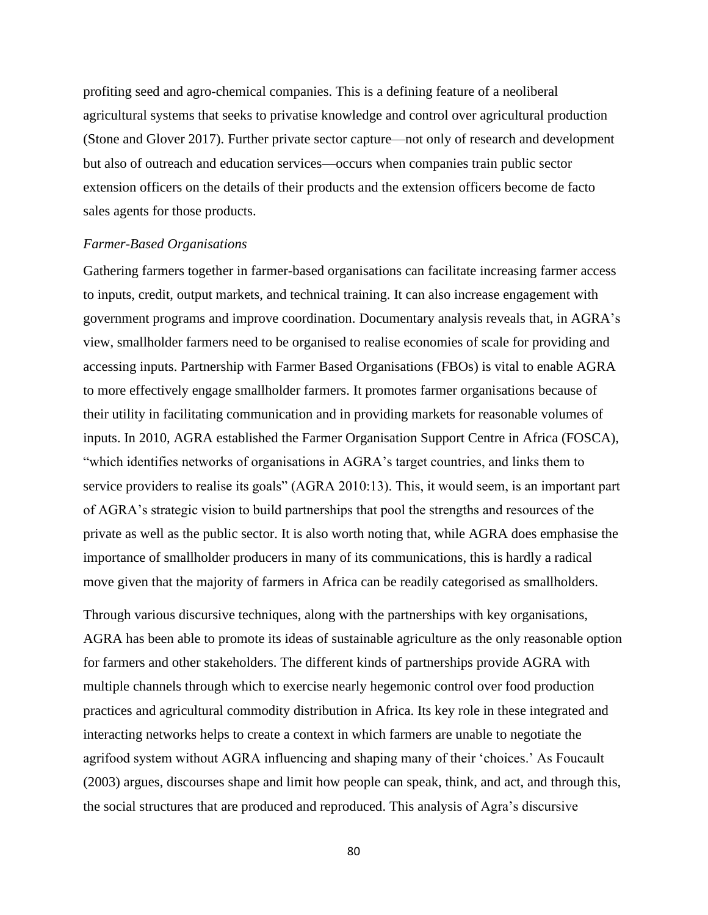profiting seed and agro-chemical companies. This is a defining feature of a neoliberal agricultural systems that seeks to privatise knowledge and control over agricultural production (Stone and Glover 2017). Further private sector capture—not only of research and development but also of outreach and education services—occurs when companies train public sector extension officers on the details of their products and the extension officers become de facto sales agents for those products.

#### *Farmer-Based Organisations*

Gathering farmers together in farmer-based organisations can facilitate increasing farmer access to inputs, credit, output markets, and technical training. It can also increase engagement with government programs and improve coordination. Documentary analysis reveals that, in AGRA's view, smallholder farmers need to be organised to realise economies of scale for providing and accessing inputs. Partnership with Farmer Based Organisations (FBOs) is vital to enable AGRA to more effectively engage smallholder farmers. It promotes farmer organisations because of their utility in facilitating communication and in providing markets for reasonable volumes of inputs. In 2010, AGRA established the Farmer Organisation Support Centre in Africa (FOSCA), "which identifies networks of organisations in AGRA's target countries, and links them to service providers to realise its goals" (AGRA 2010:13). This, it would seem, is an important part of AGRA's strategic vision to build partnerships that pool the strengths and resources of the private as well as the public sector. It is also worth noting that, while AGRA does emphasise the importance of smallholder producers in many of its communications, this is hardly a radical move given that the majority of farmers in Africa can be readily categorised as smallholders.

Through various discursive techniques, along with the partnerships with key organisations, AGRA has been able to promote its ideas of sustainable agriculture as the only reasonable option for farmers and other stakeholders. The different kinds of partnerships provide AGRA with multiple channels through which to exercise nearly hegemonic control over food production practices and agricultural commodity distribution in Africa. Its key role in these integrated and interacting networks helps to create a context in which farmers are unable to negotiate the agrifood system without AGRA influencing and shaping many of their 'choices.' As Foucault (2003) argues, discourses shape and limit how people can speak, think, and act, and through this, the social structures that are produced and reproduced. This analysis of Agra's discursive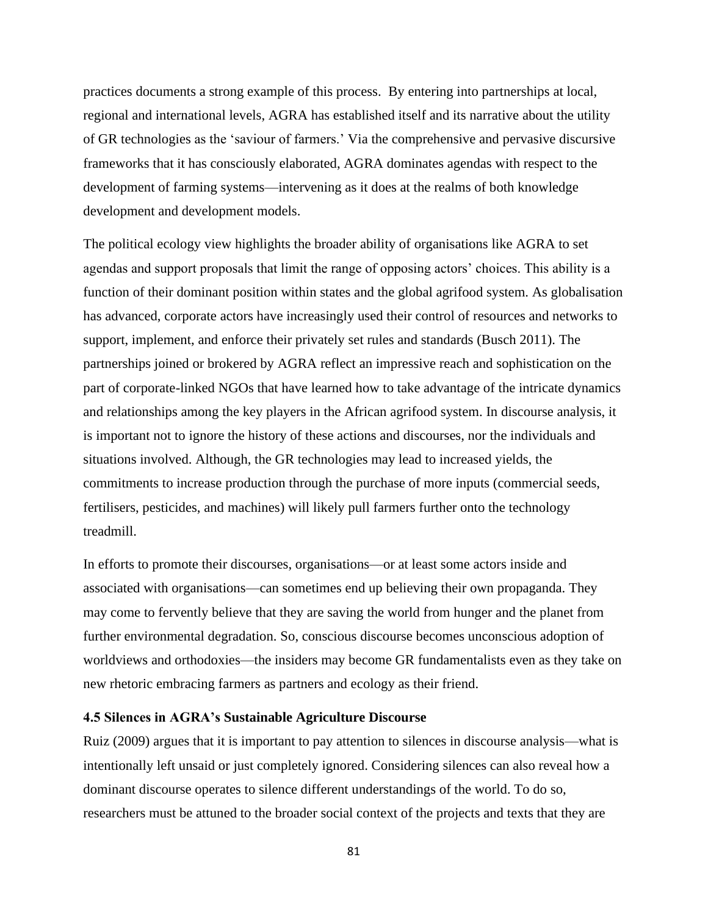practices documents a strong example of this process. By entering into partnerships at local, regional and international levels, AGRA has established itself and its narrative about the utility of GR technologies as the 'saviour of farmers.' Via the comprehensive and pervasive discursive frameworks that it has consciously elaborated, AGRA dominates agendas with respect to the development of farming systems—intervening as it does at the realms of both knowledge development and development models.

The political ecology view highlights the broader ability of organisations like AGRA to set agendas and support proposals that limit the range of opposing actors' choices. This ability is a function of their dominant position within states and the global agrifood system. As globalisation has advanced, corporate actors have increasingly used their control of resources and networks to support, implement, and enforce their privately set rules and standards (Busch 2011). The partnerships joined or brokered by AGRA reflect an impressive reach and sophistication on the part of corporate-linked NGOs that have learned how to take advantage of the intricate dynamics and relationships among the key players in the African agrifood system. In discourse analysis, it is important not to ignore the history of these actions and discourses, nor the individuals and situations involved. Although, the GR technologies may lead to increased yields, the commitments to increase production through the purchase of more inputs (commercial seeds, fertilisers, pesticides, and machines) will likely pull farmers further onto the technology treadmill.

In efforts to promote their discourses, organisations—or at least some actors inside and associated with organisations—can sometimes end up believing their own propaganda. They may come to fervently believe that they are saving the world from hunger and the planet from further environmental degradation. So, conscious discourse becomes unconscious adoption of worldviews and orthodoxies—the insiders may become GR fundamentalists even as they take on new rhetoric embracing farmers as partners and ecology as their friend.

### **4.5 Silences in AGRA's Sustainable Agriculture Discourse**

Ruiz (2009) argues that it is important to pay attention to silences in discourse analysis—what is intentionally left unsaid or just completely ignored. Considering silences can also reveal how a dominant discourse operates to silence different understandings of the world. To do so, researchers must be attuned to the broader social context of the projects and texts that they are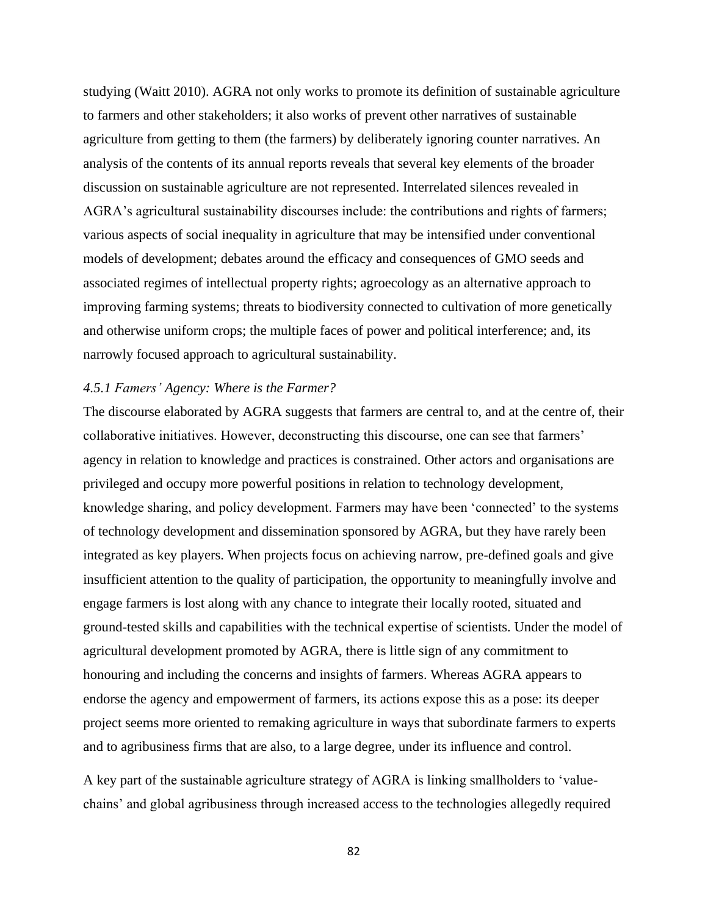studying (Waitt 2010). AGRA not only works to promote its definition of sustainable agriculture to farmers and other stakeholders; it also works of prevent other narratives of sustainable agriculture from getting to them (the farmers) by deliberately ignoring counter narratives. An analysis of the contents of its annual reports reveals that several key elements of the broader discussion on sustainable agriculture are not represented. Interrelated silences revealed in AGRA's agricultural sustainability discourses include: the contributions and rights of farmers; various aspects of social inequality in agriculture that may be intensified under conventional models of development; debates around the efficacy and consequences of GMO seeds and associated regimes of intellectual property rights; agroecology as an alternative approach to improving farming systems; threats to biodiversity connected to cultivation of more genetically and otherwise uniform crops; the multiple faces of power and political interference; and, its narrowly focused approach to agricultural sustainability.

### *4.5.1 Famers' Agency: Where is the Farmer?*

The discourse elaborated by AGRA suggests that farmers are central to, and at the centre of, their collaborative initiatives. However, deconstructing this discourse, one can see that farmers' agency in relation to knowledge and practices is constrained. Other actors and organisations are privileged and occupy more powerful positions in relation to technology development, knowledge sharing, and policy development. Farmers may have been 'connected' to the systems of technology development and dissemination sponsored by AGRA, but they have rarely been integrated as key players. When projects focus on achieving narrow, pre-defined goals and give insufficient attention to the quality of participation, the opportunity to meaningfully involve and engage farmers is lost along with any chance to integrate their locally rooted, situated and ground-tested skills and capabilities with the technical expertise of scientists. Under the model of agricultural development promoted by AGRA, there is little sign of any commitment to honouring and including the concerns and insights of farmers. Whereas AGRA appears to endorse the agency and empowerment of farmers, its actions expose this as a pose: its deeper project seems more oriented to remaking agriculture in ways that subordinate farmers to experts and to agribusiness firms that are also, to a large degree, under its influence and control.

A key part of the sustainable agriculture strategy of AGRA is linking smallholders to 'valuechains' and global agribusiness through increased access to the technologies allegedly required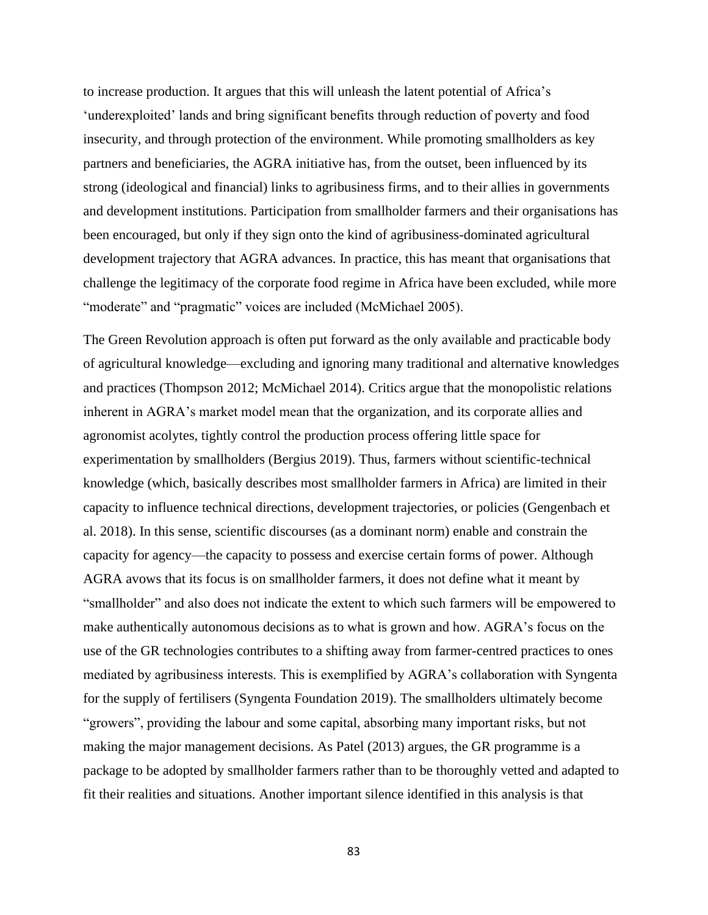to increase production. It argues that this will unleash the latent potential of Africa's 'underexploited' lands and bring significant benefits through reduction of poverty and food insecurity, and through protection of the environment. While promoting smallholders as key partners and beneficiaries, the AGRA initiative has, from the outset, been influenced by its strong (ideological and financial) links to agribusiness firms, and to their allies in governments and development institutions. Participation from smallholder farmers and their organisations has been encouraged, but only if they sign onto the kind of agribusiness-dominated agricultural development trajectory that AGRA advances. In practice, this has meant that organisations that challenge the legitimacy of the corporate food regime in Africa have been excluded, while more "moderate" and "pragmatic" voices are included (McMichael 2005).

The Green Revolution approach is often put forward as the only available and practicable body of agricultural knowledge—excluding and ignoring many traditional and alternative knowledges and practices (Thompson 2012; McMichael 2014). Critics argue that the monopolistic relations inherent in AGRA's market model mean that the organization, and its corporate allies and agronomist acolytes, tightly control the production process offering little space for experimentation by smallholders (Bergius 2019). Thus, farmers without scientific-technical knowledge (which, basically describes most smallholder farmers in Africa) are limited in their capacity to influence technical directions, development trajectories, or policies (Gengenbach et al. 2018). In this sense, scientific discourses (as a dominant norm) enable and constrain the capacity for agency—the capacity to possess and exercise certain forms of power. Although AGRA avows that its focus is on smallholder farmers, it does not define what it meant by "smallholder" and also does not indicate the extent to which such farmers will be empowered to make authentically autonomous decisions as to what is grown and how. AGRA's focus on the use of the GR technologies contributes to a shifting away from farmer-centred practices to ones mediated by agribusiness interests. This is exemplified by AGRA's collaboration with Syngenta for the supply of fertilisers (Syngenta Foundation 2019). The smallholders ultimately become "growers", providing the labour and some capital, absorbing many important risks, but not making the major management decisions. As Patel (2013) argues, the GR programme is a package to be adopted by smallholder farmers rather than to be thoroughly vetted and adapted to fit their realities and situations. Another important silence identified in this analysis is that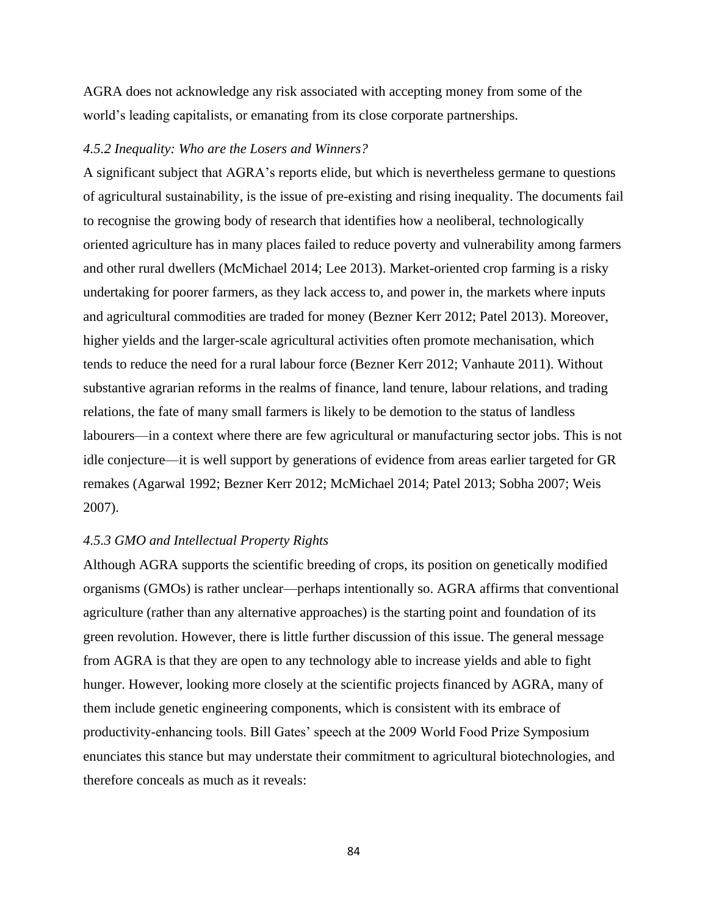AGRA does not acknowledge any risk associated with accepting money from some of the world's leading capitalists, or emanating from its close corporate partnerships.

### *4.5.2 Inequality: Who are the Losers and Winners?*

A significant subject that AGRA's reports elide, but which is nevertheless germane to questions of agricultural sustainability, is the issue of pre-existing and rising inequality. The documents fail to recognise the growing body of research that identifies how a neoliberal, technologically oriented agriculture has in many places failed to reduce poverty and vulnerability among farmers and other rural dwellers (McMichael 2014; Lee 2013). Market-oriented crop farming is a risky undertaking for poorer farmers, as they lack access to, and power in, the markets where inputs and agricultural commodities are traded for money (Bezner Kerr 2012; Patel 2013). Moreover, higher yields and the larger-scale agricultural activities often promote mechanisation, which tends to reduce the need for a rural labour force (Bezner Kerr 2012; Vanhaute 2011). Without substantive agrarian reforms in the realms of finance, land tenure, labour relations, and trading relations, the fate of many small farmers is likely to be demotion to the status of landless labourers—in a context where there are few agricultural or manufacturing sector jobs. This is not idle conjecture—it is well support by generations of evidence from areas earlier targeted for GR remakes (Agarwal 1992; Bezner Kerr 2012; McMichael 2014; Patel 2013; Sobha 2007; Weis 2007).

### *4.5.3 GMO and Intellectual Property Rights*

Although AGRA supports the scientific breeding of crops, its position on genetically modified organisms (GMOs) is rather unclear—perhaps intentionally so. AGRA affirms that conventional agriculture (rather than any alternative approaches) is the starting point and foundation of its green revolution. However, there is little further discussion of this issue. The general message from AGRA is that they are open to any technology able to increase yields and able to fight hunger. However, looking more closely at the scientific projects financed by AGRA, many of them include genetic engineering components, which is consistent with its embrace of productivity-enhancing tools. Bill Gates' speech at the 2009 World Food Prize Symposium enunciates this stance but may understate their commitment to agricultural biotechnologies, and therefore conceals as much as it reveals: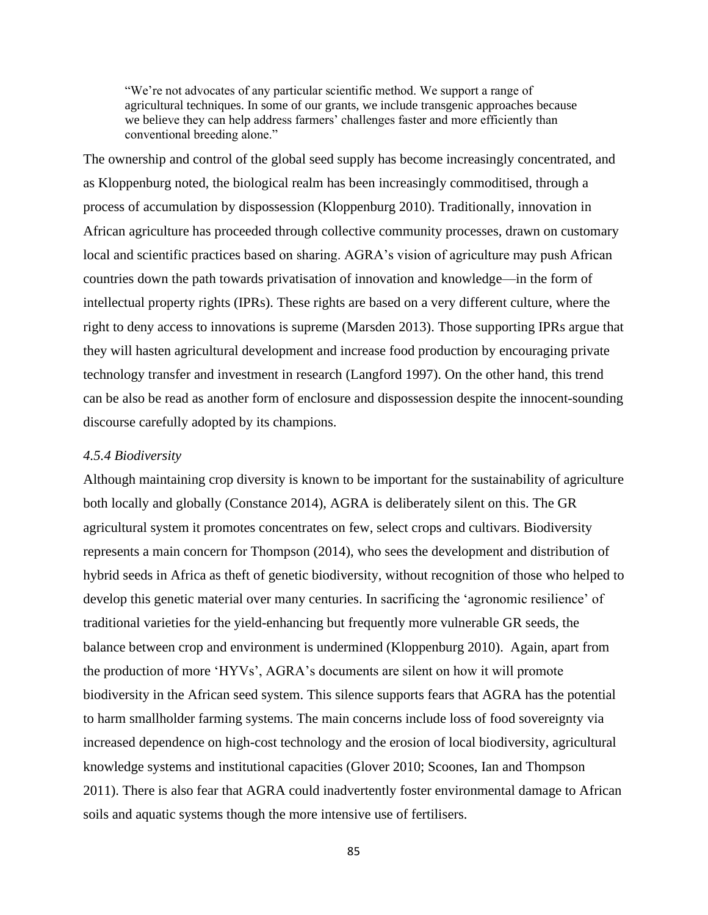"We're not advocates of any particular scientific method. We support a range of agricultural techniques. In some of our grants, we include transgenic approaches because we believe they can help address farmers' challenges faster and more efficiently than conventional breeding alone."

The ownership and control of the global seed supply has become increasingly concentrated, and as Kloppenburg noted, the biological realm has been increasingly commoditised, through a process of accumulation by dispossession (Kloppenburg 2010). Traditionally, innovation in African agriculture has proceeded through collective community processes, drawn on customary local and scientific practices based on sharing. AGRA's vision of agriculture may push African countries down the path towards privatisation of innovation and knowledge—in the form of intellectual property rights (IPRs). These rights are based on a very different culture, where the right to deny access to innovations is supreme (Marsden 2013). Those supporting IPRs argue that they will hasten agricultural development and increase food production by encouraging private technology transfer and investment in research (Langford 1997). On the other hand, this trend can be also be read as another form of enclosure and dispossession despite the innocent-sounding discourse carefully adopted by its champions.

### *4.5.4 Biodiversity*

Although maintaining crop diversity is known to be important for the sustainability of agriculture both locally and globally (Constance 2014), AGRA is deliberately silent on this. The GR agricultural system it promotes concentrates on few, select crops and cultivars. Biodiversity represents a main concern for Thompson (2014), who sees the development and distribution of hybrid seeds in Africa as theft of genetic biodiversity, without recognition of those who helped to develop this genetic material over many centuries. In sacrificing the 'agronomic resilience' of traditional varieties for the yield-enhancing but frequently more vulnerable GR seeds, the balance between crop and environment is undermined (Kloppenburg 2010). Again, apart from the production of more 'HYVs', AGRA's documents are silent on how it will promote biodiversity in the African seed system. This silence supports fears that AGRA has the potential to harm smallholder farming systems. The main concerns include loss of food sovereignty via increased dependence on high-cost technology and the erosion of local biodiversity, agricultural knowledge systems and institutional capacities (Glover 2010; Scoones, Ian and Thompson 2011). There is also fear that AGRA could inadvertently foster environmental damage to African soils and aquatic systems though the more intensive use of fertilisers.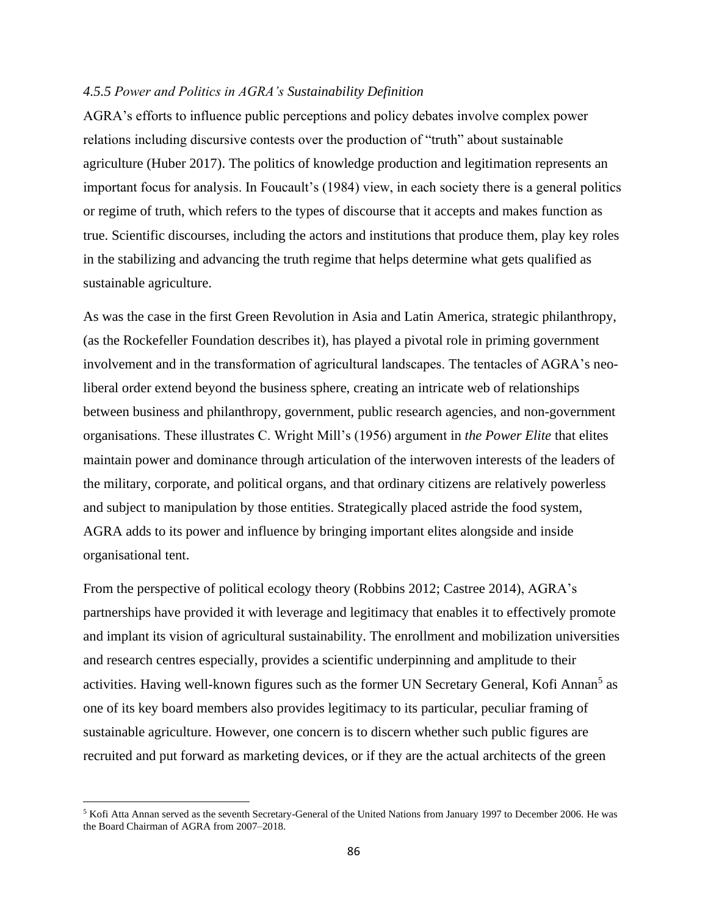#### *4.5.5 Power and Politics in AGRA's Sustainability Definition*

AGRA's efforts to influence public perceptions and policy debates involve complex power relations including discursive contests over the production of "truth" about sustainable agriculture (Huber 2017). The politics of knowledge production and legitimation represents an important focus for analysis. In Foucault's (1984) view, in each society there is a general politics or regime of truth, which refers to the types of discourse that it accepts and makes function as true. Scientific discourses, including the actors and institutions that produce them, play key roles in the stabilizing and advancing the truth regime that helps determine what gets qualified as sustainable agriculture.

As was the case in the first Green Revolution in Asia and Latin America, strategic philanthropy, (as the Rockefeller Foundation describes it), has played a pivotal role in priming government involvement and in the transformation of agricultural landscapes. The tentacles of AGRA's neoliberal order extend beyond the business sphere, creating an intricate web of relationships between business and philanthropy, government, public research agencies, and non-government organisations. These illustrates C. Wright Mill's (1956) argument in *the Power Elite* that elites maintain power and dominance through articulation of the interwoven interests of the leaders of the military, corporate, and political organs, and that ordinary citizens are relatively powerless and subject to manipulation by those entities. Strategically placed astride the food system, AGRA adds to its power and influence by bringing important elites alongside and inside organisational tent.

From the perspective of political ecology theory (Robbins 2012; Castree 2014), AGRA's partnerships have provided it with leverage and legitimacy that enables it to effectively promote and implant its vision of agricultural sustainability. The enrollment and mobilization universities and research centres especially, provides a scientific underpinning and amplitude to their activities. Having well-known figures such as the former UN Secretary General, Kofi Annan<sup>5</sup> as one of its key board members also provides legitimacy to its particular, peculiar framing of sustainable agriculture. However, one concern is to discern whether such public figures are recruited and put forward as marketing devices, or if they are the actual architects of the green

<sup>5</sup> Kofi Atta Annan served as the seventh Secretary-General of the United Nations from January 1997 to December 2006. He was the Board Chairman of AGRA from 2007–2018.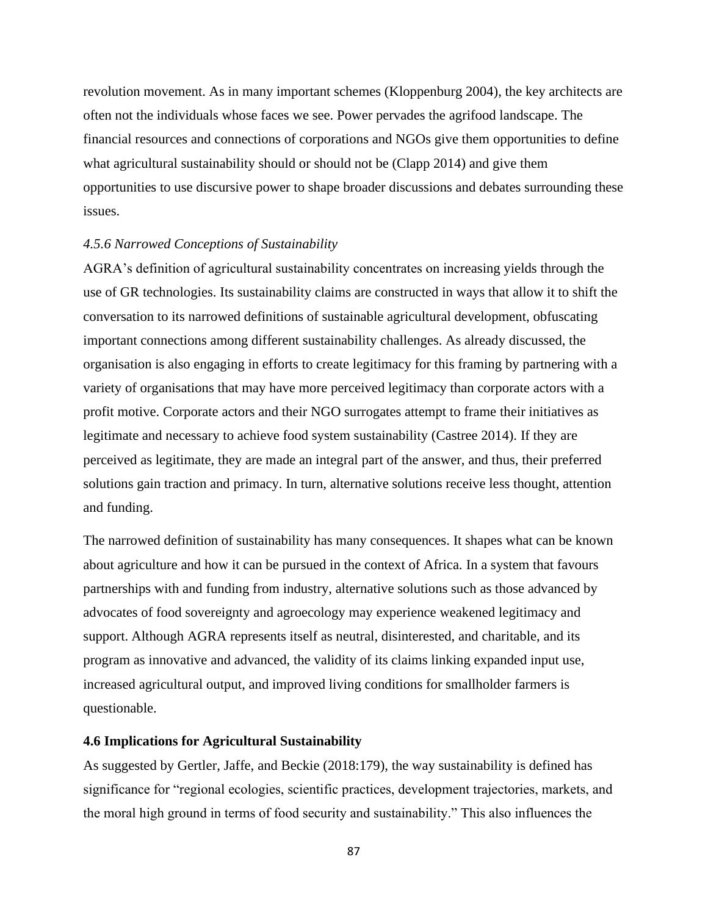revolution movement. As in many important schemes (Kloppenburg 2004), the key architects are often not the individuals whose faces we see. Power pervades the agrifood landscape. The financial resources and connections of corporations and NGOs give them opportunities to define what agricultural sustainability should or should not be (Clapp 2014) and give them opportunities to use discursive power to shape broader discussions and debates surrounding these issues.

#### *4.5.6 Narrowed Conceptions of Sustainability*

AGRA's definition of agricultural sustainability concentrates on increasing yields through the use of GR technologies. Its sustainability claims are constructed in ways that allow it to shift the conversation to its narrowed definitions of sustainable agricultural development, obfuscating important connections among different sustainability challenges. As already discussed, the organisation is also engaging in efforts to create legitimacy for this framing by partnering with a variety of organisations that may have more perceived legitimacy than corporate actors with a profit motive. Corporate actors and their NGO surrogates attempt to frame their initiatives as legitimate and necessary to achieve food system sustainability (Castree 2014). If they are perceived as legitimate, they are made an integral part of the answer, and thus, their preferred solutions gain traction and primacy. In turn, alternative solutions receive less thought, attention and funding.

The narrowed definition of sustainability has many consequences. It shapes what can be known about agriculture and how it can be pursued in the context of Africa. In a system that favours partnerships with and funding from industry, alternative solutions such as those advanced by advocates of food sovereignty and agroecology may experience weakened legitimacy and support. Although AGRA represents itself as neutral, disinterested, and charitable, and its program as innovative and advanced, the validity of its claims linking expanded input use, increased agricultural output, and improved living conditions for smallholder farmers is questionable.

#### **4.6 Implications for Agricultural Sustainability**

As suggested by Gertler, Jaffe, and Beckie (2018:179), the way sustainability is defined has significance for "regional ecologies, scientific practices, development trajectories, markets, and the moral high ground in terms of food security and sustainability." This also influences the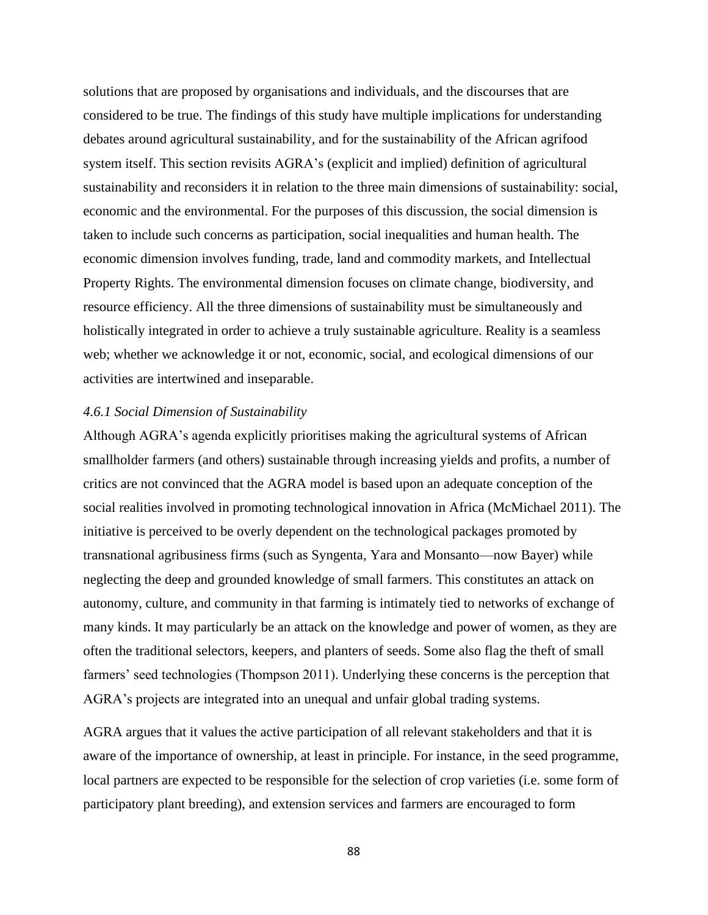solutions that are proposed by organisations and individuals, and the discourses that are considered to be true. The findings of this study have multiple implications for understanding debates around agricultural sustainability, and for the sustainability of the African agrifood system itself. This section revisits AGRA's (explicit and implied) definition of agricultural sustainability and reconsiders it in relation to the three main dimensions of sustainability: social, economic and the environmental. For the purposes of this discussion, the social dimension is taken to include such concerns as participation, social inequalities and human health. The economic dimension involves funding, trade, land and commodity markets, and Intellectual Property Rights. The environmental dimension focuses on climate change, biodiversity, and resource efficiency. All the three dimensions of sustainability must be simultaneously and holistically integrated in order to achieve a truly sustainable agriculture. Reality is a seamless web; whether we acknowledge it or not, economic, social, and ecological dimensions of our activities are intertwined and inseparable.

#### *4.6.1 Social Dimension of Sustainability*

Although AGRA's agenda explicitly prioritises making the agricultural systems of African smallholder farmers (and others) sustainable through increasing yields and profits, a number of critics are not convinced that the AGRA model is based upon an adequate conception of the social realities involved in promoting technological innovation in Africa (McMichael 2011). The initiative is perceived to be overly dependent on the technological packages promoted by transnational agribusiness firms (such as Syngenta, Yara and Monsanto—now Bayer) while neglecting the deep and grounded knowledge of small farmers. This constitutes an attack on autonomy, culture, and community in that farming is intimately tied to networks of exchange of many kinds. It may particularly be an attack on the knowledge and power of women, as they are often the traditional selectors, keepers, and planters of seeds. Some also flag the theft of small farmers' seed technologies (Thompson 2011). Underlying these concerns is the perception that AGRA's projects are integrated into an unequal and unfair global trading systems.

AGRA argues that it values the active participation of all relevant stakeholders and that it is aware of the importance of ownership, at least in principle. For instance, in the seed programme, local partners are expected to be responsible for the selection of crop varieties (i.e. some form of participatory plant breeding), and extension services and farmers are encouraged to form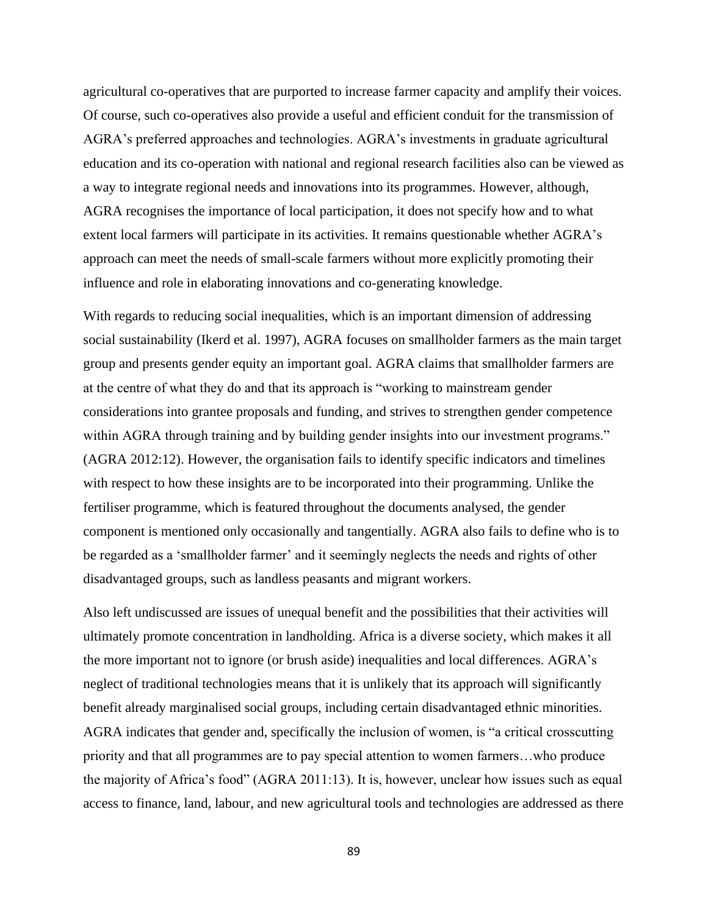agricultural co-operatives that are purported to increase farmer capacity and amplify their voices. Of course, such co-operatives also provide a useful and efficient conduit for the transmission of AGRA's preferred approaches and technologies. AGRA's investments in graduate agricultural education and its co-operation with national and regional research facilities also can be viewed as a way to integrate regional needs and innovations into its programmes. However, although, AGRA recognises the importance of local participation, it does not specify how and to what extent local farmers will participate in its activities. It remains questionable whether AGRA's approach can meet the needs of small-scale farmers without more explicitly promoting their influence and role in elaborating innovations and co-generating knowledge.

With regards to reducing social inequalities, which is an important dimension of addressing social sustainability (Ikerd et al. 1997), AGRA focuses on smallholder farmers as the main target group and presents gender equity an important goal. AGRA claims that smallholder farmers are at the centre of what they do and that its approach is "working to mainstream gender considerations into grantee proposals and funding, and strives to strengthen gender competence within AGRA through training and by building gender insights into our investment programs." (AGRA 2012:12). However, the organisation fails to identify specific indicators and timelines with respect to how these insights are to be incorporated into their programming. Unlike the fertiliser programme, which is featured throughout the documents analysed, the gender component is mentioned only occasionally and tangentially. AGRA also fails to define who is to be regarded as a 'smallholder farmer' and it seemingly neglects the needs and rights of other disadvantaged groups, such as landless peasants and migrant workers.

Also left undiscussed are issues of unequal benefit and the possibilities that their activities will ultimately promote concentration in landholding. Africa is a diverse society, which makes it all the more important not to ignore (or brush aside) inequalities and local differences. AGRA's neglect of traditional technologies means that it is unlikely that its approach will significantly benefit already marginalised social groups, including certain disadvantaged ethnic minorities. AGRA indicates that gender and, specifically the inclusion of women, is "a critical crosscutting priority and that all programmes are to pay special attention to women farmers…who produce the majority of Africa's food" (AGRA 2011:13). It is, however, unclear how issues such as equal access to finance, land, labour, and new agricultural tools and technologies are addressed as there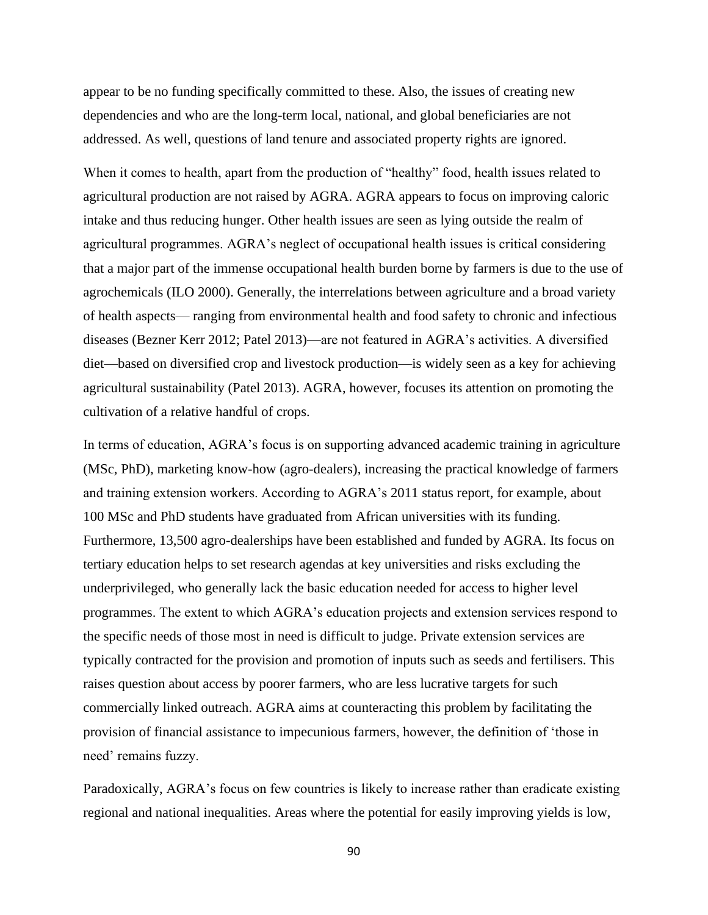appear to be no funding specifically committed to these. Also, the issues of creating new dependencies and who are the long-term local, national, and global beneficiaries are not addressed. As well, questions of land tenure and associated property rights are ignored.

When it comes to health, apart from the production of "healthy" food, health issues related to agricultural production are not raised by AGRA. AGRA appears to focus on improving caloric intake and thus reducing hunger. Other health issues are seen as lying outside the realm of agricultural programmes. AGRA's neglect of occupational health issues is critical considering that a major part of the immense occupational health burden borne by farmers is due to the use of agrochemicals (ILO 2000). Generally, the interrelations between agriculture and a broad variety of health aspects— ranging from environmental health and food safety to chronic and infectious diseases (Bezner Kerr 2012; Patel 2013)—are not featured in AGRA's activities. A diversified diet—based on diversified crop and livestock production—is widely seen as a key for achieving agricultural sustainability (Patel 2013). AGRA, however, focuses its attention on promoting the cultivation of a relative handful of crops.

In terms of education, AGRA's focus is on supporting advanced academic training in agriculture (MSc, PhD), marketing know-how (agro-dealers), increasing the practical knowledge of farmers and training extension workers. According to AGRA's 2011 status report, for example, about 100 MSc and PhD students have graduated from African universities with its funding. Furthermore, 13,500 agro-dealerships have been established and funded by AGRA. Its focus on tertiary education helps to set research agendas at key universities and risks excluding the underprivileged, who generally lack the basic education needed for access to higher level programmes. The extent to which AGRA's education projects and extension services respond to the specific needs of those most in need is difficult to judge. Private extension services are typically contracted for the provision and promotion of inputs such as seeds and fertilisers. This raises question about access by poorer farmers, who are less lucrative targets for such commercially linked outreach. AGRA aims at counteracting this problem by facilitating the provision of financial assistance to impecunious farmers, however, the definition of 'those in need' remains fuzzy.

Paradoxically, AGRA's focus on few countries is likely to increase rather than eradicate existing regional and national inequalities. Areas where the potential for easily improving yields is low,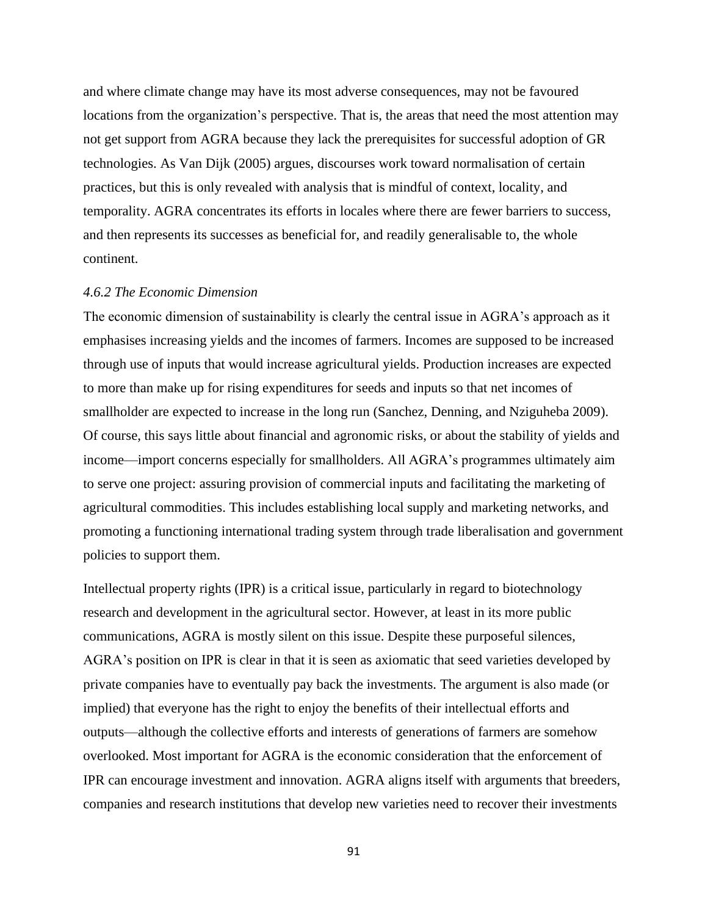and where climate change may have its most adverse consequences, may not be favoured locations from the organization's perspective. That is, the areas that need the most attention may not get support from AGRA because they lack the prerequisites for successful adoption of GR technologies. As Van Dijk (2005) argues, discourses work toward normalisation of certain practices, but this is only revealed with analysis that is mindful of context, locality, and temporality. AGRA concentrates its efforts in locales where there are fewer barriers to success, and then represents its successes as beneficial for, and readily generalisable to, the whole continent.

### *4.6.2 The Economic Dimension*

The economic dimension of sustainability is clearly the central issue in AGRA's approach as it emphasises increasing yields and the incomes of farmers. Incomes are supposed to be increased through use of inputs that would increase agricultural yields. Production increases are expected to more than make up for rising expenditures for seeds and inputs so that net incomes of smallholder are expected to increase in the long run (Sanchez, Denning, and Nziguheba 2009). Of course, this says little about financial and agronomic risks, or about the stability of yields and income—import concerns especially for smallholders. All AGRA's programmes ultimately aim to serve one project: assuring provision of commercial inputs and facilitating the marketing of agricultural commodities. This includes establishing local supply and marketing networks, and promoting a functioning international trading system through trade liberalisation and government policies to support them.

Intellectual property rights (IPR) is a critical issue, particularly in regard to biotechnology research and development in the agricultural sector. However, at least in its more public communications, AGRA is mostly silent on this issue. Despite these purposeful silences, AGRA's position on IPR is clear in that it is seen as axiomatic that seed varieties developed by private companies have to eventually pay back the investments. The argument is also made (or implied) that everyone has the right to enjoy the benefits of their intellectual efforts and outputs—although the collective efforts and interests of generations of farmers are somehow overlooked. Most important for AGRA is the economic consideration that the enforcement of IPR can encourage investment and innovation. AGRA aligns itself with arguments that breeders, companies and research institutions that develop new varieties need to recover their investments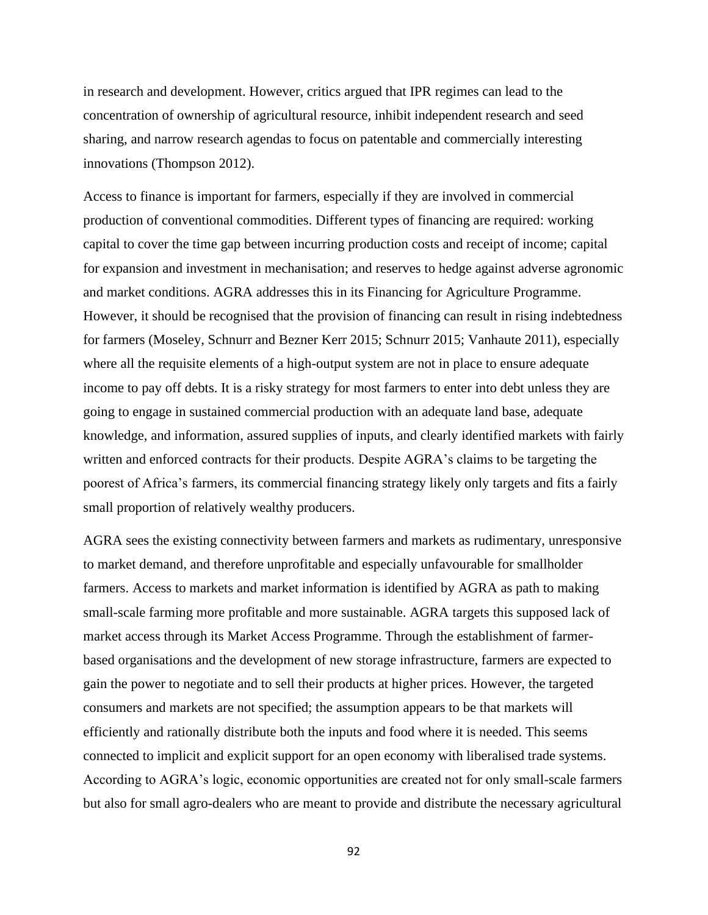in research and development. However, critics argued that IPR regimes can lead to the concentration of ownership of agricultural resource, inhibit independent research and seed sharing, and narrow research agendas to focus on patentable and commercially interesting innovations (Thompson 2012).

Access to finance is important for farmers, especially if they are involved in commercial production of conventional commodities. Different types of financing are required: working capital to cover the time gap between incurring production costs and receipt of income; capital for expansion and investment in mechanisation; and reserves to hedge against adverse agronomic and market conditions. AGRA addresses this in its Financing for Agriculture Programme. However, it should be recognised that the provision of financing can result in rising indebtedness for farmers (Moseley, Schnurr and Bezner Kerr 2015; Schnurr 2015; Vanhaute 2011), especially where all the requisite elements of a high-output system are not in place to ensure adequate income to pay off debts. It is a risky strategy for most farmers to enter into debt unless they are going to engage in sustained commercial production with an adequate land base, adequate knowledge, and information, assured supplies of inputs, and clearly identified markets with fairly written and enforced contracts for their products. Despite AGRA's claims to be targeting the poorest of Africa's farmers, its commercial financing strategy likely only targets and fits a fairly small proportion of relatively wealthy producers.

AGRA sees the existing connectivity between farmers and markets as rudimentary, unresponsive to market demand, and therefore unprofitable and especially unfavourable for smallholder farmers. Access to markets and market information is identified by AGRA as path to making small-scale farming more profitable and more sustainable. AGRA targets this supposed lack of market access through its Market Access Programme. Through the establishment of farmerbased organisations and the development of new storage infrastructure, farmers are expected to gain the power to negotiate and to sell their products at higher prices. However, the targeted consumers and markets are not specified; the assumption appears to be that markets will efficiently and rationally distribute both the inputs and food where it is needed. This seems connected to implicit and explicit support for an open economy with liberalised trade systems. According to AGRA's logic, economic opportunities are created not for only small-scale farmers but also for small agro-dealers who are meant to provide and distribute the necessary agricultural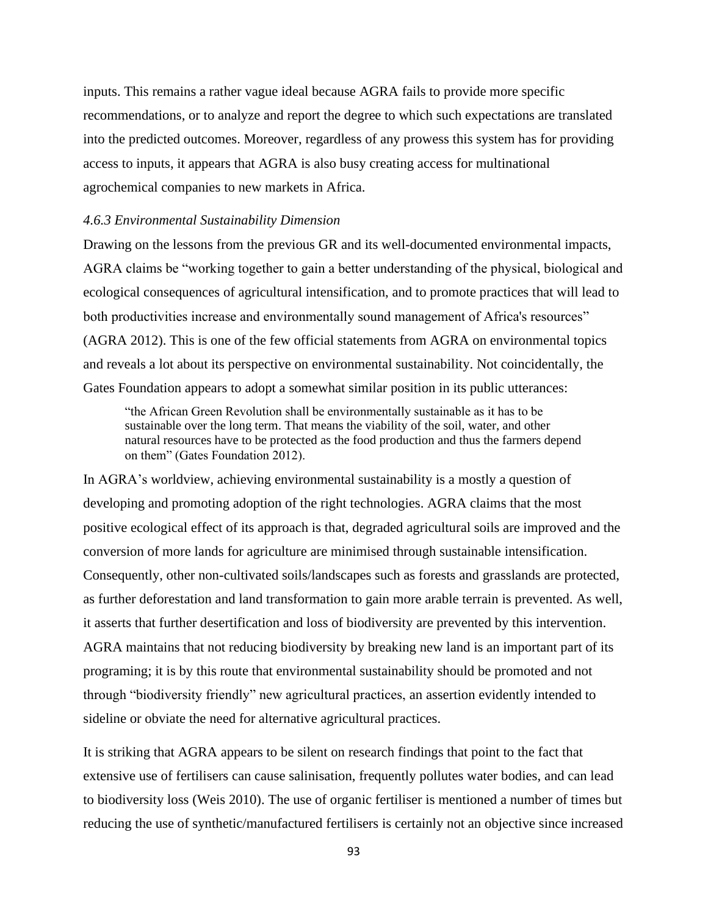inputs. This remains a rather vague ideal because AGRA fails to provide more specific recommendations, or to analyze and report the degree to which such expectations are translated into the predicted outcomes. Moreover, regardless of any prowess this system has for providing access to inputs, it appears that AGRA is also busy creating access for multinational agrochemical companies to new markets in Africa.

### *4.6.3 Environmental Sustainability Dimension*

Drawing on the lessons from the previous GR and its well-documented environmental impacts, AGRA claims be "working together to gain a better understanding of the physical, biological and ecological consequences of agricultural intensification, and to promote practices that will lead to both productivities increase and environmentally sound management of Africa's resources" (AGRA 2012). This is one of the few official statements from AGRA on environmental topics and reveals a lot about its perspective on environmental sustainability. Not coincidentally, the Gates Foundation appears to adopt a somewhat similar position in its public utterances:

"the African Green Revolution shall be environmentally sustainable as it has to be sustainable over the long term. That means the viability of the soil, water, and other natural resources have to be protected as the food production and thus the farmers depend on them" (Gates Foundation 2012).

In AGRA's worldview, achieving environmental sustainability is a mostly a question of developing and promoting adoption of the right technologies. AGRA claims that the most positive ecological effect of its approach is that, degraded agricultural soils are improved and the conversion of more lands for agriculture are minimised through sustainable intensification. Consequently, other non-cultivated soils/landscapes such as forests and grasslands are protected, as further deforestation and land transformation to gain more arable terrain is prevented. As well, it asserts that further desertification and loss of biodiversity are prevented by this intervention. AGRA maintains that not reducing biodiversity by breaking new land is an important part of its programing; it is by this route that environmental sustainability should be promoted and not through "biodiversity friendly" new agricultural practices, an assertion evidently intended to sideline or obviate the need for alternative agricultural practices.

It is striking that AGRA appears to be silent on research findings that point to the fact that extensive use of fertilisers can cause salinisation, frequently pollutes water bodies, and can lead to biodiversity loss (Weis 2010). The use of organic fertiliser is mentioned a number of times but reducing the use of synthetic/manufactured fertilisers is certainly not an objective since increased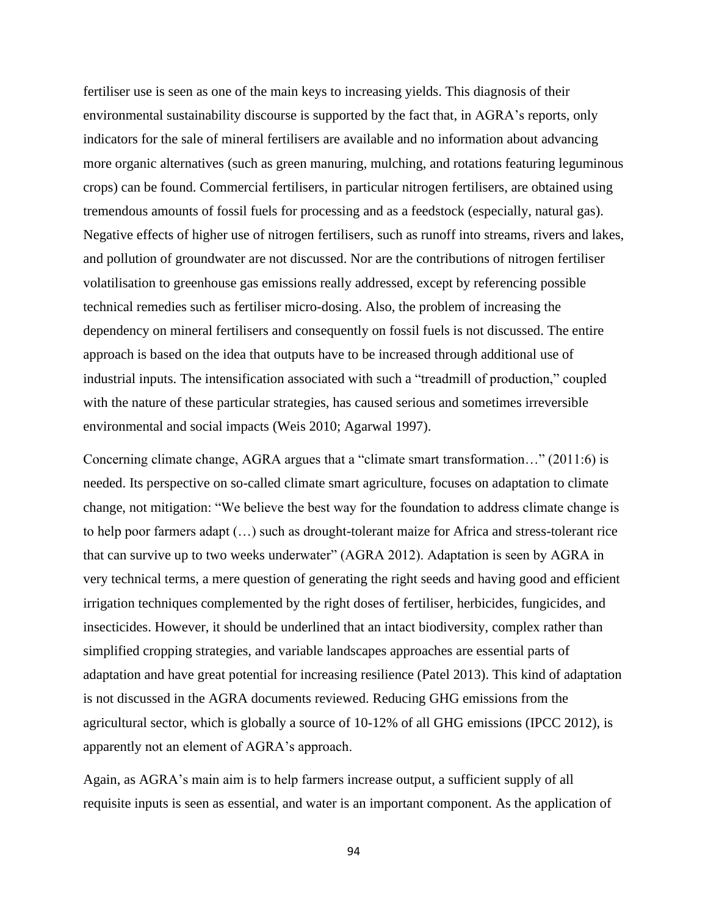fertiliser use is seen as one of the main keys to increasing yields. This diagnosis of their environmental sustainability discourse is supported by the fact that, in AGRA's reports, only indicators for the sale of mineral fertilisers are available and no information about advancing more organic alternatives (such as green manuring, mulching, and rotations featuring leguminous crops) can be found. Commercial fertilisers, in particular nitrogen fertilisers, are obtained using tremendous amounts of fossil fuels for processing and as a feedstock (especially, natural gas). Negative effects of higher use of nitrogen fertilisers, such as runoff into streams, rivers and lakes, and pollution of groundwater are not discussed. Nor are the contributions of nitrogen fertiliser volatilisation to greenhouse gas emissions really addressed, except by referencing possible technical remedies such as fertiliser micro-dosing. Also, the problem of increasing the dependency on mineral fertilisers and consequently on fossil fuels is not discussed. The entire approach is based on the idea that outputs have to be increased through additional use of industrial inputs. The intensification associated with such a "treadmill of production," coupled with the nature of these particular strategies, has caused serious and sometimes irreversible environmental and social impacts (Weis 2010; Agarwal 1997).

Concerning climate change, AGRA argues that a "climate smart transformation…" (2011:6) is needed. Its perspective on so-called climate smart agriculture, focuses on adaptation to climate change, not mitigation: "We believe the best way for the foundation to address climate change is to help poor farmers adapt (…) such as drought-tolerant maize for Africa and stress-tolerant rice that can survive up to two weeks underwater" (AGRA 2012). Adaptation is seen by AGRA in very technical terms, a mere question of generating the right seeds and having good and efficient irrigation techniques complemented by the right doses of fertiliser, herbicides, fungicides, and insecticides. However, it should be underlined that an intact biodiversity, complex rather than simplified cropping strategies, and variable landscapes approaches are essential parts of adaptation and have great potential for increasing resilience (Patel 2013). This kind of adaptation is not discussed in the AGRA documents reviewed. Reducing GHG emissions from the agricultural sector, which is globally a source of 10-12% of all GHG emissions (IPCC 2012), is apparently not an element of AGRA's approach.

Again, as AGRA's main aim is to help farmers increase output, a sufficient supply of all requisite inputs is seen as essential, and water is an important component. As the application of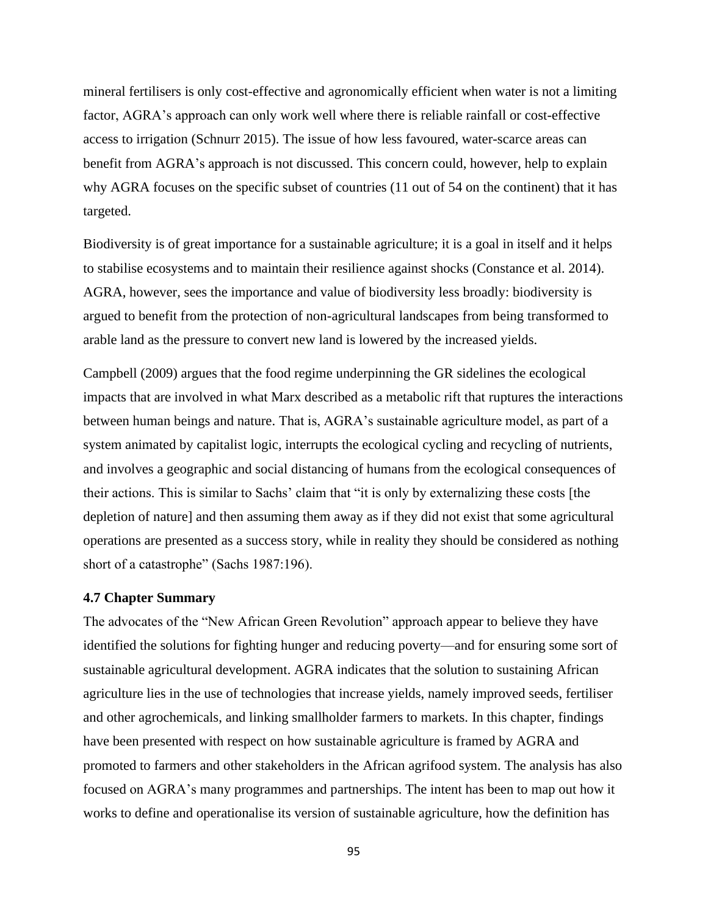mineral fertilisers is only cost-effective and agronomically efficient when water is not a limiting factor, AGRA's approach can only work well where there is reliable rainfall or cost-effective access to irrigation (Schnurr 2015). The issue of how less favoured, water-scarce areas can benefit from AGRA's approach is not discussed. This concern could, however, help to explain why AGRA focuses on the specific subset of countries (11 out of 54 on the continent) that it has targeted.

Biodiversity is of great importance for a sustainable agriculture; it is a goal in itself and it helps to stabilise ecosystems and to maintain their resilience against shocks (Constance et al. 2014). AGRA, however, sees the importance and value of biodiversity less broadly: biodiversity is argued to benefit from the protection of non-agricultural landscapes from being transformed to arable land as the pressure to convert new land is lowered by the increased yields.

Campbell (2009) argues that the food regime underpinning the GR sidelines the ecological impacts that are involved in what Marx described as a metabolic rift that ruptures the interactions between human beings and nature. That is, AGRA's sustainable agriculture model, as part of a system animated by capitalist logic, interrupts the ecological cycling and recycling of nutrients, and involves a geographic and social distancing of humans from the ecological consequences of their actions. This is similar to Sachs' claim that "it is only by externalizing these costs [the depletion of nature] and then assuming them away as if they did not exist that some agricultural operations are presented as a success story, while in reality they should be considered as nothing short of a catastrophe" (Sachs 1987:196).

#### **4.7 Chapter Summary**

The advocates of the "New African Green Revolution" approach appear to believe they have identified the solutions for fighting hunger and reducing poverty—and for ensuring some sort of sustainable agricultural development. AGRA indicates that the solution to sustaining African agriculture lies in the use of technologies that increase yields, namely improved seeds, fertiliser and other agrochemicals, and linking smallholder farmers to markets. In this chapter, findings have been presented with respect on how sustainable agriculture is framed by AGRA and promoted to farmers and other stakeholders in the African agrifood system. The analysis has also focused on AGRA's many programmes and partnerships. The intent has been to map out how it works to define and operationalise its version of sustainable agriculture, how the definition has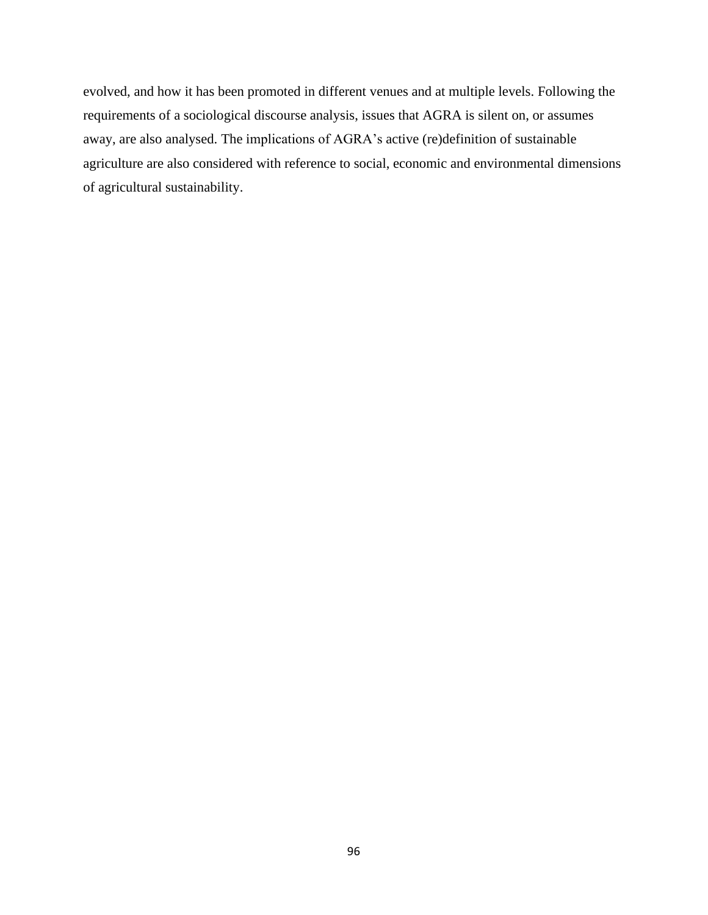evolved, and how it has been promoted in different venues and at multiple levels. Following the requirements of a sociological discourse analysis, issues that AGRA is silent on, or assumes away, are also analysed. The implications of AGRA's active (re)definition of sustainable agriculture are also considered with reference to social, economic and environmental dimensions of agricultural sustainability.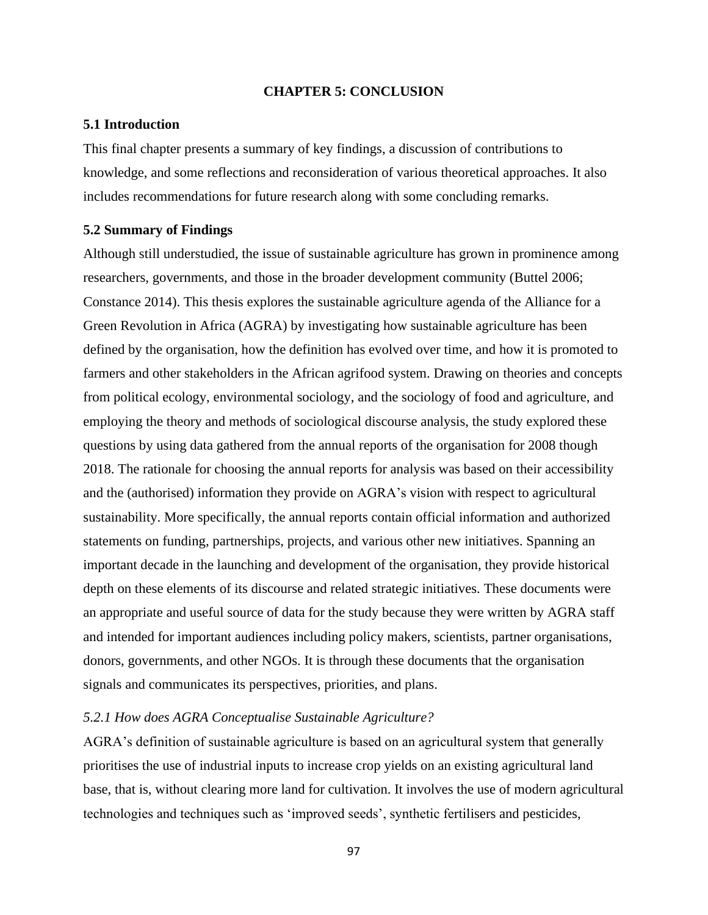### **CHAPTER 5: CONCLUSION**

### **5.1 Introduction**

This final chapter presents a summary of key findings, a discussion of contributions to knowledge, and some reflections and reconsideration of various theoretical approaches. It also includes recommendations for future research along with some concluding remarks.

### **5.2 Summary of Findings**

Although still understudied, the issue of sustainable agriculture has grown in prominence among researchers, governments, and those in the broader development community (Buttel 2006; Constance 2014). This thesis explores the sustainable agriculture agenda of the Alliance for a Green Revolution in Africa (AGRA) by investigating how sustainable agriculture has been defined by the organisation, how the definition has evolved over time, and how it is promoted to farmers and other stakeholders in the African agrifood system. Drawing on theories and concepts from political ecology, environmental sociology, and the sociology of food and agriculture, and employing the theory and methods of sociological discourse analysis, the study explored these questions by using data gathered from the annual reports of the organisation for 2008 though 2018. The rationale for choosing the annual reports for analysis was based on their accessibility and the (authorised) information they provide on AGRA's vision with respect to agricultural sustainability. More specifically, the annual reports contain official information and authorized statements on funding, partnerships, projects, and various other new initiatives. Spanning an important decade in the launching and development of the organisation, they provide historical depth on these elements of its discourse and related strategic initiatives. These documents were an appropriate and useful source of data for the study because they were written by AGRA staff and intended for important audiences including policy makers, scientists, partner organisations, donors, governments, and other NGOs. It is through these documents that the organisation signals and communicates its perspectives, priorities, and plans.

## *5.2.1 How does AGRA Conceptualise Sustainable Agriculture?*

AGRA's definition of sustainable agriculture is based on an agricultural system that generally prioritises the use of industrial inputs to increase crop yields on an existing agricultural land base, that is, without clearing more land for cultivation. It involves the use of modern agricultural technologies and techniques such as 'improved seeds', synthetic fertilisers and pesticides,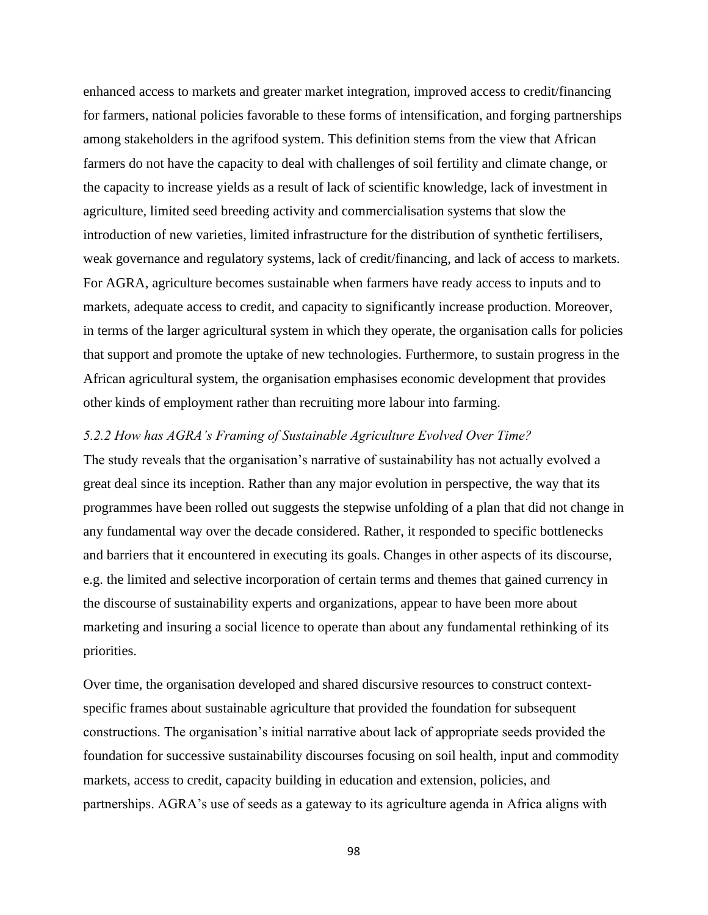enhanced access to markets and greater market integration, improved access to credit/financing for farmers, national policies favorable to these forms of intensification, and forging partnerships among stakeholders in the agrifood system. This definition stems from the view that African farmers do not have the capacity to deal with challenges of soil fertility and climate change, or the capacity to increase yields as a result of lack of scientific knowledge, lack of investment in agriculture, limited seed breeding activity and commercialisation systems that slow the introduction of new varieties, limited infrastructure for the distribution of synthetic fertilisers, weak governance and regulatory systems, lack of credit/financing, and lack of access to markets. For AGRA, agriculture becomes sustainable when farmers have ready access to inputs and to markets, adequate access to credit, and capacity to significantly increase production. Moreover, in terms of the larger agricultural system in which they operate, the organisation calls for policies that support and promote the uptake of new technologies. Furthermore, to sustain progress in the African agricultural system, the organisation emphasises economic development that provides other kinds of employment rather than recruiting more labour into farming.

#### *5.2.2 How has AGRA's Framing of Sustainable Agriculture Evolved Over Time?*

The study reveals that the organisation's narrative of sustainability has not actually evolved a great deal since its inception. Rather than any major evolution in perspective, the way that its programmes have been rolled out suggests the stepwise unfolding of a plan that did not change in any fundamental way over the decade considered. Rather, it responded to specific bottlenecks and barriers that it encountered in executing its goals. Changes in other aspects of its discourse, e.g. the limited and selective incorporation of certain terms and themes that gained currency in the discourse of sustainability experts and organizations, appear to have been more about marketing and insuring a social licence to operate than about any fundamental rethinking of its priorities.

Over time, the organisation developed and shared discursive resources to construct contextspecific frames about sustainable agriculture that provided the foundation for subsequent constructions. The organisation's initial narrative about lack of appropriate seeds provided the foundation for successive sustainability discourses focusing on soil health, input and commodity markets, access to credit, capacity building in education and extension, policies, and partnerships. AGRA's use of seeds as a gateway to its agriculture agenda in Africa aligns with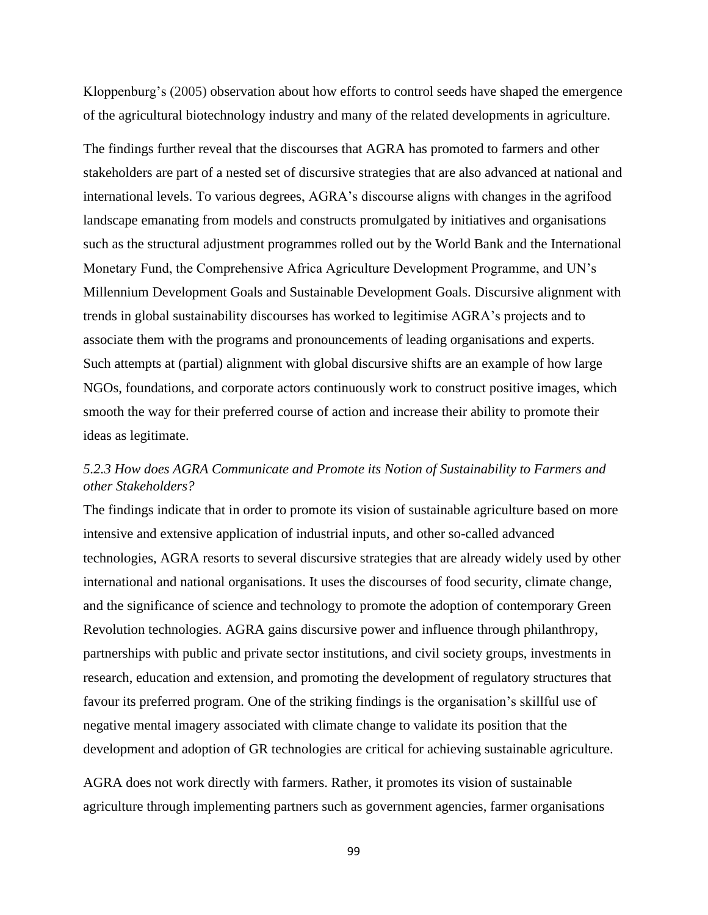Kloppenburg's (2005) observation about how efforts to control seeds have shaped the emergence of the agricultural biotechnology industry and many of the related developments in agriculture.

The findings further reveal that the discourses that AGRA has promoted to farmers and other stakeholders are part of a nested set of discursive strategies that are also advanced at national and international levels. To various degrees, AGRA's discourse aligns with changes in the agrifood landscape emanating from models and constructs promulgated by initiatives and organisations such as the structural adjustment programmes rolled out by the World Bank and the International Monetary Fund, the Comprehensive Africa Agriculture Development Programme, and UN's Millennium Development Goals and Sustainable Development Goals. Discursive alignment with trends in global sustainability discourses has worked to legitimise AGRA's projects and to associate them with the programs and pronouncements of leading organisations and experts. Such attempts at (partial) alignment with global discursive shifts are an example of how large NGOs, foundations, and corporate actors continuously work to construct positive images, which smooth the way for their preferred course of action and increase their ability to promote their ideas as legitimate.

# *5.2.3 How does AGRA Communicate and Promote its Notion of Sustainability to Farmers and other Stakeholders?*

The findings indicate that in order to promote its vision of sustainable agriculture based on more intensive and extensive application of industrial inputs, and other so-called advanced technologies, AGRA resorts to several discursive strategies that are already widely used by other international and national organisations. It uses the discourses of food security, climate change, and the significance of science and technology to promote the adoption of contemporary Green Revolution technologies. AGRA gains discursive power and influence through philanthropy, partnerships with public and private sector institutions, and civil society groups, investments in research, education and extension, and promoting the development of regulatory structures that favour its preferred program. One of the striking findings is the organisation's skillful use of negative mental imagery associated with climate change to validate its position that the development and adoption of GR technologies are critical for achieving sustainable agriculture.

AGRA does not work directly with farmers. Rather, it promotes its vision of sustainable agriculture through implementing partners such as government agencies, farmer organisations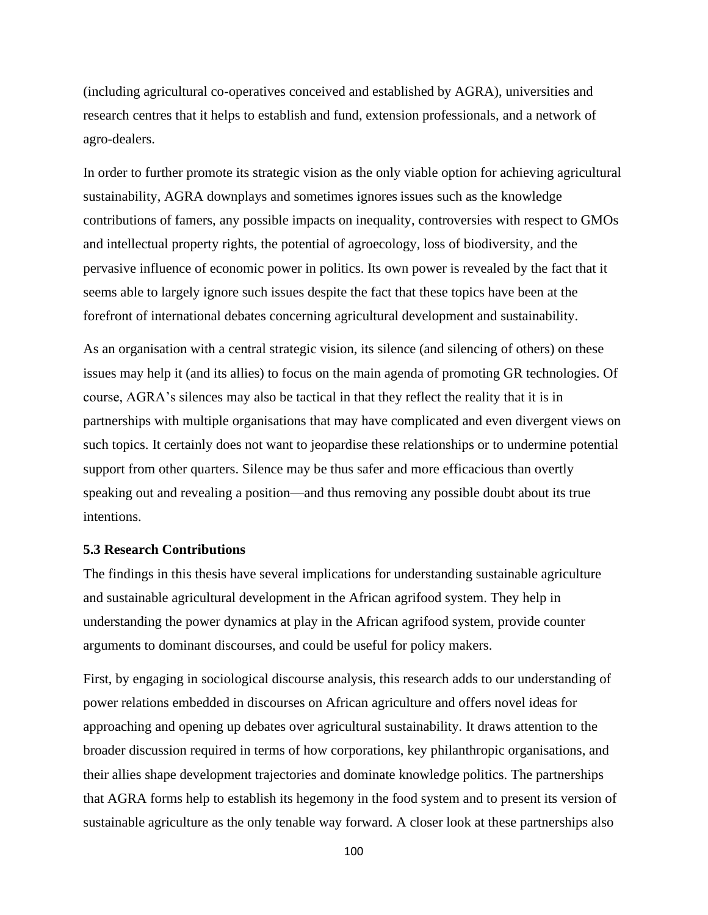(including agricultural co-operatives conceived and established by AGRA), universities and research centres that it helps to establish and fund, extension professionals, and a network of agro-dealers.

In order to further promote its strategic vision as the only viable option for achieving agricultural sustainability, AGRA downplays and sometimes ignores issues such as the knowledge contributions of famers, any possible impacts on inequality, controversies with respect to GMOs and intellectual property rights, the potential of agroecology, loss of biodiversity, and the pervasive influence of economic power in politics. Its own power is revealed by the fact that it seems able to largely ignore such issues despite the fact that these topics have been at the forefront of international debates concerning agricultural development and sustainability.

As an organisation with a central strategic vision, its silence (and silencing of others) on these issues may help it (and its allies) to focus on the main agenda of promoting GR technologies. Of course, AGRA's silences may also be tactical in that they reflect the reality that it is in partnerships with multiple organisations that may have complicated and even divergent views on such topics. It certainly does not want to jeopardise these relationships or to undermine potential support from other quarters. Silence may be thus safer and more efficacious than overtly speaking out and revealing a position—and thus removing any possible doubt about its true intentions.

### **5.3 Research Contributions**

The findings in this thesis have several implications for understanding sustainable agriculture and sustainable agricultural development in the African agrifood system. They help in understanding the power dynamics at play in the African agrifood system, provide counter arguments to dominant discourses, and could be useful for policy makers.

First, by engaging in sociological discourse analysis, this research adds to our understanding of power relations embedded in discourses on African agriculture and offers novel ideas for approaching and opening up debates over agricultural sustainability. It draws attention to the broader discussion required in terms of how corporations, key philanthropic organisations, and their allies shape development trajectories and dominate knowledge politics. The partnerships that AGRA forms help to establish its hegemony in the food system and to present its version of sustainable agriculture as the only tenable way forward. A closer look at these partnerships also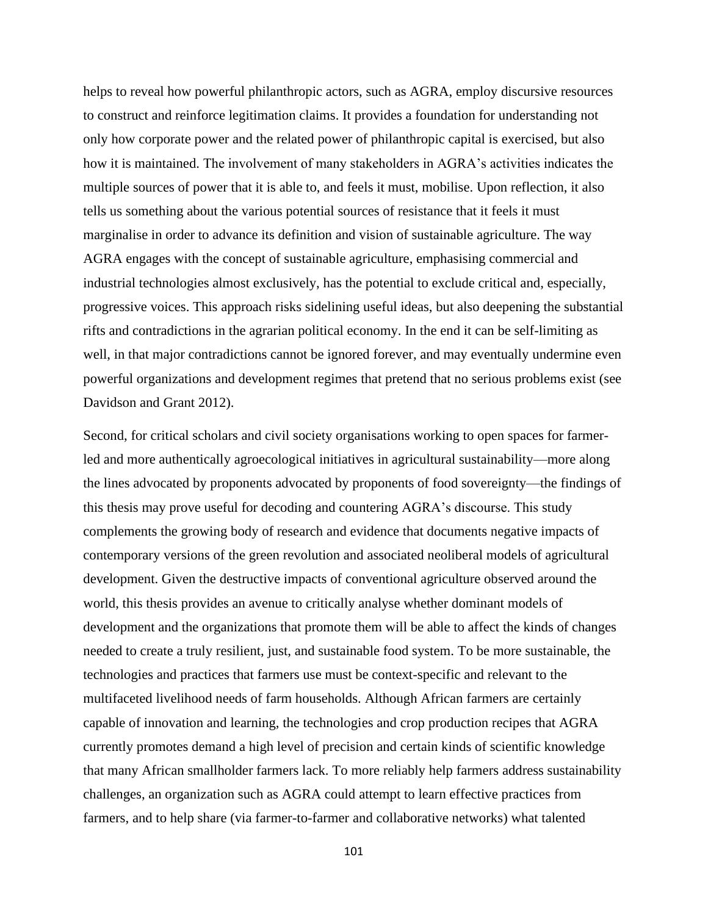helps to reveal how powerful philanthropic actors, such as AGRA, employ discursive resources to construct and reinforce legitimation claims. It provides a foundation for understanding not only how corporate power and the related power of philanthropic capital is exercised, but also how it is maintained. The involvement of many stakeholders in AGRA's activities indicates the multiple sources of power that it is able to, and feels it must, mobilise. Upon reflection, it also tells us something about the various potential sources of resistance that it feels it must marginalise in order to advance its definition and vision of sustainable agriculture. The way AGRA engages with the concept of sustainable agriculture, emphasising commercial and industrial technologies almost exclusively, has the potential to exclude critical and, especially, progressive voices. This approach risks sidelining useful ideas, but also deepening the substantial rifts and contradictions in the agrarian political economy. In the end it can be self-limiting as well, in that major contradictions cannot be ignored forever, and may eventually undermine even powerful organizations and development regimes that pretend that no serious problems exist (see Davidson and Grant 2012).

Second, for critical scholars and civil society organisations working to open spaces for farmerled and more authentically agroecological initiatives in agricultural sustainability—more along the lines advocated by proponents advocated by proponents of food sovereignty—the findings of this thesis may prove useful for decoding and countering AGRA's discourse. This study complements the growing body of research and evidence that documents negative impacts of contemporary versions of the green revolution and associated neoliberal models of agricultural development. Given the destructive impacts of conventional agriculture observed around the world, this thesis provides an avenue to critically analyse whether dominant models of development and the organizations that promote them will be able to affect the kinds of changes needed to create a truly resilient, just, and sustainable food system. To be more sustainable, the technologies and practices that farmers use must be context-specific and relevant to the multifaceted livelihood needs of farm households. Although African farmers are certainly capable of innovation and learning, the technologies and crop production recipes that AGRA currently promotes demand a high level of precision and certain kinds of scientific knowledge that many African smallholder farmers lack. To more reliably help farmers address sustainability challenges, an organization such as AGRA could attempt to learn effective practices from farmers, and to help share (via farmer-to-farmer and collaborative networks) what talented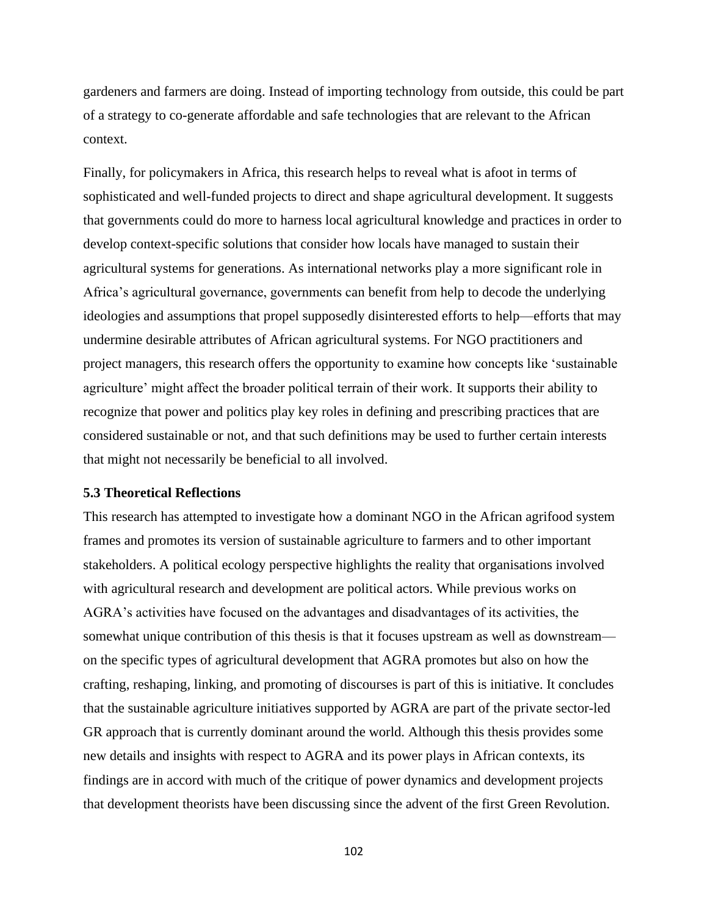gardeners and farmers are doing. Instead of importing technology from outside, this could be part of a strategy to co-generate affordable and safe technologies that are relevant to the African context.

Finally, for policymakers in Africa, this research helps to reveal what is afoot in terms of sophisticated and well-funded projects to direct and shape agricultural development. It suggests that governments could do more to harness local agricultural knowledge and practices in order to develop context-specific solutions that consider how locals have managed to sustain their agricultural systems for generations. As international networks play a more significant role in Africa's agricultural governance, governments can benefit from help to decode the underlying ideologies and assumptions that propel supposedly disinterested efforts to help—efforts that may undermine desirable attributes of African agricultural systems. For NGO practitioners and project managers, this research offers the opportunity to examine how concepts like 'sustainable agriculture' might affect the broader political terrain of their work. It supports their ability to recognize that power and politics play key roles in defining and prescribing practices that are considered sustainable or not, and that such definitions may be used to further certain interests that might not necessarily be beneficial to all involved.

### **5.3 Theoretical Reflections**

This research has attempted to investigate how a dominant NGO in the African agrifood system frames and promotes its version of sustainable agriculture to farmers and to other important stakeholders. A political ecology perspective highlights the reality that organisations involved with agricultural research and development are political actors. While previous works on AGRA's activities have focused on the advantages and disadvantages of its activities, the somewhat unique contribution of this thesis is that it focuses upstream as well as downstream on the specific types of agricultural development that AGRA promotes but also on how the crafting, reshaping, linking, and promoting of discourses is part of this is initiative. It concludes that the sustainable agriculture initiatives supported by AGRA are part of the private sector-led GR approach that is currently dominant around the world. Although this thesis provides some new details and insights with respect to AGRA and its power plays in African contexts, its findings are in accord with much of the critique of power dynamics and development projects that development theorists have been discussing since the advent of the first Green Revolution.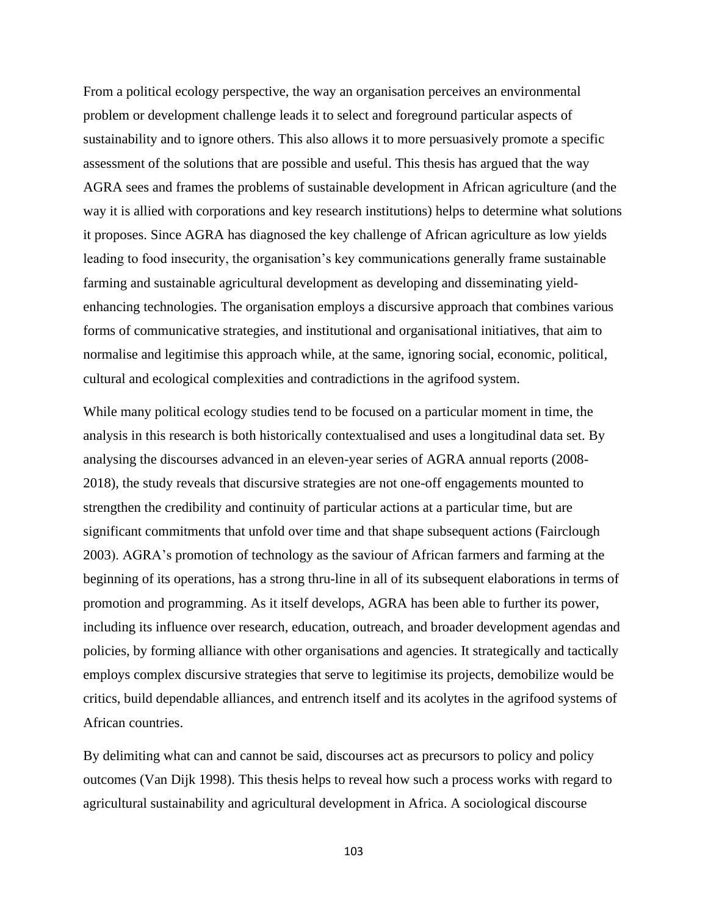From a political ecology perspective, the way an organisation perceives an environmental problem or development challenge leads it to select and foreground particular aspects of sustainability and to ignore others. This also allows it to more persuasively promote a specific assessment of the solutions that are possible and useful. This thesis has argued that the way AGRA sees and frames the problems of sustainable development in African agriculture (and the way it is allied with corporations and key research institutions) helps to determine what solutions it proposes. Since AGRA has diagnosed the key challenge of African agriculture as low yields leading to food insecurity, the organisation's key communications generally frame sustainable farming and sustainable agricultural development as developing and disseminating yieldenhancing technologies. The organisation employs a discursive approach that combines various forms of communicative strategies, and institutional and organisational initiatives, that aim to normalise and legitimise this approach while, at the same, ignoring social, economic, political, cultural and ecological complexities and contradictions in the agrifood system.

While many political ecology studies tend to be focused on a particular moment in time, the analysis in this research is both historically contextualised and uses a longitudinal data set. By analysing the discourses advanced in an eleven-year series of AGRA annual reports (2008- 2018), the study reveals that discursive strategies are not one-off engagements mounted to strengthen the credibility and continuity of particular actions at a particular time, but are significant commitments that unfold over time and that shape subsequent actions (Fairclough 2003). AGRA's promotion of technology as the saviour of African farmers and farming at the beginning of its operations, has a strong thru-line in all of its subsequent elaborations in terms of promotion and programming. As it itself develops, AGRA has been able to further its power, including its influence over research, education, outreach, and broader development agendas and policies, by forming alliance with other organisations and agencies. It strategically and tactically employs complex discursive strategies that serve to legitimise its projects, demobilize would be critics, build dependable alliances, and entrench itself and its acolytes in the agrifood systems of African countries.

By delimiting what can and cannot be said, discourses act as precursors to policy and policy outcomes (Van Dijk 1998). This thesis helps to reveal how such a process works with regard to agricultural sustainability and agricultural development in Africa. A sociological discourse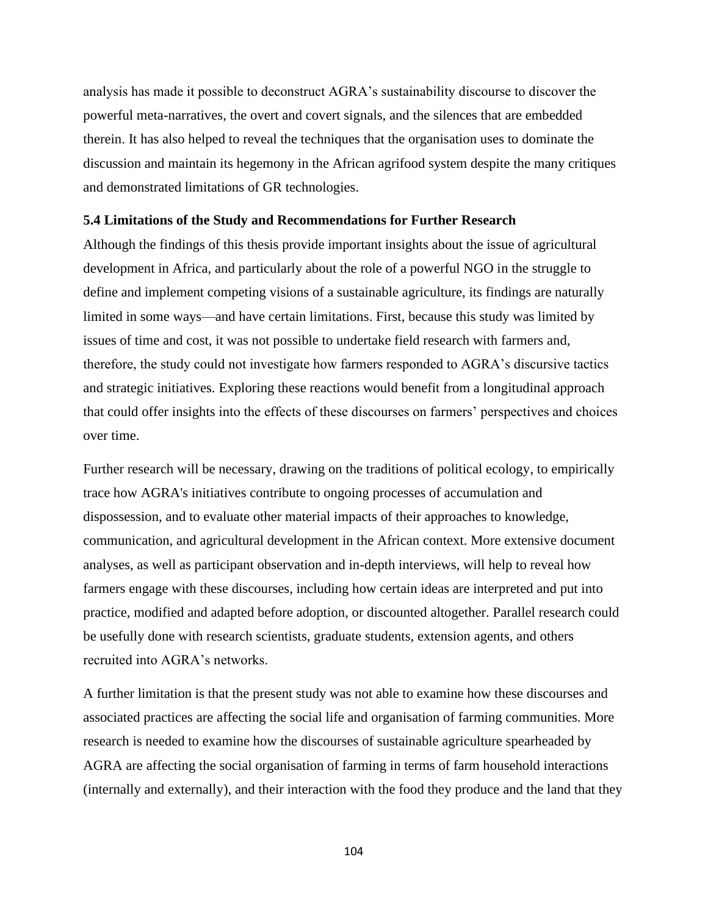analysis has made it possible to deconstruct AGRA's sustainability discourse to discover the powerful meta-narratives, the overt and covert signals, and the silences that are embedded therein. It has also helped to reveal the techniques that the organisation uses to dominate the discussion and maintain its hegemony in the African agrifood system despite the many critiques and demonstrated limitations of GR technologies.

#### **5.4 Limitations of the Study and Recommendations for Further Research**

Although the findings of this thesis provide important insights about the issue of agricultural development in Africa, and particularly about the role of a powerful NGO in the struggle to define and implement competing visions of a sustainable agriculture, its findings are naturally limited in some ways—and have certain limitations. First, because this study was limited by issues of time and cost, it was not possible to undertake field research with farmers and, therefore, the study could not investigate how farmers responded to AGRA's discursive tactics and strategic initiatives. Exploring these reactions would benefit from a longitudinal approach that could offer insights into the effects of these discourses on farmers' perspectives and choices over time.

Further research will be necessary, drawing on the traditions of political ecology, to empirically trace how AGRA's initiatives contribute to ongoing processes of accumulation and dispossession, and to evaluate other material impacts of their approaches to knowledge, communication, and agricultural development in the African context. More extensive document analyses, as well as participant observation and in-depth interviews, will help to reveal how farmers engage with these discourses, including how certain ideas are interpreted and put into practice, modified and adapted before adoption, or discounted altogether. Parallel research could be usefully done with research scientists, graduate students, extension agents, and others recruited into AGRA's networks.

A further limitation is that the present study was not able to examine how these discourses and associated practices are affecting the social life and organisation of farming communities. More research is needed to examine how the discourses of sustainable agriculture spearheaded by AGRA are affecting the social organisation of farming in terms of farm household interactions (internally and externally), and their interaction with the food they produce and the land that they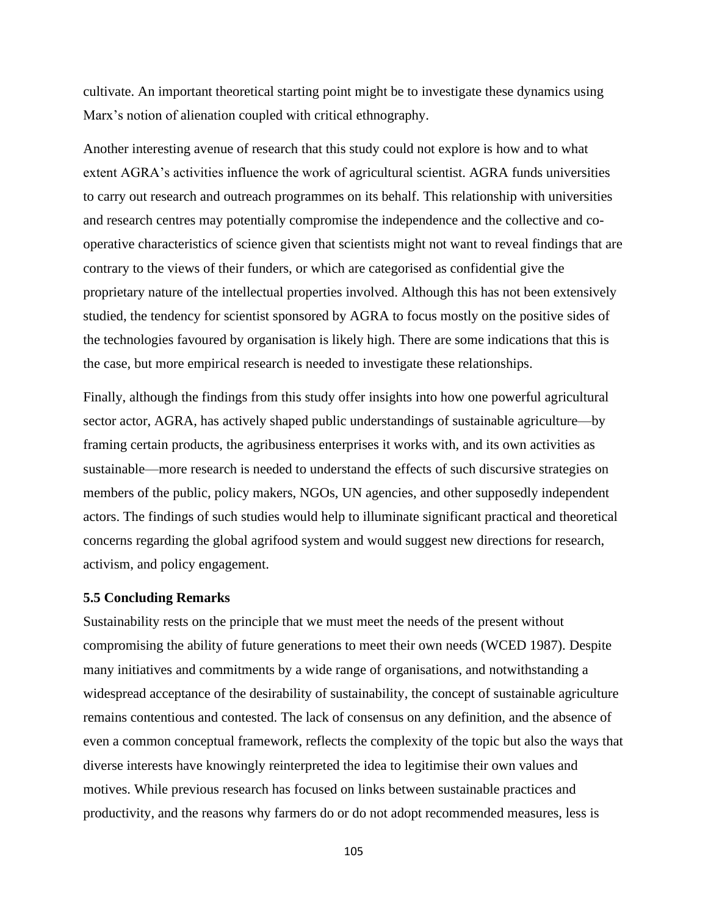cultivate. An important theoretical starting point might be to investigate these dynamics using Marx's notion of alienation coupled with critical ethnography.

Another interesting avenue of research that this study could not explore is how and to what extent AGRA's activities influence the work of agricultural scientist. AGRA funds universities to carry out research and outreach programmes on its behalf. This relationship with universities and research centres may potentially compromise the independence and the collective and cooperative characteristics of science given that scientists might not want to reveal findings that are contrary to the views of their funders, or which are categorised as confidential give the proprietary nature of the intellectual properties involved. Although this has not been extensively studied, the tendency for scientist sponsored by AGRA to focus mostly on the positive sides of the technologies favoured by organisation is likely high. There are some indications that this is the case, but more empirical research is needed to investigate these relationships.

Finally, although the findings from this study offer insights into how one powerful agricultural sector actor, AGRA, has actively shaped public understandings of sustainable agriculture—by framing certain products, the agribusiness enterprises it works with, and its own activities as sustainable—more research is needed to understand the effects of such discursive strategies on members of the public, policy makers, NGOs, UN agencies, and other supposedly independent actors. The findings of such studies would help to illuminate significant practical and theoretical concerns regarding the global agrifood system and would suggest new directions for research, activism, and policy engagement.

## **5.5 Concluding Remarks**

Sustainability rests on the principle that we must meet the needs of the present without compromising the ability of future generations to meet their own needs (WCED 1987). Despite many initiatives and commitments by a wide range of organisations, and notwithstanding a widespread acceptance of the desirability of sustainability, the concept of sustainable agriculture remains contentious and contested. The lack of consensus on any definition, and the absence of even a common conceptual framework, reflects the complexity of the topic but also the ways that diverse interests have knowingly reinterpreted the idea to legitimise their own values and motives. While previous research has focused on links between sustainable practices and productivity, and the reasons why farmers do or do not adopt recommended measures, less is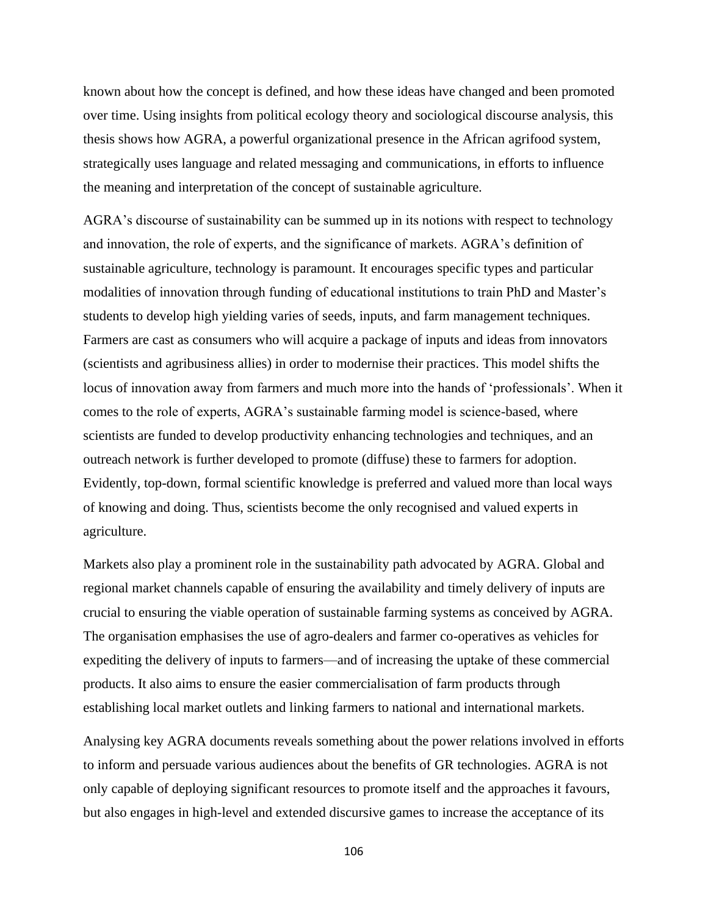known about how the concept is defined, and how these ideas have changed and been promoted over time. Using insights from political ecology theory and sociological discourse analysis, this thesis shows how AGRA, a powerful organizational presence in the African agrifood system, strategically uses language and related messaging and communications, in efforts to influence the meaning and interpretation of the concept of sustainable agriculture.

AGRA's discourse of sustainability can be summed up in its notions with respect to technology and innovation, the role of experts, and the significance of markets. AGRA's definition of sustainable agriculture, technology is paramount. It encourages specific types and particular modalities of innovation through funding of educational institutions to train PhD and Master's students to develop high yielding varies of seeds, inputs, and farm management techniques. Farmers are cast as consumers who will acquire a package of inputs and ideas from innovators (scientists and agribusiness allies) in order to modernise their practices. This model shifts the locus of innovation away from farmers and much more into the hands of 'professionals'. When it comes to the role of experts, AGRA's sustainable farming model is science-based, where scientists are funded to develop productivity enhancing technologies and techniques, and an outreach network is further developed to promote (diffuse) these to farmers for adoption. Evidently, top-down, formal scientific knowledge is preferred and valued more than local ways of knowing and doing. Thus, scientists become the only recognised and valued experts in agriculture.

Markets also play a prominent role in the sustainability path advocated by AGRA. Global and regional market channels capable of ensuring the availability and timely delivery of inputs are crucial to ensuring the viable operation of sustainable farming systems as conceived by AGRA. The organisation emphasises the use of agro-dealers and farmer co-operatives as vehicles for expediting the delivery of inputs to farmers—and of increasing the uptake of these commercial products. It also aims to ensure the easier commercialisation of farm products through establishing local market outlets and linking farmers to national and international markets.

Analysing key AGRA documents reveals something about the power relations involved in efforts to inform and persuade various audiences about the benefits of GR technologies. AGRA is not only capable of deploying significant resources to promote itself and the approaches it favours, but also engages in high-level and extended discursive games to increase the acceptance of its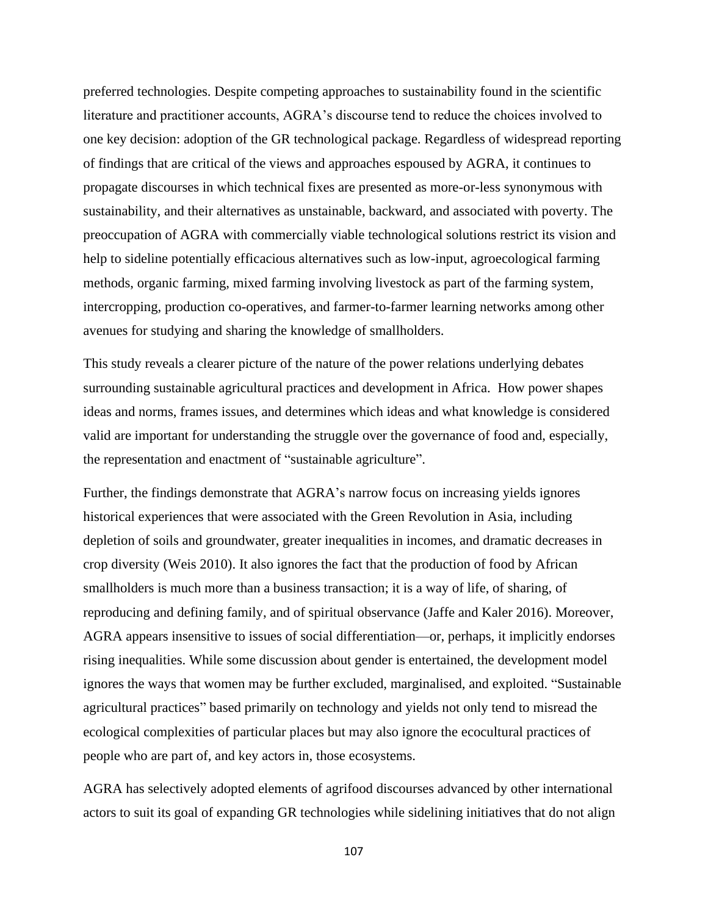preferred technologies. Despite competing approaches to sustainability found in the scientific literature and practitioner accounts, AGRA's discourse tend to reduce the choices involved to one key decision: adoption of the GR technological package. Regardless of widespread reporting of findings that are critical of the views and approaches espoused by AGRA, it continues to propagate discourses in which technical fixes are presented as more-or-less synonymous with sustainability, and their alternatives as unstainable, backward, and associated with poverty. The preoccupation of AGRA with commercially viable technological solutions restrict its vision and help to sideline potentially efficacious alternatives such as low-input, agroecological farming methods, organic farming, mixed farming involving livestock as part of the farming system, intercropping, production co-operatives, and farmer-to-farmer learning networks among other avenues for studying and sharing the knowledge of smallholders.

This study reveals a clearer picture of the nature of the power relations underlying debates surrounding sustainable agricultural practices and development in Africa. How power shapes ideas and norms, frames issues, and determines which ideas and what knowledge is considered valid are important for understanding the struggle over the governance of food and, especially, the representation and enactment of "sustainable agriculture".

Further, the findings demonstrate that AGRA's narrow focus on increasing yields ignores historical experiences that were associated with the Green Revolution in Asia, including depletion of soils and groundwater, greater inequalities in incomes, and dramatic decreases in crop diversity (Weis 2010). It also ignores the fact that the production of food by African smallholders is much more than a business transaction; it is a way of life, of sharing, of reproducing and defining family, and of spiritual observance (Jaffe and Kaler 2016). Moreover, AGRA appears insensitive to issues of social differentiation—or, perhaps, it implicitly endorses rising inequalities. While some discussion about gender is entertained, the development model ignores the ways that women may be further excluded, marginalised, and exploited. "Sustainable agricultural practices" based primarily on technology and yields not only tend to misread the ecological complexities of particular places but may also ignore the ecocultural practices of people who are part of, and key actors in, those ecosystems.

AGRA has selectively adopted elements of agrifood discourses advanced by other international actors to suit its goal of expanding GR technologies while sidelining initiatives that do not align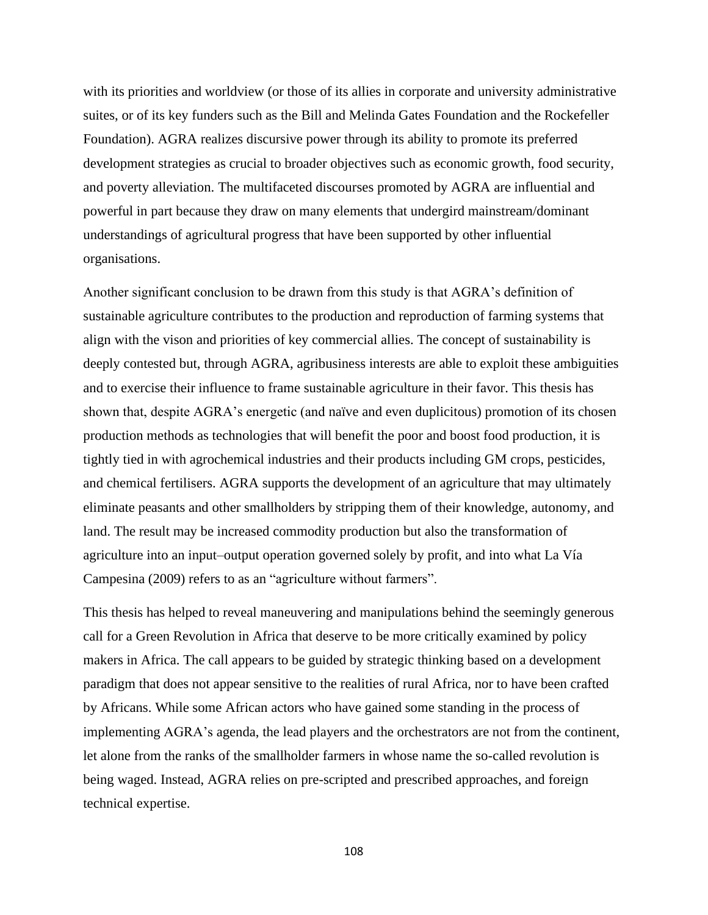with its priorities and worldview (or those of its allies in corporate and university administrative suites, or of its key funders such as the Bill and Melinda Gates Foundation and the Rockefeller Foundation). AGRA realizes discursive power through its ability to promote its preferred development strategies as crucial to broader objectives such as economic growth, food security, and poverty alleviation. The multifaceted discourses promoted by AGRA are influential and powerful in part because they draw on many elements that undergird mainstream/dominant understandings of agricultural progress that have been supported by other influential organisations.

Another significant conclusion to be drawn from this study is that AGRA's definition of sustainable agriculture contributes to the production and reproduction of farming systems that align with the vison and priorities of key commercial allies. The concept of sustainability is deeply contested but, through AGRA, agribusiness interests are able to exploit these ambiguities and to exercise their influence to frame sustainable agriculture in their favor. This thesis has shown that, despite AGRA's energetic (and naïve and even duplicitous) promotion of its chosen production methods as technologies that will benefit the poor and boost food production, it is tightly tied in with agrochemical industries and their products including GM crops, pesticides, and chemical fertilisers. AGRA supports the development of an agriculture that may ultimately eliminate peasants and other smallholders by stripping them of their knowledge, autonomy, and land. The result may be increased commodity production but also the transformation of agriculture into an input–output operation governed solely by profit, and into what La Vía Campesina (2009) refers to as an "agriculture without farmers".

This thesis has helped to reveal maneuvering and manipulations behind the seemingly generous call for a Green Revolution in Africa that deserve to be more critically examined by policy makers in Africa. The call appears to be guided by strategic thinking based on a development paradigm that does not appear sensitive to the realities of rural Africa, nor to have been crafted by Africans. While some African actors who have gained some standing in the process of implementing AGRA's agenda, the lead players and the orchestrators are not from the continent, let alone from the ranks of the smallholder farmers in whose name the so-called revolution is being waged. Instead, AGRA relies on pre-scripted and prescribed approaches, and foreign technical expertise.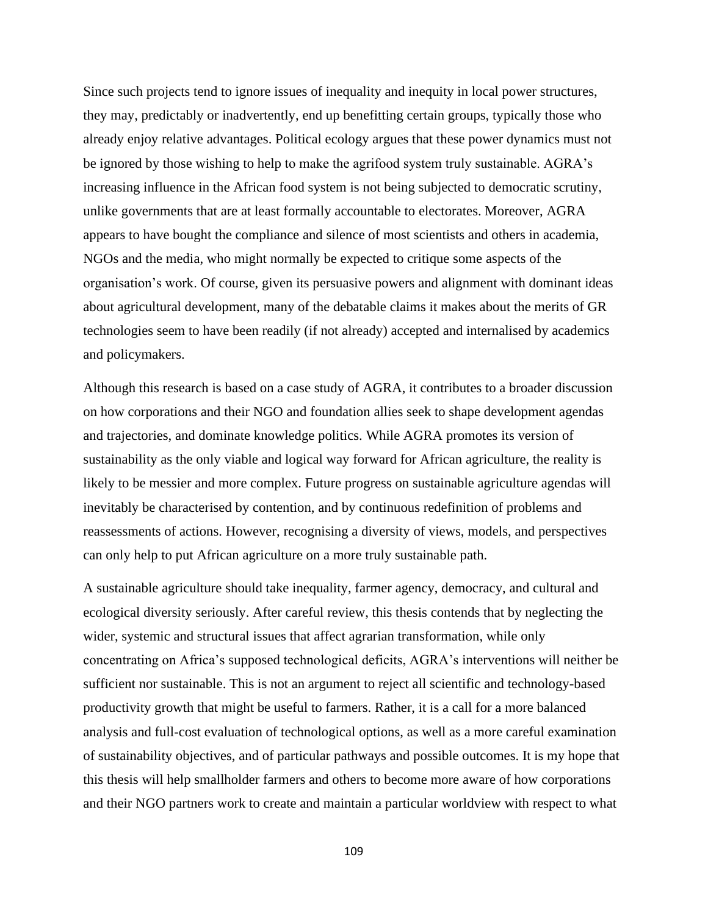Since such projects tend to ignore issues of inequality and inequity in local power structures, they may, predictably or inadvertently, end up benefitting certain groups, typically those who already enjoy relative advantages. Political ecology argues that these power dynamics must not be ignored by those wishing to help to make the agrifood system truly sustainable. AGRA's increasing influence in the African food system is not being subjected to democratic scrutiny, unlike governments that are at least formally accountable to electorates. Moreover, AGRA appears to have bought the compliance and silence of most scientists and others in academia, NGOs and the media, who might normally be expected to critique some aspects of the organisation's work. Of course, given its persuasive powers and alignment with dominant ideas about agricultural development, many of the debatable claims it makes about the merits of GR technologies seem to have been readily (if not already) accepted and internalised by academics and policymakers.

Although this research is based on a case study of AGRA, it contributes to a broader discussion on how corporations and their NGO and foundation allies seek to shape development agendas and trajectories, and dominate knowledge politics. While AGRA promotes its version of sustainability as the only viable and logical way forward for African agriculture, the reality is likely to be messier and more complex. Future progress on sustainable agriculture agendas will inevitably be characterised by contention, and by continuous redefinition of problems and reassessments of actions. However, recognising a diversity of views, models, and perspectives can only help to put African agriculture on a more truly sustainable path.

A sustainable agriculture should take inequality, farmer agency, democracy, and cultural and ecological diversity seriously. After careful review, this thesis contends that by neglecting the wider, systemic and structural issues that affect agrarian transformation, while only concentrating on Africa's supposed technological deficits, AGRA's interventions will neither be sufficient nor sustainable. This is not an argument to reject all scientific and technology-based productivity growth that might be useful to farmers. Rather, it is a call for a more balanced analysis and full-cost evaluation of technological options, as well as a more careful examination of sustainability objectives, and of particular pathways and possible outcomes. It is my hope that this thesis will help smallholder farmers and others to become more aware of how corporations and their NGO partners work to create and maintain a particular worldview with respect to what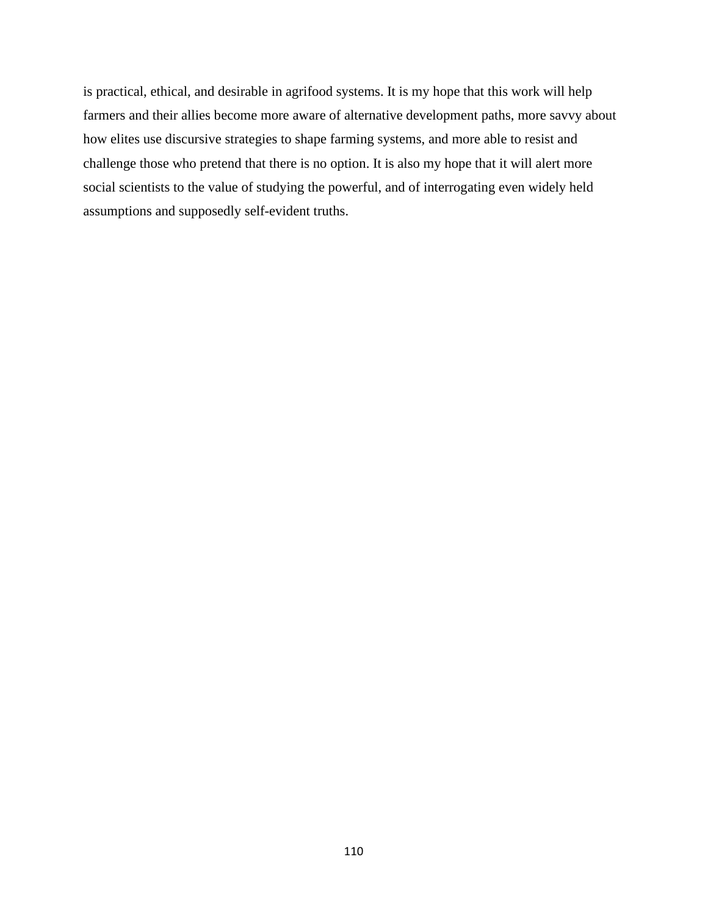is practical, ethical, and desirable in agrifood systems. It is my hope that this work will help farmers and their allies become more aware of alternative development paths, more savvy about how elites use discursive strategies to shape farming systems, and more able to resist and challenge those who pretend that there is no option. It is also my hope that it will alert more social scientists to the value of studying the powerful, and of interrogating even widely held assumptions and supposedly self-evident truths.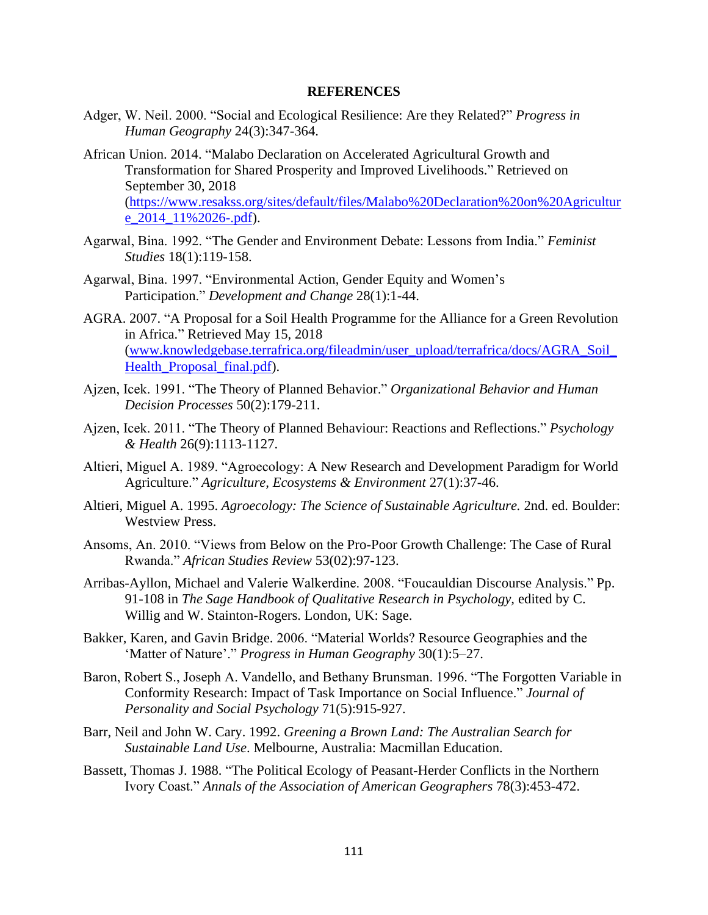#### **REFERENCES**

- Adger, W. Neil. 2000. "Social and Ecological Resilience: Are they Related?" *Progress in Human Geography* 24(3):347-364.
- African Union. 2014. "Malabo Declaration on Accelerated Agricultural Growth and Transformation for Shared Prosperity and Improved Livelihoods." Retrieved on September 30, 2018 [\(https://www.resakss.org/sites/default/files/Malabo%20Declaration%20on%20Agricultur](https://www.resakss.org/sites/default/files/Malabo%20Declaration%20on%20Agriculture_2014_11%2026-.pdf) e 2014 11%2026-.pdf).
- Agarwal, Bina. 1992. "The Gender and Environment Debate: Lessons from India." *Feminist Studies* 18(1):119-158.
- Agarwal, Bina. 1997. "Environmental Action, Gender Equity and Women's Participation." *Development and Change* 28(1):1-44.
- AGRA. 2007. "A Proposal for a Soil Health Programme for the Alliance for a Green Revolution in Africa." Retrieved May 15, 2018 [\(www.knowledgebase.terrafrica.org/fileadmin/user\\_upload/terrafrica/docs/AGRA\\_Soil\\_](http://www.knowledgebase.terrafrica.org/fileadmin/user_upload/terrafrica/docs/AGRA_Soil_Health_Proposal_final.pdf) [Health\\_Proposal\\_final.pdf\)](http://www.knowledgebase.terrafrica.org/fileadmin/user_upload/terrafrica/docs/AGRA_Soil_Health_Proposal_final.pdf).
- Ajzen, Icek. 1991. "The Theory of Planned Behavior." *Organizational Behavior and Human Decision Processes* 50(2):179-211.
- Ajzen, Icek. 2011. "The Theory of Planned Behaviour: Reactions and Reflections." *Psychology & Health* 26(9):1113-1127.
- Altieri, Miguel A. 1989. "Agroecology: A New Research and Development Paradigm for World Agriculture." *Agriculture, Ecosystems & Environment* 27(1):37-46.
- Altieri, Miguel A. 1995. *Agroecology: The Science of Sustainable Agriculture.* 2nd. ed. Boulder: Westview Press.
- Ansoms, An. 2010. "Views from Below on the Pro-Poor Growth Challenge: The Case of Rural Rwanda." *African Studies Review* 53(02):97-123.
- Arribas-Ayllon, Michael and Valerie Walkerdine. 2008. "Foucauldian Discourse Analysis." Pp. 91-108 in *The Sage Handbook of Qualitative Research in Psychology,* edited by C. Willig and W. Stainton-Rogers. London, UK: Sage.
- Bakker, Karen, and Gavin Bridge. 2006. "Material Worlds? Resource Geographies and the 'Matter of Nature'." *Progress in Human Geography* 30(1):5–27.
- Baron, Robert S., Joseph A. Vandello, and Bethany Brunsman. 1996. "The Forgotten Variable in Conformity Research: Impact of Task Importance on Social Influence." *Journal of Personality and Social Psychology* 71(5):915-927.
- Barr, Neil and John W. Cary. 1992. *Greening a Brown Land: The Australian Search for Sustainable Land Use*. Melbourne, Australia: Macmillan Education.
- Bassett, Thomas J. 1988. "The Political Ecology of Peasant‐Herder Conflicts in the Northern Ivory Coast." *Annals of the Association of American Geographers* 78(3):453-472.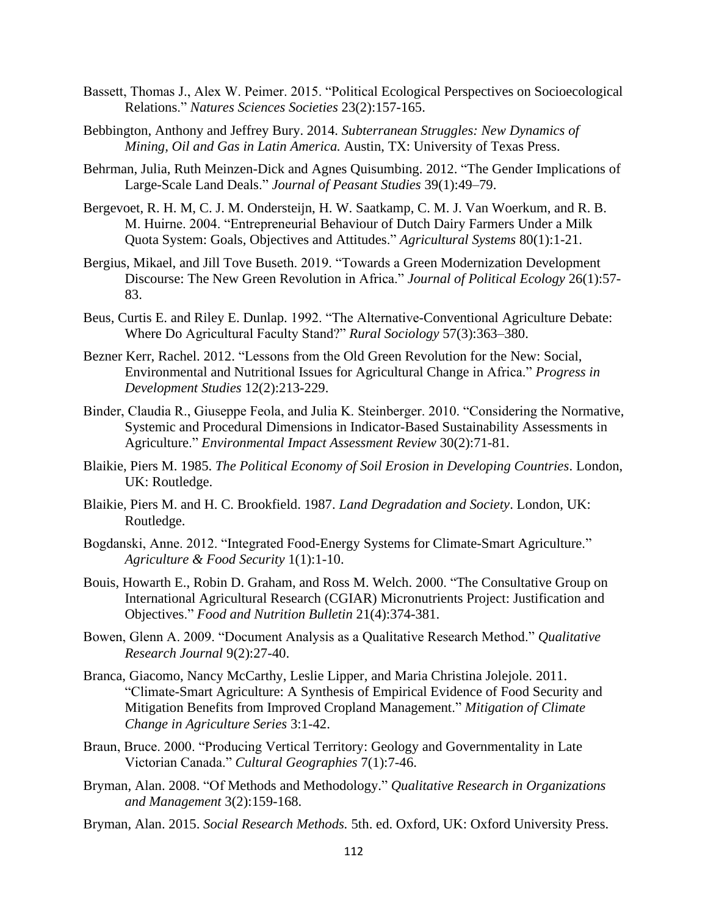- Bassett, Thomas J., Alex W. Peimer. 2015. "Political Ecological Perspectives on Socioecological Relations." *Natures Sciences Societies* 23(2):157-165.
- Bebbington, Anthony and Jeffrey Bury. 2014. *Subterranean Struggles: New Dynamics of Mining, Oil and Gas in Latin America.* Austin, TX: University of Texas Press.
- Behrman, Julia, Ruth Meinzen-Dick and Agnes Quisumbing. 2012. "The Gender Implications of Large-Scale Land Deals." *Journal of Peasant Studies* 39(1):49–79.
- Bergevoet, R. H. M, C. J. M. Ondersteijn, H. W. Saatkamp, C. M. J. Van Woerkum, and R. B. M. Huirne. 2004. "Entrepreneurial Behaviour of Dutch Dairy Farmers Under a Milk Quota System: Goals, Objectives and Attitudes." *Agricultural Systems* 80(1):1-21.
- Bergius, Mikael, and Jill Tove Buseth. 2019. "Towards a Green Modernization Development Discourse: The New Green Revolution in Africa." *Journal of Political Ecology* 26(1):57- 83.
- Beus, Curtis E. and Riley E. Dunlap. 1992. "The Alternative-Conventional Agriculture Debate: Where Do Agricultural Faculty Stand?" *Rural Sociology* 57(3):363–380.
- Bezner Kerr, Rachel. 2012. "Lessons from the Old Green Revolution for the New: Social, Environmental and Nutritional Issues for Agricultural Change in Africa." *Progress in Development Studies* 12(2):213-229.
- Binder, Claudia R., Giuseppe Feola, and Julia K. Steinberger. 2010. "Considering the Normative, Systemic and Procedural Dimensions in Indicator-Based Sustainability Assessments in Agriculture." *Environmental Impact Assessment Review* 30(2):71-81.
- Blaikie, Piers M. 1985. *The Political Economy of Soil Erosion in Developing Countries*. London, UK: Routledge.
- Blaikie, Piers M. and H. C. Brookfield. 1987. *Land Degradation and Society*. London, UK: Routledge.
- Bogdanski, Anne. 2012. "Integrated Food-Energy Systems for Climate-Smart Agriculture." *Agriculture & Food Security* 1(1):1-10.
- Bouis, Howarth E., Robin D. Graham, and Ross M. Welch. 2000. "The Consultative Group on International Agricultural Research (CGIAR) Micronutrients Project: Justification and Objectives." *Food and Nutrition Bulletin* 21(4):374-381.
- Bowen, Glenn A. 2009. "Document Analysis as a Qualitative Research Method." *Qualitative Research Journal* 9(2):27-40.
- Branca, Giacomo, Nancy McCarthy, Leslie Lipper, and Maria Christina Jolejole. 2011. "Climate-Smart Agriculture: A Synthesis of Empirical Evidence of Food Security and Mitigation Benefits from Improved Cropland Management." *Mitigation of Climate Change in Agriculture Series* 3:1-42.
- Braun, Bruce. 2000. "Producing Vertical Territory: Geology and Governmentality in Late Victorian Canada." *Cultural Geographies* 7(1):7-46.
- Bryman, Alan. 2008. "Of Methods and Methodology." *Qualitative Research in Organizations and Management* 3(2):159-168.
- Bryman, Alan. 2015. *Social Research Methods.* 5th. ed. Oxford, UK: Oxford University Press.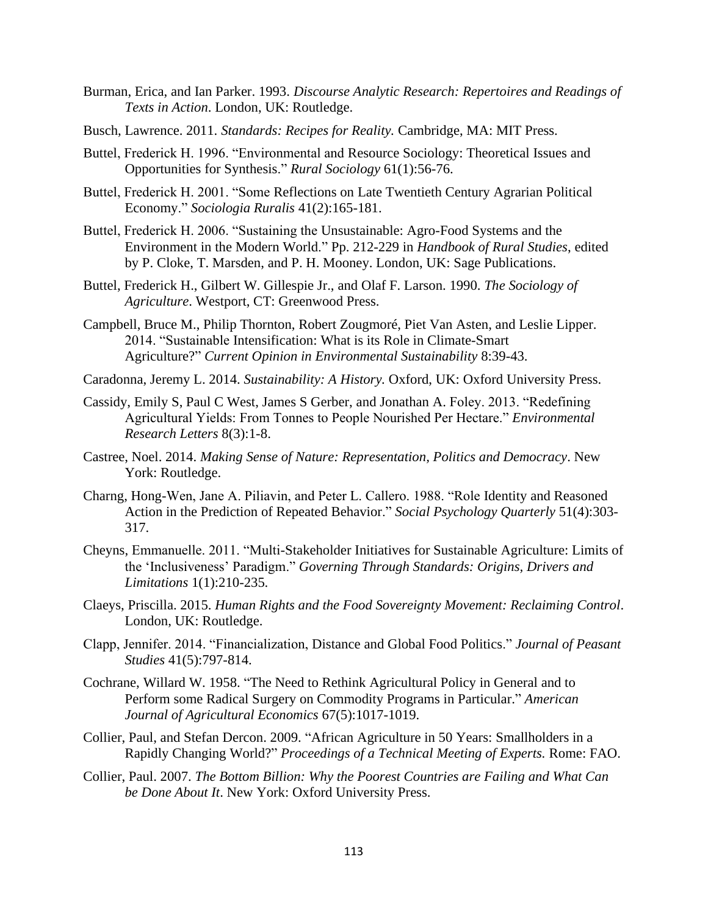- Burman, Erica, and Ian Parker. 1993. *Discourse Analytic Research: Repertoires and Readings of Texts in Action*. London, UK: Routledge.
- Busch, Lawrence. 2011. *Standards: Recipes for Reality.* Cambridge, MA: MIT Press.
- Buttel, Frederick H. 1996. "Environmental and Resource Sociology: Theoretical Issues and Opportunities for Synthesis." *Rural Sociology* 61(1):56-76.
- Buttel, Frederick H. 2001. "Some Reflections on Late Twentieth Century Agrarian Political Economy." *Sociologia Ruralis* 41(2):165-181.
- Buttel, Frederick H. 2006. "Sustaining the Unsustainable: Agro-Food Systems and the Environment in the Modern World." Pp. 212-229 in *Handbook of Rural Studies*, edited by P. Cloke, T. Marsden, and P. H. Mooney. London, UK: Sage Publications.
- Buttel, Frederick H., Gilbert W. Gillespie Jr., and Olaf F. Larson. 1990. *The Sociology of Agriculture*. Westport, CT: Greenwood Press.
- Campbell, Bruce M., Philip Thornton, Robert Zougmoré, Piet Van Asten, and Leslie Lipper. 2014. "Sustainable Intensification: What is its Role in Climate-Smart Agriculture?" *Current Opinion in Environmental Sustainability* 8:39-43.
- Caradonna, Jeremy L. 2014. *Sustainability: A History.* Oxford, UK: Oxford University Press.
- Cassidy, Emily S, Paul C West, James S Gerber, and Jonathan A. Foley. 2013. "Redefining Agricultural Yields: From Tonnes to People Nourished Per Hectare." *Environmental Research Letters* 8(3):1-8.
- Castree, Noel. 2014. *Making Sense of Nature: Representation, Politics and Democracy*. New York: Routledge.
- Charng, Hong-Wen, Jane A. Piliavin, and Peter L. Callero. 1988. "Role Identity and Reasoned Action in the Prediction of Repeated Behavior." *Social Psychology Quarterly* 51(4):303- 317.
- Cheyns, Emmanuelle. 2011. "Multi-Stakeholder Initiatives for Sustainable Agriculture: Limits of the 'Inclusiveness' Paradigm." *Governing Through Standards: Origins, Drivers and Limitations* 1(1):210-235.
- Claeys, Priscilla. 2015. *Human Rights and the Food Sovereignty Movement: Reclaiming Control*. London, UK: Routledge.
- Clapp, Jennifer. 2014. "Financialization, Distance and Global Food Politics." *Journal of Peasant Studies* 41(5):797-814.
- Cochrane, Willard W. 1958. "The Need to Rethink Agricultural Policy in General and to Perform some Radical Surgery on Commodity Programs in Particular." *American Journal of Agricultural Economics* 67(5):1017-1019.
- Collier, Paul, and Stefan Dercon. 2009. "African Agriculture in 50 Years: Smallholders in a Rapidly Changing World?" *Proceedings of a Technical Meeting of Experts.* Rome: FAO.
- Collier, Paul. 2007. *The Bottom Billion: Why the Poorest Countries are Failing and What Can be Done About It*. New York: Oxford University Press.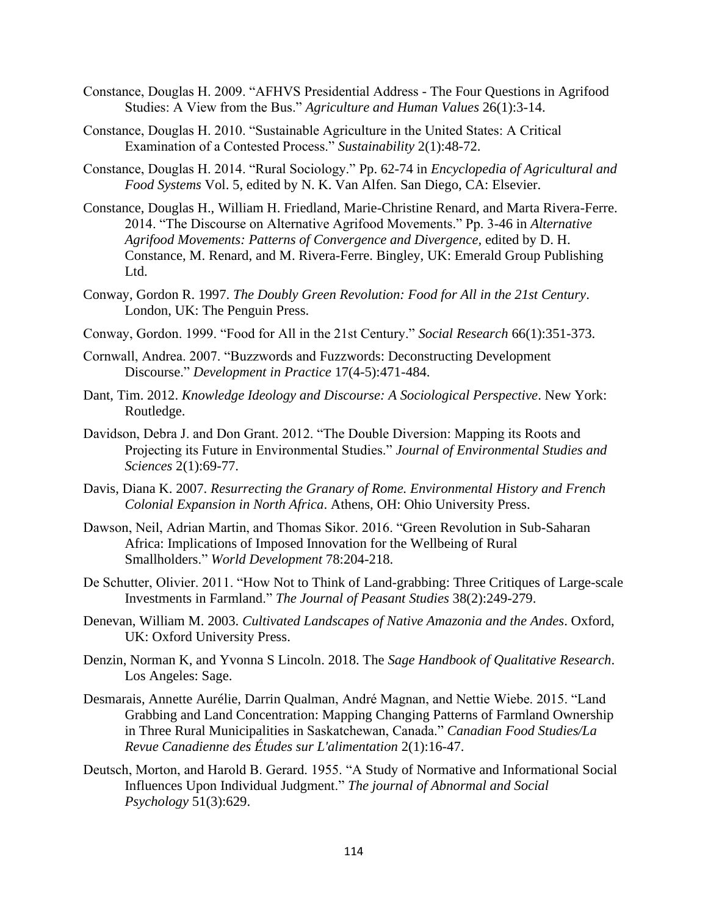- Constance, Douglas H. 2009. "AFHVS Presidential Address The Four Questions in Agrifood Studies: A View from the Bus." *Agriculture and Human Values* 26(1):3-14.
- Constance, Douglas H. 2010. "Sustainable Agriculture in the United States: A Critical Examination of a Contested Process." *Sustainability* 2(1):48-72.
- Constance, Douglas H. 2014. "Rural Sociology." Pp. 62-74 in *Encyclopedia of Agricultural and Food Systems* Vol. 5, edited by N. K. Van Alfen. San Diego, CA: Elsevier.
- Constance, Douglas H., William H. Friedland, Marie-Christine Renard, and Marta Rivera-Ferre. 2014. "The Discourse on Alternative Agrifood Movements." Pp. 3-46 in *Alternative Agrifood Movements: Patterns of Convergence and Divergence,* edited by D. H. Constance, M. Renard, and M. Rivera-Ferre. Bingley, UK: Emerald Group Publishing Ltd.
- Conway, Gordon R. 1997. *The Doubly Green Revolution: Food for All in the 21st Century*. London, UK: The Penguin Press.
- Conway, Gordon. 1999. "Food for All in the 21st Century." *Social Research* 66(1):351-373.
- Cornwall, Andrea. 2007. "Buzzwords and Fuzzwords: Deconstructing Development Discourse." *Development in Practice* 17(4-5):471-484.
- Dant, Tim. 2012. *Knowledge Ideology and Discourse: A Sociological Perspective*. New York: Routledge.
- Davidson, Debra J. and Don Grant. 2012. "The Double Diversion: Mapping its Roots and Projecting its Future in Environmental Studies." *Journal of Environmental Studies and Sciences* 2(1):69-77.
- Davis, Diana K. 2007. *Resurrecting the Granary of Rome. Environmental History and French Colonial Expansion in North Africa*. Athens, OH: Ohio University Press.
- Dawson, Neil, Adrian Martin, and Thomas Sikor. 2016. "Green Revolution in Sub-Saharan Africa: Implications of Imposed Innovation for the Wellbeing of Rural Smallholders." *World Development* 78:204-218.
- De Schutter, Olivier. 2011. "How Not to Think of Land-grabbing: Three Critiques of Large-scale Investments in Farmland." *The Journal of Peasant Studies* 38(2):249-279.
- Denevan, William M. 2003. *Cultivated Landscapes of Native Amazonia and the Andes*. Oxford, UK: Oxford University Press.
- Denzin, Norman K, and Yvonna S Lincoln. 2018. The *Sage Handbook of Qualitative Research*. Los Angeles: Sage.
- Desmarais, Annette Aurélie, Darrin Qualman, André Magnan, and Nettie Wiebe. 2015. "Land Grabbing and Land Concentration: Mapping Changing Patterns of Farmland Ownership in Three Rural Municipalities in Saskatchewan, Canada." *Canadian Food Studies/La Revue Canadienne des Études sur L'alimentation* 2(1):16-47.
- Deutsch, Morton, and Harold B. Gerard. 1955. "A Study of Normative and Informational Social Influences Upon Individual Judgment." *The journal of Abnormal and Social Psychology* 51(3):629.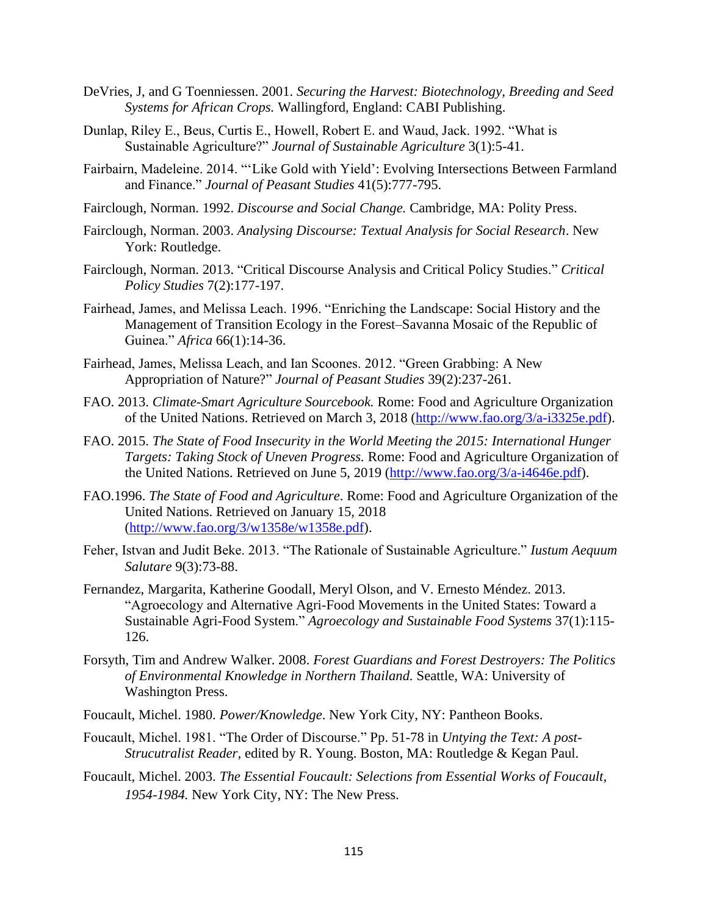- DeVries, J, and G Toenniessen. 2001. *Securing the Harvest: Biotechnology, Breeding and Seed Systems for African Crops.* Wallingford, England: CABI Publishing.
- Dunlap, Riley E., Beus, Curtis E., Howell, Robert E. and Waud, Jack. 1992. "What is Sustainable Agriculture?" *Journal of Sustainable Agriculture* 3(1):5-41.
- Fairbairn, Madeleine. 2014. "'Like Gold with Yield': Evolving Intersections Between Farmland and Finance." *Journal of Peasant Studies* 41(5):777-795.
- Fairclough, Norman. 1992. *Discourse and Social Change.* Cambridge, MA: Polity Press.
- Fairclough, Norman. 2003. *Analysing Discourse: Textual Analysis for Social Research*. New York: Routledge.
- Fairclough, Norman. 2013. "Critical Discourse Analysis and Critical Policy Studies." *Critical Policy Studies* 7(2):177-197.
- Fairhead, James, and Melissa Leach. 1996. "Enriching the Landscape: Social History and the Management of Transition Ecology in the Forest–Savanna Mosaic of the Republic of Guinea." *Africa* 66(1):14-36.
- Fairhead, James, Melissa Leach, and Ian Scoones. 2012. "Green Grabbing: A New Appropriation of Nature?" *Journal of Peasant Studies* 39(2):237-261.
- FAO. 2013. *Climate-Smart Agriculture Sourcebook.* Rome: Food and Agriculture Organization of the United Nations. Retrieved on March 3, 2018 [\(http://www.fao.org/3/a-i3325e.pdf\)](http://www.fao.org/3/a-i3325e.pdf).
- FAO. 2015. *The State of Food Insecurity in the World Meeting the 2015: International Hunger Targets: Taking Stock of Uneven Progress.* Rome: Food and Agriculture Organization of the United Nations. Retrieved on June 5, 2019 [\(http://www.fao.org/3/a-i4646e.pdf\)](http://www.fao.org/3/a-i4646e.pdf).
- FAO.1996. *The State of Food and Agriculture*. Rome: Food and Agriculture Organization of the United Nations. Retrieved on January 15, 2018 [\(http://www.fao.org/3/w1358e/w1358e.pdf\)](http://www.fao.org/3/w1358e/w1358e.pdf).
- Feher, Istvan and Judit Beke. 2013. "The Rationale of Sustainable Agriculture." *Iustum Aequum Salutare* 9(3):73-88.
- Fernandez, Margarita, Katherine Goodall, Meryl Olson, and V. Ernesto Méndez. 2013. "Agroecology and Alternative Agri-Food Movements in the United States: Toward a Sustainable Agri-Food System." *Agroecology and Sustainable Food Systems* 37(1):115- 126.
- Forsyth, Tim and Andrew Walker. 2008. *Forest Guardians and Forest Destroyers: The Politics of Environmental Knowledge in Northern Thailand.* Seattle, WA: University of Washington Press.
- Foucault, Michel. 1980. *Power/Knowledge*. New York City, NY: Pantheon Books.
- Foucault, Michel. 1981. "The Order of Discourse." Pp. 51-78 in *Untying the Text: A post-Strucutralist Reader,* edited by R. Young. Boston, MA: Routledge & Kegan Paul.
- Foucault, Michel. 2003. *The Essential Foucault: Selections from Essential Works of Foucault, 1954-1984.* New York City, NY: The New Press.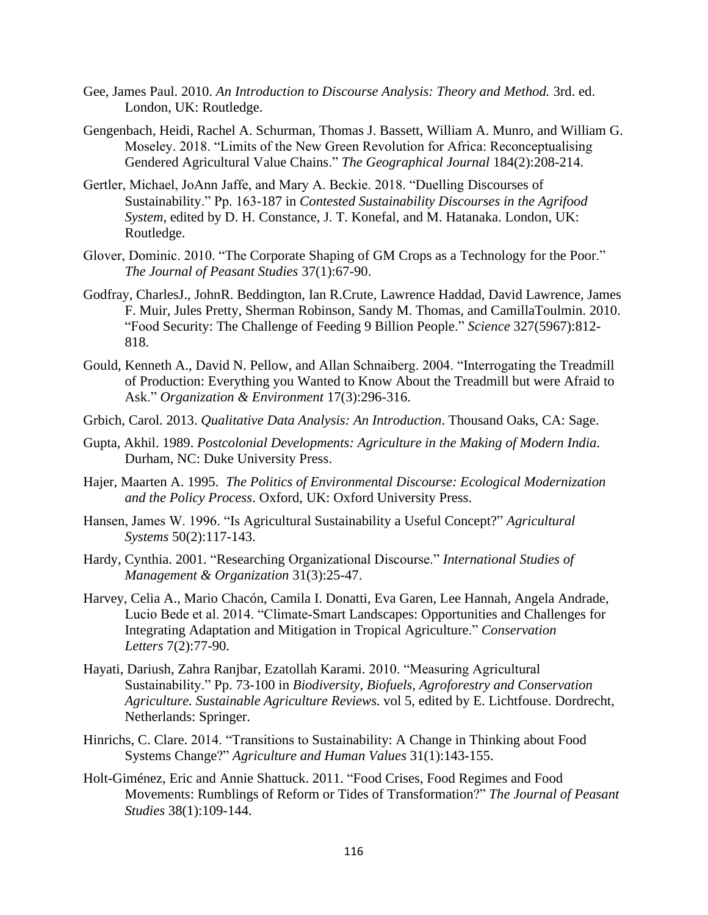- Gee, James Paul. 2010. *An Introduction to Discourse Analysis: Theory and Method.* 3rd. ed. London, UK: Routledge.
- Gengenbach, Heidi, Rachel A. Schurman, Thomas J. Bassett, William A. Munro, and William G. Moseley. 2018. "Limits of the New Green Revolution for Africa: Reconceptualising Gendered Agricultural Value Chains." *The Geographical Journal* 184(2):208-214.
- Gertler, Michael, JoAnn Jaffe, and Mary A. Beckie. 2018. "Duelling Discourses of Sustainability." Pp. 163-187 in *Contested Sustainability Discourses in the Agrifood System*, edited by D. H. Constance, J. T. Konefal, and M. Hatanaka. London, UK: Routledge.
- Glover, Dominic. 2010. "The Corporate Shaping of GM Crops as a Technology for the Poor." *The Journal of Peasant Studies* 37(1):67-90.
- Godfray, CharlesJ., JohnR. Beddington, Ian R.Crute, Lawrence Haddad, David Lawrence, James F. Muir, Jules Pretty, Sherman Robinson, Sandy M. Thomas, and CamillaToulmin. 2010. "Food Security: The Challenge of Feeding 9 Billion People." *Science* 327(5967):812- 818.
- Gould, Kenneth A., David N. Pellow, and Allan Schnaiberg. 2004. "Interrogating the Treadmill of Production: Everything you Wanted to Know About the Treadmill but were Afraid to Ask." *Organization & Environment* 17(3):296-316.
- Grbich, Carol. 2013. *Qualitative Data Analysis: An Introduction*. Thousand Oaks, CA: Sage.
- Gupta, Akhil. 1989. *Postcolonial Developments: Agriculture in the Making of Modern India*. Durham, NC: Duke University Press.
- Hajer, Maarten A. 1995. *The Politics of Environmental Discourse: Ecological Modernization and the Policy Process*. Oxford, UK: Oxford University Press.
- Hansen, James W. 1996. "Is Agricultural Sustainability a Useful Concept?" *Agricultural Systems* 50(2):117-143.
- Hardy, Cynthia. 2001. "Researching Organizational Discourse." *International Studies of Management & Organization* 31(3):25-47.
- Harvey, Celia A., Mario Chacón, Camila I. Donatti, Eva Garen, Lee Hannah, Angela Andrade, Lucio Bede et al. 2014. "Climate‐Smart Landscapes: Opportunities and Challenges for Integrating Adaptation and Mitigation in Tropical Agriculture." *Conservation Letters* 7(2):77-90.
- Hayati, Dariush, Zahra Ranjbar, Ezatollah Karami. 2010. "Measuring Agricultural Sustainability." Pp. 73-100 in *Biodiversity, Biofuels, Agroforestry and Conservation Agriculture. Sustainable Agriculture Reviews.* vol 5*,* edited by E. Lichtfouse. Dordrecht, Netherlands: Springer.
- Hinrichs, C. Clare. 2014. "Transitions to Sustainability: A Change in Thinking about Food Systems Change?" *Agriculture and Human Values* 31(1):143-155.
- Holt-Giménez, Eric and Annie Shattuck. 2011. "Food Crises, Food Regimes and Food Movements: Rumblings of Reform or Tides of Transformation?" *The Journal of Peasant Studies* 38(1):109-144.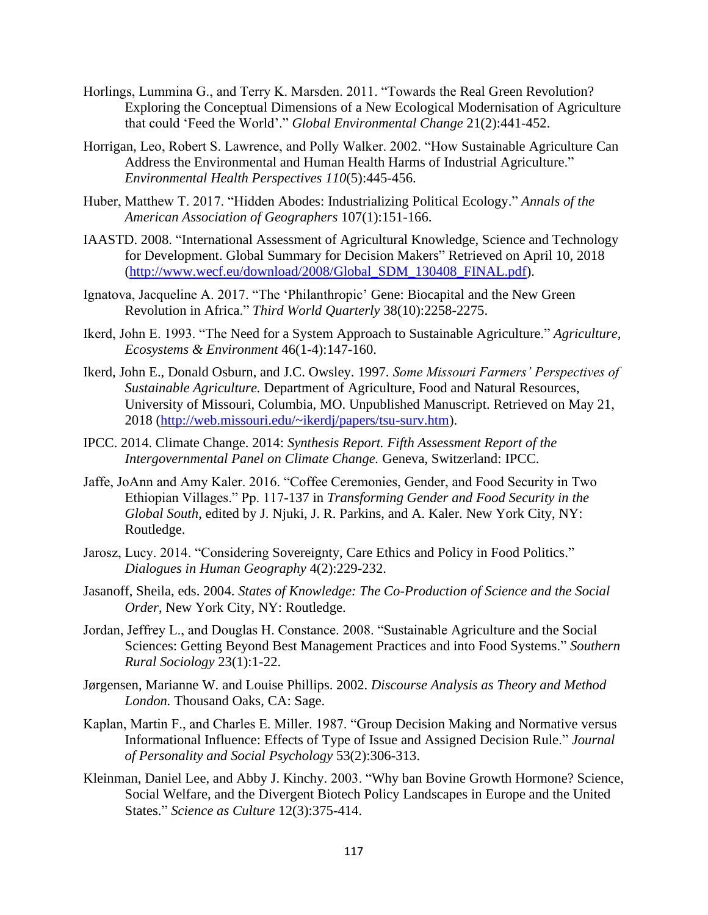- Horlings, Lummina G., and Terry K. Marsden. 2011. "Towards the Real Green Revolution? Exploring the Conceptual Dimensions of a New Ecological Modernisation of Agriculture that could 'Feed the World'." *Global Environmental Change* 21(2):441-452.
- Horrigan, Leo, Robert S. Lawrence, and Polly Walker. 2002. "How Sustainable Agriculture Can Address the Environmental and Human Health Harms of Industrial Agriculture." *Environmental Health Perspectives 110*(5):445-456.
- Huber, Matthew T. 2017. "Hidden Abodes: Industrializing Political Ecology." *Annals of the American Association of Geographers* 107(1):151-166.
- IAASTD. 2008. "International Assessment of Agricultural Knowledge, Science and Technology for Development. Global Summary for Decision Makers" Retrieved on April 10, 2018 [\(http://www.wecf.eu/download/2008/Global\\_SDM\\_130408\\_FINAL.pdf\)](http://www.wecf.eu/download/2008/Global_SDM_130408_FINAL.pdf).
- Ignatova, Jacqueline A. 2017. "The 'Philanthropic' Gene: Biocapital and the New Green Revolution in Africa." *Third World Quarterly* 38(10):2258-2275.
- Ikerd, John E. 1993. "The Need for a System Approach to Sustainable Agriculture." *Agriculture, Ecosystems & Environment* 46(1-4):147-160.
- Ikerd, John E., Donald Osburn, and J.C. Owsley. 1997. *Some Missouri Farmers' Perspectives of Sustainable Agriculture.* Department of Agriculture, Food and Natural Resources, University of Missouri, Columbia, MO. Unpublished Manuscript. Retrieved on May 21, 2018 [\(http://web.missouri.edu/~ikerdj/papers/tsu-surv.htm\)](http://web.missouri.edu/~ikerdj/papers/tsu-surv.htm).
- IPCC. 2014. Climate Change. 2014: *Synthesis Report. Fifth Assessment Report of the Intergovernmental Panel on Climate Change.* Geneva, Switzerland: IPCC.
- Jaffe, JoAnn and Amy Kaler. 2016. "Coffee Ceremonies, Gender, and Food Security in Two Ethiopian Villages." Pp. 117-137 in *Transforming Gender and Food Security in the Global South*, edited by J. Njuki, J. R. Parkins, and A. Kaler. New York City, NY: Routledge.
- Jarosz, Lucy. 2014. "Considering Sovereignty, Care Ethics and Policy in Food Politics." *Dialogues in Human Geography* 4(2):229-232.
- Jasanoff, Sheila, eds. 2004. *States of Knowledge: The Co-Production of Science and the Social Order*, New York City, NY: Routledge.
- Jordan, Jeffrey L., and Douglas H. Constance. 2008. "Sustainable Agriculture and the Social Sciences: Getting Beyond Best Management Practices and into Food Systems." *Southern Rural Sociology* 23(1):1-22.
- Jørgensen, Marianne W. and Louise Phillips. 2002. *Discourse Analysis as Theory and Method London.* Thousand Oaks, CA: Sage.
- Kaplan, Martin F., and Charles E. Miller. 1987. "Group Decision Making and Normative versus Informational Influence: Effects of Type of Issue and Assigned Decision Rule." *Journal of Personality and Social Psychology* 53(2):306-313.
- Kleinman, Daniel Lee, and Abby J. Kinchy. 2003. "Why ban Bovine Growth Hormone? Science, Social Welfare, and the Divergent Biotech Policy Landscapes in Europe and the United States." *Science as Culture* 12(3):375-414.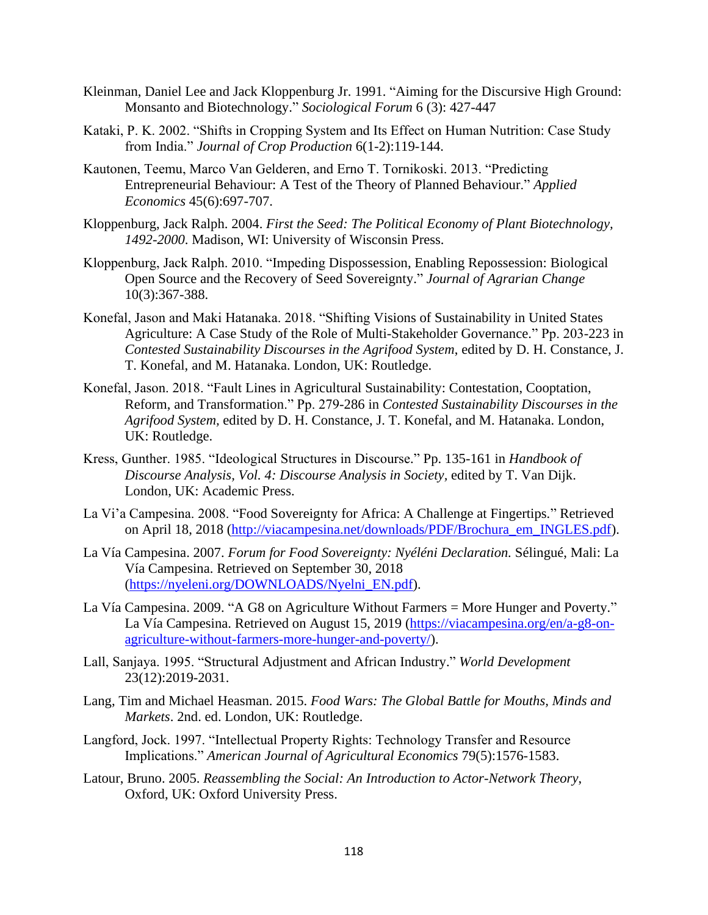- Kleinman, Daniel Lee and Jack Kloppenburg Jr. 1991. "Aiming for the Discursive High Ground: Monsanto and Biotechnology." *Sociological Forum* 6 (3): 427-447
- Kataki, P. K. 2002. "Shifts in Cropping System and Its Effect on Human Nutrition: Case Study from India." *Journal of Crop Production* 6(1-2):119-144.
- Kautonen, Teemu, Marco Van Gelderen, and Erno T. Tornikoski. 2013. "Predicting Entrepreneurial Behaviour: A Test of the Theory of Planned Behaviour." *Applied Economics* 45(6):697-707.
- Kloppenburg, Jack Ralph. 2004. *First the Seed: The Political Economy of Plant Biotechnology, 1492-2000*. Madison, WI: University of Wisconsin Press.
- Kloppenburg, Jack Ralph. 2010. "Impeding Dispossession, Enabling Repossession: Biological Open Source and the Recovery of Seed Sovereignty." *Journal of Agrarian Change* 10(3):367-388.
- Konefal, Jason and Maki Hatanaka. 2018. "Shifting Visions of Sustainability in United States Agriculture: A Case Study of the Role of Multi-Stakeholder Governance." Pp. 203-223 in *Contested Sustainability Discourses in the Agrifood System*, edited by D. H. Constance, J. T. Konefal, and M. Hatanaka. London, UK: Routledge.
- Konefal, Jason. 2018. "Fault Lines in Agricultural Sustainability: Contestation, Cooptation, Reform, and Transformation." Pp. 279-286 in *Contested Sustainability Discourses in the Agrifood System,* edited by D. H. Constance, J. T. Konefal, and M. Hatanaka. London, UK: Routledge.
- Kress, Gunther. 1985. "Ideological Structures in Discourse." Pp. 135-161 in *Handbook of Discourse Analysis, Vol. 4: Discourse Analysis in Society,* edited by T. Van Dijk. London, UK: Academic Press.
- La Vi'a Campesina. 2008. "Food Sovereignty for Africa: A Challenge at Fingertips*.*" Retrieved on April 18, 2018 [\(http://viacampesina.net/downloads/PDF/Brochura\\_em\\_INGLES.pdf\)](http://viacampesina.net/downloads/PDF/Brochura_em_INGLES.pdf).
- La Vía Campesina. 2007. *Forum for Food Sovereignty: Nyéléni Declaration.* Sélingué, Mali: La Vía Campesina. Retrieved on September 30, 2018 [\(https://nyeleni.org/DOWNLOADS/Nyelni\\_EN.pdf\)](https://nyeleni.org/DOWNLOADS/Nyelni_EN.pdf).
- La Vía Campesina. 2009. "A G8 on Agriculture Without Farmers = More Hunger and Poverty." La Vía Campesina. Retrieved on August 15, 2019 [\(https://viacampesina.org/en/a-g8-on](https://viacampesina.org/en/a-g8-on-agriculture-without-farmers-more-hunger-and-poverty/)[agriculture-without-farmers-more-hunger-and-poverty/\)](https://viacampesina.org/en/a-g8-on-agriculture-without-farmers-more-hunger-and-poverty/).
- Lall, Sanjaya. 1995. "Structural Adjustment and African Industry." *World Development* 23(12):2019-2031.
- Lang, Tim and Michael Heasman. 2015. *Food Wars: The Global Battle for Mouths, Minds and Markets*. 2nd. ed. London, UK: Routledge.
- Langford, Jock. 1997. "Intellectual Property Rights: Technology Transfer and Resource Implications." *American Journal of Agricultural Economics* 79(5):1576-1583.
- Latour, Bruno. 2005. *Reassembling the Social: An Introduction to Actor-Network Theory*, Oxford, UK: Oxford University Press.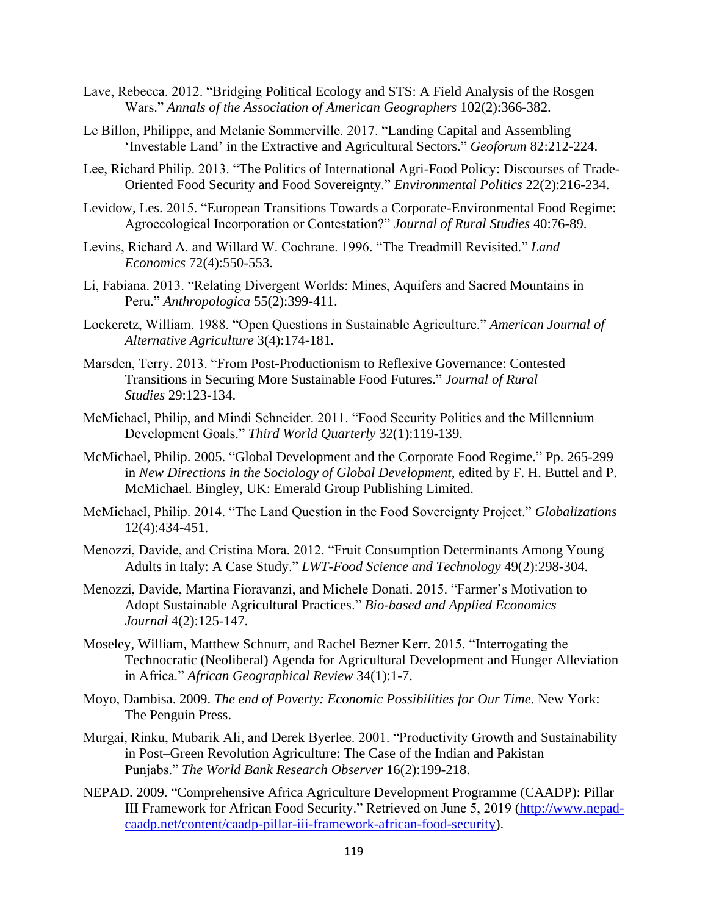- Lave, Rebecca. 2012. "Bridging Political Ecology and STS: A Field Analysis of the Rosgen Wars." *Annals of the Association of American Geographers* 102(2):366-382.
- Le Billon, Philippe, and Melanie Sommerville. 2017. "Landing Capital and Assembling 'Investable Land' in the Extractive and Agricultural Sectors." *Geoforum* 82:212-224.
- Lee, Richard Philip. 2013. "The Politics of International Agri-Food Policy: Discourses of Trade-Oriented Food Security and Food Sovereignty." *Environmental Politics* 22(2):216-234.
- Levidow, Les. 2015. "European Transitions Towards a Corporate-Environmental Food Regime: Agroecological Incorporation or Contestation?" *Journal of Rural Studies* 40:76-89.
- Levins, Richard A. and Willard W. Cochrane. 1996. "The Treadmill Revisited." *Land Economics* 72(4):550-553.
- Li, Fabiana. 2013. "Relating Divergent Worlds: Mines, Aquifers and Sacred Mountains in Peru." *Anthropologica* 55(2):399-411.
- Lockeretz, William. 1988. "Open Questions in Sustainable Agriculture." *American Journal of Alternative Agriculture* 3(4):174-181.
- Marsden, Terry. 2013. "From Post-Productionism to Reflexive Governance: Contested Transitions in Securing More Sustainable Food Futures." *Journal of Rural Studies* 29:123-134.
- McMichael, Philip, and Mindi Schneider. 2011. "Food Security Politics and the Millennium Development Goals." *Third World Quarterly* 32(1):119-139.
- McMichael, Philip. 2005. "Global Development and the Corporate Food Regime." Pp. 265-299 in *New Directions in the Sociology of Global Development*, edited by F. H. Buttel and P. McMichael. Bingley, UK: Emerald Group Publishing Limited.
- McMichael, Philip. 2014. "The Land Question in the Food Sovereignty Project." *Globalizations* 12(4):434-451.
- Menozzi, Davide, and Cristina Mora. 2012. "Fruit Consumption Determinants Among Young Adults in Italy: A Case Study." *LWT-Food Science and Technology* 49(2):298-304.
- Menozzi, Davide, Martina Fioravanzi, and Michele Donati. 2015. "Farmer's Motivation to Adopt Sustainable Agricultural Practices." *Bio-based and Applied Economics Journal* 4(2):125-147.
- Moseley, William, Matthew Schnurr, and Rachel Bezner Kerr. 2015. "Interrogating the Technocratic (Neoliberal) Agenda for Agricultural Development and Hunger Alleviation in Africa." *African Geographical Review* 34(1):1-7.
- Moyo, Dambisa. 2009. *The end of Poverty: Economic Possibilities for Our Time*. New York: The Penguin Press.
- Murgai, Rinku, Mubarik Ali, and Derek Byerlee. 2001. "Productivity Growth and Sustainability in Post–Green Revolution Agriculture: The Case of the Indian and Pakistan Punjabs." *The World Bank Research Observer* 16(2):199-218.
- NEPAD. 2009. "Comprehensive Africa Agriculture Development Programme (CAADP): Pillar III Framework for African Food Security." Retrieved on June 5, 2019 [\(http://www.nepad](http://www.nepad-caadp.net/content/caadp-pillar-iii-framework-african-food-security)[caadp.net/content/caadp-pillar-iii-framework-african-food-security\)](http://www.nepad-caadp.net/content/caadp-pillar-iii-framework-african-food-security).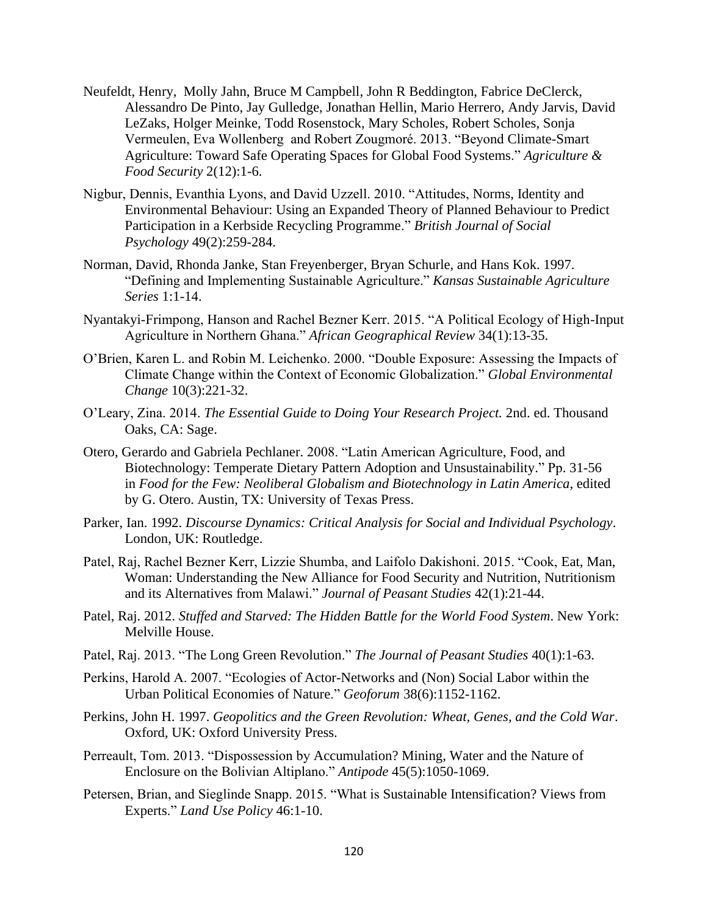- Neufeldt, Henry, Molly Jahn, Bruce M Campbell, John R Beddington, Fabrice DeClerck, Alessandro De Pinto, Jay Gulledge, Jonathan Hellin, Mario Herrero, Andy Jarvis, David LeZaks, Holger Meinke, Todd Rosenstock, Mary Scholes, Robert Scholes, Sonja Vermeulen, Eva Wollenberg and Robert Zougmoré. 2013. "Beyond Climate-Smart Agriculture: Toward Safe Operating Spaces for Global Food Systems." *Agriculture & Food Security* 2(12):1-6.
- Nigbur, Dennis, Evanthia Lyons, and David Uzzell. 2010. "Attitudes, Norms, Identity and Environmental Behaviour: Using an Expanded Theory of Planned Behaviour to Predict Participation in a Kerbside Recycling Programme." *British Journal of Social Psychology* 49(2):259-284.
- Norman, David, Rhonda Janke, Stan Freyenberger, Bryan Schurle, and Hans Kok. 1997. "Defining and Implementing Sustainable Agriculture." *Kansas Sustainable Agriculture Series* 1:1-14.
- Nyantakyi-Frimpong, Hanson and Rachel Bezner Kerr. 2015. "A Political Ecology of High-Input Agriculture in Northern Ghana." *African Geographical Review* 34(1):13-35.
- O'Brien, Karen L. and Robin M. Leichenko. 2000. "Double Exposure: Assessing the Impacts of Climate Change within the Context of Economic Globalization." *Global Environmental Change* 10(3):221-32.
- O'Leary, Zina. 2014. *The Essential Guide to Doing Your Research Project.* 2nd. ed. Thousand Oaks, CA: Sage.
- Otero, Gerardo and Gabriela Pechlaner. 2008. "Latin American Agriculture, Food, and Biotechnology: Temperate Dietary Pattern Adoption and Unsustainability." Pp. 31-56 in *Food for the Few: Neoliberal Globalism and Biotechnology in Latin America*, edited by G. Otero. Austin, TX: University of Texas Press.
- Parker, Ian. 1992. *Discourse Dynamics: Critical Analysis for Social and Individual Psychology*. London, UK: Routledge.
- Patel, Raj, Rachel Bezner Kerr, Lizzie Shumba, and Laifolo Dakishoni. 2015. "Cook, Eat, Man, Woman: Understanding the New Alliance for Food Security and Nutrition, Nutritionism and its Alternatives from Malawi." *Journal of Peasant Studies* 42(1):21-44.
- Patel, Raj. 2012. *Stuffed and Starved: The Hidden Battle for the World Food System*. New York: Melville House.
- Patel, Raj. 2013. "The Long Green Revolution." *The Journal of Peasant Studies* 40(1):1-63.
- Perkins, Harold A. 2007. "Ecologies of Actor-Networks and (Non) Social Labor within the Urban Political Economies of Nature." *Geoforum* 38(6):1152-1162.
- Perkins, John H. 1997. *Geopolitics and the Green Revolution: Wheat, Genes, and the Cold War*. Oxford, UK: Oxford University Press.
- Perreault, Tom. 2013. "Dispossession by Accumulation? Mining, Water and the Nature of Enclosure on the Bolivian Altiplano." *Antipode* 45(5):1050-1069.
- Petersen, Brian, and Sieglinde Snapp. 2015. "What is Sustainable Intensification? Views from Experts." *Land Use Policy* 46:1-10.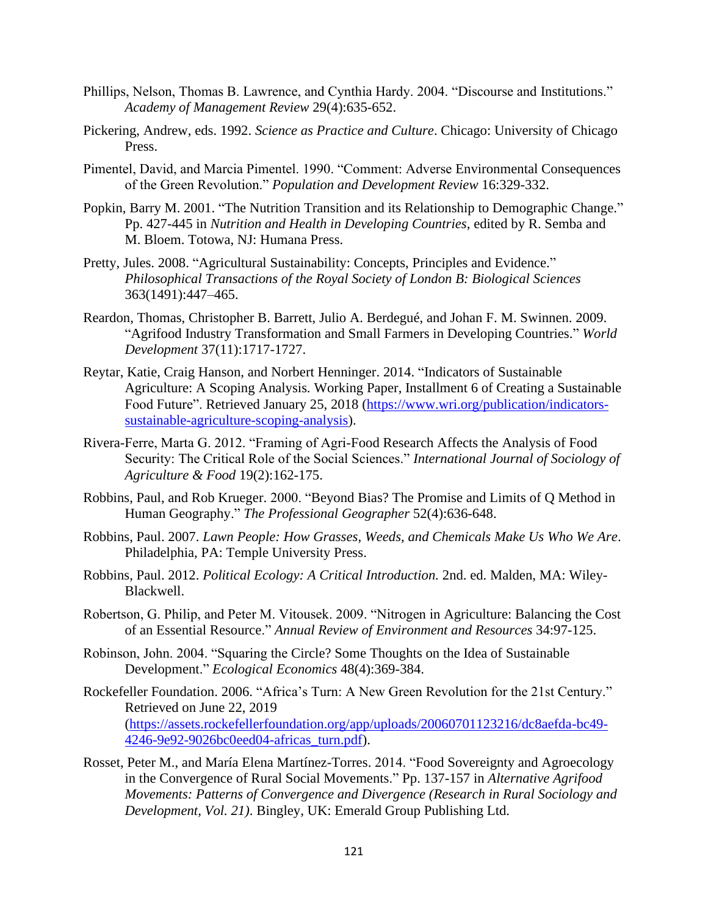- Phillips, Nelson, Thomas B. Lawrence, and Cynthia Hardy. 2004. "Discourse and Institutions." *Academy of Management Review* 29(4):635-652.
- Pickering, Andrew, eds. 1992. *Science as Practice and Culture*. Chicago: University of Chicago Press.
- Pimentel, David, and Marcia Pimentel. 1990. "Comment: Adverse Environmental Consequences of the Green Revolution." *Population and Development Review* 16:329-332.
- Popkin, Barry M. 2001. "The Nutrition Transition and its Relationship to Demographic Change." Pp. 427-445 in *Nutrition and Health in Developing Countries*, edited by R. Semba and M. Bloem. Totowa, NJ: Humana Press.
- Pretty, Jules. 2008. "Agricultural Sustainability: Concepts, Principles and Evidence." *Philosophical Transactions of the Royal Society of London B: Biological Sciences* 363(1491):447–465.
- Reardon, Thomas, Christopher B. Barrett, Julio A. Berdegué, and Johan F. M. Swinnen. 2009. "Agrifood Industry Transformation and Small Farmers in Developing Countries." *World Development* 37(11):1717-1727.
- Reytar, Katie, Craig Hanson, and Norbert Henninger. 2014. "Indicators of Sustainable Agriculture: A Scoping Analysis*.* Working Paper, Installment 6 of Creating a Sustainable Food Future". Retrieved January 25, 2018 [\(https://www.wri.org/publication/indicators](https://www.wri.org/publication/indicators-sustainable-agriculture-scoping-analysis)[sustainable-agriculture-scoping-analysis\)](https://www.wri.org/publication/indicators-sustainable-agriculture-scoping-analysis).
- Rivera-Ferre, Marta G. 2012. "Framing of Agri-Food Research Affects the Analysis of Food Security: The Critical Role of the Social Sciences." *International Journal of Sociology of Agriculture & Food* 19(2):162-175.
- Robbins, Paul, and Rob Krueger. 2000. "Beyond Bias? The Promise and Limits of Q Method in Human Geography." *The Professional Geographer* 52(4):636-648.
- Robbins, Paul. 2007. *Lawn People: How Grasses, Weeds, and Chemicals Make Us Who We Are*. Philadelphia, PA: Temple University Press.
- Robbins, Paul. 2012. *Political Ecology: A Critical Introduction.* 2nd. ed. Malden, MA: Wiley-Blackwell.
- Robertson, G. Philip, and Peter M. Vitousek. 2009. "Nitrogen in Agriculture: Balancing the Cost of an Essential Resource." *Annual Review of Environment and Resources* 34:97-125.
- Robinson, John. 2004. "Squaring the Circle? Some Thoughts on the Idea of Sustainable Development." *Ecological Economics* 48(4):369-384.
- Rockefeller Foundation. 2006. "Africa's Turn: A New Green Revolution for the 21st Century." Retrieved on June 22, 2019 [\(https://assets.rockefellerfoundation.org/app/uploads/20060701123216/dc8aefda-bc49-](https://assets.rockefellerfoundation.org/app/uploads/20060701123216/dc8aefda-bc49-4246-9e92-9026bc0eed04-africas_turn.pdf) [4246-9e92-9026bc0eed04-africas\\_turn.pdf\)](https://assets.rockefellerfoundation.org/app/uploads/20060701123216/dc8aefda-bc49-4246-9e92-9026bc0eed04-africas_turn.pdf).
- Rosset, Peter M., and María Elena Martínez-Torres. 2014. "Food Sovereignty and Agroecology in the Convergence of Rural Social Movements." Pp. 137-157 in *Alternative Agrifood Movements: Patterns of Convergence and Divergence (Research in Rural Sociology and Development, Vol. 21)*. Bingley, UK: Emerald Group Publishing Ltd.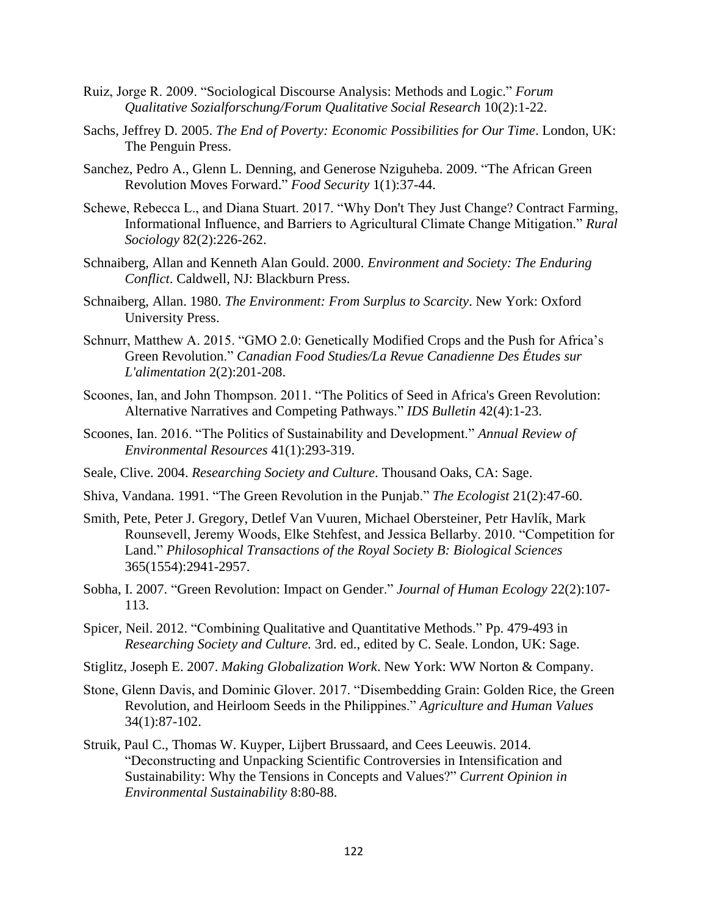- Ruiz, Jorge R. 2009. "Sociological Discourse Analysis: Methods and Logic." *Forum Qualitative Sozialforschung/Forum Qualitative Social Research* 10(2):1-22.
- Sachs, Jeffrey D. 2005. *The End of Poverty: Economic Possibilities for Our Time*. London, UK: The Penguin Press.
- Sanchez, Pedro A., Glenn L. Denning, and Generose Nziguheba. 2009. "The African Green Revolution Moves Forward." *Food Security* 1(1):37-44.
- Schewe, Rebecca L., and Diana Stuart. 2017. "Why Don't They Just Change? Contract Farming, Informational Influence, and Barriers to Agricultural Climate Change Mitigation." *Rural Sociology* 82(2):226-262.
- Schnaiberg, Allan and Kenneth Alan Gould. 2000. *Environment and Society: The Enduring Conflict*. Caldwell, NJ: Blackburn Press.
- Schnaiberg, Allan. 1980. *The Environment: From Surplus to Scarcity*. New York: Oxford University Press.
- Schnurr, Matthew A. 2015. "GMO 2.0: Genetically Modified Crops and the Push for Africa's Green Revolution." *Canadian Food Studies/La Revue Canadienne Des Études sur L'alimentation* 2(2):201-208.
- Scoones, Ian, and John Thompson. 2011. "The Politics of Seed in Africa's Green Revolution: Alternative Narratives and Competing Pathways." *IDS Bulletin* 42(4):1-23.
- Scoones, Ian. 2016. "The Politics of Sustainability and Development." *Annual Review of Environmental Resources* 41(1):293-319.
- Seale, Clive. 2004. *Researching Society and Culture*. Thousand Oaks, CA: Sage.
- Shiva, Vandana. 1991. "The Green Revolution in the Punjab." *The Ecologist* 21(2):47-60.
- Smith, Pete, Peter J. Gregory, Detlef Van Vuuren, Michael Obersteiner, Petr Havlík, Mark Rounsevell, Jeremy Woods, Elke Stehfest, and Jessica Bellarby. 2010. "Competition for Land." *Philosophical Transactions of the Royal Society B: Biological Sciences* 365(1554):2941-2957.
- Sobha, I. 2007. "Green Revolution: Impact on Gender." *Journal of Human Ecology* 22(2):107- 113.
- Spicer, Neil. 2012. "Combining Qualitative and Quantitative Methods." Pp. 479-493 in *Researching Society and Culture.* 3rd. ed., edited by C. Seale. London, UK: Sage.
- Stiglitz, Joseph E. 2007. *Making Globalization Work*. New York: WW Norton & Company.
- Stone, Glenn Davis, and Dominic Glover. 2017. "Disembedding Grain: Golden Rice, the Green Revolution, and Heirloom Seeds in the Philippines." *Agriculture and Human Values*  34(1):87-102.
- Struik, Paul C., Thomas W. Kuyper, Lijbert Brussaard, and Cees Leeuwis. 2014. "Deconstructing and Unpacking Scientific Controversies in Intensification and Sustainability: Why the Tensions in Concepts and Values?" *Current Opinion in Environmental Sustainability* 8:80-88.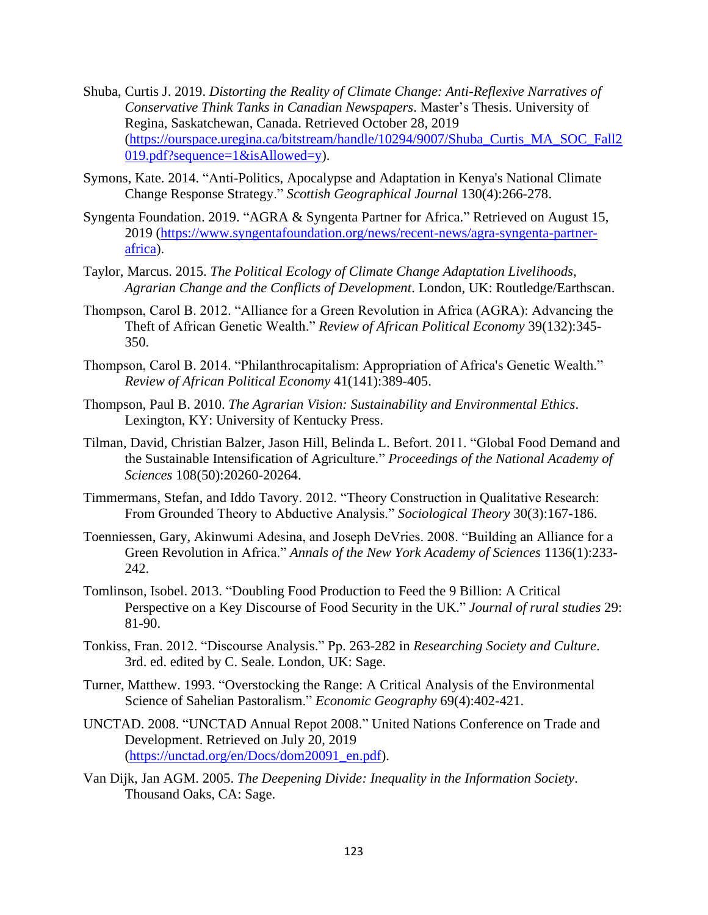- Shuba, Curtis J. 2019. *Distorting the Reality of Climate Change: Anti-Reflexive Narratives of Conservative Think Tanks in Canadian Newspapers*. Master's Thesis. University of Regina, Saskatchewan, Canada. Retrieved October 28, 2019 [\(https://ourspace.uregina.ca/bitstream/handle/10294/9007/Shuba\\_Curtis\\_MA\\_SOC\\_Fall2](https://ourspace.uregina.ca/bitstream/handle/10294/9007/Shuba_Curtis_MA_SOC_Fall2019.pdf?sequence=1&isAllowed=y) [019.pdf?sequence=1&isAllowed=y\)](https://ourspace.uregina.ca/bitstream/handle/10294/9007/Shuba_Curtis_MA_SOC_Fall2019.pdf?sequence=1&isAllowed=y).
- Symons, Kate. 2014. "Anti-Politics, Apocalypse and Adaptation in Kenya's National Climate Change Response Strategy." *Scottish Geographical Journal* 130(4):266-278.
- Syngenta Foundation. 2019. "AGRA & Syngenta Partner for Africa." Retrieved on August 15, 2019 [\(https://www.syngentafoundation.org/news/recent-news/agra-syngenta-partner](https://www.syngentafoundation.org/news/recent-news/agra-syngenta-partner-africa)[africa\)](https://www.syngentafoundation.org/news/recent-news/agra-syngenta-partner-africa).
- Taylor, Marcus. 2015. *The Political Ecology of Climate Change Adaptation Livelihoods, Agrarian Change and the Conflicts of Development*. London, UK: Routledge/Earthscan.
- Thompson, Carol B. 2012. "Alliance for a Green Revolution in Africa (AGRA): Advancing the Theft of African Genetic Wealth." *Review of African Political Economy* 39(132):345- 350.
- Thompson, Carol B. 2014. "Philanthrocapitalism: Appropriation of Africa's Genetic Wealth." *Review of African Political Economy* 41(141):389-405.
- Thompson, Paul B. 2010. *The Agrarian Vision: Sustainability and Environmental Ethics*. Lexington, KY: University of Kentucky Press.
- Tilman, David, Christian Balzer, Jason Hill, Belinda L. Befort. 2011. "Global Food Demand and the Sustainable Intensification of Agriculture." *Proceedings of the National Academy of Sciences* 108(50):20260-20264.
- Timmermans, Stefan, and Iddo Tavory. 2012. "Theory Construction in Qualitative Research: From Grounded Theory to Abductive Analysis." *Sociological Theory* 30(3):167-186.
- Toenniessen, Gary, Akinwumi Adesina, and Joseph DeVries. 2008. "Building an Alliance for a Green Revolution in Africa." *Annals of the New York Academy of Sciences* 1136(1):233- 242.
- Tomlinson, Isobel. 2013. "Doubling Food Production to Feed the 9 Billion: A Critical Perspective on a Key Discourse of Food Security in the UK." *Journal of rural studies* 29: 81-90.
- Tonkiss, Fran. 2012. "Discourse Analysis." Pp. 263-282 in *Researching Society and Culture*. 3rd. ed. edited by C. Seale. London, UK: Sage.
- Turner, Matthew. 1993. "Overstocking the Range: A Critical Analysis of the Environmental Science of Sahelian Pastoralism." *Economic Geography* 69(4):402-421.
- UNCTAD. 2008. "UNCTAD Annual Repot 2008." United Nations Conference on Trade and Development. Retrieved on July 20, 2019 [\(https://unctad.org/en/Docs/dom20091\\_en.pdf\)](https://unctad.org/en/Docs/dom20091_en.pdf).
- Van Dijk, Jan AGM. 2005. *The Deepening Divide: Inequality in the Information Society*. Thousand Oaks, CA: Sage.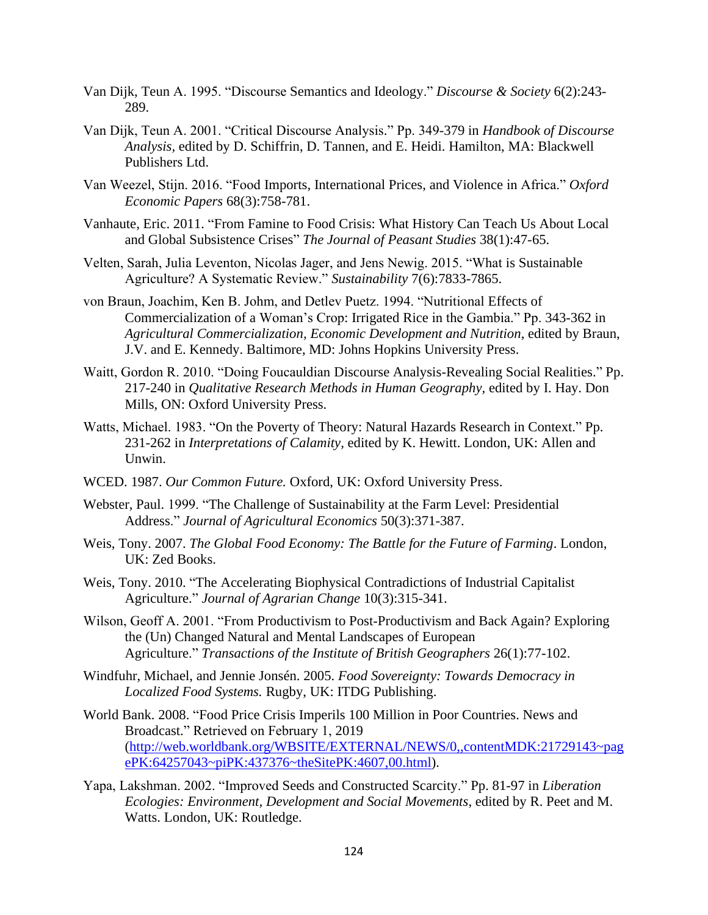- Van Dijk, Teun A. 1995. "Discourse Semantics and Ideology." *Discourse & Society* 6(2):243- 289.
- Van Dijk, Teun A. 2001. "Critical Discourse Analysis." Pp. 349-379 in *Handbook of Discourse Analysis,* edited by D. Schiffrin, D. Tannen, and E. Heidi. Hamilton, MA: Blackwell Publishers Ltd.
- Van Weezel, Stijn. 2016. "Food Imports, International Prices, and Violence in Africa." *Oxford Economic Papers* 68(3):758-781.
- Vanhaute, Eric. 2011. "From Famine to Food Crisis: What History Can Teach Us About Local and Global Subsistence Crises" *The Journal of Peasant Studies* 38(1):47-65.
- Velten, Sarah, Julia Leventon, Nicolas Jager, and Jens Newig. 2015. "What is Sustainable Agriculture? A Systematic Review." *Sustainability* 7(6):7833-7865.
- von Braun, Joachim, Ken B. Johm, and Detlev Puetz. 1994. "Nutritional Effects of Commercialization of a Woman's Crop: Irrigated Rice in the Gambia." Pp. 343-362 in *Agricultural Commercialization, Economic Development and Nutrition*, edited by Braun, J.V. and E. Kennedy. Baltimore, MD: Johns Hopkins University Press.
- Waitt, Gordon R. 2010. "Doing Foucauldian Discourse Analysis-Revealing Social Realities." Pp. 217-240 in *Qualitative Research Methods in Human Geography,* edited by I. Hay. Don Mills, ON: Oxford University Press.
- Watts, Michael. 1983. "On the Poverty of Theory: Natural Hazards Research in Context." Pp. 231-262 in *Interpretations of Calamity,* edited by K. Hewitt. London, UK: Allen and Unwin.
- WCED. 1987. *Our Common Future.* Oxford, UK: Oxford University Press.
- Webster, Paul. 1999. "The Challenge of Sustainability at the Farm Level: Presidential Address." *Journal of Agricultural Economics* 50(3):371-387.
- Weis, Tony. 2007. *The Global Food Economy: The Battle for the Future of Farming*. London, UK: Zed Books.
- Weis, Tony. 2010. "The Accelerating Biophysical Contradictions of Industrial Capitalist Agriculture." *Journal of Agrarian Change* 10(3):315-341.
- Wilson, Geoff A. 2001. "From Productivism to Post-Productivism and Back Again? Exploring the (Un) Changed Natural and Mental Landscapes of European Agriculture." *Transactions of the Institute of British Geographers* 26(1):77-102.
- Windfuhr, Michael, and Jennie Jonsén. 2005. *Food Sovereignty: Towards Democracy in Localized Food Systems.* Rugby, UK: ITDG Publishing.
- World Bank. 2008. "Food Price Crisis Imperils 100 Million in Poor Countries. News and Broadcast." Retrieved on February 1, 2019 [\(http://web.worldbank.org/WBSITE/EXTERNAL/NEWS/0,,contentMDK:21729143~pag](http://web.worldbank.org/WBSITE/EXTERNAL/NEWS/0,,contentMDK:21729143~pagePK:64257043~piPK:437376~theSitePK:4607,00.html) [ePK:64257043~piPK:437376~theSitePK:4607,00.html\)](http://web.worldbank.org/WBSITE/EXTERNAL/NEWS/0,,contentMDK:21729143~pagePK:64257043~piPK:437376~theSitePK:4607,00.html).
- Yapa, Lakshman. 2002. "Improved Seeds and Constructed Scarcity." Pp. 81-97 in *Liberation Ecologies: Environment, Development and Social Movements*, edited by R. Peet and M. Watts. London, UK: Routledge.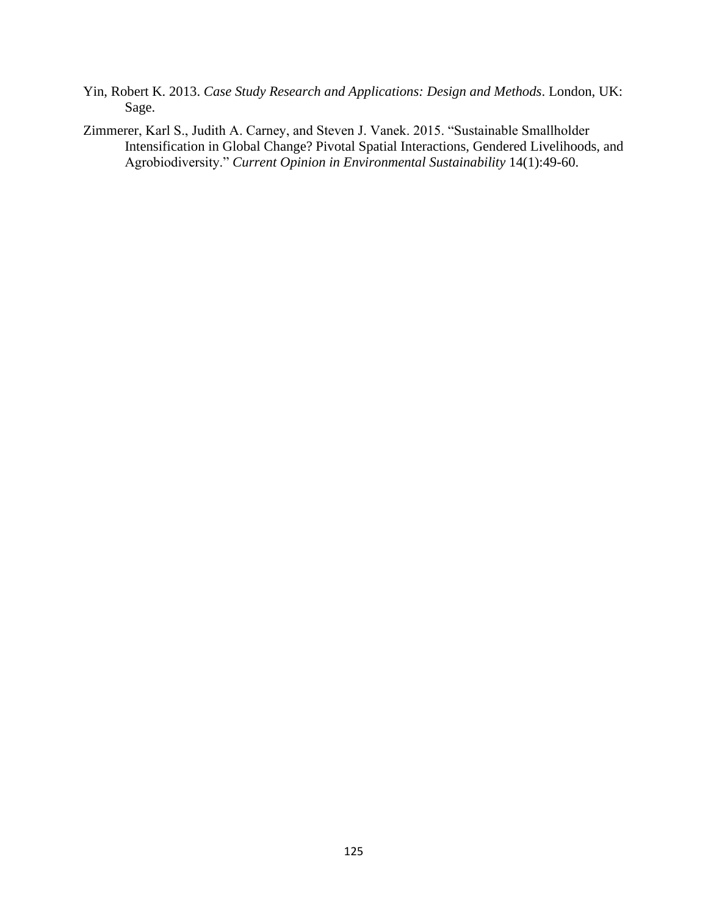- Yin, Robert K. 2013. *Case Study Research and Applications: Design and Methods*. London, UK: Sage.
- Zimmerer, Karl S., Judith A. Carney, and Steven J. Vanek. 2015. "Sustainable Smallholder Intensification in Global Change? Pivotal Spatial Interactions, Gendered Livelihoods, and Agrobiodiversity." *Current Opinion in Environmental Sustainability* 14(1):49-60.